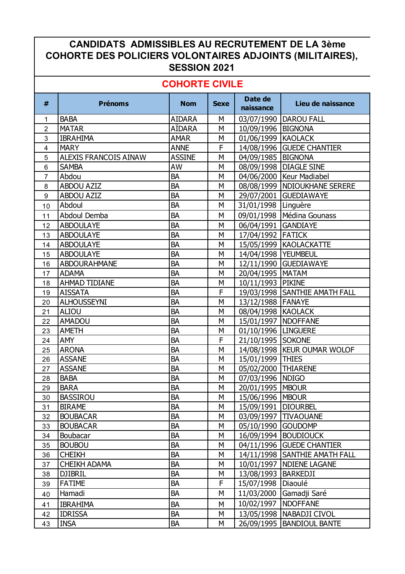## **CANDIDATS ADMISSIBLES AU RECRUTEMENT DE LA 3ème COHORTE DES POLICIERS VOLONTAIRES ADJOINTS (MILITAIRES), SESSION 2021**

## **COHORTE CIVILE**

| <b>BABA</b><br><b>AIDARA</b><br>M<br>03/07/1990   DAROU FALL<br>1<br><b>MATAR</b><br>AÏDARA<br>M<br>10/09/1996   BIGNONA<br>$\overline{2}$<br><b>IBRAHIMA</b><br><b>AMAR</b><br>M<br>01/06/1999 KAOLACK<br>3<br>F<br><b>MARY</b><br><b>ANNE</b><br>14/08/1996 GUEDE CHANTIER<br>4<br><b>ASSINE</b><br><b>ALEXIS FRANCOIS AINAW</b><br>M<br>04/09/1985   BIGNONA<br>5<br><b>SAMBA</b><br>AW<br>M<br>08/09/1998   DIAGLE SINE<br>$6\phantom{1}$<br>BA<br>04/06/2000   Keur Madiabel<br>$\overline{7}$<br>Abdou<br>M<br><b>BA</b><br>ABDOU AZIZ<br>M<br>08/08/1999   NDIOUKHANE SERERE<br>8<br><b>BA</b><br><b>ABDOU AZIZ</b><br>M<br>29/07/2001 GUEDIAWAYE<br>$\boldsymbol{9}$<br><b>BA</b><br>M<br>31/01/1998 Linguère<br>Abdoul<br>10<br><b>BA</b><br>09/01/1998   Médina Gounass<br>Abdoul Demba<br>M<br>11<br><b>BA</b><br>06/04/1991 GANDIAYE<br><b>ABDOULAYE</b><br>M<br>12<br><b>BA</b><br><b>ABDOULAYE</b><br>M<br>17/04/1992 FATICK<br>13<br><b>ABDOULAYE</b><br><b>BA</b><br>M<br>15/05/1999   KAOLACKATTE<br>14<br><b>BA</b><br><b>ABDOULAYE</b><br>M<br>14/04/1998   YEUMBEUL<br>15<br><b>BA</b><br>12/11/1990 GUEDIAWAYE<br>ABDOURAHMANE<br>M<br>16<br><b>ADAMA</b><br><b>BA</b><br>M<br>20/04/1995   MATAM<br>17<br><b>BA</b><br>10/11/1993 PIKINE<br><b>AHMAD TIDIANE</b><br>М<br>18<br>F<br><b>BA</b><br><b>AISSATA</b><br>19/03/1998   SANTHIE AMATH FALL<br>19<br><b>BA</b><br><b>ALHOUSSEYNI</b><br>M<br>13/12/1988   FANAYE<br>20<br><b>BA</b><br><b>ALIOU</b><br>M<br>08/04/1998 KAOLACK<br>21<br><b>BA</b><br><b>AMADOU</b><br>M<br>15/01/1997   NDOFFANE<br>22<br><b>AMETH</b><br><b>BA</b><br>M<br>01/10/1996   LINGUERE<br>23<br>F<br><b>BA</b><br><b>AMY</b><br>21/10/1995 SOKONE<br>24<br><b>BA</b><br><b>ARONA</b><br>M<br>14/08/1998   KEUR OUMAR WOLOF<br>25<br><b>BA</b><br><b>ASSANE</b><br>M<br>15/01/1999 THIES<br>26<br><b>BA</b><br><b>ASSANE</b><br>M<br>05/02/2000 THIARENE<br>27<br><b>BA</b><br><b>BABA</b><br>M<br>07/03/1996 NDIGO<br>28<br>20/01/1995   MBOUR<br><b>BARA</b><br><b>BA</b><br>М<br>29<br>BA<br>15/06/1996 MBOUR<br><b>BASSIROU</b><br>M<br>30<br><b>BA</b><br><b>BIRAME</b><br>М<br>15/09/1991<br><b>DIOURBEL</b><br>31<br><b>BOUBACAR</b><br>BA<br>М<br>03/09/1997<br><b>TIVAOUANE</b><br>32<br>BA<br>М<br>05/10/1990 GOUDOMP<br><b>BOUBACAR</b><br>33<br>BA<br>Boubacar<br>М<br>16/09/1994<br><b>BOUDIOUCK</b><br>34<br><b>BA</b><br>04/11/1996 GUEDE CHANTIER<br><b>BOUBOU</b><br>М<br>35<br>BA<br><b>CHEIKH</b><br>М<br>14/11/1998 SANTHIE AMATH FALL<br>36<br><b>CHEIKH ADAMA</b><br>BA<br><b>NDIENE LAGANE</b><br>37<br>М<br>10/01/1997<br><b>DJIBRIL</b><br>BA<br>М<br>13/08/1993   BARKEDJI<br>38<br>F<br>BA<br>15/07/1998<br>Diaoulé<br><b>FATIME</b><br>39<br>BA<br>Gamadji Saré<br>Hamadi<br>М<br>11/03/2000<br>40<br>10/02/1997<br><b>NDOFFANE</b><br><b>IBRAHIMA</b><br>BA<br>M<br>41<br><b>IDRISSA</b><br><b>BA</b><br>М<br>13/05/1998   NABADJI CIVOL<br>42<br><b>INSA</b><br>BA<br>26/09/1995<br><b>BANDIOUL BANTE</b><br>М<br>43 | # | <b>Prénoms</b> | <b>Nom</b> | <b>Sexe</b> | Date de<br>naissance | Lieu de naissance |
|-----------------------------------------------------------------------------------------------------------------------------------------------------------------------------------------------------------------------------------------------------------------------------------------------------------------------------------------------------------------------------------------------------------------------------------------------------------------------------------------------------------------------------------------------------------------------------------------------------------------------------------------------------------------------------------------------------------------------------------------------------------------------------------------------------------------------------------------------------------------------------------------------------------------------------------------------------------------------------------------------------------------------------------------------------------------------------------------------------------------------------------------------------------------------------------------------------------------------------------------------------------------------------------------------------------------------------------------------------------------------------------------------------------------------------------------------------------------------------------------------------------------------------------------------------------------------------------------------------------------------------------------------------------------------------------------------------------------------------------------------------------------------------------------------------------------------------------------------------------------------------------------------------------------------------------------------------------------------------------------------------------------------------------------------------------------------------------------------------------------------------------------------------------------------------------------------------------------------------------------------------------------------------------------------------------------------------------------------------------------------------------------------------------------------------------------------------------------------------------------------------------------------------------------------------------------------------------------------------------------------------------------------------------------------------------------------------------------------------------------------------------------------------------------------------------------------------------------------------------------------------------------------------------------------------------------------------------------------------------------------------------|---|----------------|------------|-------------|----------------------|-------------------|
|                                                                                                                                                                                                                                                                                                                                                                                                                                                                                                                                                                                                                                                                                                                                                                                                                                                                                                                                                                                                                                                                                                                                                                                                                                                                                                                                                                                                                                                                                                                                                                                                                                                                                                                                                                                                                                                                                                                                                                                                                                                                                                                                                                                                                                                                                                                                                                                                                                                                                                                                                                                                                                                                                                                                                                                                                                                                                                                                                                                                           |   |                |            |             |                      |                   |
|                                                                                                                                                                                                                                                                                                                                                                                                                                                                                                                                                                                                                                                                                                                                                                                                                                                                                                                                                                                                                                                                                                                                                                                                                                                                                                                                                                                                                                                                                                                                                                                                                                                                                                                                                                                                                                                                                                                                                                                                                                                                                                                                                                                                                                                                                                                                                                                                                                                                                                                                                                                                                                                                                                                                                                                                                                                                                                                                                                                                           |   |                |            |             |                      |                   |
|                                                                                                                                                                                                                                                                                                                                                                                                                                                                                                                                                                                                                                                                                                                                                                                                                                                                                                                                                                                                                                                                                                                                                                                                                                                                                                                                                                                                                                                                                                                                                                                                                                                                                                                                                                                                                                                                                                                                                                                                                                                                                                                                                                                                                                                                                                                                                                                                                                                                                                                                                                                                                                                                                                                                                                                                                                                                                                                                                                                                           |   |                |            |             |                      |                   |
|                                                                                                                                                                                                                                                                                                                                                                                                                                                                                                                                                                                                                                                                                                                                                                                                                                                                                                                                                                                                                                                                                                                                                                                                                                                                                                                                                                                                                                                                                                                                                                                                                                                                                                                                                                                                                                                                                                                                                                                                                                                                                                                                                                                                                                                                                                                                                                                                                                                                                                                                                                                                                                                                                                                                                                                                                                                                                                                                                                                                           |   |                |            |             |                      |                   |
|                                                                                                                                                                                                                                                                                                                                                                                                                                                                                                                                                                                                                                                                                                                                                                                                                                                                                                                                                                                                                                                                                                                                                                                                                                                                                                                                                                                                                                                                                                                                                                                                                                                                                                                                                                                                                                                                                                                                                                                                                                                                                                                                                                                                                                                                                                                                                                                                                                                                                                                                                                                                                                                                                                                                                                                                                                                                                                                                                                                                           |   |                |            |             |                      |                   |
|                                                                                                                                                                                                                                                                                                                                                                                                                                                                                                                                                                                                                                                                                                                                                                                                                                                                                                                                                                                                                                                                                                                                                                                                                                                                                                                                                                                                                                                                                                                                                                                                                                                                                                                                                                                                                                                                                                                                                                                                                                                                                                                                                                                                                                                                                                                                                                                                                                                                                                                                                                                                                                                                                                                                                                                                                                                                                                                                                                                                           |   |                |            |             |                      |                   |
|                                                                                                                                                                                                                                                                                                                                                                                                                                                                                                                                                                                                                                                                                                                                                                                                                                                                                                                                                                                                                                                                                                                                                                                                                                                                                                                                                                                                                                                                                                                                                                                                                                                                                                                                                                                                                                                                                                                                                                                                                                                                                                                                                                                                                                                                                                                                                                                                                                                                                                                                                                                                                                                                                                                                                                                                                                                                                                                                                                                                           |   |                |            |             |                      |                   |
|                                                                                                                                                                                                                                                                                                                                                                                                                                                                                                                                                                                                                                                                                                                                                                                                                                                                                                                                                                                                                                                                                                                                                                                                                                                                                                                                                                                                                                                                                                                                                                                                                                                                                                                                                                                                                                                                                                                                                                                                                                                                                                                                                                                                                                                                                                                                                                                                                                                                                                                                                                                                                                                                                                                                                                                                                                                                                                                                                                                                           |   |                |            |             |                      |                   |
|                                                                                                                                                                                                                                                                                                                                                                                                                                                                                                                                                                                                                                                                                                                                                                                                                                                                                                                                                                                                                                                                                                                                                                                                                                                                                                                                                                                                                                                                                                                                                                                                                                                                                                                                                                                                                                                                                                                                                                                                                                                                                                                                                                                                                                                                                                                                                                                                                                                                                                                                                                                                                                                                                                                                                                                                                                                                                                                                                                                                           |   |                |            |             |                      |                   |
|                                                                                                                                                                                                                                                                                                                                                                                                                                                                                                                                                                                                                                                                                                                                                                                                                                                                                                                                                                                                                                                                                                                                                                                                                                                                                                                                                                                                                                                                                                                                                                                                                                                                                                                                                                                                                                                                                                                                                                                                                                                                                                                                                                                                                                                                                                                                                                                                                                                                                                                                                                                                                                                                                                                                                                                                                                                                                                                                                                                                           |   |                |            |             |                      |                   |
|                                                                                                                                                                                                                                                                                                                                                                                                                                                                                                                                                                                                                                                                                                                                                                                                                                                                                                                                                                                                                                                                                                                                                                                                                                                                                                                                                                                                                                                                                                                                                                                                                                                                                                                                                                                                                                                                                                                                                                                                                                                                                                                                                                                                                                                                                                                                                                                                                                                                                                                                                                                                                                                                                                                                                                                                                                                                                                                                                                                                           |   |                |            |             |                      |                   |
|                                                                                                                                                                                                                                                                                                                                                                                                                                                                                                                                                                                                                                                                                                                                                                                                                                                                                                                                                                                                                                                                                                                                                                                                                                                                                                                                                                                                                                                                                                                                                                                                                                                                                                                                                                                                                                                                                                                                                                                                                                                                                                                                                                                                                                                                                                                                                                                                                                                                                                                                                                                                                                                                                                                                                                                                                                                                                                                                                                                                           |   |                |            |             |                      |                   |
|                                                                                                                                                                                                                                                                                                                                                                                                                                                                                                                                                                                                                                                                                                                                                                                                                                                                                                                                                                                                                                                                                                                                                                                                                                                                                                                                                                                                                                                                                                                                                                                                                                                                                                                                                                                                                                                                                                                                                                                                                                                                                                                                                                                                                                                                                                                                                                                                                                                                                                                                                                                                                                                                                                                                                                                                                                                                                                                                                                                                           |   |                |            |             |                      |                   |
|                                                                                                                                                                                                                                                                                                                                                                                                                                                                                                                                                                                                                                                                                                                                                                                                                                                                                                                                                                                                                                                                                                                                                                                                                                                                                                                                                                                                                                                                                                                                                                                                                                                                                                                                                                                                                                                                                                                                                                                                                                                                                                                                                                                                                                                                                                                                                                                                                                                                                                                                                                                                                                                                                                                                                                                                                                                                                                                                                                                                           |   |                |            |             |                      |                   |
|                                                                                                                                                                                                                                                                                                                                                                                                                                                                                                                                                                                                                                                                                                                                                                                                                                                                                                                                                                                                                                                                                                                                                                                                                                                                                                                                                                                                                                                                                                                                                                                                                                                                                                                                                                                                                                                                                                                                                                                                                                                                                                                                                                                                                                                                                                                                                                                                                                                                                                                                                                                                                                                                                                                                                                                                                                                                                                                                                                                                           |   |                |            |             |                      |                   |
|                                                                                                                                                                                                                                                                                                                                                                                                                                                                                                                                                                                                                                                                                                                                                                                                                                                                                                                                                                                                                                                                                                                                                                                                                                                                                                                                                                                                                                                                                                                                                                                                                                                                                                                                                                                                                                                                                                                                                                                                                                                                                                                                                                                                                                                                                                                                                                                                                                                                                                                                                                                                                                                                                                                                                                                                                                                                                                                                                                                                           |   |                |            |             |                      |                   |
|                                                                                                                                                                                                                                                                                                                                                                                                                                                                                                                                                                                                                                                                                                                                                                                                                                                                                                                                                                                                                                                                                                                                                                                                                                                                                                                                                                                                                                                                                                                                                                                                                                                                                                                                                                                                                                                                                                                                                                                                                                                                                                                                                                                                                                                                                                                                                                                                                                                                                                                                                                                                                                                                                                                                                                                                                                                                                                                                                                                                           |   |                |            |             |                      |                   |
|                                                                                                                                                                                                                                                                                                                                                                                                                                                                                                                                                                                                                                                                                                                                                                                                                                                                                                                                                                                                                                                                                                                                                                                                                                                                                                                                                                                                                                                                                                                                                                                                                                                                                                                                                                                                                                                                                                                                                                                                                                                                                                                                                                                                                                                                                                                                                                                                                                                                                                                                                                                                                                                                                                                                                                                                                                                                                                                                                                                                           |   |                |            |             |                      |                   |
|                                                                                                                                                                                                                                                                                                                                                                                                                                                                                                                                                                                                                                                                                                                                                                                                                                                                                                                                                                                                                                                                                                                                                                                                                                                                                                                                                                                                                                                                                                                                                                                                                                                                                                                                                                                                                                                                                                                                                                                                                                                                                                                                                                                                                                                                                                                                                                                                                                                                                                                                                                                                                                                                                                                                                                                                                                                                                                                                                                                                           |   |                |            |             |                      |                   |
|                                                                                                                                                                                                                                                                                                                                                                                                                                                                                                                                                                                                                                                                                                                                                                                                                                                                                                                                                                                                                                                                                                                                                                                                                                                                                                                                                                                                                                                                                                                                                                                                                                                                                                                                                                                                                                                                                                                                                                                                                                                                                                                                                                                                                                                                                                                                                                                                                                                                                                                                                                                                                                                                                                                                                                                                                                                                                                                                                                                                           |   |                |            |             |                      |                   |
|                                                                                                                                                                                                                                                                                                                                                                                                                                                                                                                                                                                                                                                                                                                                                                                                                                                                                                                                                                                                                                                                                                                                                                                                                                                                                                                                                                                                                                                                                                                                                                                                                                                                                                                                                                                                                                                                                                                                                                                                                                                                                                                                                                                                                                                                                                                                                                                                                                                                                                                                                                                                                                                                                                                                                                                                                                                                                                                                                                                                           |   |                |            |             |                      |                   |
|                                                                                                                                                                                                                                                                                                                                                                                                                                                                                                                                                                                                                                                                                                                                                                                                                                                                                                                                                                                                                                                                                                                                                                                                                                                                                                                                                                                                                                                                                                                                                                                                                                                                                                                                                                                                                                                                                                                                                                                                                                                                                                                                                                                                                                                                                                                                                                                                                                                                                                                                                                                                                                                                                                                                                                                                                                                                                                                                                                                                           |   |                |            |             |                      |                   |
|                                                                                                                                                                                                                                                                                                                                                                                                                                                                                                                                                                                                                                                                                                                                                                                                                                                                                                                                                                                                                                                                                                                                                                                                                                                                                                                                                                                                                                                                                                                                                                                                                                                                                                                                                                                                                                                                                                                                                                                                                                                                                                                                                                                                                                                                                                                                                                                                                                                                                                                                                                                                                                                                                                                                                                                                                                                                                                                                                                                                           |   |                |            |             |                      |                   |
|                                                                                                                                                                                                                                                                                                                                                                                                                                                                                                                                                                                                                                                                                                                                                                                                                                                                                                                                                                                                                                                                                                                                                                                                                                                                                                                                                                                                                                                                                                                                                                                                                                                                                                                                                                                                                                                                                                                                                                                                                                                                                                                                                                                                                                                                                                                                                                                                                                                                                                                                                                                                                                                                                                                                                                                                                                                                                                                                                                                                           |   |                |            |             |                      |                   |
|                                                                                                                                                                                                                                                                                                                                                                                                                                                                                                                                                                                                                                                                                                                                                                                                                                                                                                                                                                                                                                                                                                                                                                                                                                                                                                                                                                                                                                                                                                                                                                                                                                                                                                                                                                                                                                                                                                                                                                                                                                                                                                                                                                                                                                                                                                                                                                                                                                                                                                                                                                                                                                                                                                                                                                                                                                                                                                                                                                                                           |   |                |            |             |                      |                   |
|                                                                                                                                                                                                                                                                                                                                                                                                                                                                                                                                                                                                                                                                                                                                                                                                                                                                                                                                                                                                                                                                                                                                                                                                                                                                                                                                                                                                                                                                                                                                                                                                                                                                                                                                                                                                                                                                                                                                                                                                                                                                                                                                                                                                                                                                                                                                                                                                                                                                                                                                                                                                                                                                                                                                                                                                                                                                                                                                                                                                           |   |                |            |             |                      |                   |
|                                                                                                                                                                                                                                                                                                                                                                                                                                                                                                                                                                                                                                                                                                                                                                                                                                                                                                                                                                                                                                                                                                                                                                                                                                                                                                                                                                                                                                                                                                                                                                                                                                                                                                                                                                                                                                                                                                                                                                                                                                                                                                                                                                                                                                                                                                                                                                                                                                                                                                                                                                                                                                                                                                                                                                                                                                                                                                                                                                                                           |   |                |            |             |                      |                   |
|                                                                                                                                                                                                                                                                                                                                                                                                                                                                                                                                                                                                                                                                                                                                                                                                                                                                                                                                                                                                                                                                                                                                                                                                                                                                                                                                                                                                                                                                                                                                                                                                                                                                                                                                                                                                                                                                                                                                                                                                                                                                                                                                                                                                                                                                                                                                                                                                                                                                                                                                                                                                                                                                                                                                                                                                                                                                                                                                                                                                           |   |                |            |             |                      |                   |
|                                                                                                                                                                                                                                                                                                                                                                                                                                                                                                                                                                                                                                                                                                                                                                                                                                                                                                                                                                                                                                                                                                                                                                                                                                                                                                                                                                                                                                                                                                                                                                                                                                                                                                                                                                                                                                                                                                                                                                                                                                                                                                                                                                                                                                                                                                                                                                                                                                                                                                                                                                                                                                                                                                                                                                                                                                                                                                                                                                                                           |   |                |            |             |                      |                   |
|                                                                                                                                                                                                                                                                                                                                                                                                                                                                                                                                                                                                                                                                                                                                                                                                                                                                                                                                                                                                                                                                                                                                                                                                                                                                                                                                                                                                                                                                                                                                                                                                                                                                                                                                                                                                                                                                                                                                                                                                                                                                                                                                                                                                                                                                                                                                                                                                                                                                                                                                                                                                                                                                                                                                                                                                                                                                                                                                                                                                           |   |                |            |             |                      |                   |
|                                                                                                                                                                                                                                                                                                                                                                                                                                                                                                                                                                                                                                                                                                                                                                                                                                                                                                                                                                                                                                                                                                                                                                                                                                                                                                                                                                                                                                                                                                                                                                                                                                                                                                                                                                                                                                                                                                                                                                                                                                                                                                                                                                                                                                                                                                                                                                                                                                                                                                                                                                                                                                                                                                                                                                                                                                                                                                                                                                                                           |   |                |            |             |                      |                   |
|                                                                                                                                                                                                                                                                                                                                                                                                                                                                                                                                                                                                                                                                                                                                                                                                                                                                                                                                                                                                                                                                                                                                                                                                                                                                                                                                                                                                                                                                                                                                                                                                                                                                                                                                                                                                                                                                                                                                                                                                                                                                                                                                                                                                                                                                                                                                                                                                                                                                                                                                                                                                                                                                                                                                                                                                                                                                                                                                                                                                           |   |                |            |             |                      |                   |
|                                                                                                                                                                                                                                                                                                                                                                                                                                                                                                                                                                                                                                                                                                                                                                                                                                                                                                                                                                                                                                                                                                                                                                                                                                                                                                                                                                                                                                                                                                                                                                                                                                                                                                                                                                                                                                                                                                                                                                                                                                                                                                                                                                                                                                                                                                                                                                                                                                                                                                                                                                                                                                                                                                                                                                                                                                                                                                                                                                                                           |   |                |            |             |                      |                   |
|                                                                                                                                                                                                                                                                                                                                                                                                                                                                                                                                                                                                                                                                                                                                                                                                                                                                                                                                                                                                                                                                                                                                                                                                                                                                                                                                                                                                                                                                                                                                                                                                                                                                                                                                                                                                                                                                                                                                                                                                                                                                                                                                                                                                                                                                                                                                                                                                                                                                                                                                                                                                                                                                                                                                                                                                                                                                                                                                                                                                           |   |                |            |             |                      |                   |
|                                                                                                                                                                                                                                                                                                                                                                                                                                                                                                                                                                                                                                                                                                                                                                                                                                                                                                                                                                                                                                                                                                                                                                                                                                                                                                                                                                                                                                                                                                                                                                                                                                                                                                                                                                                                                                                                                                                                                                                                                                                                                                                                                                                                                                                                                                                                                                                                                                                                                                                                                                                                                                                                                                                                                                                                                                                                                                                                                                                                           |   |                |            |             |                      |                   |
|                                                                                                                                                                                                                                                                                                                                                                                                                                                                                                                                                                                                                                                                                                                                                                                                                                                                                                                                                                                                                                                                                                                                                                                                                                                                                                                                                                                                                                                                                                                                                                                                                                                                                                                                                                                                                                                                                                                                                                                                                                                                                                                                                                                                                                                                                                                                                                                                                                                                                                                                                                                                                                                                                                                                                                                                                                                                                                                                                                                                           |   |                |            |             |                      |                   |
|                                                                                                                                                                                                                                                                                                                                                                                                                                                                                                                                                                                                                                                                                                                                                                                                                                                                                                                                                                                                                                                                                                                                                                                                                                                                                                                                                                                                                                                                                                                                                                                                                                                                                                                                                                                                                                                                                                                                                                                                                                                                                                                                                                                                                                                                                                                                                                                                                                                                                                                                                                                                                                                                                                                                                                                                                                                                                                                                                                                                           |   |                |            |             |                      |                   |
|                                                                                                                                                                                                                                                                                                                                                                                                                                                                                                                                                                                                                                                                                                                                                                                                                                                                                                                                                                                                                                                                                                                                                                                                                                                                                                                                                                                                                                                                                                                                                                                                                                                                                                                                                                                                                                                                                                                                                                                                                                                                                                                                                                                                                                                                                                                                                                                                                                                                                                                                                                                                                                                                                                                                                                                                                                                                                                                                                                                                           |   |                |            |             |                      |                   |
|                                                                                                                                                                                                                                                                                                                                                                                                                                                                                                                                                                                                                                                                                                                                                                                                                                                                                                                                                                                                                                                                                                                                                                                                                                                                                                                                                                                                                                                                                                                                                                                                                                                                                                                                                                                                                                                                                                                                                                                                                                                                                                                                                                                                                                                                                                                                                                                                                                                                                                                                                                                                                                                                                                                                                                                                                                                                                                                                                                                                           |   |                |            |             |                      |                   |
|                                                                                                                                                                                                                                                                                                                                                                                                                                                                                                                                                                                                                                                                                                                                                                                                                                                                                                                                                                                                                                                                                                                                                                                                                                                                                                                                                                                                                                                                                                                                                                                                                                                                                                                                                                                                                                                                                                                                                                                                                                                                                                                                                                                                                                                                                                                                                                                                                                                                                                                                                                                                                                                                                                                                                                                                                                                                                                                                                                                                           |   |                |            |             |                      |                   |
|                                                                                                                                                                                                                                                                                                                                                                                                                                                                                                                                                                                                                                                                                                                                                                                                                                                                                                                                                                                                                                                                                                                                                                                                                                                                                                                                                                                                                                                                                                                                                                                                                                                                                                                                                                                                                                                                                                                                                                                                                                                                                                                                                                                                                                                                                                                                                                                                                                                                                                                                                                                                                                                                                                                                                                                                                                                                                                                                                                                                           |   |                |            |             |                      |                   |
|                                                                                                                                                                                                                                                                                                                                                                                                                                                                                                                                                                                                                                                                                                                                                                                                                                                                                                                                                                                                                                                                                                                                                                                                                                                                                                                                                                                                                                                                                                                                                                                                                                                                                                                                                                                                                                                                                                                                                                                                                                                                                                                                                                                                                                                                                                                                                                                                                                                                                                                                                                                                                                                                                                                                                                                                                                                                                                                                                                                                           |   |                |            |             |                      |                   |
|                                                                                                                                                                                                                                                                                                                                                                                                                                                                                                                                                                                                                                                                                                                                                                                                                                                                                                                                                                                                                                                                                                                                                                                                                                                                                                                                                                                                                                                                                                                                                                                                                                                                                                                                                                                                                                                                                                                                                                                                                                                                                                                                                                                                                                                                                                                                                                                                                                                                                                                                                                                                                                                                                                                                                                                                                                                                                                                                                                                                           |   |                |            |             |                      |                   |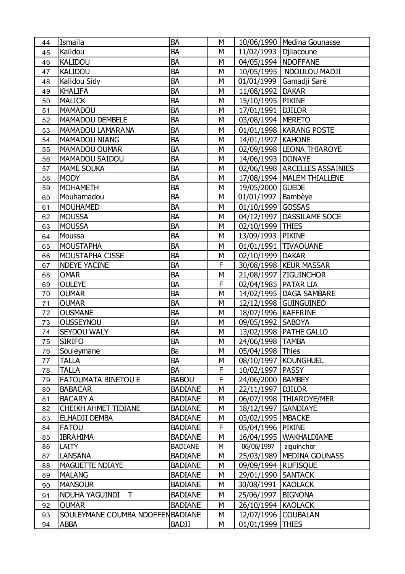| 44 | Ismaila                           | <b>BA</b>      | М |                         | 10/06/1990   Medina Gounasse    |
|----|-----------------------------------|----------------|---|-------------------------|---------------------------------|
| 45 | Kalidou                           | <b>BA</b>      | M | 11/02/1993   Djilacoune |                                 |
| 46 | <b>KALIDOU</b>                    | <b>BA</b>      | M | 04/05/1994              | <b>NDOFFANE</b>                 |
| 47 | <b>KALIDOU</b>                    | <b>BA</b>      | M |                         | 10/05/1995   NDOULOU MADJI      |
| 48 | Kalidou Sidy                      | <b>BA</b>      | M | 01/01/1999              | Gamadji Saré                    |
| 49 | <b>KHALIFA</b>                    | <b>BA</b>      | M | 11/08/1992              | <b>DAKAR</b>                    |
| 50 | <b>MALICK</b>                     | <b>BA</b>      | M | 15/10/1995 PIKINE       |                                 |
| 51 | <b>MAMADOU</b>                    | <b>BA</b>      | M | 17/01/1991              | <b>DJILOR</b>                   |
| 52 | MAMADOU DEMBELE                   | <b>BA</b>      | М | 03/08/1994              | <b>MERETO</b>                   |
| 53 | <b>MAMADOU LAMARANA</b>           | <b>BA</b>      | M |                         | 01/01/1998   KARANG POSTE       |
| 54 | <b>MAMADOU NIANG</b>              | <b>BA</b>      | M | 14/01/1997   KAHONE     |                                 |
| 55 | <b>MAMADOU OUMAR</b>              | <b>BA</b>      | M |                         | 02/09/1998  LEONA THIAROYE      |
| 56 | MAMADOU SAIDOU                    | <b>BA</b>      | M | 14/06/1993   DONAYE     |                                 |
| 57 | <b>MAME SOUKA</b>                 | <b>BA</b>      | M |                         | 02/06/1998   ARCELLES ASSAINIES |
| 58 | <b>MODY</b>                       | <b>BA</b>      | M |                         | 17/08/1994   MALEM THIALLENE    |
| 59 | <b>MOHAMETH</b>                   | <b>BA</b>      | M | 19/05/2000              | <b>GUEDE</b>                    |
| 60 | Mouhamadou                        | <b>BA</b>      | M | 01/01/1997              | Bambèye                         |
| 61 | <b>MOUHAMED</b>                   | <b>BA</b>      | M | 01/10/1999 GOSSAS       |                                 |
| 62 | <b>MOUSSA</b>                     | <b>BA</b>      | M | 04/12/1997              | DASSILAME SOCE                  |
| 63 | <b>MOUSSA</b>                     | <b>BA</b>      | М | 02/10/1999              | <b>THIES</b>                    |
| 64 | Moussa                            | <b>BA</b>      | M | 13/09/1993              | <b>PIKINE</b>                   |
| 65 | <b>MOUSTAPHA</b>                  | BA             | M |                         | 01/01/1991 TIVAOUANE            |
| 66 | MOUSTAPHA CISSE                   | <b>BA</b>      | М | 02/10/1999 DAKAR        |                                 |
| 67 | <b>NDEYE YACINE</b>               | <b>BA</b>      | F |                         | 30/08/1998   KEUR MASSAR        |
| 68 | <b>OMAR</b>                       | BA             | M | 21/08/1997              | <b>ZIGUINCHOR</b>               |
| 69 | <b>OULEYE</b>                     | <b>BA</b>      | F | 02/04/1985   PATAR LIA  |                                 |
| 70 | <b>OUMAR</b>                      | <b>BA</b>      | M |                         | 14/02/1995   DAGA SAMBARE       |
| 71 | <b>OUMAR</b>                      | BA             | M |                         | 12/12/1998 GUINGUINEO           |
| 72 | <b>OUSMANE</b>                    | <b>BA</b>      | M | 18/07/1996   KAFFRINE   |                                 |
| 73 | <b>OUSSEYNOU</b>                  | <b>BA</b>      | M | 09/05/1992   SABOYA     |                                 |
| 74 | SEYDOU WALY                       | BA             | M |                         | 13/02/1998   PATHE GALLO        |
| 75 | <b>SIRIFO</b>                     | <b>BA</b>      | М | 24/06/1998 TAMBA        |                                 |
| 76 | Souleymane                        | Ba             | M | 05/04/1998 Thies        |                                 |
| 77 | <b>TALLA</b>                      | BA             | M |                         | 08/10/1997   KOUNGHUEL          |
| 78 | <b>TALLA</b>                      | BA             | F | 10/02/1997   PASSY      |                                 |
| 79 | <b>FATOUMATA BINETOU E</b>        | <b>BABOU</b>   | F | 24/06/2000              | <b>BAMBEY</b>                   |
| 80 | <b>BABACAR</b>                    | <b>BADIANE</b> | M | 22/11/1997              | <b>DJILOR</b>                   |
| 81 | <b>BACARY A</b>                   | <b>BADIANE</b> | М |                         | 06/07/1998   THIAROYE/MER       |
| 82 | <b>CHEIKH AHMET TIDIANE</b>       | <b>BADIANE</b> | M | 18/12/1997              | <b>GANDIAYE</b>                 |
| 83 | ELHADJI DEMBA                     | <b>BADIANE</b> | M | 03/02/1995              | <b>MBACKE</b>                   |
| 84 | <b>FATOU</b>                      | <b>BADIANE</b> | F | 05/04/1996              | <b>PIKINE</b>                   |
| 85 | <b>IBRAHIMA</b>                   | <b>BADIANE</b> | M | 16/04/1995              | WAKHALDIAME                     |
| 86 | LAITY                             | <b>BADIANE</b> | M | 06/06/1997              | ziguinchor                      |
| 87 | <b>LANSANA</b>                    | <b>BADIANE</b> | М |                         | 25/03/1989   MEDINA GOUNASS     |
| 88 | <b>MAGUETTE NDIAYE</b>            | <b>BADIANE</b> | M | 09/09/1994   RUFISQUE   |                                 |
| 89 | <b>MALANG</b>                     | <b>BADIANE</b> | М | 29/01/1990              | <b>SANTACK</b>                  |
| 90 | <b>MANSOUR</b>                    | <b>BADIANE</b> | M | 30/08/1991              | <b>KAOLACK</b>                  |
| 91 | NOUHA YAGUINDI T                  | <b>BADIANE</b> | M | 25/06/1997              | <b>BIGNONA</b>                  |
| 92 | <b>OUMAR</b>                      | <b>BADIANE</b> | М | 26/10/1994 KAOLACK      |                                 |
| 93 | SOULEYMANE COUMBA NDOFFEN BADIANE |                | M | 12/07/1996              | <b>COUBALAN</b>                 |
| 94 | <b>ABBA</b>                       | <b>BADJI</b>   | М | 01/01/1999              | <b>THIES</b>                    |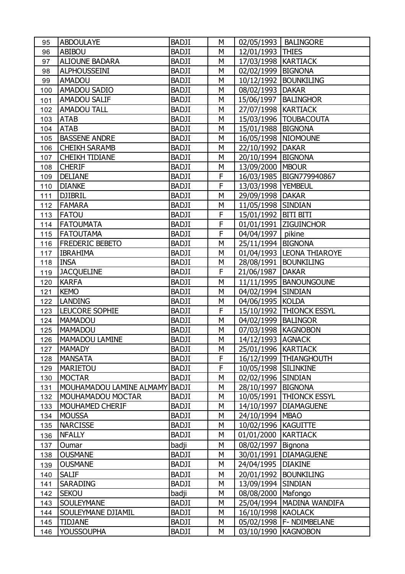| 95  | <b>ABDOULAYE</b>         | <b>BADJI</b> | М |                        | 02/05/1993   BALINGORE      |
|-----|--------------------------|--------------|---|------------------------|-----------------------------|
| 96  | <b>ABIBOU</b>            | BADJI        | M | 12/01/1993 THIES       |                             |
| 97  | <b>ALIOUNE BADARA</b>    | <b>BADJI</b> | M | 17/03/1998   KARTIACK  |                             |
| 98  | <b>ALPHOUSSEINI</b>      | <b>BADJI</b> | М | 02/02/1999             | <b>BIGNONA</b>              |
| 99  | <b>AMADOU</b>            | BADJI        | M |                        | 10/12/1992   BOUNKILING     |
| 100 | <b>AMADOU SADIO</b>      | <b>BADJI</b> | М | 08/02/1993   DAKAR     |                             |
| 101 | <b>AMADOU SALIF</b>      | BADJI        | М |                        | 15/06/1997   BALINGHOR      |
| 102 | <b>AMADOU TALL</b>       | <b>BADJI</b> | M | 27/07/1998   KARTIACK  |                             |
| 103 | <b>ATAB</b>              | BADJI        | M |                        | 15/03/1996   TOUBACOUTA     |
| 104 | <b>ATAB</b>              | <b>BADJI</b> | M | 15/01/1988   BIGNONA   |                             |
| 105 | <b>BASSENE ANDRE</b>     | <b>BADJI</b> | M | 16/05/1998   NIOMOUNE  |                             |
| 106 | <b>CHEIKH SARAMB</b>     | <b>BADJI</b> | М | 22/10/1992   DAKAR     |                             |
| 107 | <b>CHEIKH TIDIANE</b>    | <b>BADJI</b> | M | 20/10/1994   BIGNONA   |                             |
| 108 | <b>CHERIF</b>            | <b>BADJI</b> | M | 13/09/2000   MBOUR     |                             |
| 109 | <b>DELIANE</b>           | BADJI        | F |                        | 16/03/1985   BIGN779940867  |
| 110 | <b>DIANKE</b>            | <b>BADJI</b> | F | 13/03/1998   YEMBEUL   |                             |
| 111 | <b>DJIBRIL</b>           | <b>BADJI</b> | M | 29/09/1998   DAKAR     |                             |
| 112 | <b>FAMARA</b>            | <b>BADJI</b> | М | 11/05/1998 SINDIAN     |                             |
| 113 | <b>FATOU</b>             | <b>BADJI</b> | F | 15/01/1992   BITI BITI |                             |
| 114 | <b>FATOUMATA</b>         | <b>BADJI</b> | F |                        | 01/01/1991  ZIGUINCHOR      |
| 115 | <b>FATOUTAMA</b>         | BADJI        | F | 04/04/1997             | pikine                      |
| 116 | <b>FREDERIC BEBETO</b>   | <b>BADJI</b> | M | 25/11/1994   BIGNONA   |                             |
| 117 | <b>IBRAHIMA</b>          | <b>BADJI</b> | M |                        | 01/04/1993  LEONA THIAROYE  |
| 118 | <b>INSA</b>              | <b>BADJI</b> | М |                        | 28/08/1991   BOUNKILING     |
| 119 | <b>JACQUELINE</b>        | BADJI        | F | 21/06/1987   DAKAR     |                             |
| 120 | <b>KARFA</b>             | <b>BADJI</b> | M |                        | 11/11/1995   BANOUNGOUNE    |
| 121 | <b>KEMO</b>              | <b>BADJI</b> | М | 04/02/1994 SINDIAN     |                             |
| 122 | <b>LANDING</b>           | <b>BADJI</b> | M | 04/06/1995 KOLDA       |                             |
| 123 | LEUCORE SOPHIE           | <b>BADJI</b> | F | 15/10/1992             | <b>THIONCK ESSYL</b>        |
| 124 | <b>MAMADOU</b>           | <b>BADJI</b> | М | 04/02/1999   BALINGOR  |                             |
| 125 | <b>MAMADOU</b>           | BADJI        | M | 07/03/1998   KAGNOBON  |                             |
| 126 | MAMADOU LAMINE           | <b>BADJI</b> | M | 14/12/1993 AGNACK      |                             |
| 127 | <b>MAMADY</b>            | <b>BADJI</b> | М | 25/01/1996   KARTIACK  |                             |
| 128 | <b>MANSATA</b>           | BADJI        | F |                        | 16/12/1999   THIANGHOUTH    |
| 129 | <b>MARIETOU</b>          | <b>BADJI</b> | F | 10/05/1998             | <b>SILINKINE</b>            |
| 130 | <b>MOCTAR</b>            | <b>BADJI</b> | М | 02/02/1996 SINDIAN     |                             |
| 131 | MOUHAMADOU LAMINE ALMAMY | <b>BADJI</b> | M | 28/10/1997             | <b>BIGNONA</b>              |
| 132 | MOUHAMADOU MOCTAR        | BADJI        | М | 10/05/1991             | <b>THIONCK ESSYL</b>        |
| 133 | MOUHAMED CHERIF          | <b>BADJI</b> | М | 14/10/1997             | <b>DIAMAGUENE</b>           |
| 134 | <b>MOUSSA</b>            | <b>BADJI</b> | М | 24/10/1994             | <b>MBAO</b>                 |
| 135 | <b>NARCISSE</b>          | <b>BADJI</b> | М | 10/02/1996   KAGUITTE  |                             |
| 136 | <b>NFALLY</b>            | BADJI        | М | 01/01/2000             | <b>KARTIACK</b>             |
| 137 | Oumar                    | badji        | М | 08/02/1997             | Bignona                     |
| 138 | <b>OUSMANE</b>           | BADJI        | М | 30/01/1991             | <b>DIAMAGUENE</b>           |
| 139 | <b>OUSMANE</b>           | <b>BADJI</b> | М | 24/04/1995   DIAKINE   |                             |
| 140 | <b>SALIF</b>             | <b>BADJI</b> | М | 20/01/1992             | <b>BOUNKILING</b>           |
| 141 | <b>SARADING</b>          | <b>BADJI</b> | М | 13/09/1994 SINDIAN     |                             |
| 142 | <b>SEKOU</b>             | badji        | М | 08/08/2000   Mafongo   |                             |
| 143 | <b>SOULEYMANE</b>        | <b>BADJI</b> | М |                        | 25/04/1994   MADINA WANDIFA |
| 144 | SOULEYMANE DJIAMIL       | <b>BADJI</b> | М | 16/10/1998   KAOLACK   |                             |
| 145 | <b>TIDJANE</b>           | BADJI        | М | 05/02/1998             | F- NDIMBELANE               |
| 146 | <b>YOUSSOUPHA</b>        | <b>BADJI</b> | М | 03/10/1990             | <b>KAGNOBON</b>             |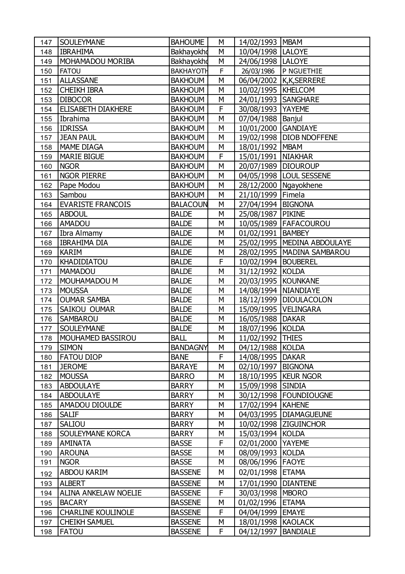| 147 | <b>SOULEYMANE</b>           | <b>BAHOUME</b>   | М | 14/02/1993   MBAM      |                               |
|-----|-----------------------------|------------------|---|------------------------|-------------------------------|
| 148 | <b>IBRAHIMA</b>             | Bakhayokho       | М | 10/04/1998  LALOYE     |                               |
| 149 | <b>MOHAMADOU MORIBA</b>     | Bakhayokho       | M | 24/06/1998   LALOYE    |                               |
| 150 | <b>FATOU</b>                | <b>BAKHAYOTH</b> | F |                        | 26/03/1986 P NGUETHIE         |
| 151 | <b>ALLASSANE</b>            | <b>BAKHOUM</b>   | M |                        | 06/04/2002 K,K,SERRERE        |
| 152 | <b>CHEIKH IBRA</b>          | <b>BAKHOUM</b>   | M | 10/02/1995   KHELCOM   |                               |
| 153 | <b>DIBOCOR</b>              | <b>BAKHOUM</b>   | M | 24/01/1993   SANGHARE  |                               |
| 154 | <b>ELISABETH DIAKHERE</b>   | <b>BAKHOUM</b>   | F | 30/08/1993   YAYEME    |                               |
| 155 | Ibrahima                    | <b>BAKHOUM</b>   | M | 07/04/1988   Banjul    |                               |
| 156 | <b>IDRISSA</b>              | <b>BAKHOUM</b>   | M | 10/01/2000 GANDIAYE    |                               |
| 157 | <b>JEAN PAUL</b>            | <b>BAKHOUM</b>   | M |                        | 19/02/1998   DIOB NDOFFENE    |
| 158 | <b>MAME DIAGA</b>           | <b>BAKHOUM</b>   | М | 18/01/1992   MBAM      |                               |
| 159 | <b>MARIE BIGUE</b>          | <b>BAKHOUM</b>   | F | 15/01/1991   NIAKHAR   |                               |
| 160 | <b>NGOR</b>                 | <b>BAKHOUM</b>   | M | 20/07/1989   DIOUROUP  |                               |
| 161 | <b>NGOR PIERRE</b>          | <b>BAKHOUM</b>   | M |                        | 04/05/1998   LOUL SESSENE     |
| 162 | Pape Modou                  | <b>BAKHOUM</b>   | М |                        | 28/12/2000   Ngayokhene       |
| 163 | Sambou                      | <b>BAKHOUM</b>   | M | 21/10/1999   Fimela    |                               |
| 164 | <b>EVARISTE FRANCOIS</b>    | <b>BALACOUN</b>  | M | 27/04/1994   BIGNONA   |                               |
| 165 | <b>ABDOUL</b>               | <b>BALDE</b>     | M | 25/08/1987   PIKINE    |                               |
| 166 | <b>AMADOU</b>               | <b>BALDE</b>     | M |                        | 10/05/1989   FAFACOUROU       |
| 167 | Ibra Almamy                 | <b>BALDE</b>     | M | 01/02/1991   BAMBEY    |                               |
| 168 | <b>IBRAHIMA DIA</b>         | <b>BALDE</b>     | M |                        | 25/02/1995   MEDINA ABDOULAYE |
| 169 | <b>KARIM</b>                | <b>BALDE</b>     | M |                        | 28/02/1995   MADINA SAMBAROU  |
| 170 | <b>KHADIDIATOU</b>          | <b>BALDE</b>     | F | 10/02/1994   BOUBEREL  |                               |
| 171 | <b>MAMADOU</b>              | <b>BALDE</b>     | M | 31/12/1992 KOLDA       |                               |
| 172 | MOUHAMADOU M                | <b>BALDE</b>     | M | 20/03/1995 KOUNKANE    |                               |
| 173 | <b>MOUSSA</b>               | <b>BALDE</b>     | M | 14/08/1994 NIANDIAYE   |                               |
| 174 | <b>OUMAR SAMBA</b>          | <b>BALDE</b>     | M | 18/12/1999             | <b>DIOULACOLON</b>            |
| 175 | SAIKOU OUMAR                | <b>BALDE</b>     | M | 15/09/1995   VELINGARA |                               |
| 176 | <b>SAMBAROU</b>             | <b>BALDE</b>     | M | 16/05/1988             | <b>DAKAR</b>                  |
| 177 | <b>SOULEYMANE</b>           | <b>BALDE</b>     | M | 18/07/1996             | <b>KOLDA</b>                  |
| 178 | <b>MOUHAMED BASSIROU</b>    | <b>BALL</b>      | M | 11/02/1992             | <b>THIES</b>                  |
| 179 | <b>SIMON</b>                | <b>BANDAGNY</b>  | М | 04/12/1988 KOLDA       |                               |
| 180 | <b>FATOU DIOP</b>           | <b>BANE</b>      | F | 14/08/1995   DAKAR     |                               |
| 181 | <b>JEROME</b>               | <b>BARAYE</b>    | M | 02/10/1997   BIGNONA   |                               |
| 182 | <b>MOUSSA</b>               | <b>BARRO</b>     | M |                        | 18/10/1995   KEUR NGOR        |
| 183 | <b>ABDOULAYE</b>            | <b>BARRY</b>     | М | 15/09/1998 SINDIA      |                               |
| 184 | <b>ABDOULAYE</b>            | <b>BARRY</b>     | М |                        | 30/12/1998   FOUNDIOUGNE      |
| 185 | AMADOU DIOULDE              | <b>BARRY</b>     | М | 17/02/1994             | <b>KAHENE</b>                 |
| 186 | <b>SALIF</b>                | <b>BARRY</b>     | М |                        | 04/03/1995   DIAMAGUEUNE      |
| 187 | <b>SALIOU</b>               | <b>BARRY</b>     | М |                        | 10/02/1998 ZIGUINCHOR         |
| 188 | <b>SOULEYMANE KORCA</b>     | <b>BARRY</b>     | М | 15/03/1994             | <b>KOLDA</b>                  |
| 189 | <b>AMINATA</b>              | <b>BASSE</b>     | F | 02/01/2000             | <b>YAYEME</b>                 |
| 190 | <b>AROUNA</b>               | <b>BASSE</b>     | M | 08/09/1993 KOLDA       |                               |
| 191 | <b>NGOR</b>                 | <b>BASSE</b>     | М | 08/06/1996             | <b>FAOYE</b>                  |
| 192 | <b>ABDOU KARIM</b>          | <b>BASSENE</b>   | М | 02/01/1998             | <b>ETAMA</b>                  |
| 193 | <b>ALBERT</b>               | <b>BASSENE</b>   | М | 17/01/1990             | <b>DIANTENE</b>               |
| 194 | <b>ALINA ANKELAW NOELIE</b> | <b>BASSENE</b>   | F | 30/03/1998   MBORO     |                               |
| 195 | <b>BACARY</b>               | <b>BASSENE</b>   | М | 01/02/1996             | <b>ETAMA</b>                  |
| 196 | <b>CHARLINE KOULINOLE</b>   | <b>BASSENE</b>   | F | 04/04/1999             | <b>EMAYE</b>                  |
| 197 | <b>CHEIKH SAMUEL</b>        | <b>BASSENE</b>   | М | 18/01/1998 KAOLACK     |                               |
| 198 | <b>FATOU</b>                | <b>BASSENE</b>   | F | 04/12/1997             | <b>BANDIALE</b>               |
|     |                             |                  |   |                        |                               |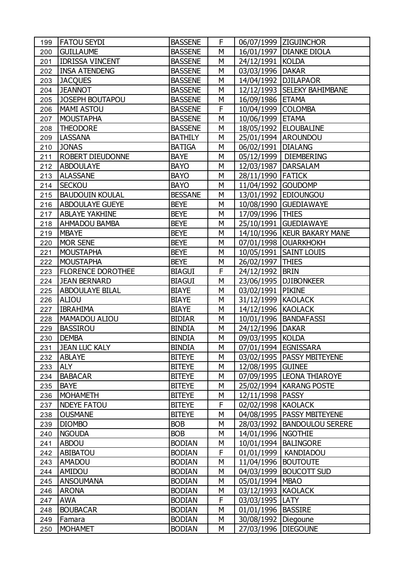| 199 | <b>FATOU SEYDI</b>       | <b>BASSENE</b> | F |                        | 06/07/1999 ZIGUINCHOR         |
|-----|--------------------------|----------------|---|------------------------|-------------------------------|
| 200 | <b>GUILLAUME</b>         | <b>BASSENE</b> | М |                        | 16/01/1997   DIANKE DIOLA     |
| 201 | <b>IDRISSA VINCENT</b>   | <b>BASSENE</b> | M | 24/12/1991 KOLDA       |                               |
| 202 | <b>INSA ATENDENG</b>     | <b>BASSENE</b> | M | 03/03/1996   DAKAR     |                               |
| 203 | <b>JACQUES</b>           | <b>BASSENE</b> | M | 14/04/1992   DJILAPAOR |                               |
| 204 | <b>JEANNOT</b>           | <b>BASSENE</b> | M |                        | 12/12/1993 SELEKY BAHIMBANE   |
| 205 | <b>JOSEPH BOUTAPOU</b>   | <b>BASSENE</b> | М | 16/09/1986 ETAMA       |                               |
| 206 | <b>MAMI ASTOU</b>        | <b>BASSENE</b> | F | 10/04/1999 COLOMBA     |                               |
| 207 | <b>MOUSTAPHA</b>         | <b>BASSENE</b> | M | 10/06/1999 ETAMA       |                               |
| 208 | <b>THEODORE</b>          | <b>BASSENE</b> | M |                        | 18/05/1992   ELOUBALINE       |
| 209 | <b>LASSANA</b>           | <b>BATHILY</b> | М |                        | 25/01/1994 AROUNDOU           |
| 210 | <b>JONAS</b>             | <b>BATIGA</b>  | M | 06/02/1991   DIALANG   |                               |
| 211 | <b>ROBERT DIEUDONNE</b>  | <b>BAYE</b>    | М |                        | 05/12/1999   DIEMBERING       |
| 212 | <b>ABDOULAYE</b>         | <b>BAYO</b>    | M | 12/03/1987   DARSALAM  |                               |
| 213 | <b>ALASSANE</b>          | <b>BAYO</b>    | M | 28/11/1990 FATICK      |                               |
| 214 | <b>SECKOU</b>            | <b>BAYO</b>    | M | 11/04/1992 GOUDOMP     |                               |
| 215 | <b>BAUDOUIN KOULAL</b>   | <b>BESSANE</b> | M |                        | 13/01/1992 EDIOUNGOU          |
| 216 | <b>ABDOULAYE GUEYE</b>   | <b>BEYE</b>    | M |                        | 10/08/1990 GUEDIAWAYE         |
| 217 | <b>ABLAYE YAKHINE</b>    | <b>BEYE</b>    | М | 17/09/1996 THIES       |                               |
| 218 | <b>AHMADOU BAMBA</b>     | <b>BEYE</b>    | M |                        | 25/10/1991 GUEDIAWAYE         |
| 219 | <b>MBAYE</b>             | <b>BEYE</b>    | M |                        | 14/10/1996   KEUR BAKARY MANE |
| 220 | <b>MOR SENE</b>          | <b>BEYE</b>    | M |                        | 07/01/1998 OUARKHOKH          |
| 221 | <b>MOUSTAPHA</b>         | <b>BEYE</b>    | M |                        | 10/05/1991   SAINT LOUIS      |
| 222 | <b>MOUSTAPHA</b>         | <b>BEYE</b>    | М | 26/02/1997   THIES     |                               |
| 223 | <b>FLORENCE DOROTHEE</b> | <b>BIAGUI</b>  | F | 24/12/1992 BRIN        |                               |
| 224 | <b>JEAN BERNARD</b>      | <b>BIAGUI</b>  | M |                        | 23/06/1995   DJIBONKEER       |
| 225 | <b>ABDOULAYE BILAL</b>   | <b>BIAYE</b>   | M | 03/02/1991   PIKINE    |                               |
| 226 | <b>ALIOU</b>             | <b>BIAYE</b>   | M | 31/12/1999 KAOLACK     |                               |
| 227 | <b>IBRAHIMA</b>          | <b>BIAYE</b>   | М | 14/12/1996 KAOLACK     |                               |
| 228 | MAMADOU ALIOU            | <b>BIDIAR</b>  | M |                        | 10/01/1996   BANDAFASSI       |
| 229 | <b>BASSIROU</b>          | <b>BINDIA</b>  | М | 24/12/1996   DAKAR     |                               |
| 230 | <b>DEMBA</b>             | <b>BINDIA</b>  | M | 09/03/1995 KOLDA       |                               |
| 231 | <b>JEAN LUC KALY</b>     | <b>BINDIA</b>  | M | 07/01/1994   EGNISSARA |                               |
| 232 | <b>ABLAYE</b>            | <b>BITEYE</b>  | М |                        | 03/02/1995   PASSY MBITEYENE  |
| 233 | <b>ALY</b>               | <b>BITEYE</b>  | М | 12/08/1995 GUINEE      |                               |
| 234 | <b>BABACAR</b>           | <b>BITEYE</b>  | М |                        | 07/09/1995  LEONA THIAROYE    |
| 235 | <b>BAYE</b>              | <b>BITEYE</b>  | М |                        | 25/02/1994   KARANG POSTE     |
| 236 | <b>MOHAMETH</b>          | <b>BITEYE</b>  | М | 12/11/1998   PASSY     |                               |
| 237 | <b>NDEYE FATOU</b>       | <b>BITEYE</b>  | F | 02/02/1998   KAOLACK   |                               |
| 238 | <b>OUSMANE</b>           | <b>BITEYE</b>  | М |                        | 04/08/1995   PASSY MBITEYENE  |
| 239 | <b>DIOMBO</b>            | <b>BOB</b>     | М |                        | 28/03/1992   BANDOULOU SERERE |
| 240 | <b>NGOUDA</b>            | <b>BOB</b>     | М | 14/01/1996   NGOTHIE   |                               |
| 241 | <b>ABDOU</b>             | <b>BODIAN</b>  | М | 10/01/1994             | <b>BALINGORE</b>              |
| 242 | <b>ABIBATOU</b>          | <b>BODIAN</b>  | F | 01/01/1999             | <b>KANDIADOU</b>              |
| 243 | <b>AMADOU</b>            | <b>BODIAN</b>  | М | 11/04/1996             | <b>BOUTOUTE</b>               |
| 244 | AMIDOU                   | <b>BODIAN</b>  | М | 04/03/1999             | <b>BOUCOTT SUD</b>            |
| 245 | <b>ANSOUMANA</b>         | <b>BODIAN</b>  | М | 05/01/1994   MBAO      |                               |
| 246 | <b>ARONA</b>             | <b>BODIAN</b>  | М | 03/12/1993             | <b>KAOLACK</b>                |
| 247 | <b>AWA</b>               | <b>BODIAN</b>  | F | 03/03/1995             | LATY                          |
| 248 | <b>BOUBACAR</b>          | <b>BODIAN</b>  | М | 01/01/1996   BASSIRE   |                               |
| 249 | Famara                   | <b>BODIAN</b>  | М | 30/08/1992   Diegoune  |                               |
| 250 | <b>MOHAMET</b>           | <b>BODIAN</b>  | М | 27/03/1996             | <b>DIEGOUNE</b>               |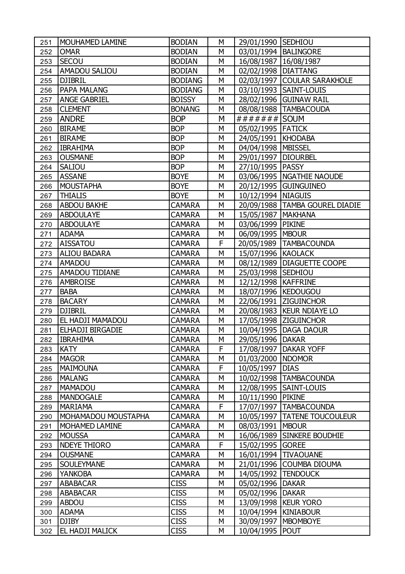| 251 | MOUHAMED LAMINE     | <b>BODIAN</b>  | М | 29/01/1990 SEDHIOU      |                                  |
|-----|---------------------|----------------|---|-------------------------|----------------------------------|
| 252 | <b>OMAR</b>         | <b>BODIAN</b>  | M |                         | 03/01/1994   BALINGORE           |
| 253 | <b>SECOU</b>        | <b>BODIAN</b>  | M | 16/08/1987   16/08/1987 |                                  |
| 254 | AMADOU SALIOU       | <b>BODIAN</b>  | M | 02/02/1998   DIATTANG   |                                  |
| 255 | <b>DJIBRIL</b>      | <b>BODIANG</b> | M |                         | 02/03/1997 COULAR SARAKHOLE      |
| 256 | PAPA MALANG         | <b>BODIANG</b> | M |                         | 03/10/1993   SAINT-LOUIS         |
| 257 | <b>ANGE GABRIEL</b> | <b>BOISSY</b>  | M |                         | 28/02/1996 GUINAW RAIL           |
| 258 | <b>CLEMENT</b>      | <b>BONANG</b>  | М |                         | 08/08/1988   TAMBACOUDA          |
| 259 | <b>ANDRE</b>        | <b>BOP</b>     | M | ####### SOUM            |                                  |
| 260 | <b>BIRAME</b>       | <b>BOP</b>     | М | 05/02/1995   FATICK     |                                  |
| 261 | <b>BIRAME</b>       | <b>BOP</b>     | M | 24/05/1991   KHODABA    |                                  |
| 262 | <b>IBRAHIMA</b>     | <b>BOP</b>     | М | 04/04/1998   MBISSEL    |                                  |
| 263 | <b>OUSMANE</b>      | <b>BOP</b>     | М | 29/01/1997   DIOURBEL   |                                  |
| 264 | SALIOU              | <b>BOP</b>     | M | 27/10/1995   PASSY      |                                  |
| 265 | <b>ASSANE</b>       | <b>BOYE</b>    | M |                         | 03/06/1995   NGATHIE NAOUDE      |
| 266 | <b>MOUSTAPHA</b>    | <b>BOYE</b>    | M |                         | 20/12/1995 GUINGUINEO            |
| 267 | <b>THIALIS</b>      | <b>BOYE</b>    | M | 10/12/1994   NIAGUIS    |                                  |
| 268 | <b>ABDOU BAKHE</b>  | <b>CAMARA</b>  | M |                         | 20/09/1988   TAMBA GOUREL DIADIE |
| 269 | <b>ABDOULAYE</b>    | <b>CAMARA</b>  | М | 15/05/1987   MAKHANA    |                                  |
| 270 | <b>ABDOULAYE</b>    | <b>CAMARA</b>  | M | 03/06/1999 PIKINE       |                                  |
| 271 | <b>ADAMA</b>        | <b>CAMARA</b>  | М | 06/09/1995   MBOUR      |                                  |
| 272 | <b>AISSATOU</b>     | <b>CAMARA</b>  | F |                         | 20/05/1989   TAMBACOUNDA         |
| 273 | <b>ALIOU BADARA</b> | <b>CAMARA</b>  | M | 15/07/1996 KAOLACK      |                                  |
| 274 | AMADOU              | <b>CAMARA</b>  | М |                         | 08/12/1989   DIAGUETTE COOPE     |
| 275 | AMADOU TIDIANE      | <b>CAMARA</b>  | M | 25/03/1998 SEDHIOU      |                                  |
| 276 | AMBROISE            | <b>CAMARA</b>  | M | 12/12/1998   KAFFRINE   |                                  |
| 277 | <b>BABA</b>         | CAMARA         | M |                         | 18/07/1996   KEDOUGOU            |
| 278 | <b>BACARY</b>       | <b>CAMARA</b>  | М |                         | 22/06/1991 ZIGUINCHOR            |
| 279 | <b>DJIBRIL</b>      | <b>CAMARA</b>  | M |                         | 20/08/1983   KEUR NDIAYE LO      |
| 280 | EL HADJI MAMADOU    | CAMARA         | М |                         | 17/05/1998 ZIGUINCHOR            |
| 281 | ELHADJI BIRGADIE    | <b>CAMARA</b>  | M |                         | 10/04/1995   DAGA DAOUR          |
| 282 | <b>IBRAHIMA</b>     | <b>CAMARA</b>  | M | 29/05/1996   DAKAR      |                                  |
| 283 | <b>KATY</b>         | CAMARA         | F |                         | 17/08/1997   DAKAR YOFF          |
| 284 | <b>MAGOR</b>        | <b>CAMARA</b>  | М | 01/03/2000   NDOMOR     |                                  |
| 285 | <b>MAIMOUNA</b>     | <b>CAMARA</b>  | F | 10/05/1997              | <b>DIAS</b>                      |
| 286 | <b>MALANG</b>       | <b>CAMARA</b>  | М |                         | 10/02/1998   TAMBACOUNDA         |
| 287 | <b>MAMADOU</b>      | <b>CAMARA</b>  | М | 12/08/1995              | <b>SAINT-LOUIS</b>               |
| 288 | <b>MANDOGALE</b>    | <b>CAMARA</b>  | М | 10/11/1990 PIKINE       |                                  |
| 289 | <b>MARIAMA</b>      | <b>CAMARA</b>  | F |                         | 17/07/1997   TAMBACOUNDA         |
| 290 | MOHAMADOU MOUSTAPHA | CAMARA         | М |                         | 10/05/1997   TATENE TOUCOULEUR   |
| 291 | MOHAMED LAMINE      | <b>CAMARA</b>  | М | 08/03/1991   MBOUR      |                                  |
| 292 | <b>MOUSSA</b>       | <b>CAMARA</b>  | М |                         | 16/06/1989 SINKERE BOUDHIE       |
| 293 | <b>NDEYE THIORO</b> | <b>CAMARA</b>  | F | 15/02/1995 GOREE        |                                  |
| 294 | <b>OUSMANE</b>      | <b>CAMARA</b>  | М |                         | 16/01/1994   TIVAOUANE           |
| 295 | <b>SOULEYMANE</b>   | <b>CAMARA</b>  | М |                         | 21/01/1996 COUMBA DIOUMA         |
| 296 | <b>YANKOBA</b>      | <b>CAMARA</b>  | М | 14/05/1992 TENDOUCK     |                                  |
| 297 | ABABACAR            | <b>CISS</b>    | М | 05/02/1996   DAKAR      |                                  |
| 298 | <b>ABABACAR</b>     | <b>CISS</b>    | М | 05/02/1996              | <b>DAKAR</b>                     |
| 299 | <b>ABDOU</b>        | <b>CISS</b>    | М |                         | 13/09/1998   KEUR YORO           |
| 300 | <b>ADAMA</b>        | <b>CISS</b>    | М |                         | 10/04/1994   KINIABOUR           |
| 301 | <b>DJIBY</b>        | <b>CISS</b>    | М |                         | 30/09/1997   MBOMBOYE            |
| 302 | EL HADJI MALICK     | <b>CISS</b>    | М | 10/04/1995 POUT         |                                  |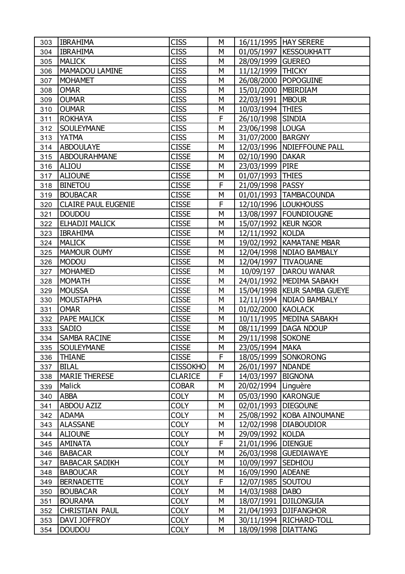| 303 | <b>IBRAHIMA</b>            | <b>CISS</b>     | M |                     | 16/11/1995   HAY SERERE       |
|-----|----------------------------|-----------------|---|---------------------|-------------------------------|
| 304 | <b>IBRAHIMA</b>            | <b>CISS</b>     | M |                     | 01/05/1997   KESSOUKHATT      |
| 305 | <b>MALICK</b>              | <b>CISS</b>     | M | 28/09/1999 GUEREO   |                               |
| 306 | <b>MAMADOU LAMINE</b>      | <b>CISS</b>     | M | 11/12/1999          | <b>THICKY</b>                 |
| 307 | <b>MOHAMET</b>             | <b>CISS</b>     | M | 26/08/2000          | <b>POPOGUINE</b>              |
| 308 | <b>OMAR</b>                | <b>CISS</b>     | M | 15/01/2000          | <b>MBIRDIAM</b>               |
| 309 | <b>OUMAR</b>               | <b>CISS</b>     | M | 22/03/1991   MBOUR  |                               |
| 310 | <b>OUMAR</b>               | <b>CISS</b>     | M | 10/03/1994 THIES    |                               |
| 311 | <b>ROKHAYA</b>             | <b>CISS</b>     | F | 26/10/1998          | <b>SINDIA</b>                 |
| 312 | <b>SOULEYMANE</b>          | <b>CISS</b>     | M | 23/06/1998          | <b>LOUGA</b>                  |
| 313 | <b>YATMA</b>               | <b>CISS</b>     | M | 31/07/2000          | <b>BARGNY</b>                 |
| 314 | <b>ABDOULAYE</b>           | <b>CISSE</b>    | M |                     | 12/03/1996   NDIEFFOUNE PALL  |
| 315 | <b>ABDOURAHMANE</b>        | <b>CISSE</b>    | M | 02/10/1990          | <b>DAKAR</b>                  |
| 316 | <b>ALIOU</b>               | <b>CISSE</b>    | M | 23/03/1999          | <b>PIRE</b>                   |
| 317 | <b>ALIOUNE</b>             | <b>CISSE</b>    | M | 01/07/1993          | <b>THIES</b>                  |
| 318 | <b>BINETOU</b>             | <b>CISSE</b>    | F | 21/09/1998          | <b>PASSY</b>                  |
| 319 | <b>BOUBACAR</b>            | <b>CISSE</b>    | M |                     | 01/01/1993   TAMBACOUNDA      |
| 320 | <b>CLAIRE PAUL EUGENIE</b> | <b>CISSE</b>    | F |                     | 12/10/1996   LOUKHOUSS        |
| 321 | <b>DOUDOU</b>              | <b>CISSE</b>    | M |                     | 13/08/1997   FOUNDIOUGNE      |
| 322 | ELHADJI MALICK             | <b>CISSE</b>    | M |                     | 15/07/1992   KEUR NGOR        |
| 323 | <b>IBRAHIMA</b>            | <b>CISSE</b>    | M | 12/11/1992 KOLDA    |                               |
| 324 | <b>MALICK</b>              | <b>CISSE</b>    | M |                     | 19/02/1992   KAMATANE MBAR    |
| 325 | <b>MAMOUR OUMY</b>         | <b>CISSE</b>    | M |                     | 12/04/1998   NDIAO BAMBALY    |
| 326 | <b>MODOU</b>               | <b>CISSE</b>    | M | 12/04/1997          | <b>TIVAOUANE</b>              |
| 327 | <b>MOHAMED</b>             | <b>CISSE</b>    | M | 10/09/197           | <b>DAROU WANAR</b>            |
| 328 | <b>MOMATH</b>              | <b>CISSE</b>    | M |                     | 24/01/1992   MEDIMA SABAKH    |
| 329 | <b>MOUSSA</b>              | <b>CISSE</b>    | M |                     | 15/04/1998   KEUR SAMBA GUEYE |
| 330 | <b>MOUSTAPHA</b>           | <b>CISSE</b>    | M | 12/11/1994          | <b>NDIAO BAMBALY</b>          |
| 331 | <b>OMAR</b>                | <b>CISSE</b>    | M | 01/02/2000 KAOLACK  |                               |
| 332 | <b>PAPE MALICK</b>         | <b>CISSE</b>    | M |                     | 10/11/1995   MEDINA SABAKH    |
| 333 | <b>SADIO</b>               | <b>CISSE</b>    | M | 08/11/1999          | <b>DAGA NDOUP</b>             |
| 334 | <b>SAMBA RACINE</b>        | <b>CISSE</b>    | M | 29/11/1998 SOKONE   |                               |
| 335 | <b>SOULEYMANE</b>          | <b>CISSE</b>    | M | 23/05/1994   MAKA   |                               |
| 336 | <b>THIANE</b>              | <b>CISSE</b>    | F |                     | 18/05/1999 SONKORONG          |
| 337 | <b>BILAL</b>               | <b>CISSOKHO</b> | М | 26/01/1997   NDANDE |                               |
| 338 | <b>MARIE THERESE</b>       | <b>CLARICE</b>  | F | 14/03/1997          | <b>BIGNONA</b>                |
| 339 | Malick                     | <b>COBAR</b>    | M | 20/02/1994          | Linguère                      |
| 340 | <b>ABBA</b>                | <b>COLY</b>     | M | 05/03/1990          | <b>KARONGUE</b>               |
| 341 | <b>ABDOU AZIZ</b>          | <b>COLY</b>     | M | 02/01/1993          | <b>DIEGOUNE</b>               |
| 342 | <b>ADAMA</b>               | <b>COLY</b>     | M |                     | 25/08/1992 KOBA AINOUMANE     |
| 343 | <b>ALASSANE</b>            | <b>COLY</b>     | M |                     | 12/02/1998   DIABOUDIOR       |
| 344 | <b>ALIOUNE</b>             | <b>COLY</b>     | M | 29/09/1992          | <b>KOLDA</b>                  |
| 345 | <b>AMINATA</b>             | <b>COLY</b>     | F | 21/01/1996          | <b>DIENGUE</b>                |
| 346 | <b>BABACAR</b>             | <b>COLY</b>     | M | 26/03/1998          | <b>GUEDIAWAYE</b>             |
| 347 | <b>BABACAR SADIKH</b>      | <b>COLY</b>     | M | 10/09/1997          | <b>SEDHIOU</b>                |
| 348 | <b>BABOUCAR</b>            | <b>COLY</b>     | M | 16/09/1990   ADEANE |                               |
| 349 | <b>BERNADETTE</b>          | <b>COLY</b>     | F | 12/07/1985          | SOUTOU                        |
| 350 | <b>BOUBACAR</b>            | <b>COLY</b>     | M | 14/03/1988          | <b>DABO</b>                   |
| 351 | <b>BOURAMA</b>             | <b>COLY</b>     | M | 18/07/1991          | <b>DJILONGUIA</b>             |
| 352 | <b>CHRISTIAN PAUL</b>      | <b>COLY</b>     | M | 21/04/1993          | <b>DJIFANGHOR</b>             |
| 353 | DAVI JOFFROY               | <b>COLY</b>     | M | 30/11/1994          | RICHARD-TOLL                  |
| 354 | <b>DOUDOU</b>              | <b>COLY</b>     | М | 18/09/1998          | <b>DIATTANG</b>               |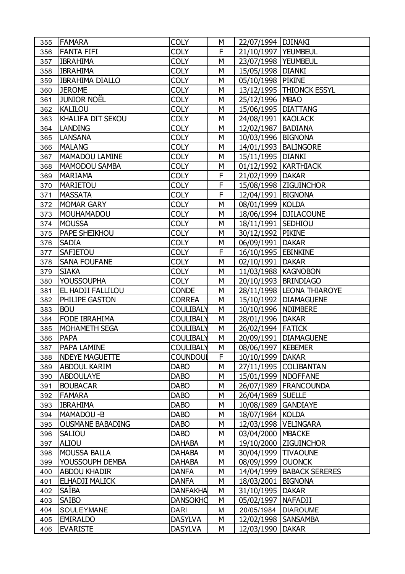| 355 | <b>FAMARA</b>           | <b>COLY</b>      | М | 22/07/1994   DJINAKI  |                             |
|-----|-------------------------|------------------|---|-----------------------|-----------------------------|
| 356 | <b>FANTA FIFI</b>       | <b>COLY</b>      | F | 21/10/1997   YEUMBEUL |                             |
| 357 | <b>IBRAHIMA</b>         | <b>COLY</b>      | M | 23/07/1998   YEUMBEUL |                             |
| 358 | <b>IBRAHIMA</b>         | <b>COLY</b>      | М | 15/05/1998   DIANKI   |                             |
| 359 | <b>IBRAHIMA DIALLO</b>  | <b>COLY</b>      | M | 05/10/1998 PIKINE     |                             |
| 360 | <b>JEROME</b>           | <b>COLY</b>      | M |                       | 13/12/1995   THIONCK ESSYL  |
| 361 | <b>JUNIOR NOËL</b>      | <b>COLY</b>      | М | 25/12/1996   MBAO     |                             |
| 362 | <b>KALILOU</b>          | <b>COLY</b>      | M | 15/06/1995   DIATTANG |                             |
| 363 | KHALIFA DIT SEKOU       | <b>COLY</b>      | M | 24/08/1991 KAOLACK    |                             |
| 364 | <b>LANDING</b>          | <b>COLY</b>      | М | 12/02/1987            | <b>BADIANA</b>              |
| 365 | <b>LANSANA</b>          | <b>COLY</b>      | M | 10/03/1996   BIGNONA  |                             |
| 366 | <b>MALANG</b>           | <b>COLY</b>      | M |                       | 14/01/1993   BALINGORE      |
| 367 | <b>MAMADOU LAMINE</b>   | <b>COLY</b>      | М | 15/11/1995   DIANKI   |                             |
| 368 | <b>MAMODOU SAMBA</b>    | <b>COLY</b>      | M |                       | 01/12/1992   KARTHIACK      |
| 369 | <b>MARIAMA</b>          | <b>COLY</b>      | F | 21/02/1999   DAKAR    |                             |
| 370 | <b>MARIETOU</b>         | <b>COLY</b>      | F |                       | 15/08/1998 ZIGUINCHOR       |
| 371 | <b>MASSATA</b>          | <b>COLY</b>      | F | 12/04/1991   BIGNONA  |                             |
| 372 | <b>MOMAR GARY</b>       | <b>COLY</b>      | M | 08/01/1999 KOLDA      |                             |
| 373 | MOUHAMADOU              | <b>COLY</b>      | М |                       | 18/06/1994   DJILACOUNE     |
| 374 | <b>MOUSSA</b>           | <b>COLY</b>      | M | 18/11/1991 SEDHIOU    |                             |
| 375 | PAPE SHEIKHOU           | <b>COLY</b>      | M | 30/12/1992 PIKINE     |                             |
| 376 | <b>SADIA</b>            | <b>COLY</b>      | М | 06/09/1991   DAKAR    |                             |
| 377 | <b>SAFIETOU</b>         | <b>COLY</b>      | F | 16/10/1995 EBINKINE   |                             |
| 378 | <b>SANA FOUFANE</b>     | <b>COLY</b>      | M | 02/10/1991   DAKAR    |                             |
| 379 | <b>SIAKA</b>            | <b>COLY</b>      | М |                       | 11/03/1988   KAGNOBON       |
| 380 | <b>YOUSSOUPHA</b>       | <b>COLY</b>      | M |                       | 20/10/1993   BRINDIAGO      |
| 381 | EL HADJI FALLILOU       | <b>CONDE</b>     | M |                       | 28/11/1998  LEONA THIAROYE  |
| 382 | PHILIPE GASTON          | <b>CORREA</b>    | М |                       | 15/10/1992   DIAMAGUENE     |
| 383 | <b>BOU</b>              | <b>COULIBALY</b> | M | 10/10/1996   NDIMBERE |                             |
| 384 | <b>FODE IBRAHIMA</b>    | <b>COULIBALY</b> | М | 28/01/1996   DAKAR    |                             |
| 385 | <b>MOHAMETH SEGA</b>    | <b>COULIBALY</b> | М | 26/02/1994 FATICK     |                             |
| 386 | <b>PAPA</b>             | <b>COULIBALY</b> | M |                       | 20/09/1991   DIAMAGUENE     |
| 387 | <b>PAPA LAMINE</b>      | <b>COULIBALY</b> | М | 08/06/1997   KEBEMER  |                             |
| 388 | <b>NDEYE MAGUETTE</b>   | <b>COUNDOUL</b>  | F | 10/10/1999   DAKAR    |                             |
| 389 | <b>ABDOUL KARIM</b>     | <b>DABO</b>      | M |                       | 27/11/1995 COLIBANTAN       |
| 390 | <b>ABDOULAYE</b>        | <b>DABO</b>      | М | 15/01/1999   NDOFFANE |                             |
| 391 | <b>BOUBACAR</b>         | <b>DABO</b>      | М |                       | 26/07/1989   FRANCOUNDA     |
| 392 | <b>FAMARA</b>           | <b>DABO</b>      | M | 26/04/1989   SUELLE   |                             |
| 393 | <b>IBRAHIMA</b>         | <b>DABO</b>      | М | 10/08/1989 GANDIAYE   |                             |
| 394 | MAMADOU-B               | <b>DABO</b>      | М | 18/07/1984 KOLDA      |                             |
| 395 | <b>OUSMANE BABADING</b> | <b>DABO</b>      | M |                       | 12/03/1998   VELINGARA      |
| 396 | <b>SALIOU</b>           | <b>DABO</b>      | М | 03/04/2000   MBACKE   |                             |
| 397 | ALIOU                   | <b>DAHABA</b>    | М |                       | 19/10/2000 ZIGUINCHOR       |
| 398 | <b>MOUSSA BALLA</b>     | <b>DAHABA</b>    | M | 30/04/1999 TIVAOUNE   |                             |
| 399 | YOUSSOUPH DEMBA         | <b>DAHABA</b>    | М | 08/09/1999   OUONCK   |                             |
| 400 | <b>ABDOU KHADIR</b>     | <b>DANFA</b>     | М |                       | 14/04/1999   BABACK SERERES |
| 401 | ELHADJI MALICK          | <b>DANFA</b>     | М | 18/03/2001   BIGNONA  |                             |
| 402 | <b>SAÏBA</b>            | <b>DANFAKHA</b>  | М | 31/10/1995            | <b>DAKAR</b>                |
| 403 | <b>SAIBO</b>            | <b>DANSOKHO</b>  | М | 05/02/1997   NAFADJI  |                             |
| 404 | SOULEYMANE              | <b>DARI</b>      | M | 20/05/1984            | <b>DIAROUME</b>             |
| 405 | <b>EMIRALDO</b>         | <b>DASYLVA</b>   | М | 12/02/1998   SANSAMBA |                             |
| 406 | <b>EVARISTE</b>         | <b>DASYLVA</b>   | М | 12/03/1990   DAKAR    |                             |
|     |                         |                  |   |                       |                             |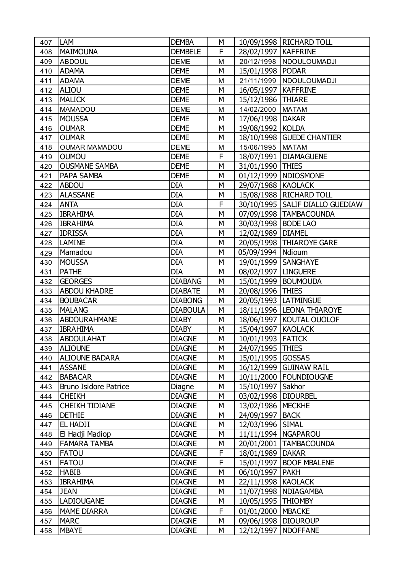| 407 | <b>LAM</b>                   | <b>DEMBA</b>    | М |                       | 10/09/1998   RICHARD TOLL         |
|-----|------------------------------|-----------------|---|-----------------------|-----------------------------------|
| 408 | <b>MAIMOUNA</b>              | <b>DEMBELE</b>  | F | 28/02/1997   KAFFRINE |                                   |
| 409 | <b>ABDOUL</b>                | <b>DEME</b>     | M |                       | 20/12/1998   NDOULOUMADJI         |
| 410 | <b>ADAMA</b>                 | <b>DEME</b>     | M | 15/01/1998   PODAR    |                                   |
| 411 | <b>ADAMA</b>                 | <b>DEME</b>     | M |                       | 21/11/1999 NDOULOUMADJI           |
| 412 | <b>ALIOU</b>                 | <b>DEME</b>     | M | 16/05/1997   KAFFRINE |                                   |
| 413 | <b>MALICK</b>                | <b>DEME</b>     | M | 15/12/1986   THIARE   |                                   |
| 414 | <b>MAMADOU</b>               | <b>DEME</b>     | M | 14/02/2000 MATAM      |                                   |
| 415 | <b>MOUSSA</b>                | <b>DEME</b>     | M | 17/06/1998   DAKAR    |                                   |
| 416 | <b>OUMAR</b>                 | <b>DEME</b>     | M | 19/08/1992 KOLDA      |                                   |
| 417 | <b>OUMAR</b>                 | <b>DEME</b>     | М |                       | 18/10/1998 GUEDE CHANTIER         |
| 418 | <b>OUMAR MAMADOU</b>         | <b>DEME</b>     | M | 15/06/1995   MATAM    |                                   |
| 419 | <b>OUMOU</b>                 | <b>DEME</b>     | F |                       | 18/07/1991   DIAMAGUENE           |
| 420 | <b>OUSMANE SAMBA</b>         | <b>DEME</b>     | М | 31/01/1990 THIES      |                                   |
| 421 | <b>PAPA SAMBA</b>            | <b>DEME</b>     | M |                       | 01/12/1999   NDIOSMONE            |
| 422 | <b>ABDOU</b>                 | <b>DIA</b>      | M | 29/07/1988 KAOLACK    |                                   |
| 423 | <b>ALASSANE</b>              | <b>DIA</b>      | М |                       | 15/08/1988   RICHARD TOLL         |
| 424 | <b>ANTA</b>                  | <b>DIA</b>      | F |                       | 30/10/1995   SALIF DIALLO GUEDIAW |
| 425 | <b>IBRAHIMA</b>              | <b>DIA</b>      | M |                       | 07/09/1998   TAMBACOUNDA          |
| 426 | <b>IBRAHIMA</b>              | <b>DIA</b>      | М | 30/03/1998   BODE LAO |                                   |
| 427 | <b>IDRISSA</b>               | <b>DIA</b>      | M | 12/02/1989   DIAMEL   |                                   |
| 428 | <b>LAMINE</b>                | <b>DIA</b>      | M |                       | 20/05/1998   THIAROYE GARE        |
| 429 | Mamadou                      | <b>DIA</b>      | М | 05/09/1994   Ndioum   |                                   |
| 430 | <b>MOUSSA</b>                | <b>DIA</b>      | M | 19/01/1999 SANGHAYE   |                                   |
| 431 | <b>PATHE</b>                 | DIA             | М | 08/02/1997   LINGUERE |                                   |
| 432 | <b>GEORGES</b>               | <b>DIABANG</b>  | M |                       | 15/01/1999   BOUMOUDA             |
| 433 | <b>ABDOU KHADRE</b>          | <b>DIABATE</b>  | M | 20/08/1996            | <b>THIES</b>                      |
| 434 | <b>BOUBACAR</b>              | <b>DIABONG</b>  | М |                       | 20/05/1993  LATMINGUE             |
| 435 | <b>MALANG</b>                | <b>DIABOULA</b> | M |                       | 18/11/1996  LEONA THIAROYE        |
| 436 | ABDOURAHMANE                 | <b>DIABY</b>    | M |                       | 18/06/1997   KOUTAL OUOLOF        |
| 437 | <b>IBRAHIMA</b>              | <b>DIABY</b>    | М | 15/04/1997   KAOLACK  |                                   |
| 438 | <b>ABDOULAHAT</b>            | <b>DIAGNE</b>   | M | 10/01/1993 FATICK     |                                   |
| 439 | <b>ALIOUNE</b>               | <b>DIAGNE</b>   | М | 24/07/1995 THIES      |                                   |
| 440 | <b>ALIOUNE BADARA</b>        | <b>DIAGNE</b>   | М | 15/01/1995 GOSSAS     |                                   |
| 441 | <b>ASSANE</b>                | <b>DIAGNE</b>   | М |                       | 16/12/1999 GUINAW RAIL            |
| 442 | <b>BABACAR</b>               | <b>DIAGNE</b>   | М |                       | 10/11/2000   FOUNDIOUGNE          |
| 443 | <b>Bruno Isidore Patrice</b> | Diagne          | М | 15/10/1997 Sakhor     |                                   |
| 444 | <b>CHEIKH</b>                | <b>DIAGNE</b>   | M | 03/02/1998            | <b>DIOURBEL</b>                   |
| 445 | <b>CHEIKH TIDIANE</b>        | <b>DIAGNE</b>   | М | 13/02/1986   MECKHE   |                                   |
| 446 | <b>DETHIE</b>                | <b>DIAGNE</b>   | М | 24/09/1997            | <b>BACK</b>                       |
| 447 | EL HADJI                     | <b>DIAGNE</b>   | М | 12/03/1996            | <b>SIMAL</b>                      |
| 448 | El Hadji Madiop              | <b>DIAGNE</b>   | М |                       | 11/11/1994   NGAPAROU             |
| 449 | <b>FAMARA TAMBA</b>          | <b>DIAGNE</b>   | М | 20/01/2001            | <b>TAMBACOUNDA</b>                |
| 450 | <b>FATOU</b>                 | <b>DIAGNE</b>   | F | 18/01/1989            | <b>DAKAR</b>                      |
| 451 | <b>FATOU</b>                 | <b>DIAGNE</b>   | F | 15/01/1997            | <b>BOOF MBALENE</b>               |
| 452 | <b>HABIB</b>                 | <b>DIAGNE</b>   | М | 06/10/1997   PAKH     |                                   |
| 453 | <b>IBRAHIMA</b>              | <b>DIAGNE</b>   | M | 22/11/1998 KAOLACK    |                                   |
| 454 | <b>JEAN</b>                  | <b>DIAGNE</b>   | М | 11/07/1998            | <b>NDIAGAMBA</b>                  |
| 455 | <b>LADIOUGANE</b>            | <b>DIAGNE</b>   | М | 10/05/1995            | <b>THIOMBY</b>                    |
| 456 | <b>MAME DIARRA</b>           | <b>DIAGNE</b>   | F | 01/01/2000   MBACKE   |                                   |
| 457 | <b>MARC</b>                  | <b>DIAGNE</b>   | М | 09/06/1998 DIOUROUP   |                                   |
| 458 | <b>MBAYE</b>                 | <b>DIAGNE</b>   | M | 12/12/1997            | <b>NDOFFANE</b>                   |
|     |                              |                 |   |                       |                                   |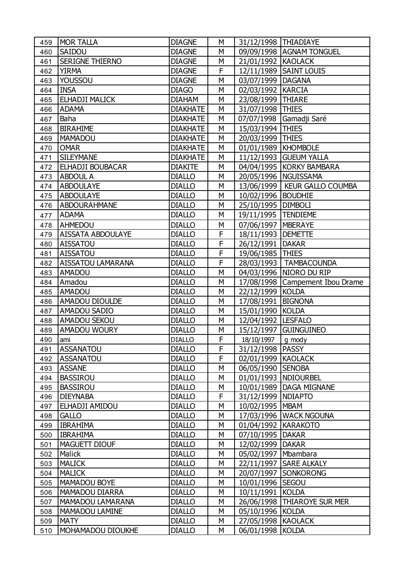| 459 | <b>MOR TALLA</b>         | <b>DIAGNE</b>   | M | 31/12/1998 THIADIAYE  |                                 |
|-----|--------------------------|-----------------|---|-----------------------|---------------------------------|
| 460 | SAIDOU                   | <b>DIAGNE</b>   | М |                       | 09/09/1998 AGNAM TONGUEL        |
| 461 | <b>SERIGNE THIERNO</b>   | <b>DIAGNE</b>   | M | 21/01/1992 KAOLACK    |                                 |
| 462 | <b>YIRMA</b>             | <b>DIAGNE</b>   | F |                       | 12/11/1989 SAINT LOUIS          |
| 463 | YOUSSOU                  | <b>DIAGNE</b>   | M | 03/07/1999   DAGANA   |                                 |
| 464 | <b>INSA</b>              | <b>DIAGO</b>    | M | 02/03/1992   KARCIA   |                                 |
| 465 | ELHADJI MALICK           | <b>DIAHAM</b>   | M | 23/08/1999 THIARE     |                                 |
| 466 | <b>ADAMA</b>             | <b>DIAKHATE</b> | М | 31/07/1998 THIES      |                                 |
| 467 | Baha                     | <b>DIAKHATE</b> | М |                       | 07/07/1998 Gamadji Saré         |
| 468 | <b>BIRAHIME</b>          | <b>DIAKHATE</b> | M | 15/03/1994            | <b>THIES</b>                    |
| 469 | MAMADOU                  | <b>DIAKHATE</b> | M | 20/03/1999 THIES      |                                 |
| 470 | <b>OMAR</b>              | <b>DIAKHATE</b> | M | 01/01/1989   KHOMBOLE |                                 |
| 471 | <b>SILEYMANE</b>         | <b>DIAKHATE</b> | М |                       | 11/12/1993 GUEUM YALLA          |
| 472 | ELHADJI BOUBACAR         | <b>DIAKITE</b>  | M |                       | 04/04/1995   KORKY BAMBARA      |
| 473 | <b>ABDOUL A</b>          | <b>DIALLO</b>   | M |                       | 20/05/1996   NGUISSAMA          |
| 474 | <b>ABDOULAYE</b>         | <b>DIALLO</b>   | М |                       | 13/06/1999   KEUR GALLO COUMBA  |
| 475 | <b>ABDOULAYE</b>         | <b>DIALLO</b>   | M | 10/02/1996   BOUDHIE  |                                 |
| 476 | <b>ABDOURAHMANE</b>      | <b>DIALLO</b>   | M | 25/10/1995   DIMBOLI  |                                 |
| 477 | <b>ADAMA</b>             | <b>DIALLO</b>   | М | 19/11/1995   TENDIEME |                                 |
| 478 | <b>AHMEDOU</b>           | <b>DIALLO</b>   | M | 07/06/1997   MBERAYE  |                                 |
| 479 | <b>AISSATA ABDOULAYE</b> | <b>DIALLO</b>   | F | 18/11/1993   DEMETTE  |                                 |
| 480 | <b>AISSATOU</b>          | <b>DIALLO</b>   | F | 26/12/1991   DAKAR    |                                 |
| 481 | <b>AISSATOU</b>          | <b>DIALLO</b>   | F | 19/06/1985   THIES    |                                 |
| 482 | <b>AISSATOU LAMARANA</b> | <b>DIALLO</b>   | F |                       | 28/03/1993   TAMBACOUNDA        |
| 483 | <b>AMADOU</b>            | <b>DIALLO</b>   | M |                       | 04/03/1996   NIORO DU RIP       |
| 484 | Amadou                   | <b>DIALLO</b>   | M |                       | 17/08/1998 Campement Ibou Drame |
| 485 | <b>AMADOU</b>            | <b>DIALLO</b>   | M | 22/12/1999            | <b>KOLDA</b>                    |
| 486 | <b>AMADOU DIOULDE</b>    | <b>DIALLO</b>   | M | 17/08/1991   BIGNONA  |                                 |
| 487 | <b>AMADOU SADIO</b>      | <b>DIALLO</b>   | M | 15/01/1990 KOLDA      |                                 |
| 488 | <b>AMADOU SEKOU</b>      | <b>DIALLO</b>   | M | 12/04/1992   LESFALO  |                                 |
| 489 | <b>AMADOU WOURY</b>      | <b>DIALLO</b>   | М | 15/12/1997            | <b>GUINGUINEO</b>               |
| 490 | lami                     | <b>DIALLO</b>   | F | 18/10/1997            | g mody                          |
| 491 | <b>ASSANATOU</b>         | <b>DIALLO</b>   | F | 31/12/1998   PASSY    |                                 |
| 492 | <b>ASSANATOU</b>         | <b>DIALLO</b>   | F | 02/01/1999 KAOLACK    |                                 |
| 493 | <b>ASSANE</b>            | <b>DIALLO</b>   | M | 06/05/1990 SENOBA     |                                 |
| 494 | <b>BASSIROU</b>          | <b>DIALLO</b>   | M |                       | 01/01/1993   NDIOURBEL          |
| 495 | <b>BASSIROU</b>          | <b>DIALLO</b>   | М |                       | 10/01/1989   DAGA MIGNANE       |
| 496 | <b>DIEYNABA</b>          | <b>DIALLO</b>   | F | 31/12/1999   NDIAPTO  |                                 |
| 497 | ELHADJI AMIDOU           | <b>DIALLO</b>   | М | 10/02/1995   MBAM     |                                 |
| 498 | <b>GALLO</b>             | <b>DIALLO</b>   | М |                       | 17/03/1996   WACK NGOUNA        |
| 499 | <b>IBRAHIMA</b>          | <b>DIALLO</b>   | М | 01/04/1992   KARAKOTO |                                 |
| 500 | <b>IBRAHIMA</b>          | <b>DIALLO</b>   | М | 07/10/1995            | <b>DAKAR</b>                    |
| 501 | <b>MAGUETT DIOUF</b>     | <b>DIALLO</b>   | М | 12/02/1999            | <b>DAKAR</b>                    |
| 502 | Malick                   | <b>DIALLO</b>   | М | 05/02/1997   Mbambara |                                 |
| 503 | <b>MALICK</b>            | <b>DIALLO</b>   | М |                       | 22/11/1997   SARE ALKALY        |
| 504 | <b>MALICK</b>            | <b>DIALLO</b>   | М |                       | 20/07/1997 SONKORONG            |
| 505 | MAMADOU BOYE             | <b>DIALLO</b>   | М | 10/01/1996            | <b>SEGOU</b>                    |
| 506 | <b>MAMADOU DIARRA</b>    | <b>DIALLO</b>   | М | 10/11/1991            | <b>KOLDA</b>                    |
| 507 | <b>MAMADOU LAMARANA</b>  | <b>DIALLO</b>   | М |                       | 26/06/1998   THIAROYE SUR MER   |
| 508 | <b>MAMADOU LAMINE</b>    | <b>DIALLO</b>   | М | 05/10/1996 KOLDA      |                                 |
| 509 | <b>MATY</b>              | <b>DIALLO</b>   | М | 27/05/1998 KAOLACK    |                                 |
| 510 | MOHAMADOU DIOUKHE        | <b>DIALLO</b>   | M | 06/01/1998 KOLDA      |                                 |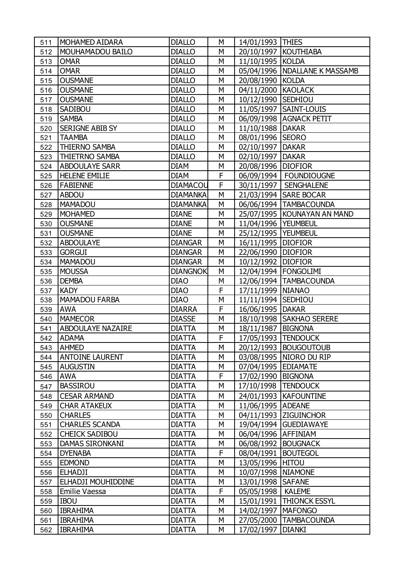| 511 | <b>MOHAMED AIDARA</b>    | <b>DIALLO</b>   | М | 14/01/1993   THIES    |                                 |
|-----|--------------------------|-----------------|---|-----------------------|---------------------------------|
| 512 | <b>MOUHAMADOU BAILO</b>  | <b>DIALLO</b>   | М |                       | 20/10/1997   KOUTHIABA          |
| 513 | <b>OMAR</b>              | <b>DIALLO</b>   | M | 11/10/1995   KOLDA    |                                 |
| 514 | <b>OMAR</b>              | <b>DIALLO</b>   | M |                       | 05/04/1996   NDALLANE K MASSAMB |
| 515 | <b>OUSMANE</b>           | <b>DIALLO</b>   | M | 20/08/1990 KOLDA      |                                 |
| 516 | <b>OUSMANE</b>           | <b>DIALLO</b>   | M | 04/11/2000 KAOLACK    |                                 |
| 517 | <b>OUSMANE</b>           | <b>DIALLO</b>   | М | 10/12/1990 SEDHIOU    |                                 |
| 518 | <b>SADIBOU</b>           | <b>DIALLO</b>   | M |                       | 11/05/1997   SAINT-LOUIS        |
| 519 | <b>SAMBA</b>             | <b>DIALLO</b>   | M |                       | 06/09/1998   AGNACK PETIT       |
| 520 | <b>SERIGNE ABIB SY</b>   | <b>DIALLO</b>   | M | 11/10/1988   DAKAR    |                                 |
| 521 | <b>TAAMBA</b>            | <b>DIALLO</b>   | M | 08/01/1996 SEORO      |                                 |
| 522 | <b>THIERNO SAMBA</b>     | <b>DIALLO</b>   | M | 02/10/1997   DAKAR    |                                 |
| 523 | <b>THIETRNO SAMBA</b>    | <b>DIALLO</b>   | М | 02/10/1997   DAKAR    |                                 |
| 524 | <b>ABDOULAYE SARR</b>    | <b>DIAM</b>     | M | 20/08/1996 DIOFIOR    |                                 |
| 525 | <b>HELENE EMILIE</b>     | <b>DIAM</b>     | F |                       | 06/09/1994   FOUNDIOUGNE        |
| 526 | <b>FABIENNE</b>          | <b>DIAMACOU</b> | F |                       | 30/11/1997   SENGHALENE         |
| 527 | <b>ABDOU</b>             | <b>DIAMANKA</b> | M |                       | 21/03/1994 SARE BOCAR           |
| 528 | <b>MAMADOU</b>           | <b>DIAMANKA</b> | M |                       | 06/06/1994   TAMBACOUNDA        |
| 529 | <b>MOHAMED</b>           | <b>DIANE</b>    | М |                       | 25/07/1995   KOUNAYAN AN MAND   |
| 530 | <b>OUSMANE</b>           | <b>DIANE</b>    | M | 11/04/1996   YEUMBEUL |                                 |
| 531 | <b>OUSMANE</b>           | <b>DIANE</b>    | M | 25/12/1995   YEUMBEUL |                                 |
| 532 | <b>ABDOULAYE</b>         | <b>DIANGAR</b>  | M | 16/11/1995   DIOFIOR  |                                 |
| 533 | <b>GORGUI</b>            | <b>DIANGAR</b>  | M | 22/06/1990   DIOFIOR  |                                 |
| 534 | <b>MAMADOU</b>           | <b>DIANGAR</b>  | M | 10/12/1992   DIOFIOR  |                                 |
| 535 | <b>MOUSSA</b>            | <b>DIANGNOK</b> | M |                       | 12/04/1994   FONGOLIMI          |
| 536 | <b>DEMBA</b>             | <b>DIAO</b>     | M |                       | 12/06/1994   TAMBACOUNDA        |
| 537 | <b>KADY</b>              | <b>DIAO</b>     | F | 17/11/1999   NIANAO   |                                 |
| 538 | <b>MAMADOU FARBA</b>     | <b>DIAO</b>     | M | 11/11/1994   SEDHIOU  |                                 |
| 539 | <b>AWA</b>               | <b>DIARRA</b>   | F | 16/06/1995 DAKAR      |                                 |
| 540 | <b>MAMECOR</b>           | <b>DIASSE</b>   | M |                       | 18/10/1998   SAKHAO SERERE      |
| 541 | <b>ABDOULAYE NAZAIRE</b> | <b>DIATTA</b>   | М | 18/11/1987   BIGNONA  |                                 |
| 542 | <b>ADAMA</b>             | <b>DIATTA</b>   | F | 17/05/1993 TENDOUCK   |                                 |
| 543 | <b>AHMED</b>             | <b>DIATTA</b>   | M |                       | 20/12/1993   BOUGOUTOUB         |
| 544 | <b>ANTOINE LAURENT</b>   | <b>DIATTA</b>   | М |                       | 03/08/1995   NIORO DU RIP       |
| 545 | <b>AUGUSTIN</b>          | <b>DIATTA</b>   | М | 07/04/1995 EDIAMATE   |                                 |
| 546 | <b>AWA</b>               | <b>DIATTA</b>   | F | 17/02/1990            | <b>BIGNONA</b>                  |
| 547 | <b>BASSIROU</b>          | <b>DIATTA</b>   | М | 17/10/1998            | <b>TENDOUCK</b>                 |
| 548 | <b>CESAR ARMAND</b>      | <b>DIATTA</b>   | M |                       | 24/01/1993   KAFOUNTINE         |
| 549 | <b>CHAR ATAKEUX</b>      | <b>DIATTA</b>   | М | 11/06/1995   ADEANE   |                                 |
| 550 | <b>CHARLES</b>           | <b>DIATTA</b>   | М |                       | 04/11/1993 ZIGUINCHOR           |
| 551 | <b>CHARLES SCANDA</b>    | <b>DIATTA</b>   | М |                       | 19/04/1994   GUEDIAWAYE         |
| 552 | <b>CHEICK SADIBOU</b>    | <b>DIATTA</b>   | М | 06/04/1996 AFFINIAM   |                                 |
| 553 | <b>DAMAS SIRONKANI</b>   | <b>DIATTA</b>   | М | 06/08/1992            | <b>BOUGNACK</b>                 |
| 554 | <b>DYENABA</b>           | <b>DIATTA</b>   | F | 08/04/1991            | <b>BOUTEGOL</b>                 |
| 555 | <b>EDMOND</b>            | <b>DIATTA</b>   | M | 13/05/1996 HITOU      |                                 |
| 556 | <b>ELHADJI</b>           | <b>DIATTA</b>   | М | 10/07/1998   NIAMONE  |                                 |
| 557 | ELHADJI MOUHIDDINE       | <b>DIATTA</b>   | М | 13/01/1998            | <b>SAFANE</b>                   |
| 558 | Emilie Vaessa            | <b>DIATTA</b>   | F | 05/05/1998            | <b>KALEME</b>                   |
| 559 | <b>IBOU</b>              | <b>DIATTA</b>   | М | 15/01/1991            | <b>THIONCK ESSYL</b>            |
| 560 | <b>IBRAHIMA</b>          | <b>DIATTA</b>   | М | 14/02/1997            | <b>MAFONGO</b>                  |
| 561 | <b>IBRAHIMA</b>          | <b>DIATTA</b>   | М | 27/05/2000            | <b>TAMBACOUNDA</b>              |
| 562 | <b>IBRAHIMA</b>          | <b>DIATTA</b>   | М | 17/02/1997            | <b>DIANKI</b>                   |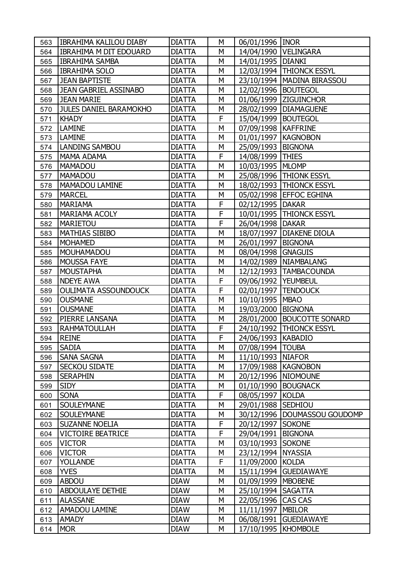| 563 | <b>IBRAHIMA KALILOU DIABY</b> | <b>DIATTA</b> | M | 06/01/1996   INOR     |                              |
|-----|-------------------------------|---------------|---|-----------------------|------------------------------|
| 564 | <b>IBRAHIMA M DIT EDOUARD</b> | <b>DIATTA</b> | M |                       | 14/04/1990   VELINGARA       |
| 565 | <b>IBRAHIMA SAMBA</b>         | <b>DIATTA</b> | M | 14/01/1995            | <b>DIANKI</b>                |
| 566 | <b>IBRAHIMA SOLO</b>          | <b>DIATTA</b> | M |                       | 12/03/1994   THIONCK ESSYL   |
| 567 | <b>JEAN BAPTISTE</b>          | <b>DIATTA</b> | M |                       | 23/10/1994   MADINA BIRASSOU |
| 568 | <b>JEAN GABRIEL ASSINABO</b>  | <b>DIATTA</b> | M | 12/02/1996   BOUTEGOL |                              |
| 569 | <b>JEAN MARIE</b>             | <b>DIATTA</b> | M |                       | 01/06/1999 ZIGUINCHOR        |
| 570 | <b>JULES DANIEL BARAMOKHO</b> | <b>DIATTA</b> | M |                       | 28/02/1999   DIAMAGUENE      |
| 571 | <b>KHADY</b>                  | <b>DIATTA</b> | F | 15/04/1999   BOUTEGOL |                              |
| 572 | <b>LAMINE</b>                 | <b>DIATTA</b> | M | 07/09/1998   KAFFRINE |                              |
| 573 | <b>LAMINE</b>                 | <b>DIATTA</b> | M |                       | 01/01/1997   KAGNOBON        |
| 574 | LANDING SAMBOU                | <b>DIATTA</b> | M | 25/09/1993   BIGNONA  |                              |
| 575 | <b>MAMA ADAMA</b>             | <b>DIATTA</b> | F | 14/08/1999   THIES    |                              |
| 576 | MAMADOU                       | <b>DIATTA</b> | M | 10/03/1995 MLOMP      |                              |
| 577 | <b>MAMADOU</b>                | <b>DIATTA</b> | M |                       | 25/08/1996   THIONK ESSYL    |
| 578 | <b>MAMADOU LAMINE</b>         | <b>DIATTA</b> | M |                       | 18/02/1993   THIONCK ESSYL   |
| 579 | <b>MARCEL</b>                 | <b>DIATTA</b> | M |                       | 05/02/1998   EFFOC EGHINA    |
| 580 | <b>MARIAMA</b>                | <b>DIATTA</b> | F | 02/12/1995            | <b>DAKAR</b>                 |
| 581 | <b>MARIAMA ACOLY</b>          | <b>DIATTA</b> | F |                       | 10/01/1995   THIONCK ESSYL   |
| 582 | <b>MARIETOU</b>               | <b>DIATTA</b> | F | 26/04/1998   DAKAR    |                              |
| 583 | <b>MATHIAS SIBIBO</b>         | <b>DIATTA</b> | M | 18/07/1997            | DIAKENE DIOLA                |
| 584 | <b>MOHAMED</b>                | <b>DIATTA</b> | M | 26/01/1997   BIGNONA  |                              |
| 585 | <b>MOUHAMADOU</b>             | <b>DIATTA</b> | M | 08/04/1998 GNAGUIS    |                              |
| 586 | <b>MOUSSA FAYE</b>            | <b>DIATTA</b> | M |                       | 14/02/1989   NIAMBALANG      |
| 587 | <b>MOUSTAPHA</b>              | <b>DIATTA</b> | M |                       | 12/12/1993   TAMBACOUNDA     |
| 588 | <b>NDEYE AWA</b>              | <b>DIATTA</b> | F | 09/06/1992   YEUMBEUL |                              |
| 589 | <b>OULIMATA ASSOUNDOUCK</b>   | <b>DIATTA</b> | F | 02/01/1997            | <b>TENDOUCK</b>              |
| 590 | <b>OUSMANE</b>                | <b>DIATTA</b> | M | 10/10/1995            | <b>MBAO</b>                  |
| 591 | <b>OUSMANE</b>                | <b>DIATTA</b> | M | 19/03/2000 BIGNONA    |                              |
| 592 | PIERRE LANSANA                | <b>DIATTA</b> | M | 28/01/2000            | <b>BOUCOTTE SONARD</b>       |
| 593 | <b>RAHMATOULLAH</b>           | <b>DIATTA</b> | F |                       | 24/10/1992   THIONCK ESSYL   |
| 594 | <b>REINE</b>                  | <b>DIATTA</b> | F | 24/06/1993   KABADIO  |                              |
| 595 | <b>SADIA</b>                  | <b>DIATTA</b> | M | 07/08/1994   TOUBA    |                              |
| 596 | <b>SANA SAGNA</b>             | <b>DIATTA</b> | M | 11/10/1993   NIAFOR   |                              |
| 597 | <b>SECKOU SIDATE</b>          | <b>DIATTA</b> | M |                       | 17/09/1988   KAGNOBON        |
| 598 | <b>SERAPHIN</b>               | <b>DIATTA</b> | M | 20/12/1996            | <b>NIOMOUNE</b>              |
| 599 | <b>SIDY</b>                   | <b>DIATTA</b> | M | 01/10/1990            | <b>BOUGNACK</b>              |
| 600 | <b>SONA</b>                   | <b>DIATTA</b> | F | 08/05/1997            | <b>KOLDA</b>                 |
| 601 | <b>SOULEYMANE</b>             | <b>DIATTA</b> | M | 29/01/1988 SEDHIOU    |                              |
| 602 | <b>SOULEYMANE</b>             | <b>DIATTA</b> | M | 30/12/1996            | DOUMASSOU GOUDOMP            |
| 603 | <b>SUZANNE NOELIA</b>         | <b>DIATTA</b> | F | 20/12/1997            | <b>SOKONE</b>                |
| 604 | <b>VICTOIRE BEATRICE</b>      | <b>DIATTA</b> | F | 29/04/1991            | <b>BIGNONA</b>               |
| 605 | <b>VICTOR</b>                 | <b>DIATTA</b> | М | 03/10/1993            | <b>SOKONE</b>                |
| 606 | <b>VICTOR</b>                 | <b>DIATTA</b> | М | 23/12/1994 NYASSIA    |                              |
| 607 | <b>YOLLANDE</b>               | <b>DIATTA</b> | F | 11/09/2000            | <b>KOLDA</b>                 |
| 608 | <b>YVES</b>                   | <b>DIATTA</b> | М | 15/11/1994            | <b>GUEDIAWAYE</b>            |
| 609 | <b>ABDOU</b>                  | <b>DIAW</b>   | M | 01/09/1999   MBOBENE  |                              |
| 610 | <b>ABDOULAYE DETHIE</b>       | <b>DIAW</b>   | M | 25/10/1994            | <b>SAGATTA</b>               |
| 611 | <b>ALASSANE</b>               | <b>DIAW</b>   | М | 22/05/1996            | CAS CAS                      |
| 612 | <b>AMADOU LAMINE</b>          | <b>DIAW</b>   | M | 11/11/1997            | <b>MBILOR</b>                |
| 613 | <b>AMADY</b>                  | <b>DIAW</b>   | М | 06/08/1991            | <b>GUEDIAWAYE</b>            |
| 614 | <b>MOR</b>                    | <b>DIAW</b>   | М | 17/10/1995            | <b>KHOMBOLE</b>              |
|     |                               |               |   |                       |                              |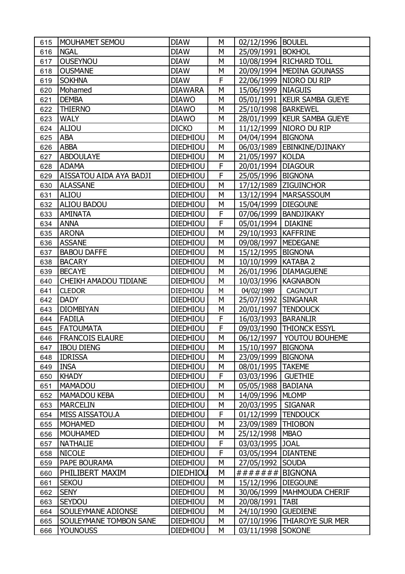| 615 | <b>MOUHAMET SEMOU</b>         | <b>DIAW</b>     | M | 02/12/1996   BOULEL   |                               |
|-----|-------------------------------|-----------------|---|-----------------------|-------------------------------|
| 616 | <b>NGAL</b>                   | <b>DIAW</b>     | M | 25/09/1991   BOKHOL   |                               |
| 617 | <b>OUSEYNOU</b>               | <b>DIAW</b>     | M |                       | 10/08/1994   RICHARD TOLL     |
| 618 | <b>OUSMANE</b>                | <b>DIAW</b>     | M |                       | 20/09/1994   MEDINA GOUNASS   |
| 619 | <b>SOKHNA</b>                 | <b>DIAW</b>     | F |                       | 22/06/1999   NIORO DU RIP     |
| 620 | Mohamed                       | <b>DIAWARA</b>  | M | 15/06/1999   NIAGUIS  |                               |
| 621 | <b>DEMBA</b>                  | <b>DIAWO</b>    | M |                       | 05/01/1991   KEUR SAMBA GUEYE |
| 622 | <b>THIERNO</b>                | <b>DIAWO</b>    | M | 25/10/1998   BARKEWEL |                               |
| 623 | <b>WALY</b>                   | <b>DIAWO</b>    | M |                       | 28/01/1999   KEUR SAMBA GUEYE |
| 624 | ALIOU                         | <b>DICKO</b>    | M |                       | 11/12/1999   NIORO DU RIP     |
| 625 | <b>ABA</b>                    | <b>DIEDHIOU</b> | M | 04/04/1994   BIGNONA  |                               |
| 626 | <b>ABBA</b>                   | <b>DIEDHIOU</b> | M |                       | 06/03/1989   EBINKINE/DJINAKY |
| 627 | <b>ABDOULAYE</b>              | <b>DIEDHIOU</b> | М | 21/05/1997   KOLDA    |                               |
| 628 | <b>ADAMA</b>                  | <b>DIEDHIOU</b> | F | 20/01/1994 DIAGOUR    |                               |
| 629 | AISSATOU AIDA AYA BADJI       | <b>DIEDHIOU</b> | F | 25/05/1996            | <b>BIGNONA</b>                |
| 630 | <b>ALASSANE</b>               | <b>DIEDHIOU</b> | М |                       | 17/12/1989 ZIGUINCHOR         |
| 631 | <b>ALIOU</b>                  | <b>DIEDHIOU</b> | M |                       | 13/12/1994   MARSASSOUM       |
| 632 | <b>ALIOU BADOU</b>            | <b>DIEDHIOU</b> | M | 15/04/1999   DIEGOUNE |                               |
| 633 | <b>AMINATA</b>                | <b>DIEDHIOU</b> | F |                       | 07/06/1999   BANDJIKAKY       |
| 634 | <b>ANNA</b>                   | <b>DIEDHIOU</b> | F | 05/01/1994   DIAKINE  |                               |
| 635 | <b>ARONA</b>                  | <b>DIEDHIOU</b> | M | 29/10/1993            | <b>KAFFRINE</b>               |
| 636 | <b>ASSANE</b>                 | <b>DIEDHIOU</b> | M | 09/08/1997            | <b>MEDEGANE</b>               |
| 637 | <b>BABOU DAFFE</b>            | <b>DIEDHIOU</b> | M | 15/12/1995   BIGNONA  |                               |
| 638 | <b>BACARY</b>                 | <b>DIEDHIOU</b> | M | 10/10/1999   KATABA 2 |                               |
| 639 | <b>BECAYE</b>                 | <b>DIEDHIOU</b> | M |                       | 26/01/1996   DIAMAGUENE       |
| 640 | CHEIKH AMADOU TIDIANE         | <b>DIEDHIOU</b> | M | 10/03/1996   KAGNABON |                               |
| 641 | <b>CLEDOR</b>                 | DIEDHIOU        | M | 04/02/1989            | <b>CAGNOUT</b>                |
| 642 | <b>DADY</b>                   | <b>DIEDHIOU</b> | M | 25/07/1992            | <b>SINGANAR</b>               |
| 643 | <b>DIOMBIYAN</b>              | <b>DIEDHIOU</b> | M | 20/01/1997            | <b>TENDOUCK</b>               |
| 644 | <b>FADILA</b>                 | <b>DIEDHIOU</b> | F | 16/03/1993            | <b>BARANLIR</b>               |
| 645 | <b>FATOUMATA</b>              | <b>DIEDHIOU</b> | F | 09/03/1990            | <b>THIONCK ESSYL</b>          |
| 646 | <b>FRANCOIS ELAURE</b>        | <b>DIEDHIOU</b> | M | 06/12/1997            | YOUTOU BOUHEME                |
| 647 | <b>IBOU DIENG</b>             | <b>DIEDHIOU</b> | M | 15/10/1997            | <b>BIGNONA</b>                |
| 648 | <b>IDRISSA</b>                | <b>DIEDHIOU</b> | М | 23/09/1999            | <b>BIGNONA</b>                |
| 649 | <b>INSA</b>                   | <b>DIEDHIOU</b> | М | 08/01/1995   TAKEME   |                               |
| 650 | <b>KHADY</b>                  | <b>DIEDHIOU</b> | F | 03/03/1996            | <b>GUETHIE</b>                |
| 651 | <b>MAMADOU</b>                | <b>DIEDHIOU</b> | M | 05/05/1988            | <b>BADIANA</b>                |
| 652 | <b>MAMADOU KEBA</b>           | <b>DIEDHIOU</b> | M | 14/09/1996            | <b>MLOMP</b>                  |
| 653 | <b>MARCELIN</b>               | <b>DIEDHIOU</b> | М | 20/03/1995            | <b>SIGANAR</b>                |
| 654 | <b>MISS AISSATOU.A</b>        | <b>DIEDHIOU</b> | F | 01/12/1999            | <b>TENDOUCK</b>               |
| 655 | <b>MOHAMED</b>                | <b>DIEDHIOU</b> | M | 23/09/1989            | <b>THIOBON</b>                |
| 656 | <b>MOUHAMED</b>               | <b>DIEDHIOU</b> | M | 25/12/1998            | <b>MBAO</b>                   |
| 657 | <b>NATHALIE</b>               | <b>DIEDHIOU</b> | F | 03/03/1995            | <b>JOAL</b>                   |
| 658 | <b>NICOLE</b>                 | <b>DIEDHIOU</b> | F | 03/05/1994            | <b>DIANTENE</b>               |
| 659 | PAPE BOURAMA                  | <b>DIEDHIOU</b> | M | 27/05/1992            | <b>SOUDA</b>                  |
| 660 | PHILIBERT MAXIM               | <b>DIEDHIOU</b> | M | ####### BIGNONA       |                               |
| 661 | <b>SEKOU</b>                  | <b>DIEDHIOU</b> | M | 15/12/1996            | <b>DIEGOUNE</b>               |
| 662 | <b>SENY</b>                   | <b>DIEDHIOU</b> | М | 30/06/1999            | <b>MAHMOUDA CHERIF</b>        |
| 663 | <b>SEYDOU</b>                 | <b>DIEDHIOU</b> | M | 20/08/1991            | <b>TABI</b>                   |
| 664 | <b>SOULEYMANE ADIONSE</b>     | <b>DIEDHIOU</b> | М | 24/10/1990            | <b>GUEDIENE</b>               |
| 665 | <b>SOULEYMANE TOMBON SANE</b> | <b>DIEDHIOU</b> | М | 07/10/1996            | <b>THIAROYE SUR MER</b>       |
| 666 | <b>YOUNOUSS</b>               | <b>DIEDHIOU</b> | M | 03/11/1998 SOKONE     |                               |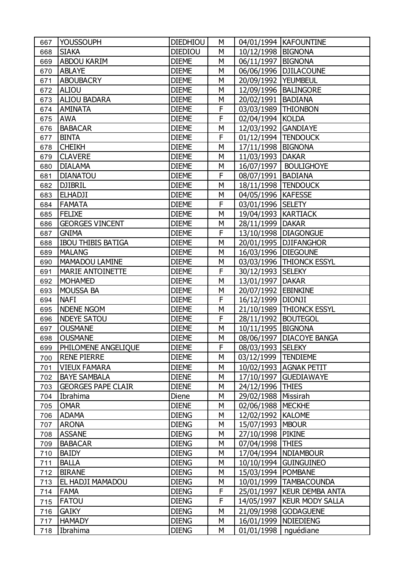| 667 | <b>YOUSSOUPH</b>          | <b>DIEDHIOU</b> | M              |                       | 04/01/1994   KAFOUNTINE    |
|-----|---------------------------|-----------------|----------------|-----------------------|----------------------------|
| 668 | <b>SIAKA</b>              | <b>DIEDIOU</b>  | M              | 10/12/1998   BIGNONA  |                            |
| 669 | <b>ABDOU KARIM</b>        | <b>DIEME</b>    | M              | 06/11/1997            | <b>BIGNONA</b>             |
| 670 | <b>ABLAYE</b>             | <b>DIEME</b>    | M              | 06/06/1996            | <b>DJILACOUNE</b>          |
| 671 | <b>ABOUBACRY</b>          | <b>DIEME</b>    | M              | 20/09/1992            | <b>YEUMBEUL</b>            |
| 672 | <b>ALIOU</b>              | <b>DIEME</b>    | M              | 12/09/1996            | <b>BALINGORE</b>           |
| 673 | <b>ALIOU BADARA</b>       | <b>DIEME</b>    | M              | 20/02/1991            | <b>BADIANA</b>             |
| 674 | <b>AMINATA</b>            | <b>DIEME</b>    | F              | 03/03/1989   THIONBON |                            |
| 675 | <b>AWA</b>                | <b>DIEME</b>    | F              | 02/04/1994            | <b>KOLDA</b>               |
| 676 | <b>BABACAR</b>            | <b>DIEME</b>    | M              | 12/03/1992            | <b>GANDIAYE</b>            |
| 677 | <b>BINTA</b>              | <b>DIEME</b>    | F              | 01/12/1994   TENDOUCK |                            |
| 678 | <b>CHEIKH</b>             | <b>DIEME</b>    | M              | 17/11/1998            | <b>BIGNONA</b>             |
| 679 | <b>CLAVERE</b>            | <b>DIEME</b>    | M              | 11/03/1993            | <b>DAKAR</b>               |
| 680 | <b>DIALAMA</b>            | <b>DIEME</b>    | M              | 16/07/1997            | <b>BOULIGHOYE</b>          |
| 681 | <b>DIANATOU</b>           | <b>DIEME</b>    | F              | 08/07/1991            | <b>BADIANA</b>             |
| 682 | <b>DJIBRIL</b>            | <b>DIEME</b>    | M              | 18/11/1998   TENDOUCK |                            |
| 683 | <b>ELHADJI</b>            | <b>DIEME</b>    | M              | 04/05/1996   KAFESSE  |                            |
| 684 | <b>FAMATA</b>             | <b>DIEME</b>    | F              | 03/01/1996 SELETY     |                            |
| 685 | FELIXE                    | <b>DIEME</b>    | M              | 19/04/1993   KARTIACK |                            |
| 686 | <b>GEORGES VINCENT</b>    | <b>DIEME</b>    | M              | 28/11/1999   DAKAR    |                            |
| 687 | <b>GNIMA</b>              | <b>DIEME</b>    | F              | 13/10/1998            | <b>DIAGONGUE</b>           |
| 688 | <b>IBOU THIBIS BATIGA</b> | <b>DIEME</b>    | M              | 20/01/1995            | <b>DJIFANGHOR</b>          |
| 689 | <b>MALANG</b>             | <b>DIEME</b>    | M              | 16/03/1996   DIEGOUNE |                            |
| 690 | MAMADOU LAMINE            | <b>DIEME</b>    | M              |                       | 03/03/1996   THIONCK ESSYL |
| 691 | <b>MARIE ANTOINETTE</b>   | <b>DIEME</b>    | F              | 30/12/1993            | <b>SELEKY</b>              |
| 692 | <b>MOHAMED</b>            | <b>DIEME</b>    | M              | 13/01/1997            | <b>DAKAR</b>               |
| 693 | <b>MOUSSA BA</b>          | <b>DIEME</b>    | M              | 20/07/1992            | <b>EBINKINE</b>            |
| 694 | <b>NAFI</b>               | <b>DIEME</b>    | $\overline{F}$ | 16/12/1999            | <b>DIONJI</b>              |
| 695 | <b>NDENE NGOM</b>         | <b>DIEME</b>    | M              |                       | 21/10/1989   THIONCK ESSYL |
| 696 | <b>NDEYE SATOU</b>        | <b>DIEME</b>    | F              | 28/11/1992            | <b>BOUTEGOL</b>            |
| 697 | <b>OUSMANE</b>            | <b>DIEME</b>    | M              | 10/11/1995            | <b>BIGNONA</b>             |
| 698 | <b>OUSMANE</b>            | <b>DIEME</b>    | M              | 08/06/1997            | DIACOYE BANGA              |
| 699 | PHILOMENE ANGELIQUE       | <b>DIEME</b>    | F              | 08/03/1993   SELEKY   |                            |
| 700 | <b>RENE PIERRE</b>        | <b>DIEME</b>    | M              | 03/12/1999            | <b>TENDIEME</b>            |
| 701 | <b>VIEUX FAMARA</b>       | <b>DIEME</b>    | M              | 10/02/1993            | <b>AGNAK PETIT</b>         |
| 702 | <b>BAYE SAMBALA</b>       | <b>DIENE</b>    | M              | 17/10/1997            | <b>GUEDIAWAYE</b>          |
| 703 | <b>GEORGES PAPE CLAIR</b> | <b>DIENE</b>    | M              | 24/12/1996            | <b>THIES</b>               |
| 704 | Ibrahima                  | Diene           | M              | 29/02/1988            | Missirah                   |
| 705 | <b>OMAR</b>               | <b>DIENE</b>    | M              | 02/06/1988            | <b>MECKHE</b>              |
| 706 | <b>ADAMA</b>              | <b>DIENG</b>    | M              | 12/02/1992            | <b>KALOME</b>              |
| 707 | <b>ARONA</b>              | <b>DIENG</b>    | M              | 15/07/1993            | <b>MBOUR</b>               |
| 708 | <b>ASSANE</b>             | <b>DIENG</b>    | M              | 27/10/1998            | <b>PIKINE</b>              |
| 709 | <b>BABACAR</b>            | <b>DIENG</b>    | M              | 07/04/1998            | <b>THIES</b>               |
| 710 | <b>BAIDY</b>              | <b>DIENG</b>    | M              | 17/04/1994            | <b>NDIAMBOUR</b>           |
| 711 | <b>BALLA</b>              | <b>DIENG</b>    | M              | 10/10/1994            | <b>GUINGUINEO</b>          |
| 712 | <b>BIRANE</b>             | <b>DIENG</b>    | M              | 15/03/1994            | <b>POMBANE</b>             |
| 713 | EL HADJI MAMADOU          | <b>DIENG</b>    | M              | 10/01/1999            | <b>TAMBACOUNDA</b>         |
| 714 | <b>FAMA</b>               | <b>DIENG</b>    | F              | 25/01/1997            | <b>KEUR DEMBA ANTA</b>     |
| 715 | <b>FATOU</b>              | <b>DIENG</b>    | F              | 14/05/1997            | <b>KEUR MODY SALLA</b>     |
| 716 | <b>GAIKY</b>              | <b>DIENG</b>    | M              | 21/09/1998            | <b>GODAGUENE</b>           |
| 717 | <b>HAMADY</b>             | <b>DIENG</b>    | M              | 16/01/1999            | <b>NDIEDIENG</b>           |
| 718 | Ibrahima                  | <b>DIENG</b>    | M              | 01/01/1998            | nguédiane                  |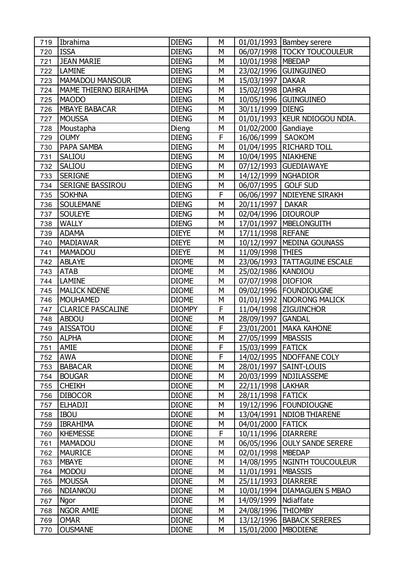| 719 | Ibrahima                     | <b>DIENG</b>  | M |                       | 01/01/1993   Bambey serere      |
|-----|------------------------------|---------------|---|-----------------------|---------------------------------|
| 720 | <b>ISSA</b>                  | <b>DIENG</b>  | M |                       | 06/07/1998   TOCKY TOUCOULEUR   |
| 721 | <b>JEAN MARIE</b>            | <b>DIENG</b>  | M | 10/01/1998   MBEDAP   |                                 |
| 722 | <b>LAMINE</b>                | <b>DIENG</b>  | M | 23/02/1996            | <b>GUINGUINEO</b>               |
| 723 | <b>MAMADOU MANSOUR</b>       | <b>DIENG</b>  | M | 15/03/1997            | <b>DAKAR</b>                    |
| 724 | <b>MAME THIERNO BIRAHIMA</b> | <b>DIENG</b>  | M | 15/02/1998            | <b>DAHRA</b>                    |
| 725 | <b>MAODO</b>                 | <b>DIENG</b>  | M |                       | 10/05/1996 GUINGUINEO           |
| 726 | <b>MBAYE BABACAR</b>         | <b>DIENG</b>  | M | 30/11/1999 DIENG      |                                 |
| 727 | <b>MOUSSA</b>                | <b>DIENG</b>  | M |                       | 01/01/1993   KEUR NDIOGOU NDIA. |
| 728 | Moustapha                    | Dieng         | M | 01/02/2000            | Gandiaye                        |
| 729 | <b>OUMY</b>                  | <b>DIENG</b>  | F | 16/06/1999            | <b>SAOKOM</b>                   |
| 730 | <b>PAPA SAMBA</b>            | <b>DIENG</b>  | M |                       | 01/04/1995   RICHARD TOLL       |
| 731 | <b>SALIOU</b>                | <b>DIENG</b>  | M | 10/04/1995   NIAKHENE |                                 |
| 732 | <b>SALIOU</b>                | <b>DIENG</b>  | M |                       | 07/12/1993 GUEDIAWAYE           |
| 733 | <b>SERIGNE</b>               | <b>DIENG</b>  | M | 14/12/1999   NGHADIOR |                                 |
| 734 | <b>SERIGNE BASSIROU</b>      | <b>DIENG</b>  | M | 06/07/1995            | <b>GOLF SUD</b>                 |
| 735 | <b>SOKHNA</b>                | <b>DIENG</b>  | F |                       | 06/06/1997   NDIEYENE SIRAKH    |
| 736 | <b>SOULEMANE</b>             | <b>DIENG</b>  | M | 20/11/1997   DAKAR    |                                 |
| 737 | <b>SOULEYE</b>               | <b>DIENG</b>  | M | 02/04/1996   DIOUROUP |                                 |
| 738 | <b>WALLY</b>                 | <b>DIENG</b>  | M |                       | 17/01/1997   MBELONGUITH        |
| 739 | <b>ADAMA</b>                 | <b>DIEYE</b>  | M | 17/11/1998 REFANE     |                                 |
| 740 | <b>MADIAWAR</b>              | <b>DIEYE</b>  | M |                       | 10/12/1997   MEDINA GOUNASS     |
| 741 | MAMADOU                      | <b>DIEYE</b>  | M | 11/09/1998 THIES      |                                 |
| 742 | <b>ABLAYE</b>                | <b>DIOME</b>  | M |                       | 23/06/1993   TATTAGUINE ESCALE  |
| 743 | <b>ATAB</b>                  | <b>DIOME</b>  | M | 25/02/1986   KANDIOU  |                                 |
| 744 | <b>LAMINE</b>                | <b>DIOME</b>  | M | 07/07/1998 DIOFIOR    |                                 |
| 745 | <b>MALICK NDENE</b>          | <b>DIOME</b>  | M |                       | 09/02/1996   FOUNDIOUGNE        |
| 746 | <b>MOUHAMED</b>              | <b>DIOME</b>  | M | 01/01/1992            | <b>NDORONG MALICK</b>           |
| 747 | <b>CLARICE PASCALINE</b>     | <b>DIOMPY</b> | F |                       | 11/04/1998 ZIGUINCHOR           |
| 748 | <b>ABDOU</b>                 | <b>DIONE</b>  | M | 28/09/1997            | <b>GANDAL</b>                   |
| 749 | <b>AISSATOU</b>              | <b>DIONE</b>  | F | 23/01/2001            | <b>MAKA KAHONE</b>              |
| 750 | <b>ALPHA</b>                 | <b>DIONE</b>  | M | 27/05/1999   MBASSIS  |                                 |
| 751 | <b>AMIE</b>                  | <b>DIONE</b>  | F | 15/03/1999 FATICK     |                                 |
| 752 | <b>AWA</b>                   | <b>DIONE</b>  | F |                       | 14/02/1995   NDOFFANE COLY      |
| 753 | <b>BABACAR</b>               | <b>DIONE</b>  | М | 28/01/1997            | SAINT-LOUIS                     |
| 754 | <b>BOUGAR</b>                | <b>DIONE</b>  | М |                       | 20/03/1999   NDJILASSEME        |
| 755 | <b>CHEIKH</b>                | <b>DIONE</b>  | М | 22/11/1998            | <b>LAKHAR</b>                   |
| 756 | <b>DIBOCOR</b>               | <b>DIONE</b>  | М | 28/11/1998 FATICK     |                                 |
| 757 | <b>ELHADJI</b>               | <b>DIONE</b>  | М |                       | 19/12/1996   FOUNDIOUGNE        |
| 758 | <b>IBOU</b>                  | <b>DIONE</b>  | М | 13/04/1991            | <b>NDIOB THIARENE</b>           |
| 759 | <b>IBRAHIMA</b>              | <b>DIONE</b>  | М | 04/01/2000 FATICK     |                                 |
| 760 | <b>KHEMESSE</b>              | <b>DIONE</b>  | F | 10/11/1996            | <b>DIARRERE</b>                 |
| 761 | <b>MAMADOU</b>               | <b>DIONE</b>  | М | 06/05/1996            | <b>OULY SANDE SERERE</b>        |
| 762 | <b>MAURICE</b>               | <b>DIONE</b>  | M | 02/01/1998   MBEDAP   |                                 |
| 763 | <b>MBAYE</b>                 | <b>DIONE</b>  | М |                       | 14/08/1995   NGINTH TOUCOULEUR  |
| 764 | <b>MODOU</b>                 | <b>DIONE</b>  | М | 11/01/1991            | <b>MBASSIS</b>                  |
| 765 | <b>MOUSSA</b>                | <b>DIONE</b>  | М | 25/11/1993   DIARRERE |                                 |
| 766 | <b>NDIANKOU</b>              | <b>DIONE</b>  | М | 10/01/1994            | <b>DIAMAGUEN S MBAO</b>         |
| 767 | Ngor                         | <b>DIONE</b>  | М | 14/09/1999            | Ndiaffate                       |
| 768 | <b>NGOR AMIE</b>             | <b>DIONE</b>  | М | 24/08/1996            | <b>THIOMBY</b>                  |
| 769 | <b>OMAR</b>                  | <b>DIONE</b>  | М | 13/12/1996            | <b>BABACK SERERES</b>           |
| 770 | <b>OUSMANE</b>               | <b>DIONE</b>  | M | 15/01/2000            | <b>MBODIENE</b>                 |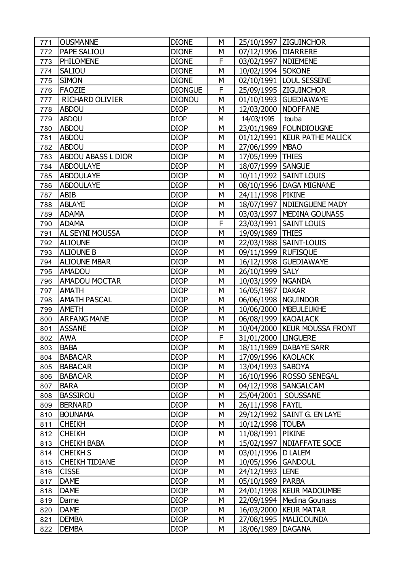| 771 | <b>OUSMANNE</b>           | <b>DIONE</b>   | M |                       | 25/10/1997 ZIGUINCHOR          |
|-----|---------------------------|----------------|---|-----------------------|--------------------------------|
| 772 | <b>PAPE SALIOU</b>        | <b>DIONE</b>   | M | 07/12/1996   DIARRERE |                                |
| 773 | <b>PHILOMENE</b>          | <b>DIONE</b>   | F | 03/02/1997   NDIEMENE |                                |
| 774 | <b>SALIOU</b>             | <b>DIONE</b>   | M | 10/02/1994            | <b>SOKONE</b>                  |
| 775 | <b>SIMON</b>              | <b>DIONE</b>   | M |                       | 02/10/1991   LOUL SESSENE      |
| 776 | <b>FAOZIE</b>             | <b>DIONGUE</b> | F |                       | 25/09/1995 ZIGUINCHOR          |
| 777 | <b>RICHARD OLIVIER</b>    | <b>DIONOU</b>  | M |                       | 01/10/1993 GUEDIAWAYE          |
| 778 | <b>ABDOU</b>              | <b>DIOP</b>    | M | 12/03/2000   NDOFFANE |                                |
| 779 | <b>ABDOU</b>              | <b>DIOP</b>    | M | 14/03/1995            | touba                          |
| 780 | <b>ABDOU</b>              | <b>DIOP</b>    | M | 23/01/1989            | <b>FOUNDIOUGNE</b>             |
| 781 | <b>ABDOU</b>              | <b>DIOP</b>    | M |                       | 01/12/1991   KEUR PATHE MALICK |
| 782 | <b>ABDOU</b>              | <b>DIOP</b>    | M | 27/06/1999            | <b>MBAO</b>                    |
| 783 | <b>ABDOU ABASS L DIOR</b> | <b>DIOP</b>    | M | 17/05/1999 THIES      |                                |
| 784 | <b>ABDOULAYE</b>          | <b>DIOP</b>    | M | 18/07/1999   SANGUE   |                                |
| 785 | <b>ABDOULAYE</b>          | <b>DIOP</b>    | M |                       | 10/11/1992   SAINT LOUIS       |
| 786 | <b>ABDOULAYE</b>          | <b>DIOP</b>    | M | 08/10/1996            | DAGA MIGNANE                   |
| 787 | <b>ABIB</b>               | <b>DIOP</b>    | M | 24/11/1998 PIKINE     |                                |
| 788 | <b>ABLAYE</b>             | <b>DIOP</b>    | M |                       | 18/07/1997   NDIENGUENE MADY   |
| 789 | <b>ADAMA</b>              | <b>DIOP</b>    | M |                       | 03/03/1997   MEDINA GOUNASS    |
| 790 | <b>ADAMA</b>              | <b>DIOP</b>    | F |                       | 23/03/1991   SAINT LOUIS       |
| 791 | <b>AL SEYNI MOUSSA</b>    | <b>DIOP</b>    | M | 19/09/1989 THIES      |                                |
| 792 | <b>ALIOUNE</b>            | <b>DIOP</b>    | M | 22/03/1988            | SAINT-LOUIS                    |
| 793 | <b>ALIOUNE B</b>          | <b>DIOP</b>    | M | 09/11/1999 RUFISQUE   |                                |
| 794 | <b>ALIOUNE MBAR</b>       | <b>DIOP</b>    | M | 16/12/1998            | <b>GUEDIAWAYE</b>              |
| 795 | <b>AMADOU</b>             | <b>DIOP</b>    | M | 26/10/1999            | <b>SALY</b>                    |
| 796 | <b>AMADOU MOCTAR</b>      | <b>DIOP</b>    | M | 10/03/1999            | <b>NGANDA</b>                  |
| 797 | <b>AMATH</b>              | <b>DIOP</b>    | M | 16/05/1987            | <b>DAKAR</b>                   |
| 798 | <b>AMATH PASCAL</b>       | <b>DIOP</b>    | M | 06/06/1998            | <b>NGUINDOR</b>                |
| 799 | <b>AMETH</b>              | <b>DIOP</b>    | M |                       | 10/06/2000   MBEULEUKHE        |
| 800 | <b>ARFANG MANE</b>        | <b>DIOP</b>    | M | 06/08/1999            | <b>KAOALACK</b>                |
| 801 | <b>ASSANE</b>             | <b>DIOP</b>    | M | 10/04/2000            | <b>KEUR MOUSSA FRONT</b>       |
| 802 | <b>AWA</b>                | <b>DIOP</b>    | F | 31/01/2000            | <b>LINGUERE</b>                |
| 803 | <b>BABA</b>               | <b>DIOP</b>    | M |                       | 18/11/1989   DABAYE SARR       |
| 804 | <b>BABACAR</b>            | <b>DIOP</b>    | M | 17/09/1996 KAOLACK    |                                |
| 805 | <b>BABACAR</b>            | <b>DIOP</b>    | M | 13/04/1993   SABOYA   |                                |
| 806 | <b>BABACAR</b>            | <b>DIOP</b>    | M | 16/10/1996            | <b>ROSSO SENEGAL</b>           |
| 807 | <b>BARA</b>               | <b>DIOP</b>    | M | 04/12/1998            | SANGALCAM                      |
| 808 | <b>BASSIROU</b>           | <b>DIOP</b>    | M | 25/04/2001            | SOUSSANE                       |
| 809 | <b>BERNARD</b>            | <b>DIOP</b>    | M | 26/11/1998            | <b>FAYIL</b>                   |
| 810 | <b>BOUNAMA</b>            | <b>DIOP</b>    | M | 29/12/1992            | SAINT G. EN LAYE               |
| 811 | <b>CHEIKH</b>             | <b>DIOP</b>    | M | 10/12/1998            | <b>TOUBA</b>                   |
| 812 | <b>CHEIKH</b>             | <b>DIOP</b>    | M | 11/08/1991            | <b>PIKINE</b>                  |
| 813 | <b>CHEIKH BABA</b>        | <b>DIOP</b>    | M | 15/02/1997            | NDIAFFATE SOCE                 |
| 814 | <b>CHEIKH S</b>           | <b>DIOP</b>    | M | 03/01/1996            | <b>D LALEM</b>                 |
| 815 | <b>CHEIKH TIDIANE</b>     | <b>DIOP</b>    | M | 10/05/1996            | <b>GANDOUL</b>                 |
| 816 | <b>CISSE</b>              | <b>DIOP</b>    | M | 24/12/1993            | <b>LENE</b>                    |
| 817 | <b>DAME</b>               | <b>DIOP</b>    | M | 05/10/1989            | <b>PARBA</b>                   |
| 818 | <b>DAME</b>               | <b>DIOP</b>    | M | 24/01/1998            | <b>KEUR MADOUMBE</b>           |
| 819 | Dame                      | <b>DIOP</b>    | M | 22/09/1994            | Medina Gounass                 |
| 820 | <b>DAME</b>               | <b>DIOP</b>    | M | 16/03/2000            | <b>KEUR MATAR</b>              |
| 821 | <b>DEMBA</b>              | <b>DIOP</b>    | M | 27/08/1995            | <b>MALICOUNDA</b>              |
| 822 | <b>DEMBA</b>              | <b>DIOP</b>    | M | 18/06/1989            | <b>DAGANA</b>                  |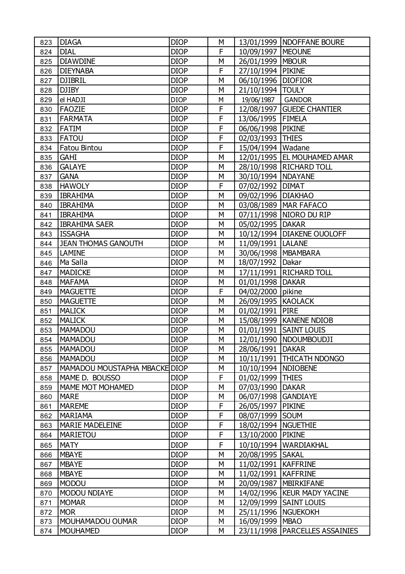| 823 | <b>DIAGA</b>                  | <b>DIOP</b> | М            |                       | 13/01/1999   NDOFFANE BOURE   |
|-----|-------------------------------|-------------|--------------|-----------------------|-------------------------------|
| 824 | <b>DIAL</b>                   | <b>DIOP</b> | F            | 10/09/1997   MEOUNE   |                               |
| 825 | <b>DIAWDINE</b>               | <b>DIOP</b> | M            | 26/01/1999   MBOUR    |                               |
| 826 | <b>DIEYNABA</b>               | <b>DIOP</b> | $\mathsf F$  | 27/10/1994            | <b>PIKINE</b>                 |
| 827 | <b>DJIBRIL</b>                | <b>DIOP</b> | M            | 06/10/1996   DIOFIOR  |                               |
| 828 | <b>DJIBY</b>                  | <b>DIOP</b> | M            | 21/10/1994            | <b>TOULY</b>                  |
| 829 | el HADJI                      | <b>DIOP</b> | М            | 19/06/1987            | <b>GANDOR</b>                 |
| 830 | <b>FAOZIE</b>                 | <b>DIOP</b> | F            |                       | 12/08/1997 GUEDE CHANTIER     |
| 831 | <b>FARMATA</b>                | <b>DIOP</b> | F            | 13/06/1995   FIMELA   |                               |
| 832 | <b>FATIM</b>                  | <b>DIOP</b> | $\mathsf F$  | 06/06/1998 PIKINE     |                               |
| 833 | <b>FATOU</b>                  | <b>DIOP</b> | F            | 02/03/1993 THIES      |                               |
| 834 | <b>Fatou Bintou</b>           | <b>DIOP</b> | $\mathsf F$  | 15/04/1994   Wadane   |                               |
| 835 | <b>GAHI</b>                   | <b>DIOP</b> | M            |                       | 12/01/1995   EL MOUHAMED AMAR |
| 836 | <b>GALAYE</b>                 | <b>DIOP</b> | M            |                       | 28/10/1998   RICHARD TOLL     |
| 837 | <b>GANA</b>                   | <b>DIOP</b> | М            | 30/10/1994   NDAYANE  |                               |
| 838 | <b>HAWOLY</b>                 | <b>DIOP</b> | F            | 07/02/1992 DIMAT      |                               |
| 839 | <b>IBRAHIMA</b>               | <b>DIOP</b> | M            | 09/02/1996   DIAKHAO  |                               |
| 840 | <b>IBRAHIMA</b>               | <b>DIOP</b> | M            |                       | 03/08/1989   MAR FAFACO       |
| 841 | <b>IBRAHIMA</b>               | <b>DIOP</b> | М            |                       | 07/11/1998   NIORO DU RIP     |
| 842 | <b>IBRAHIMA SAER</b>          | <b>DIOP</b> | M            | 05/02/1995   DAKAR    |                               |
| 843 | <b>ISSAGHA</b>                | <b>DIOP</b> | M            |                       | 10/12/1994   DIAKENE OUOLOFF  |
| 844 | <b>JEAN THOMAS GANOUTH</b>    | <b>DIOP</b> | M            | 11/09/1991   LALANE   |                               |
| 845 | <b>LAMINE</b>                 | <b>DIOP</b> | M            | 30/06/1998   MBAMBARA |                               |
| 846 | Ma Salla                      | <b>DIOP</b> | M            | 18/07/1992            | Dakar                         |
| 847 | <b>MADICKE</b>                | <b>DIOP</b> | M            |                       | 17/11/1991   RICHARD TOLL     |
| 848 | <b>MAFAMA</b>                 | <b>DIOP</b> | М            | 01/01/1998            | <b>DAKAR</b>                  |
| 849 | <b>MAGUETTE</b>               | <b>DIOP</b> | $\mathsf{F}$ | 04/02/2000            | pikine                        |
| 850 | <b>MAGUETTE</b>               | <b>DIOP</b> | M            | 26/09/1995   KAOLACK  |                               |
| 851 | <b>MALICK</b>                 | <b>DIOP</b> | M            | 01/02/1991            | <b>PIRE</b>                   |
| 852 | <b>MALICK</b>                 | <b>DIOP</b> | М            |                       | 15/08/1999   KANENE NDIOB     |
| 853 | <b>MAMADOU</b>                | <b>DIOP</b> | М            |                       | 01/01/1991 SAINT LOUIS        |
| 854 | <b>MAMADOU</b>                | <b>DIOP</b> | M            |                       | 12/01/1990   NDOUMBOUDJI      |
| 855 | <b>MAMADOU</b>                | <b>DIOP</b> | М            | 28/06/1991   DAKAR    |                               |
| 856 | <b>MAMADOU</b>                | <b>DIOP</b> | M            |                       | 10/11/1991 THICATH NDONGO     |
| 857 | MAMADOU MOUSTAPHA MBACKE DIOP |             | М            | 10/10/1994   NDIOBENE |                               |
| 858 | MAME D. BOUSSO                | <b>DIOP</b> | F            | 01/02/1999            | <b>THIES</b>                  |
| 859 | <b>MAME MOT MOHAMED</b>       | <b>DIOP</b> | M            | 07/03/1990            | <b>DAKAR</b>                  |
| 860 | <b>MARE</b>                   | <b>DIOP</b> | M            | 06/07/1998            | <b>GANDIAYE</b>               |
| 861 | <b>MAREME</b>                 | <b>DIOP</b> | F            | 26/05/1997            | <b>PIKINE</b>                 |
| 862 | <b>MARIAMA</b>                | <b>DIOP</b> | F            | 08/07/1999            | <b>SOUM</b>                   |
| 863 | <b>MARIE MADELEINE</b>        | <b>DIOP</b> | F            | 18/02/1994            | <b>NGUETHIE</b>               |
| 864 | <b>MARIETOU</b>               | <b>DIOP</b> | F            | 13/10/2000            | <b>PIKINE</b>                 |
| 865 | <b>MATY</b>                   | <b>DIOP</b> | F            | 10/10/1994            | WARDIAKHAL                    |
| 866 | <b>MBAYE</b>                  | <b>DIOP</b> | M            | 20/08/1995            | <b>SAKAL</b>                  |
| 867 | <b>MBAYE</b>                  | <b>DIOP</b> | М            | 11/02/1991   KAFFRINE |                               |
| 868 | <b>MBAYE</b>                  | <b>DIOP</b> | M            | 11/02/1991            | <b>KAFFRINE</b>               |
| 869 | <b>MODOU</b>                  | <b>DIOP</b> | М            | 20/09/1987            | <b>MBIRKIFANE</b>             |
| 870 | <b>MODOU NDIAYE</b>           | <b>DIOP</b> | M            |                       | 14/02/1996   KEUR MADY YACINE |
| 871 | <b>MOMAR</b>                  | <b>DIOP</b> | M            | 12/09/1999            | <b>SAINT LOUIS</b>            |
| 872 | <b>MOR</b>                    | <b>DIOP</b> | М            | 25/11/1996   NGUEKOKH |                               |
| 873 | MOUHAMADOU OUMAR              | <b>DIOP</b> | М            | 16/09/1999   MBAO     |                               |
| 874 | <b>MOUHAMED</b>               | <b>DIOP</b> | М            | 23/11/1998            | PARCELLES ASSAINIES           |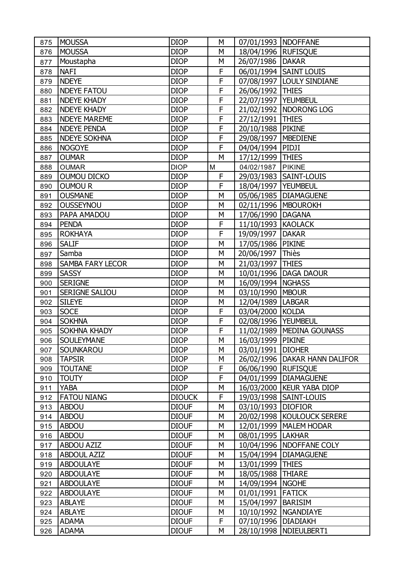| 875 | <b>MOUSSA</b>           | <b>DIOP</b>   | M            | 07/01/1993   NDOFFANE |                             |
|-----|-------------------------|---------------|--------------|-----------------------|-----------------------------|
| 876 | <b>MOUSSA</b>           | <b>DIOP</b>   | M            | 18/04/1996 RUFISQUE   |                             |
| 877 | Moustapha               | <b>DIOP</b>   | M            | 26/07/1986            | <b>DAKAR</b>                |
| 878 | <b>NAFI</b>             | <b>DIOP</b>   | F            |                       | 06/01/1994   SAINT LOUIS    |
| 879 | <b>NDEYE</b>            | <b>DIOP</b>   | F            | 07/08/1997            | <b>LOULY SINDIANE</b>       |
| 880 | <b>NDEYE FATOU</b>      | <b>DIOP</b>   | F            | 26/06/1992            | <b>THIES</b>                |
| 881 | <b>NDEYE KHADY</b>      | <b>DIOP</b>   | F            | 22/07/1997   YEUMBEUL |                             |
| 882 | <b>NDEYE KHADY</b>      | <b>DIOP</b>   | F            | 21/02/1992            | <b>NDORONG LOG</b>          |
| 883 | <b>NDEYE MAREME</b>     | <b>DIOP</b>   | F            | 27/12/1991            | <b>THIES</b>                |
| 884 | <b>NDEYE PENDA</b>      | <b>DIOP</b>   | F            | 20/10/1988 PIKINE     |                             |
| 885 | <b>NDEYE SOKHNA</b>     | <b>DIOP</b>   | F            | 29/08/1997            | <b>MBEDIENE</b>             |
| 886 | <b>NOGOYE</b>           | <b>DIOP</b>   | F            | 04/04/1994            | PIDJI                       |
| 887 | <b>OUMAR</b>            | <b>DIOP</b>   | M            | 17/12/1999            | <b>THIES</b>                |
| 888 | <b>OUMAR</b>            | <b>DIOP</b>   | M            | 04/02/1987            | PIKINE                      |
| 889 | <b>OUMOU DICKO</b>      | <b>DIOP</b>   | $\mathsf{F}$ | 29/03/1983            | SAINT-LOUIS                 |
| 890 | <b>OUMOUR</b>           | <b>DIOP</b>   | F            | 18/04/1997            | <b>YEUMBEUL</b>             |
| 891 | <b>OUSMANE</b>          | <b>DIOP</b>   | M            | 05/06/1985            | <b>DIAMAGUENE</b>           |
| 892 | <b>OUSSEYNOU</b>        | <b>DIOP</b>   | M            |                       | 02/11/1996   MBOUROKH       |
| 893 | PAPA AMADOU             | <b>DIOP</b>   | М            | 17/06/1990   DAGANA   |                             |
| 894 | <b>PENDA</b>            | <b>DIOP</b>   | F            | 11/10/1993            | <b>KAOLACK</b>              |
| 895 | <b>ROKHAYA</b>          | <b>DIOP</b>   | F            | 19/09/1997            | <b>DAKAR</b>                |
| 896 | <b>SALIF</b>            | <b>DIOP</b>   | M            | 17/05/1986            | <b>PIKINE</b>               |
| 897 | Samba                   | <b>DIOP</b>   | M            | 20/06/1997            | Thiès                       |
| 898 | <b>SAMBA FARY LECOR</b> | <b>DIOP</b>   | M            | 21/03/1997 THIES      |                             |
| 899 | <b>SASSY</b>            | <b>DIOP</b>   | M            | 10/01/1996            | <b>DAGA DAOUR</b>           |
| 900 | <b>SERIGNE</b>          | <b>DIOP</b>   | M            | 16/09/1994            | <b>NGHASS</b>               |
| 901 | <b>SERIGNE SALIOU</b>   | <b>DIOP</b>   | M            | 03/10/1990            | <b>MBOUR</b>                |
| 902 | <b>SILEYE</b>           | <b>DIOP</b>   | M            | 12/04/1989            | <b>LABGAR</b>               |
| 903 | <b>SOCE</b>             | <b>DIOP</b>   | F            | 03/04/2000            | <b>KOLDA</b>                |
| 904 | <b>SOKHNA</b>           | <b>DIOP</b>   | F            | 02/08/1996   YEUMBEUL |                             |
| 905 | <b>SOKHNA KHADY</b>     | <b>DIOP</b>   | F            |                       | 11/02/1989   MEDINA GOUNASS |
| 906 | <b>SOULEYMANE</b>       | <b>DIOP</b>   | M            | 16/03/1999            | <b>PIKINE</b>               |
| 907 | <b>SOUNKAROU</b>        | <b>DIOP</b>   | М            | 03/01/1991   DIOHER   |                             |
| 908 | <b>TAPSIR</b>           | <b>DIOP</b>   | M            | 26/02/1996            | DAKAR HANN DALIFOR          |
| 909 | <b>TOUTANE</b>          | <b>DIOP</b>   | F            | 06/06/1990            | <b>RUFISOUE</b>             |
| 910 | <b>TOUTY</b>            | <b>DIOP</b>   | F            | 04/01/1999            | <b>DIAMAGUENE</b>           |
| 911 | <b>YABA</b>             | <b>DIOP</b>   | M            | 16/03/2000            | <b>KEUR YABA DIOP</b>       |
| 912 | <b>FATOU NIANG</b>      | <b>DIOUCK</b> | F            | 19/03/1998            | SAINT-LOUIS                 |
| 913 | <b>ABDOU</b>            | <b>DIOUF</b>  | М            | 03/10/1993 DIOFIOR    |                             |
| 914 | <b>ABDOU</b>            | <b>DIOUF</b>  | M            | 20/02/1998            | KOULOUCK SERERE             |
| 915 | <b>ABDOU</b>            | <b>DIOUF</b>  | M            | 12/01/1999            | <b>MALEM HODAR</b>          |
| 916 | <b>ABDOU</b>            | <b>DIOUF</b>  | М            | 08/01/1995            | <b>LAKHAR</b>               |
| 917 | <b>ABDOU AZIZ</b>       | <b>DIOUF</b>  | M            | 10/04/1996            | NDOFFANE COLY               |
| 918 | <b>ABDOUL AZIZ</b>      | <b>DIOUF</b>  | M            | 15/04/1994            | <b>DIAMAGUENE</b>           |
| 919 | <b>ABDOULAYE</b>        | <b>DIOUF</b>  | М            | 13/01/1999 THIES      |                             |
| 920 | <b>ABDOULAYE</b>        | <b>DIOUF</b>  | M            | 18/05/1988            | <b>THIARE</b>               |
| 921 | <b>ABDOULAYE</b>        | <b>DIOUF</b>  | M            | 14/09/1994            | <b>NGOHE</b>                |
| 922 | <b>ABDOULAYE</b>        | <b>DIOUF</b>  | М            | 01/01/1991            | <b>FATICK</b>               |
| 923 | <b>ABLAYE</b>           | <b>DIOUF</b>  | M            | 15/04/1997            | <b>BARISIM</b>              |
| 924 | <b>ABLAYE</b>           | <b>DIOUF</b>  | M            | 10/10/1992            | <b>NGANDIAYE</b>            |
| 925 | <b>ADAMA</b>            | <b>DIOUF</b>  | F            | 07/10/1996   DIADIAKH |                             |
| 926 | <b>ADAMA</b>            | <b>DIOUF</b>  | M            | 28/10/1998            | NDIEULBERT1                 |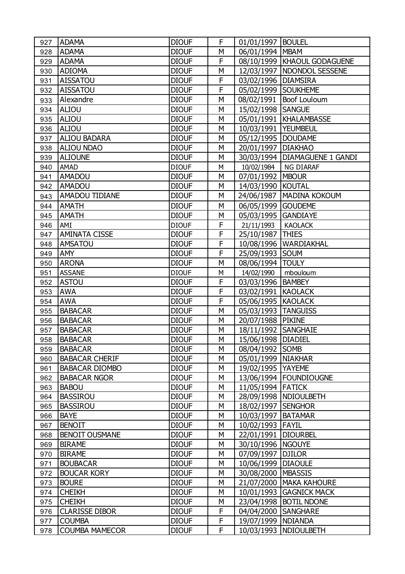| 927 | <b>ADAMA</b>          | <b>DIOUF</b> | F | 01/01/1997           | <b>BOULEL</b>                   |
|-----|-----------------------|--------------|---|----------------------|---------------------------------|
| 928 | <b>ADAMA</b>          | <b>DIOUF</b> | M | 06/01/1994   MBAM    |                                 |
| 929 | <b>ADAMA</b>          | <b>DIOUF</b> | F |                      | 08/10/1999   KHAOUL GODAGUENE   |
| 930 | <b>ADIOMA</b>         | <b>DIOUF</b> | M | 12/03/1997           | NDONDOL SESSENE                 |
| 931 | <b>AISSATOU</b>       | <b>DIOUF</b> | F | 03/02/1996           | <b>DIAMSIRA</b>                 |
| 932 | <b>AISSATOU</b>       | <b>DIOUF</b> | F | 05/02/1999 SOUKHEME  |                                 |
| 933 | Alexandre             | <b>DIOUF</b> | M | 08/02/1991           | Boof Louloum                    |
| 934 | <b>ALIOU</b>          | <b>DIOUF</b> | M | 15/02/1998           | <b>SANGUE</b>                   |
| 935 | <b>ALIOU</b>          | <b>DIOUF</b> | M | 05/01/1991           | <b>KHALAMBASSE</b>              |
| 936 | <b>ALIOU</b>          | <b>DIOUF</b> | М | 10/03/1991           | <b>YEUMBEUL</b>                 |
| 937 | <b>ALIOU BADARA</b>   | <b>DIOUF</b> | M | 05/12/1995           | <b>DOUDAME</b>                  |
| 938 | <b>ALIOU NDAO</b>     | <b>DIOUF</b> | M | 20/01/1997           | <b>DIAKHAO</b>                  |
| 939 | <b>ALIOUNE</b>        | <b>DIOUF</b> | М |                      | 30/03/1994   DIAMAGUENE 1 GANDI |
| 940 | AMAD                  | <b>DIOUF</b> | M | 10/02/1984           | NG DIARAF                       |
| 941 | <b>AMADOU</b>         | <b>DIOUF</b> | M | 07/01/1992           | <b>MBOUR</b>                    |
| 942 | <b>AMADOU</b>         | <b>DIOUF</b> | M | 14/03/1990 KOUTAL    |                                 |
| 943 | <b>AMADOU TIDIANE</b> | <b>DIOUF</b> | M | 24/06/1987           | <b>MADINA KOKOUM</b>            |
| 944 | <b>AMATH</b>          | <b>DIOUF</b> | M | 06/05/1999           | <b>GOUDEME</b>                  |
| 945 | <b>AMATH</b>          | <b>DIOUF</b> | M | 05/03/1995           | <b>GANDIAYE</b>                 |
| 946 | AMI                   | <b>DIOUF</b> | F | 21/11/1993           | <b>KAOLACK</b>                  |
| 947 | <b>AMINATA CISSE</b>  | <b>DIOUF</b> | F | 25/10/1987           | <b>THIES</b>                    |
| 948 | <b>AMSATOU</b>        | <b>DIOUF</b> | F | 10/08/1996           | WARDIAKHAL                      |
| 949 | <b>AMY</b>            | <b>DIOUF</b> | F | 25/09/1993           | <b>SOUM</b>                     |
| 950 | <b>ARONA</b>          | <b>DIOUF</b> | M | 08/06/1994           | <b>TOULY</b>                    |
| 951 | <b>ASSANE</b>         | <b>DIOUF</b> | M | 14/02/1990           | mbouloum                        |
| 952 | <b>ASTOU</b>          | <b>DIOUF</b> | F | 03/03/1996           | <b>BAMBEY</b>                   |
| 953 | <b>AWA</b>            | <b>DIOUF</b> | F | 03/02/1991           | <b>KAOLACK</b>                  |
| 954 | <b>AWA</b>            | <b>DIOUF</b> | F | 05/06/1995 KAOLACK   |                                 |
| 955 | <b>BABACAR</b>        | <b>DIOUF</b> | M | 05/03/1993           | <b>TANGUISS</b>                 |
| 956 | <b>BABACAR</b>        | <b>DIOUF</b> | M | 20/07/1988           | <b>PIKINE</b>                   |
| 957 | <b>BABACAR</b>        | <b>DIOUF</b> | M | 18/11/1992           | <b>SANGHAIE</b>                 |
| 958 | <b>BABACAR</b>        | <b>DIOUF</b> | M | 15/06/1998           | <b>DIADIEL</b>                  |
| 959 | <b>BABACAR</b>        | <b>DIOUF</b> | M | 08/04/1992 SOMB      |                                 |
| 960 | <b>BABACAR CHERIF</b> | <b>DIOUF</b> | M | 05/01/1999   NIAKHAR |                                 |
| 961 | <b>BABACAR DIOMBO</b> | <b>DIOUF</b> | M | 19/02/1995           | <b>YAYEME</b>                   |
| 962 | <b>BABACAR NGOR</b>   | <b>DIOUF</b> | M | 13/06/1994           | <b>FOUNDIOUGNE</b>              |
| 963 | <b>BABOU</b>          | <b>DIOUF</b> | M | 11/05/1994           | <b>FATICK</b>                   |
| 964 | <b>BASSIROU</b>       | <b>DIOUF</b> | M | 28/09/1998           | <b>NDIOULBETH</b>               |
| 965 | <b>BASSIROU</b>       | <b>DIOUF</b> | M | 18/02/1997   SENGHOR |                                 |
| 966 | <b>BAYE</b>           | <b>DIOUF</b> | M | 10/03/1997           | <b>BATAMAR</b>                  |
| 967 | <b>BENOIT</b>         | <b>DIOUF</b> | M | 10/02/1993           | <b>FAYIL</b>                    |
| 968 | <b>BENOIT OUSMANE</b> | <b>DIOUF</b> | M | 22/01/1991           | <b>DIOURBEL</b>                 |
| 969 | <b>BIRAME</b>         | <b>DIOUF</b> | M | 30/10/1996           | <b>NGOUYE</b>                   |
| 970 | <b>BIRAME</b>         | <b>DIOUF</b> | M | 07/09/1997           | <b>DJILOR</b>                   |
| 971 | <b>BOUBACAR</b>       | <b>DIOUF</b> | M | 10/06/1999           | <b>DIAOULE</b>                  |
| 972 | <b>BOUCAR KORY</b>    | <b>DIOUF</b> | M | 30/08/2000           | <b>MBASSIS</b>                  |
| 973 | <b>BOURE</b>          | <b>DIOUF</b> | M | 21/07/2000           | <b>MAKA KAHOURE</b>             |
| 974 | <b>CHEIKH</b>         | <b>DIOUF</b> | M | 10/01/1993           | <b>GAGNICK MACK</b>             |
| 975 | <b>CHEIKH</b>         | <b>DIOUF</b> | M | 23/04/1998           | <b>BOTIL NDONE</b>              |
| 976 | <b>CLARISSE DIBOR</b> | <b>DIOUF</b> | F | 04/04/2000           | <b>SANGHARE</b>                 |
| 977 | <b>COUMBA</b>         | <b>DIOUF</b> | F | 19/07/1999           | <b>NDIANDA</b>                  |
| 978 | <b>COUMBA MAMECOR</b> | <b>DIOUF</b> | F | 10/03/1993           | <b>NDIOULBETH</b>               |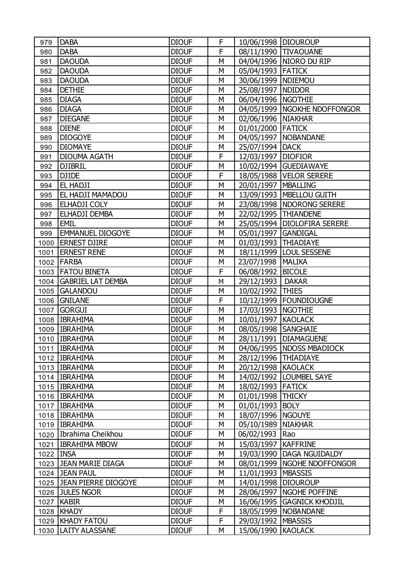| 979       | <b>DABA</b>              | <b>DIOUF</b> | F | 10/06/1998   DIOUROUP |                                |
|-----------|--------------------------|--------------|---|-----------------------|--------------------------------|
| 980       | <b>DABA</b>              | <b>DIOUF</b> | F |                       | 08/11/1990 TIVAOUANE           |
| 981       | <b>DAOUDA</b>            | <b>DIOUF</b> | M | 04/04/1996            | NIORO DU RIP                   |
| 982       | <b>DAOUDA</b>            | <b>DIOUF</b> | M | 05/04/1993 FATICK     |                                |
| 983       | <b>DAOUDA</b>            | <b>DIOUF</b> | M | 30/06/1999   NDIEMOU  |                                |
| 984       | <b>DETHIE</b>            | <b>DIOUF</b> | M | 25/08/1997            | <b>NDIDOR</b>                  |
| 985       | <b>DIAGA</b>             | <b>DIOUF</b> | M | 06/04/1996   NGOTHIE  |                                |
| 986       | <b>DIAGA</b>             | <b>DIOUF</b> | M |                       | 04/05/1999   NGOKHE NDOFFONGOR |
| 987       | <b>DIEGANE</b>           | <b>DIOUF</b> | M | 02/06/1996            | <b>NIAKHAR</b>                 |
| 988       | <b>DIENE</b>             | <b>DIOUF</b> | M | 01/01/2000 FATICK     |                                |
| 989       | <b>DIOGOYE</b>           | <b>DIOUF</b> | M | 04/05/1997            | <b>NOBANDANE</b>               |
| 990       | <b>DIOMAYE</b>           | <b>DIOUF</b> | M | 25/07/1994            | <b>DACK</b>                    |
| 991       | <b>DIOUMA AGATH</b>      | <b>DIOUF</b> | F | 12/03/1997            | <b>DIOFIOR</b>                 |
| 992       | <b>DJIBRIL</b>           | <b>DIOUF</b> | M |                       | 10/02/1994 GUEDIAWAYE          |
| 993       | <b>DJIDE</b>             | <b>DIOUF</b> | F |                       | 18/05/1988   VELOR SERERE      |
| 994       | EL HADJI                 | <b>DIOUF</b> | M | 20/01/1997            | <b>MBALLING</b>                |
| 995       | EL HADJI MAMADOU         | <b>DIOUF</b> | M |                       | 13/09/1993   MBELLOU GUITH     |
| 996       | ELHADJI COLY             | <b>DIOUF</b> | M |                       | 23/08/1998   NDORONG SERERE    |
| 997       | ELHADJI DEMBA            | <b>DIOUF</b> | M |                       | 22/02/1995   THIANDENE         |
| 998       | <b>EMIL</b>              | <b>DIOUF</b> | M |                       | 25/05/1994   DIOLOFIRA SERERE  |
| 999       | <b>EMMANUEL DIOGOYE</b>  | <b>DIOUF</b> | M | 05/01/1997            | <b>GANDIGAL</b>                |
| 1000      | <b>ERNEST DJIRE</b>      | <b>DIOUF</b> | M | 01/03/1993            | <b>THIADIAYE</b>               |
| 1001      | <b>ERNEST RENE</b>       | <b>DIOUF</b> | M | 18/11/1999            | <b>LOUL SESSENE</b>            |
| 1002      | <b>FARBA</b>             | <b>DIOUF</b> | M | 23/07/1998            | <b>MALIKA</b>                  |
|           | 1003   FATOU BINETA      | <b>DIOUF</b> | F | 06/08/1992            | <b>BICOLE</b>                  |
| 1004      | <b>GABRIEL LAT DEMBA</b> | <b>DIOUF</b> | M | 29/12/1993            | <b>DAKAR</b>                   |
| 1005      | <b>GALANDOU</b>          | <b>DIOUF</b> | M | 10/02/1992            | <b>THIES</b>                   |
| 1006      | <b>GNILANE</b>           | <b>DIOUF</b> | F | 10/12/1999            | <b>FOUNDIOUGNE</b>             |
| 1007      | <b>GORGUI</b>            | <b>DIOUF</b> | M | 17/03/1993            | <b>NGOTHIE</b>                 |
|           | 1008   IBRAHIMA          | <b>DIOUF</b> | M | 10/01/1997            | <b>KAOLACK</b>                 |
|           | 1009   IBRAHIMA          | <b>DIOUF</b> | M | 08/05/1998   SANGHAIE |                                |
|           | 1010 IBRAHIMA            | <b>DIOUF</b> | M | 28/11/1991            | <b>DIAMAGUENE</b>              |
|           | 1011   IBRAHIMA          | <b>DIOUF</b> | M |                       | 04/06/1995   NDOSS MBADIOCK    |
|           | 1012   IBRAHIMA          | <b>DIOUF</b> | M | 28/12/1996 THIADIAYE  |                                |
|           | 1013   IBRAHIMA          | <b>DIOUF</b> | M | 20/12/1998            | <b>KAOLACK</b>                 |
|           | 1014   IBRAHIMA          | <b>DIOUF</b> | M | 14/02/1992            | LOUMBEL SAYE                   |
|           | 1015   IBRAHIMA          | <b>DIOUF</b> | M | 18/02/1993            | <b>FATICK</b>                  |
|           | 1016   IBRAHIMA          | <b>DIOUF</b> | M | 01/01/1998            | <b>THICKY</b>                  |
|           | 1017 IBRAHIMA            | <b>DIOUF</b> | M | 01/01/1993            | <b>BOLY</b>                    |
|           | 1018   IBRAHIMA          | <b>DIOUF</b> | М | 18/07/1996            | <b>NGOUYE</b>                  |
|           | 1019   IBRAHIMA          | <b>DIOUF</b> | M | 05/10/1989            | <b>NIAKHAR</b>                 |
|           | 1020 Ibrahima Cheikhou   | <b>DIOUF</b> | M | 06/02/1993            | Rao                            |
|           | 1021   IBRAHIMA MBOW     | <b>DIOUF</b> | M | 15/03/1997            | <b>KAFFRINE</b>                |
| 1022 INSA |                          | <b>DIOUF</b> | M | 19/03/1990            | DAGA NGUIDALDY                 |
|           | 1023 JEAN MARIE DIAGA    | <b>DIOUF</b> | M | 08/01/1999            | NGOHE NDOFFONGOR               |
|           | 1024 JEAN PAUL           | <b>DIOUF</b> | M | 11/01/1993            | <b>MBASSIS</b>                 |
|           | 1025 JEAN PIERRE DIOGOYE | <b>DIOUF</b> | M | 14/01/1998            | <b>DIOUROUP</b>                |
|           | 1026 JULES NGOR          | <b>DIOUF</b> | M | 28/06/1997            | NGOHE POFFINE                  |
|           | 1027 KABIR               | <b>DIOUF</b> | М | 16/06/1995            | <b>GAGNICK KHODJIL</b>         |
| 1028      | KHADY                    | <b>DIOUF</b> | F | 18/05/1999            | <b>NOBANDANE</b>               |
|           | 1029   KHADY FATOU       | <b>DIOUF</b> | F | 29/03/1992            | <b>MBASSIS</b>                 |
|           | 1030   LAITY ALASSANE    | <b>DIOUF</b> | M | 15/06/1990            | <b>KAOLACK</b>                 |
|           |                          |              |   |                       |                                |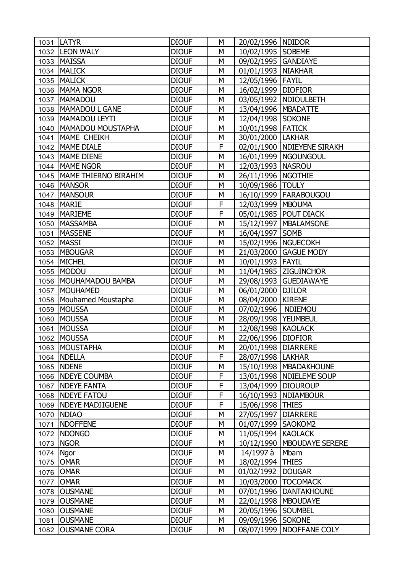|      | <b>LATYR</b>                              | <b>DIOUF</b>                 | M      |                                          |                                                        |
|------|-------------------------------------------|------------------------------|--------|------------------------------------------|--------------------------------------------------------|
| 1031 | 1032  LEON WALY                           | <b>DIOUF</b>                 | M      | 20/02/1996   NDIDOR<br>10/02/1995 SOBEME |                                                        |
| 1033 | <b>MAISSA</b>                             | <b>DIOUF</b>                 | M      | 09/02/1995                               | <b>GANDIAYE</b>                                        |
| 1034 | <b>MALICK</b>                             | <b>DIOUF</b>                 | M      | 01/01/1993   NIAKHAR                     |                                                        |
| 1035 | <b>MALICK</b>                             | <b>DIOUF</b>                 | M      | 12/05/1996 FAYIL                         |                                                        |
|      | 1036   MAMA NGOR                          | <b>DIOUF</b>                 | M      |                                          |                                                        |
|      |                                           |                              |        | 16/02/1999                               | <b>DIOFIOR</b>                                         |
| 1037 | <b>MAMADOU</b><br>MAMADOU L GANE          | <b>DIOUF</b><br><b>DIOUF</b> | M<br>M |                                          | 03/05/1992   NDIOULBETH                                |
| 1038 |                                           |                              |        | 13/04/1996   MBADATTE                    |                                                        |
| 1039 | MAMADOU LEYTI<br><b>MAMADOU MOUSTAPHA</b> | <b>DIOUF</b>                 | M      | 12/04/1998 SOKONE                        |                                                        |
| 1040 | MAME CHEIKH                               | <b>DIOUF</b><br><b>DIOUF</b> | M<br>M | 10/01/1998 FATICK                        |                                                        |
| 1041 | MAME DIALE                                | <b>DIOUF</b>                 | F      | 30/01/2000   LAKHAR                      |                                                        |
| 1042 | 1043   MAME DIENE                         | <b>DIOUF</b>                 | M      |                                          | 02/01/1900   NDIEYENE SIRAKH<br>16/01/1999   NGOUNGOUL |
|      |                                           | <b>DIOUF</b>                 | M      |                                          |                                                        |
| 1044 | MAME NGOR<br>MAME THIERNO BIRAHIM         |                              |        | 12/03/1993   NASROU                      |                                                        |
| 1045 |                                           | <b>DIOUF</b>                 | M      | 26/11/1996   NGOTHIE                     |                                                        |
| 1046 | <b>MANSOR</b><br><b>MANSOUR</b>           | <b>DIOUF</b>                 | M<br>M | 10/09/1986                               | <b>TOULY</b>                                           |
| 1047 |                                           | <b>DIOUF</b>                 | F      |                                          | 16/10/1999   FARABOUGOU                                |
| 1048 | <b>MARIE</b>                              | <b>DIOUF</b>                 |        | 12/03/1999   MBOUMA                      |                                                        |
| 1049 | <b>MARIEME</b>                            | <b>DIOUF</b>                 | F      |                                          | 05/01/1985   POUT DIACK                                |
| 1050 | <b>MASSAMBA</b>                           | <b>DIOUF</b>                 | M      |                                          | 15/12/1997   MBALAMSONE                                |
| 1051 | <b>MASSENE</b>                            | <b>DIOUF</b>                 | M      | 16/04/1997                               | <b>SOMB</b>                                            |
| 1052 | <b>MASSI</b>                              | <b>DIOUF</b>                 | M      | 15/02/1996   NGUECOKH                    |                                                        |
| 1053 | <b>MBOUGAR</b>                            | <b>DIOUF</b>                 | M      |                                          | 21/03/2000 GAGUE MODY                                  |
| 1054 | MICHEL                                    | <b>DIOUF</b>                 | M      | 10/01/1993 FAYIL                         |                                                        |
| 1055 | MODOU                                     | <b>DIOUF</b>                 | M      |                                          | 11/04/1985   ZIGUINCHOR                                |
| 1056 | MOUHAMADOU BAMBA                          | <b>DIOUF</b>                 | M      |                                          | 29/08/1993 GUEDIAWAYE                                  |
| 1057 | <b>MOUHAMED</b>                           | <b>DIOUF</b>                 | M      | 06/01/2000                               | <b>DJILOR</b>                                          |
| 1058 | Mouhamed Moustapha                        | <b>DIOUF</b>                 | M      | 08/04/2000                               | <b>KIRENE</b>                                          |
| 1059 | <b>MOUSSA</b>                             | <b>DIOUF</b>                 | M      | 07/02/1996                               | <b>NDIEMOU</b>                                         |
| 1060 | MOUSSA                                    | <b>DIOUF</b>                 | M      | 28/09/1998                               | <b>YEUMBEUL</b>                                        |
| 1061 | <b>MOUSSA</b>                             | <b>DIOUF</b>                 | М      | 12/08/1998 KAOLACK                       |                                                        |
| 1062 | MOUSSA                                    | <b>DIOUF</b>                 | M      | 22/06/1996                               | <b>DIOFIOR</b>                                         |
|      | 1063 MOUSTAPHA                            | <b>DIOUF</b>                 | М      | 20/01/1998   DIARRERE                    |                                                        |
|      | 1064 NDELLA                               | <b>DIOUF</b>                 | F      | 28/07/1998   LAKHAR                      |                                                        |
|      | 1065   NDENE                              | <b>DIOUF</b>                 | М      |                                          | 15/10/1998   MBADAKHOUNE                               |
|      | 1066   NDEYE COUMBA                       | <b>DIOUF</b>                 | F      |                                          | 13/01/1998   NDIELEME SOUP                             |
| 1067 | <b>NDEYE FANTA</b>                        | <b>DIOUF</b>                 | F      | 13/04/1999                               | <b>DIOUROUP</b>                                        |
| 1068 | <b>NDEYE FATOU</b>                        | <b>DIOUF</b>                 | F      | 16/10/1993                               | <b>NDIAMBOUR</b>                                       |
| 1069 | <b>NDEYE MADJIGUENE</b>                   | <b>DIOUF</b>                 | F      | 15/06/1998                               | <b>THIES</b>                                           |
| 1070 | <b>NDIAO</b>                              | <b>DIOUF</b>                 | М      | 27/05/1997                               | <b>DIARRERE</b>                                        |
| 1071 | <b>NDOFFENE</b>                           | <b>DIOUF</b>                 | М      | 01/07/1999                               | SAOKOM2                                                |
| 1072 | <b>NDONGO</b>                             | <b>DIOUF</b>                 | М      | 11/05/1994                               | <b>KAOLACK</b>                                         |
| 1073 | <b>NGOR</b>                               | <b>DIOUF</b>                 | М      | 10/12/1990                               | <b>MBOUDAYE SERERE</b>                                 |
| 1074 | Ngor                                      | <b>DIOUF</b>                 | М      | 14/1997 à                                | Mbam                                                   |
|      | 1075 OMAR                                 | <b>DIOUF</b>                 | М      | 18/02/1994                               | <b>THIES</b>                                           |
|      | 1076 OMAR                                 | <b>DIOUF</b>                 | М      | 01/02/1992                               | <b>DOUGAR</b>                                          |
| 1077 | <b>OMAR</b>                               | <b>DIOUF</b>                 | М      | 10/03/2000                               | <b>TOCOMACK</b>                                        |
| 1078 | <b>OUSMANE</b>                            | <b>DIOUF</b>                 | М      | 07/01/1996                               | <b>DANTAKHOUNE</b>                                     |
| 1079 | <b>OUSMANE</b>                            | <b>DIOUF</b>                 | М      | 22/01/1998   MBOUDAYE                    |                                                        |
| 1080 | <b>OUSMANE</b>                            | <b>DIOUF</b>                 | М      | 20/05/1996                               | <b>SOUMBEL</b>                                         |
| 1081 | <b>OUSMANE</b>                            | <b>DIOUF</b>                 | М      | 09/09/1996                               | <b>SOKONE</b>                                          |
| 1082 | <b>OUSMANE CORA</b>                       | <b>DIOUF</b>                 | М      | 08/07/1999                               | NDOFFANE COLY                                          |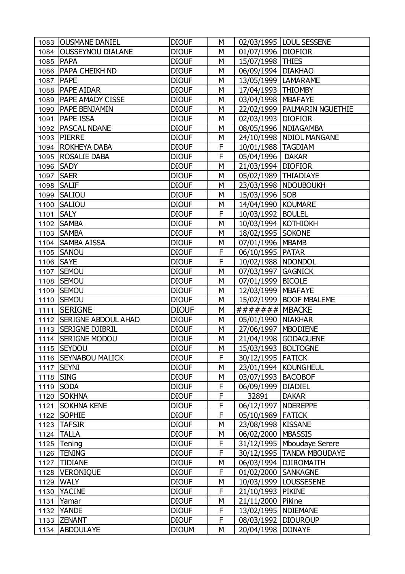|           | 1083   OUSMANE DANIEL      | <b>DIOUF</b> | М |                        | 02/03/1995   LOUL SESSENE      |
|-----------|----------------------------|--------------|---|------------------------|--------------------------------|
|           | 1084   OUSSEYNOU DIALANE   | <b>DIOUF</b> | М | 01/07/1996 DIOFIOR     |                                |
| 1085      | <b>PAPA</b>                | <b>DIOUF</b> | M | 15/07/1998 THIES       |                                |
|           | 1086   PAPA CHEIKH ND      | <b>DIOUF</b> | M | 06/09/1994             | <b>DIAKHAO</b>                 |
| 1087      | <b>PAPE</b>                | <b>DIOUF</b> | M | 13/05/1999   LAMARAME  |                                |
| 1088      | <b>PAPE AIDAR</b>          | <b>DIOUF</b> | M | 17/04/1993   THIOMBY   |                                |
|           | 1089   PAPE AMADY CISSE    | <b>DIOUF</b> | M | 03/04/1998   MBAFAYE   |                                |
|           | 1090   PAPE BENJAMIN       | <b>DIOUF</b> | M |                        | 22/02/1999   PALMARIN NGUETHIE |
| 1091      | <b>PAPE ISSA</b>           | <b>DIOUF</b> | M | 02/03/1993 DIOFIOR     |                                |
|           | 1092   PASCAL NDANE        | <b>DIOUF</b> | M |                        | 08/05/1996 NDIAGAMBA           |
|           | 1093   PIERRE              | <b>DIOUF</b> | М |                        | 24/10/1998   NDIOL MANGANE     |
|           | 1094   ROKHEYA DABA        | <b>DIOUF</b> | F | 10/01/1988   TAGDIAM   |                                |
|           | 1095   ROSALIE DABA        | <b>DIOUF</b> | F | 05/04/1996             | <b>DAKAR</b>                   |
|           | 1096 SADY                  | <b>DIOUF</b> | M | 21/03/1994 DIOFIOR     |                                |
| 1097      | <b>SAER</b>                | <b>DIOUF</b> | M | 05/02/1989   THIADIAYE |                                |
|           | 1098   SALIF               | <b>DIOUF</b> | M |                        | 23/03/1998   NDOUBOUKH         |
| 1099      | <b>SALIOU</b>              | <b>DIOUF</b> | M | 15/03/1996 SOB         |                                |
| 1100      | <b>SALIOU</b>              | <b>DIOUF</b> | M | 14/04/1990             | <b>KOUMARE</b>                 |
| 1101      | <b>SALY</b>                | <b>DIOUF</b> | F | 10/03/1992             | <b>BOULEL</b>                  |
|           | 1102 SAMBA                 | <b>DIOUF</b> | M | 10/03/1994 KOTHIOKH    |                                |
|           | 1103 SAMBA                 | <b>DIOUF</b> | M | 18/02/1995 SOKONE      |                                |
|           | 1104 SAMBA AISSA           | <b>DIOUF</b> | M | 07/01/1996             | <b>MBAMB</b>                   |
|           | 1105 SANOU                 | <b>DIOUF</b> | F | 06/10/1995   PATAR     |                                |
| 1106 SAYE |                            | <b>DIOUF</b> | F | 10/02/1988   NDONDOL   |                                |
|           | 1107 SEMOU                 | <b>DIOUF</b> | M | 07/03/1997             | <b>GAGNICK</b>                 |
|           | 1108 SEMOU                 | <b>DIOUF</b> | M | 07/01/1999             | <b>BICOLE</b>                  |
|           | 1109   SEMOU               | <b>DIOUF</b> | M | 12/03/1999             | <b>MBAFAYE</b>                 |
| 1110      | <b>SEMOU</b>               | <b>DIOUF</b> | M | 15/02/1999             | <b>BOOF MBALEME</b>            |
| 1111      | <b>SERIGNE</b>             | <b>DIOUF</b> | M | ####### MBACKE         |                                |
| 1112      | <b>SERIGNE ABDOUL AHAD</b> | <b>DIOUF</b> | М | 05/01/1990             | <b>NIAKHAR</b>                 |
|           | 1113   SERIGNE DJIBRIL     | <b>DIOUF</b> | М | 27/06/1997             | <b>MBODIENE</b>                |
|           | 1114 SERIGNE MODOU         | <b>DIOUF</b> | M | 21/04/1998             | <b>GODAGUENE</b>               |
|           | 1115 SEYDOU                | <b>DIOUF</b> | М | 15/03/1993   BOLTOGNE  |                                |
|           | 1116 SEYNABOU MALICK       | <b>DIOUF</b> | F | 30/12/1995   FATICK    |                                |
|           | 1117 SEYNI                 | <b>DIOUF</b> | M |                        | 23/01/1994   KOUNGHEUL         |
| 1118 SING |                            | <b>DIOUF</b> | М | 03/07/1993             | <b>BACOBOF</b>                 |
|           | 1119 SODA                  | <b>DIOUF</b> | F | 06/09/1999             | <b>DIADIEL</b>                 |
| 1120      | <b>SOKHNA</b>              | <b>DIOUF</b> | F | 32891                  | <b>DAKAR</b>                   |
| 1121      | <b>SOKHNA KENE</b>         | <b>DIOUF</b> | F | 06/12/1997             | <b>NDEREPPE</b>                |
|           | 1122 SOPHIE                | <b>DIOUF</b> | F | 05/10/1989 FATICK      |                                |
|           | 1123 TAFSIR                | <b>DIOUF</b> | M | 23/08/1998  KISSANE    |                                |
|           | 1124 TALLA                 | <b>DIOUF</b> | М | 06/02/2000             | <b>MBASSIS</b>                 |
|           | 1125 Tening                | <b>DIOUF</b> | F |                        | 31/12/1995   Mboudaye Serere   |
|           | 1126   TENING              | <b>DIOUF</b> | F |                        | 30/12/1995   TANDA MBOUDAYE    |
|           | 1127  TIDIANE              | <b>DIOUF</b> | М | 06/03/1994             | <b>DJIROMAITH</b>              |
|           | 1128   VERONIQUE           | <b>DIOUF</b> | F | 01/02/2000 SANKAGNE    |                                |
| 1129      | <b>WALY</b>                | <b>DIOUF</b> | M |                        | 10/03/1999   LOUSSESENE        |
| 1130      | <b>YACINE</b>              | <b>DIOUF</b> | F | 21/10/1993             | <b>PIKINE</b>                  |
| 1131      | Yamar                      | <b>DIOUF</b> | М | 21/11/2000             | Pikine                         |
|           | 1132 YANDE                 | <b>DIOUF</b> | F | 13/02/1995             | <b>NDIEMANE</b>                |
|           | 1133 ZENANT                | <b>DIOUF</b> | F | 08/03/1992             | <b>DIOUROUP</b>                |
|           | 1134 ABDOULAYE             | <b>DIOUM</b> | М | 20/04/1998             | <b>DONAYE</b>                  |
|           |                            |              |   |                        |                                |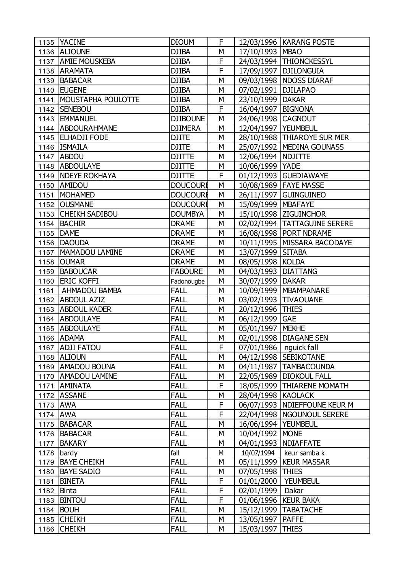|            | 1135 YACINE               | <b>DIOUM</b>    | F |                          | 12/03/1996   KARANG POSTE      |
|------------|---------------------------|-----------------|---|--------------------------|--------------------------------|
|            | 1136 ALIOUNE              | <b>DJIBA</b>    | M | 17/10/1993   MBAO        |                                |
|            | 1137 AMIE MOUSKEBA        | <b>DJIBA</b>    | F |                          | 24/03/1994   THIONCKESSYL      |
|            | 1138 ARAMATA              | <b>DJIBA</b>    | F | 17/09/1997               | <b>DJILONGUIA</b>              |
|            | 1139 BABACAR              | <b>DJIBA</b>    | M |                          | 09/03/1998   NDOSS DIARAF      |
|            | 1140   EUGENE             | <b>DJIBA</b>    | M | 07/02/1991   DJILAPAO    |                                |
|            | 1141   MOUSTAPHA POULOTTE | <b>DJIBA</b>    | М | 23/10/1999   DAKAR       |                                |
|            | 1142 SENEBOU              | <b>DJIBA</b>    | F | 16/04/1997   BIGNONA     |                                |
|            | 1143   EMMANUEL           | <b>DJIBOUNE</b> | M | 24/06/1998 CAGNOUT       |                                |
|            | 1144   ABDOURAHMANE       | <b>DJIMERA</b>  | M | 12/04/1997   YEUMBEUL    |                                |
|            | 1145   ELHADJI FODE       | <b>DJITE</b>    | M |                          | 28/10/1988 THIAROYE SUR MER    |
|            | 1146   ISMAILA            | <b>DJITE</b>    | M |                          | 25/07/1992   MEDINA GOUNASS    |
|            | 1147   ABDOU              | <b>DJITTE</b>   | М | 12/06/1994   NDJITTE     |                                |
|            | 1148 ABDOULAYE            | <b>DJITTE</b>   | M | 10/06/1999   YADE        |                                |
|            | 1149   NDEYE ROKHAYA      | <b>DJITTE</b>   | F |                          | 01/12/1993 GUEDIAWAYE          |
|            | 1150 AMIDOU               | <b>DOUCOURE</b> | M |                          | 10/08/1989   FAYE MASSE        |
| 1151       | <b>MOHAMED</b>            | <b>DOUCOURE</b> | M |                          | 26/11/1997 GUINGUINEO          |
|            | 1152 OUSMANE              | <b>DOUCOURE</b> | M | 15/09/1999   MBAFAYE     |                                |
|            | 1153 CHEIKH SADIBOU       | <b>DOUMBYA</b>  | М |                          | 15/10/1998   ZIGUINCHOR        |
|            | 1154 BACHIR               | <b>DRAME</b>    | M |                          | 02/02/1994   TATTAGUINE SERERE |
|            | 1155 DAME                 | <b>DRAME</b>    | M |                          | 16/08/1998   PORT NDRAME       |
|            | 1156   DAOUDA             | <b>DRAME</b>    | М |                          | 10/11/1995   MISSARA BACODAYE  |
|            | 1157   MAMADOU LAMINE     | <b>DRAME</b>    | M | 13/07/1999 SITABA        |                                |
|            | 1158 OUMAR                | <b>DRAME</b>    | M | 08/05/1998 KOLDA         |                                |
|            | 1159 BABOUCAR             | <b>FABOURE</b>  | М | 04/03/1993   DIATTANG    |                                |
|            | 1160 ERIC KOFFI           | Fadonougbe      | M | 30/07/1999   DAKAR       |                                |
| 1161       | AHMADOU BAMBA             | <b>FALL</b>     | M |                          | 10/09/1999   MBAMPANARE        |
|            | 1162 ABDOUL AZIZ          | <b>FALL</b>     | М |                          | 03/02/1993   TIVAOUANE         |
|            | 1163 ABDOUL KADER         | <b>FALL</b>     | M | 20/12/1996 THIES         |                                |
|            | 1164 ABDOULAYE            | <b>FALL</b>     | M | 06/12/1999               | <b>GAE</b>                     |
|            | 1165 ABDOULAYE            | <b>FALL</b>     | М | 05/01/1997   MEKHE       |                                |
|            | 1166 ADAMA                | <b>FALL</b>     | M |                          | 02/01/1998 DIAGANE SEN         |
|            | 1167 ADJI FATOU           | <b>FALL</b>     | F | 07/01/1986   nguick fall |                                |
|            | 1168 ALIOUN               | <b>FALL</b>     | М |                          | 04/12/1998   SEBIKOTANE        |
|            | 1169 AMADOU BOUNA         | <b>FALL</b>     | M |                          | 04/11/1987   TAMBACOUNDA       |
|            | 1170   AMADOU LAMINE      | <b>FALL</b>     | М |                          | 22/05/1989   DIOKOUL FALL      |
| 1171       | <b>AMINATA</b>            | <b>FALL</b>     | F |                          | 18/05/1999   THIARENE MOMATH   |
| 1172       | <b>ASSANE</b>             | <b>FALL</b>     | M | 28/04/1998 KAOLACK       |                                |
| 1173 AWA   |                           | <b>FALL</b>     | F |                          | 06/07/1993   NDIEFFOUNE KEUR M |
| 1174 AWA   |                           | <b>FALL</b>     | F |                          | 22/04/1998   NGOUNOUL SERERE   |
|            | 1175 BABACAR              | <b>FALL</b>     | M | 16/06/1994   YEUMBEUL    |                                |
|            | 1176   BABACAR            | <b>FALL</b>     | М | 10/04/1992               | <b>MONE</b>                    |
| 1177       | BAKARY                    | <b>FALL</b>     | М | 04/01/1993   NDIAFFATE   |                                |
| 1178       | bardy                     | fall            | M | 10/07/1994               | keur samba k                   |
|            | 1179   BAYE CHEIKH        | <b>FALL</b>     | М |                          | 05/11/1999   KEUR MASSAR       |
|            | 1180   BAYE SADIO         | <b>FALL</b>     | М | 07/05/1998   THIES       |                                |
|            | 1181   BINETA             | <b>FALL</b>     | F | 01/01/2000   YEUMBEUL    |                                |
| 1182 Binta |                           | <b>FALL</b>     | F | 02/01/1999               | Dakar                          |
| 1183       | <b>BINTOU</b>             | <b>FALL</b>     | F | 01/06/1996   KEUR BAKA   |                                |
| 1184       | BOUH                      | <b>FALL</b>     | M |                          | 15/12/1999   TABATACHE         |
|            | 1185 CHEIKH               | <b>FALL</b>     | М | 13/05/1997   PAFFE       |                                |
|            | 1186 CHEIKH               | <b>FALL</b>     | М | 15/03/1997               | <b>THIES</b>                   |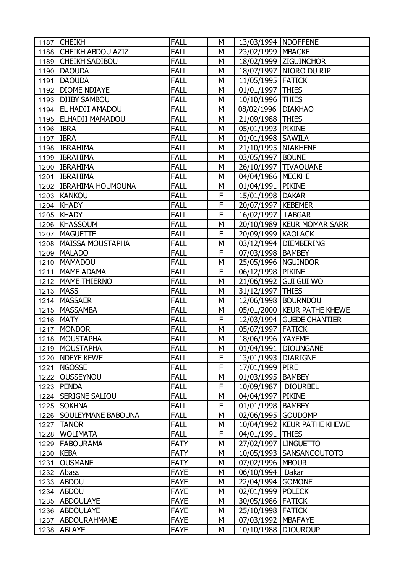|                  | 1187 CHEIKH               | <b>FALL</b> | М | 13/03/1994   NDOFFENE  |                               |
|------------------|---------------------------|-------------|---|------------------------|-------------------------------|
|                  | 1188 CHEIKH ABDOU AZIZ    | <b>FALL</b> | М | 23/02/1999   MBACKE    |                               |
|                  | 1189 CHEIKH SADIBOU       | <b>FALL</b> | M |                        | 18/02/1999 ZIGUINCHOR         |
| 1190             | <b>DAOUDA</b>             | <b>FALL</b> | M |                        | 18/07/1997   NIORO DU RIP     |
| 1191             | <b>DAOUDA</b>             | <b>FALL</b> | M | 11/05/1995   FATICK    |                               |
|                  | 1192   DIOME NDIAYE       | <b>FALL</b> | M | 01/01/1997   THIES     |                               |
| 1193             | <b>DJIBY SAMBOU</b>       | <b>FALL</b> | М | 10/10/1996 THIES       |                               |
|                  | 1194   EL HADJI AMADOU    | <b>FALL</b> | M | 08/02/1996   DIAKHAO   |                               |
|                  | 1195   ELHADJI MAMADOU    | <b>FALL</b> | M | 21/09/1988 THIES       |                               |
| 1196 IBRA        |                           | <b>FALL</b> | М | 05/01/1993 PIKINE      |                               |
| 1197 <b>IBRA</b> |                           | <b>FALL</b> | M | 01/01/1998 SAWILA      |                               |
|                  | 1198   IBRAHIMA           | <b>FALL</b> | M | 21/10/1995 NIAKHENE    |                               |
|                  | 1199   IBRAHIMA           | <b>FALL</b> | М | 03/05/1997 BOUNE       |                               |
|                  | 1200   IBRAHIMA           | <b>FALL</b> | M |                        | 26/10/1997   TIVAOUANE        |
|                  | 1201   IBRAHIMA           | <b>FALL</b> | M | 04/04/1986   MECKHE    |                               |
|                  | 1202 IBRAHIMA HOUMOUNA    | <b>FALL</b> | M | 01/04/1991   PIKINE    |                               |
|                  | 1203 KANKOU               | <b>FALL</b> | F | 15/01/1998 DAKAR       |                               |
|                  | 1204 KHADY                | <b>FALL</b> | F | 20/07/1997   KEBEMER   |                               |
|                  | 1205   KHADY              | <b>FALL</b> | F | 16/02/1997   LABGAR    |                               |
|                  | 1206 KHASSOUM             | <b>FALL</b> | M |                        | 20/10/1989   KEUR MOMAR SARR  |
|                  | 1207   MAGUETTE           | <b>FALL</b> | F | 20/09/1999 KAOLACK     |                               |
|                  | 1208   MAISSA MOUSTAPHA   | <b>FALL</b> | М |                        | 03/12/1994   DIEMBERING       |
| 1209             | <b>MALADO</b>             | <b>FALL</b> | F | 07/03/1998   BAMBEY    |                               |
| 1210             | <b>MAMADOU</b>            | <b>FALL</b> | M | 25/05/1996   NGUINDOR  |                               |
| 1211             | MAME ADAMA                | <b>FALL</b> | F | 06/12/1998 PIKINE      |                               |
|                  | 1212   MAME THIERNO       | <b>FALL</b> | M |                        | 21/06/1992 GUI GUI WO         |
| 1213             | <b>MASS</b>               | <b>FALL</b> | М | 31/12/1997             | <b>THIES</b>                  |
| 1214             | <b>MASSAER</b>            | <b>FALL</b> | М |                        | 12/06/1998   BOURNDOU         |
| 1215             | <b>MASSAMBA</b>           | <b>FALL</b> | M |                        | 05/01/2000 KEUR PATHE KHEWE   |
|                  | 1216 MATY                 | <b>FALL</b> | F |                        | 12/03/1994 GUEDE CHANTIER     |
| 1217             | <b>MONDOR</b>             | <b>FALL</b> | М | 05/07/1997 FATICK      |                               |
|                  | 1218   MOUSTAPHA          | <b>FALL</b> | M | 18/06/1996   YAYEME    |                               |
|                  | 1219   MOUSTAPHA          | <b>FALL</b> | М |                        | 01/04/1991   DIOUNGANE        |
|                  | 1220 NDEYE KEWE           | <b>FALL</b> | F | 13/01/1993   DIARIGNE  |                               |
| 1221             | <b>NGOSSE</b>             | <b>FALL</b> | F | 17/01/1999 PIRE        |                               |
| 1222             | <b>OUSSEYNOU</b>          | <b>FALL</b> | М | 01/03/1995 BAMBEY      |                               |
|                  | 1223 PENDA                | <b>FALL</b> | F | 10/09/1987   DIOURBEL  |                               |
| 1224             | <b>SERIGNE SALIOU</b>     | <b>FALL</b> | М | 04/04/1997             | <b>PIKINE</b>                 |
|                  | 1225 SOKHNA               | <b>FALL</b> | F | 01/01/1998   BAMBEY    |                               |
|                  | 1226   SOULEYMANE BABOUNA | <b>FALL</b> | М | 02/06/1995 GOUDOMP     |                               |
|                  | 1227   TANOR              | <b>FALL</b> | М |                        | 10/04/1992   KEUR PATHE KHEWE |
| 1228             | <b>WOLIMATA</b>           | <b>FALL</b> | F | 04/01/1991   THIES     |                               |
|                  | 1229   FABOURAMA          | <b>FATY</b> | М | 27/02/1997   LINGUETTO |                               |
| 1230             | <b>KEBA</b>               | <b>FATY</b> | М |                        | 10/05/1993   SANSANCOUTOTO    |
| 1231             | <b>OUSMANE</b>            | <b>FATY</b> | М | 07/02/1996   MBOUR     |                               |
|                  | 1232 Abass                | <b>FAYE</b> | М | 06/10/1994   Dakar     |                               |
|                  | 1233 ABDOU                | <b>FAYE</b> | М | 22/04/1994             | <b>GOMONE</b>                 |
|                  | 1234 ABDOU                | <b>FAYE</b> | М | 02/01/1999 POLECK      |                               |
|                  | 1235 ABDOULAYE            | <b>FAYE</b> | М | 30/05/1986 FATICK      |                               |
|                  | 1236   ABDOULAYE          | <b>FAYE</b> | М | 25/10/1998 FATICK      |                               |
|                  | 1237 ABDOURAHMANE         | <b>FAYE</b> | М | 07/03/1992   MBAFAYE   |                               |
|                  | 1238 ABLAYE               | <b>FAYE</b> | М |                        | 10/10/1988 DJOUROUP           |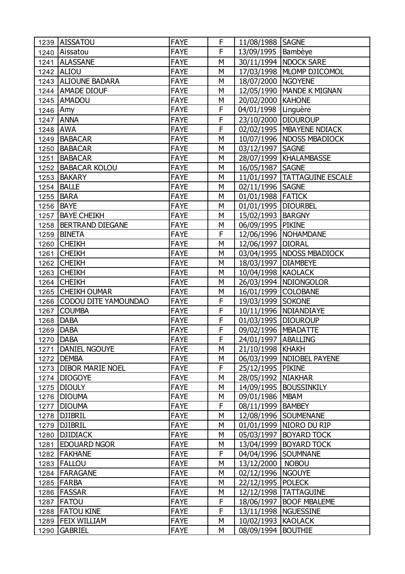|          | 1239 AISSATOU             | <b>FAYE</b> | F              | 11/08/1988 SAGNE       |                                |
|----------|---------------------------|-------------|----------------|------------------------|--------------------------------|
|          | 1240 Aissatou             | <b>FAYE</b> | F              | 13/09/1995   Bambèye   |                                |
| 1241     | <b>ALASSANE</b>           | <b>FAYE</b> | M              |                        | 30/11/1994   NDOCK SARE        |
| 1242     | <b>ALIOU</b>              | <b>FAYE</b> | М              |                        | 17/03/1998   MLOMP DJICOMOL    |
|          | 1243 ALIOUNE BADARA       | <b>FAYE</b> | M              | 18/07/2000   NGOYENE   |                                |
|          | 1244   AMADE DIOUF        | <b>FAYE</b> | M              |                        | 12/05/1990   MANDE K MIGNAN    |
|          | 1245 AMADOU               | <b>FAYE</b> | М              | 20/02/2000   KAHONE    |                                |
| 1246 Amy |                           | <b>FAYE</b> | F              | 04/01/1998   Linguère  |                                |
| 1247     | <b>ANNA</b>               | <b>FAYE</b> | F              | 23/10/2000 DIOUROUP    |                                |
| 1248     | <b>AWA</b>                | <b>FAYE</b> | F              |                        | 02/02/1995   MBAYENE NDIACK    |
| 1249     | <b>BABACAR</b>            | <b>FAYE</b> | M              |                        | 10/07/1996   NDOSS MBADIOCK    |
|          | 1250 BABACAR              | <b>FAYE</b> | М              | 03/12/1997   SAGNE     |                                |
| 1251     | BABACAR                   | <b>FAYE</b> | M              |                        | 28/07/1999   KHALAMBASSE       |
| 1252     | <b>BABACAR KOLOU</b>      | <b>FAYE</b> | M              | 16/05/1987   SAGNE     |                                |
| 1253     | BAKARY                    | <b>FAYE</b> | М              |                        | 11/01/1997   TATTAGUINE ESCALE |
| 1254     | <b>BALLE</b>              | <b>FAYE</b> | M              | 02/11/1996 SAGNE       |                                |
| 1255     | <b>BARA</b>               | <b>FAYE</b> | М              | 01/01/1988 FATICK      |                                |
|          | 1256 BAYE                 | <b>FAYE</b> | М              | 01/01/1995   DIOURBEL  |                                |
| 1257     | <b>BAYE CHEIKH</b>        | <b>FAYE</b> | M              | 15/02/1993   BARGNY    |                                |
| 1258     | <b>BERTRAND DIEGANE</b>   | <b>FAYE</b> | М              | 06/09/1995 PIKINE      |                                |
| 1259     | <b>BINETA</b>             | <b>FAYE</b> | F              |                        | 12/06/1996   NOHAMDANE         |
| 1260     | <b>CHEIKH</b>             | <b>FAYE</b> | M              | 12/06/1997   DIORAL    |                                |
| 1261     | <b>CHEIKH</b>             | <b>FAYE</b> | М              |                        | 03/04/1995   NDOSS MBADIOCK    |
|          | 1262 CHEIKH               | <b>FAYE</b> | М              | 18/03/1997   DIAMBEYE  |                                |
|          | 1263 CHEIKH               | <b>FAYE</b> | M              | 10/04/1998 KAOLACK     |                                |
|          | 1264 CHEIKH               | <b>FAYE</b> | M              |                        | 26/03/1994   NDIONGOLOR        |
| 1265     | <b>CHEIKH OUMAR</b>       | <b>FAYE</b> | М              | 16/01/1999 COLOBANE    |                                |
|          | 1266 CODOU DITE YAMOUNDAO | <b>FAYE</b> | F              | 19/03/1999 SOKONE      |                                |
| 1267     | <b>COUMBA</b>             | <b>FAYE</b> | F              |                        | 10/11/1996   NDIANDIAYE        |
| 1268     | DABA                      | <b>FAYE</b> | F              | 01/03/1995   DIOUROUP  |                                |
|          | 1269 DABA                 | <b>FAYE</b> | F              | 09/02/1996   MBADATTE  |                                |
| 1270     | <b>DABA</b>               | <b>FAYE</b> | $\overline{F}$ | 24/01/1997   ABALLING  |                                |
| 1271     | DANIEL NGOUYE             | <b>FAYE</b> | М              | 21/10/1998 KHAKH       |                                |
|          | 1272   DEMBA              | <b>FAYE</b> | М              |                        | 06/03/1999   NDIOBEL PAYENE    |
| 1273     | <b>DIBOR MARIE NOEL</b>   | <b>FAYE</b> | F              | 25/12/1995 PIKINE      |                                |
| 1274     | <b>DIOGOYE</b>            | <b>FAYE</b> | М              | 28/05/1992 NIAKHAR     |                                |
| 1275     | <b>DIOULY</b>             | <b>FAYE</b> | М              |                        | 14/09/1995   BOUSSINKILY       |
|          | 1276   DIOUMA             | <b>FAYE</b> | М              | 09/01/1986             | <b>MBAM</b>                    |
| 1277     | <b>DIOUMA</b>             | <b>FAYE</b> | F              | 08/11/1999   BAMBEY    |                                |
|          | 1278   DJIBRIL            | <b>FAYE</b> | М              |                        | 12/08/1996 SOUMENANE           |
| 1279     | <b>DJIBRIL</b>            | <b>FAYE</b> | М              |                        | 01/01/1999   NIORO DU RIP      |
| 1280     | <b>DJIDIACK</b>           | <b>FAYE</b> | М              | 05/03/1997             | <b>BOYARD TOCK</b>             |
| 1281     | <b>EDOUARD NGOR</b>       | <b>FAYE</b> | М              |                        | 13/04/1999   BOYARD TOCK       |
| 1282     | <b>FAKHANE</b>            | <b>FAYE</b> | F              | 04/04/1996   SOUMNANE  |                                |
| 1283     | <b>FALLOU</b>             | <b>FAYE</b> | М              | 13/12/2000             | <b>NOBOU</b>                   |
| 1284     | <b>FARAGANE</b>           | <b>FAYE</b> | M              | 02/12/1996   NGOUYE    |                                |
| 1285     | FARBA                     | <b>FAYE</b> | М              | 22/12/1995             | <b>POLECK</b>                  |
| 1286     | <b>FASSAR</b>             | <b>FAYE</b> | М              | 12/12/1998             | <b>TATTAGUINE</b>              |
| 1287     | <b>FATOU</b>              | <b>FAYE</b> | F              | 18/06/1997             | <b>BOOF MBALEME</b>            |
| 1288     | <b>FATOU KINE</b>         | <b>FAYE</b> | F              | 13/11/1998   NGUESSINE |                                |
| 1289     | <b>FEIX WILLIAM</b>       | <b>FAYE</b> | М              | 10/02/1993   KAOLACK   |                                |
| 1290     | <b>GABRIEL</b>            | <b>FAYE</b> | M              | 08/09/1994             | <b>BOUTHIE</b>                 |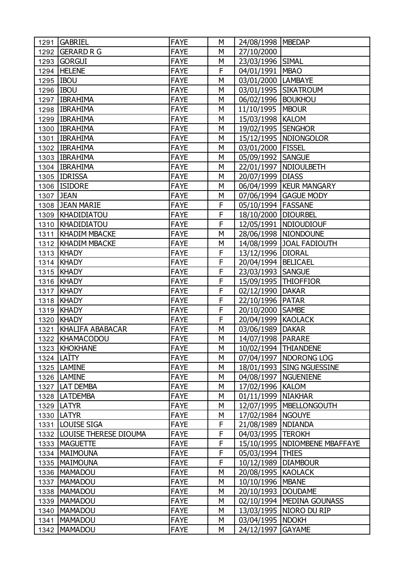| 1291 | <b>GABRIEL</b>             | <b>FAYE</b> | М | 24/08/1998   MBEDAP    |                                 |
|------|----------------------------|-------------|---|------------------------|---------------------------------|
|      | 1292 GERARD R G            | <b>FAYE</b> | M | 27/10/2000             |                                 |
|      | 1293 GORGUI                | <b>FAYE</b> | M | 23/03/1996 SIMAL       |                                 |
|      | 1294 HELENE                | <b>FAYE</b> | F | 04/01/1991             | <b>MBAO</b>                     |
|      | 1295 BOU                   | <b>FAYE</b> | M | 03/01/2000   LAMBAYE   |                                 |
|      | 1296 IBOU                  | <b>FAYE</b> | M |                        | 03/01/1995 SIKATROUM            |
|      | 1297   IBRAHIMA            | <b>FAYE</b> | M | 06/02/1996   BOUKHOU   |                                 |
|      | 1298 IBRAHIMA              | <b>FAYE</b> | M | 11/10/1995   MBOUR     |                                 |
|      | 1299   IBRAHIMA            | <b>FAYE</b> | M | 15/03/1998   KALOM     |                                 |
|      | 1300 IBRAHIMA              | <b>FAYE</b> | M | 19/02/1995 SENGHOR     |                                 |
|      | 1301   IBRAHIMA            | <b>FAYE</b> | M |                        | 15/12/1995   NDIONGOLOR         |
|      | 1302 IBRAHIMA              | <b>FAYE</b> | M | 03/01/2000 FISSEL      |                                 |
|      | 1303   IBRAHIMA            | <b>FAYE</b> | M | 05/09/1992   SANGUE    |                                 |
|      | 1304   IBRAHIMA            | <b>FAYE</b> | M |                        | 22/01/1997   NDIOULBETH         |
|      | 1305 IDRISSA               | <b>FAYE</b> | M | 20/07/1999             | <b>DIASS</b>                    |
|      | 1306   ISIDORE             | <b>FAYE</b> | М |                        | 06/04/1999   KEUR MANGARY       |
|      | 1307 JEAN                  | <b>FAYE</b> | M |                        | 07/06/1994   GAGUE MODY         |
|      | 1308 JEAN MARIE            | <b>FAYE</b> | F | 05/10/1994   FASSANE   |                                 |
|      | 1309   KHADIDIATOU         | <b>FAYE</b> | F | 18/10/2000   DIOURBEL  |                                 |
|      | 1310   KHADIDIATOU         | <b>FAYE</b> | F |                        | 12/05/1991   NDIOUDIOUF         |
|      | 1311   KHADIM MBACKE       | <b>FAYE</b> | M |                        | 28/06/1998   NIONDOUNE          |
|      | 1312   KHADIM MBACKE       | <b>FAYE</b> | М |                        | 14/08/1999 JOAL FADIOUTH        |
|      | 1313 KHADY                 | <b>FAYE</b> | F | 13/12/1996   DIORAL    |                                 |
|      | 1314 KHADY                 | <b>FAYE</b> | F | 20/04/1994   BELICAEL  |                                 |
|      | 1315 KHADY                 | <b>FAYE</b> | F | 23/03/1993   SANGUE    |                                 |
|      | 1316   KHADY               | <b>FAYE</b> | F | 15/09/1995   THIOFFIOR |                                 |
|      | 1317   KHADY               | <b>FAYE</b> | F | 02/12/1990             | <b>DAKAR</b>                    |
|      | 1318   KHADY               | <b>FAYE</b> | F | 22/10/1996 PATAR       |                                 |
| 1319 | KHADY                      | <b>FAYE</b> | F | 20/10/2000 SAMBE       |                                 |
|      | 1320 KHADY                 | <b>FAYE</b> | F | 20/04/1999 KAOLACK     |                                 |
| 1321 | KHALIFA ABABACAR           | <b>FAYE</b> | M | 03/06/1989 DAKAR       |                                 |
|      | 1322 KHAMACODOU            | <b>FAYE</b> | M | 14/07/1998 PARARE      |                                 |
|      | 1323 KHOKHANE              | <b>FAYE</b> | M |                        | 10/02/1994 THIANDENE            |
|      | $1324$ LATTY               | <b>FAYE</b> | М |                        | 07/04/1997   NDORONG LOG        |
|      | 1325   LAMINE              | <b>FAYE</b> | M |                        | 18/01/1993 SING NGUESSINE       |
|      | 1326   LAMINE              | <b>FAYE</b> | M |                        | 04/08/1997   NGUENIENE          |
|      | 1327   LAT DEMBA           | <b>FAYE</b> | M | 17/02/1996   KALOM     |                                 |
|      | 1328   LATDEMBA            | <b>FAYE</b> | M | 01/11/1999   NIAKHAR   |                                 |
|      | 1329   LATYR               | <b>FAYE</b> | M |                        | 12/07/1995   MBELLONGOUTH       |
|      | 1330   LATYR               | <b>FAYE</b> | М | 17/02/1984   NGOUYE    |                                 |
|      | 1331 LOUISE SIGA           | <b>FAYE</b> | F | 21/08/1989   NDIANDA   |                                 |
|      | 1332 LOUISE THERESE DIOUMA | <b>FAYE</b> | F | 04/03/1995   TEROKH    |                                 |
|      | 1333   MAGUETTE            | <b>FAYE</b> | F |                        | 15/10/1995   NDIOMBENE MBAFFAYE |
|      | 1334   MAIMOUNA            | <b>FAYE</b> | F | 05/03/1994 THIES       |                                 |
|      | 1335   MAIMOUNA            | <b>FAYE</b> | F | 10/12/1989   DIAMBOUR  |                                 |
|      | 1336   MAMADOU             | <b>FAYE</b> | М | 20/08/1995   KAOLACK   |                                 |
|      | 1337   MAMADOU             | <b>FAYE</b> | M | 10/10/1996             | <b>MBANE</b>                    |
|      | 1338   MAMADOU             | <b>FAYE</b> | M | 20/10/1993             | <b>DOUDAME</b>                  |
| 1339 | MAMADOU                    | <b>FAYE</b> | М |                        | 02/10/1994   MEDINA GOUNASS     |
|      | 1340   MAMADOU             | <b>FAYE</b> | M |                        | 13/03/1995   NIORO DU RIP       |
|      | 1341   MAMADOU             | <b>FAYE</b> | M | 03/04/1995   NDOKH     |                                 |
|      | 1342   MAMADOU             | <b>FAYE</b> | М | 24/12/1997             | <b>GAYAME</b>                   |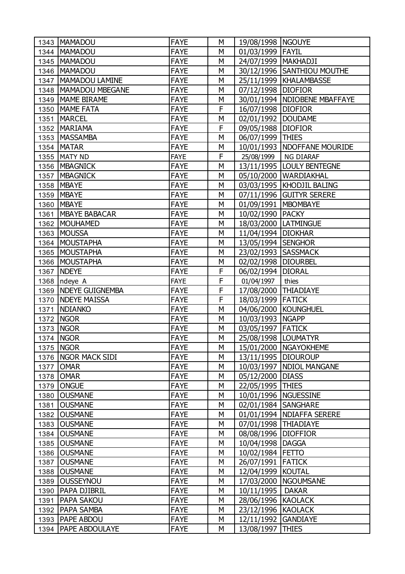|      | 1343   MAMADOU         | <b>FAYE</b> | М | 19/08/1998   NGOUYE    |                                |
|------|------------------------|-------------|---|------------------------|--------------------------------|
|      | 1344   MAMADOU         | <b>FAYE</b> | M | 01/03/1999 FAYIL       |                                |
|      | 1345   MAMADOU         | <b>FAYE</b> | М | 24/07/1999   MAKHADJI  |                                |
| 1346 | MAMADOU                | <b>FAYE</b> | М |                        | 30/12/1996 SANTHIOU MOUTHE     |
| 1347 | MAMADOU LAMINE         | <b>FAYE</b> | M |                        | 25/11/1999   KHALAMBASSE       |
|      | 1348   MAMADOU MBEGANE | <b>FAYE</b> | M | 07/12/1998 DIOFIOR     |                                |
| 1349 | <b>MAME BIRAME</b>     | <b>FAYE</b> | М |                        | 30/01/1994   NDIOBENE MBAFFAYE |
|      | 1350   MAME FATA       | <b>FAYE</b> | F | 16/07/1998 DIOFIOR     |                                |
| 1351 | <b>MARCEL</b>          | <b>FAYE</b> | M | 02/01/1992             | <b>DOUDAME</b>                 |
| 1352 | <b>MARIAMA</b>         | <b>FAYE</b> | F | 09/05/1988   DIOFIOR   |                                |
| 1353 | <b>MASSAMBA</b>        | <b>FAYE</b> | M | 06/07/1999 THIES       |                                |
|      | 1354   MATAR           | <b>FAYE</b> | M |                        | 10/01/1993   NDOFFANE MOURIDE  |
|      | 1355   MATY ND         | <b>FAYE</b> | F | 25/08/1999             | NG DIARAF                      |
|      | 1356   MBAGNICK        | <b>FAYE</b> | M |                        | 13/11/1995   LOULY BENTEGNE    |
| 1357 | <b>MBAGNICK</b>        | <b>FAYE</b> | M | 05/10/2000             | WARDIAKHAL                     |
| 1358 | <b>MBAYE</b>           | <b>FAYE</b> | М |                        | 03/03/1995   KHODJIL BALING    |
| 1359 | <b>MBAYE</b>           | <b>FAYE</b> | M |                        | 07/11/1996 GUITYR SERERE       |
| 1360 | <b>MBAYE</b>           | <b>FAYE</b> | M | 01/09/1991   MBOMBAYE  |                                |
| 1361 | <b>MBAYE BABACAR</b>   | <b>FAYE</b> | М | 10/02/1990   PACKY     |                                |
| 1362 | MOUHAMED               | <b>FAYE</b> | M |                        | 18/03/2000   LATMINGUE         |
| 1363 | MOUSSA                 | <b>FAYE</b> | M | 11/04/1994   DIOKHAR   |                                |
| 1364 | <b>MOUSTAPHA</b>       | <b>FAYE</b> | М | 13/05/1994 SENGHOR     |                                |
| 1365 | MOUSTAPHA              | <b>FAYE</b> | M | 23/02/1993 SASSMACK    |                                |
|      | 1366   MOUSTAPHA       | <b>FAYE</b> | M | 02/02/1998 DIOURBEL    |                                |
|      | 1367 NDEYE             | <b>FAYE</b> | F | 06/02/1994   DIORAL    |                                |
| 1368 | ndeye A                | <b>FAYE</b> | F | 01/04/1997             | thies                          |
| 1369 | <b>NDEYE GUIGNEMBA</b> | <b>FAYE</b> | F | 17/08/2000             | <b>THIADIAYE</b>               |
| 1370 | <b>NDEYE MAISSA</b>    | <b>FAYE</b> | F | 18/03/1999 FATICK      |                                |
| 1371 | <b>NDIANKO</b>         | <b>FAYE</b> | M |                        | 04/06/2000 KOUNGHUEL           |
| 1372 | <b>NGOR</b>            | <b>FAYE</b> | М | 10/03/1993 NGAPP       |                                |
|      | 1373   NGOR            | <b>FAYE</b> | М | 03/05/1997 FATICK      |                                |
|      | 1374   NGOR            | <b>FAYE</b> | M | 25/08/1998 LOUMATYR    |                                |
|      | 1375   NGOR            | <b>FAYE</b> | М |                        | 15/01/2000   NGAYOKHEME        |
|      | 1376   NGOR MACK SIDI  | <b>FAYE</b> | М | 13/11/1995   DIOUROUP  |                                |
| 1377 | <b>OMAR</b>            | <b>FAYE</b> | М |                        | 10/03/1997   NDIOL MANGANE     |
| 1378 | <b>OMAR</b>            | <b>FAYE</b> | М | 05/12/2000             | <b>DIASS</b>                   |
| 1379 | <b>ONGUE</b>           | <b>FAYE</b> | М | 22/05/1995             | <b>THIES</b>                   |
| 1380 | <b>OUSMANE</b>         | <b>FAYE</b> | М | 10/01/1996   NGUESSINE |                                |
| 1381 | <b>OUSMANE</b>         | <b>FAYE</b> | М | 02/01/1984 SANGHARE    |                                |
|      | 1382 OUSMANE           | <b>FAYE</b> | М |                        | 01/01/1994   NDIAFFA SERERE    |
| 1383 | <b>OUSMANE</b>         | <b>FAYE</b> | М | 07/01/1998 THIADIAYE   |                                |
| 1384 | <b>OUSMANE</b>         | <b>FAYE</b> | М | 08/08/1996             | <b>DIOFFIOR</b>                |
| 1385 | <b>OUSMANE</b>         | <b>FAYE</b> | М | 10/04/1998             | <b>DAGGA</b>                   |
| 1386 | <b>OUSMANE</b>         | <b>FAYE</b> | М | 10/02/1984 FETTO       |                                |
| 1387 | <b>OUSMANE</b>         | <b>FAYE</b> | М | 26/07/1991   FATICK    |                                |
|      | 1388 OUSMANE           | <b>FAYE</b> | М | 12/04/1999 KOUTAL      |                                |
| 1389 | <b>OUSSEYNOU</b>       | <b>FAYE</b> | М |                        | 17/03/2000   NGOUMSANE         |
| 1390 | <b>PAPA DJIBRIL</b>    | <b>FAYE</b> | М | 10/11/1995             | <b>DAKAR</b>                   |
| 1391 | <b>PAPA SAKOU</b>      | <b>FAYE</b> | М | 28/06/1996 KAOLACK     |                                |
| 1392 |                        |             |   |                        |                                |
|      | <b>PAPA SAMBA</b>      | <b>FAYE</b> | М | 23/12/1996 KAOLACK     |                                |
|      | 1393   PAPE ABDOU      | <b>FAYE</b> | М | 12/11/1992             | <b>GANDIAYE</b>                |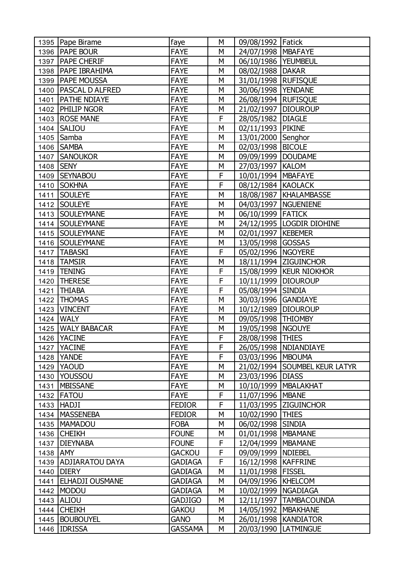|          | 1395   Pape Birame     | faye           | M | 09/08/1992   Fatick    |                               |
|----------|------------------------|----------------|---|------------------------|-------------------------------|
|          | 1396   PAPE BOUR       | <b>FAYE</b>    | M | 24/07/1998   MBAFAYE   |                               |
|          | 1397   PAPE CHERIF     | <b>FAYE</b>    | M | 06/10/1986   YEUMBEUL  |                               |
| 1398     | <b>PAPE IBRAHIMA</b>   | <b>FAYE</b>    | M | 08/02/1988   DAKAR     |                               |
| 1399     | <b>PAPE MOUSSA</b>     | <b>FAYE</b>    | M | 31/01/1998   RUFISQUE  |                               |
| 1400     | <b>PASCAL D ALFRED</b> | <b>FAYE</b>    | M | 30/06/1998   YENDANE   |                               |
| 1401     | <b>PATHE NDIAYE</b>    | <b>FAYE</b>    | M | 26/08/1994   RUFISQUE  |                               |
|          | 1402   PHILIP NGOR     | <b>FAYE</b>    | M | 21/02/1997   DIOUROUP  |                               |
|          | 1403 ROSE MANE         | <b>FAYE</b>    | F | 28/05/1982             | <b>DIAGLE</b>                 |
|          | 1404 SALIOU            | <b>FAYE</b>    | M | 02/11/1993             | <b>PIKINE</b>                 |
| 1405     | Samba                  | <b>FAYE</b>    | M | 13/01/2000 Senghor     |                               |
|          | 1406 SAMBA             | <b>FAYE</b>    | M | 02/03/1998   BICOLE    |                               |
|          | 1407 SANOUKOR          | <b>FAYE</b>    | M | 09/09/1999   DOUDAME   |                               |
| 1408     | <b>SENY</b>            | <b>FAYE</b>    | M | 27/03/1997   KALOM     |                               |
| 1409     | <b>SEYNABOU</b>        | <b>FAYE</b>    | F | 10/01/1994   MBAFAYE   |                               |
| 1410     | <b>SOKHNA</b>          | <b>FAYE</b>    | F | 08/12/1984 KAOLACK     |                               |
| 1411     | <b>SOULEYE</b>         | <b>FAYE</b>    | M |                        | 18/08/1987   KHALAMBASSE      |
| 1412     | <b>SOULEYE</b>         | <b>FAYE</b>    | M | 04/03/1997   NGUENIENE |                               |
|          | 1413   SOULEYMANE      | <b>FAYE</b>    | М | 06/10/1999   FATICK    |                               |
|          | 1414 SOULEYMANE        | <b>FAYE</b>    | M |                        | 24/12/1995   LOGDIR DIOHINE   |
|          | 1415   SOULEYMANE      | <b>FAYE</b>    | M | 02/01/1997             | <b>KEBEMER</b>                |
|          | 1416   SOULEYMANE      | <b>FAYE</b>    | М | 13/05/1998 GOSSAS      |                               |
|          | 1417   TABASKI         | <b>FAYE</b>    | F | 05/02/1996   NGOYERE   |                               |
| 1418     | <b>TAMSIR</b>          | <b>FAYE</b>    | M |                        | 18/11/1994 ZIGUINCHOR         |
| 1419     | <b>TENING</b>          | <b>FAYE</b>    | F |                        | 15/08/1999   KEUR NIOKHOR     |
| 1420     | <b>THERESE</b>         | <b>FAYE</b>    | F | 10/11/1999   DIOUROUP  |                               |
| 1421     | <b>THIABA</b>          | <b>FAYE</b>    | F | 05/08/1994             | <b>SINDIA</b>                 |
| 1422     | <b>THOMAS</b>          | <b>FAYE</b>    | M | 30/03/1996             | <b>GANDIAYE</b>               |
| 1423     | <b>VINCENT</b>         | <b>FAYE</b>    | M | 10/12/1989   DIOUROUP  |                               |
|          | 1424 WALY              | <b>FAYE</b>    | M | 09/05/1998   THIOMBY   |                               |
|          | 1425   WALY BABACAR    | <b>FAYE</b>    | M | 19/05/1998   NGOUYE    |                               |
|          | 1426 YACINE            | <b>FAYE</b>    | F | 28/08/1998 THIES       |                               |
|          | 1427   YACINE          | <b>FAYE</b>    | F |                        | 26/05/1998   NDIANDIAYE       |
|          | 1428 YANDE             | <b>FAYE</b>    | F | 03/03/1996   MBOUMA    |                               |
|          | 1429 YAOUD             | <b>FAYE</b>    | М |                        | 21/02/1994 SOUMBEL KEUR LATYR |
|          | 1430 YOUSSOU           | <b>FAYE</b>    | M | 23/03/1996   DIASS     |                               |
|          | 1431   MBISSANE        | <b>FAYE</b>    | M |                        | 10/10/1999   MBALAKHAT        |
|          | 1432   FATOU           | <b>FAYE</b>    | F | 11/07/1996   MBANE     |                               |
|          | 1433 HADJI             | <b>FEDIOR</b>  | F |                        | 11/03/1995 ZIGUINCHOR         |
|          | 1434   MASSENEBA       | <b>FEDIOR</b>  | M | 10/02/1990   THIES     |                               |
|          | 1435   MAMADOU         | <b>FOBA</b>    | M | 06/02/1998 SINDIA      |                               |
|          | 1436 CHEIKH            | <b>FOUNE</b>   | М | 01/01/1998   MBAMANE   |                               |
|          | 1437   DIEYNABA        | <b>FOUNE</b>   | F | 12/04/1999   MBAMANE   |                               |
| 1438 AMY |                        | <b>GACKOU</b>  | F | 09/09/1999   NDIEBEL   |                               |
|          | 1439 ADJIARATOU DAYA   | <b>GADIAGA</b> | F | 16/12/1998   KAFFRINE  |                               |
|          | 1440 DIERY             | <b>GADIAGA</b> | М | 11/01/1998 FISSEL      |                               |
|          | 1441   ELHADJI OUSMANE | <b>GADIAGA</b> | M | 04/09/1996   KHELCOM   |                               |
|          | 1442   MODOU           | <b>GADIAGA</b> | M | 10/02/1999   NGADIAGA  |                               |
|          | 1443 ALIOU             | <b>GADJIGO</b> | М |                        | 12/11/1997   TAMBACOUNDA      |
|          | 1444 CHEIKH            | <b>GAKOU</b>   | M | 14/05/1992   MBAKHANE  |                               |
|          | 1445   BOUBOUYEL       | <b>GANO</b>    | М |                        | 26/01/1998   KANDIATOR        |
|          | 1446 IDRISSA           | <b>GASSAMA</b> | М |                        | 20/03/1990   LATMINGUE        |
|          |                        |                |   |                        |                               |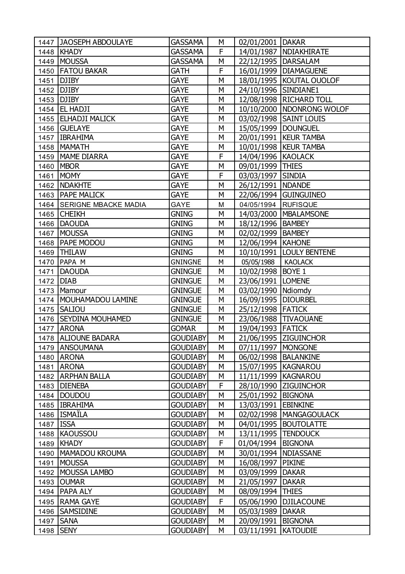|           | 1447 JAOSEPH ABDOULAYE    | GASSAMA         | М | 02/01/2001   DAKAR     |                             |
|-----------|---------------------------|-----------------|---|------------------------|-----------------------------|
|           | 1448   KHADY              | <b>GASSAMA</b>  | F |                        | 14/01/1987   NDIAKHIRATE    |
| 1449      | <b>MOUSSA</b>             | <b>GASSAMA</b>  | M | 22/12/1995   DARSALAM  |                             |
| 1450      | <b>FATOU BAKAR</b>        | GATH            | F |                        | 16/01/1999   DIAMAGUENE     |
| 1451      | <b>DJIBY</b>              | <b>GAYE</b>     | M |                        | 18/01/1995   KOUTAL OUOLOF  |
| 1452      | <b>DJIBY</b>              | <b>GAYE</b>     | M | 24/10/1996 SINDIANE1   |                             |
| 1453      | <b>DJIBY</b>              | <b>GAYE</b>     | М |                        | 12/08/1998   RICHARD TOLL   |
|           | 1454   EL HADJI           | <b>GAYE</b>     | M |                        | 10/10/2000   NDONRONG WOLOF |
|           | 1455 ELHADJI MALICK       | <b>GAYE</b>     | M |                        | 03/02/1998   SAINT LOUIS    |
|           | 1456 GUELAYE              | <b>GAYE</b>     | M | 15/05/1999   DOUNGUEL  |                             |
| 1457      | <b>IBRAHIMA</b>           | <b>GAYE</b>     | M |                        | 20/01/1991   KEUR TAMBA     |
| 1458      | <b>MAMATH</b>             | <b>GAYE</b>     | M |                        | 10/01/1998   KEUR TAMBA     |
|           | 1459   MAME DIARRA        | <b>GAYE</b>     | F | 14/04/1996 KAOLACK     |                             |
|           | 1460 MBOR                 | <b>GAYE</b>     | M | 09/01/1999 THIES       |                             |
| 1461      | <b>MOMY</b>               | <b>GAYE</b>     | F | 03/03/1997 SINDIA      |                             |
| 1462      | <b>NDAKHTE</b>            | <b>GAYE</b>     | М | 26/12/1991   NDANDE    |                             |
|           | 1463   PAPE MALICK        | <b>GAYE</b>     | M |                        | 22/06/1994 GUINGUINEO       |
|           | 1464 SERIGNE MBACKE MADIA | <b>GAYE</b>     | M | 04/05/1994 RUFISQUE    |                             |
|           | 1465 CHEIKH               | <b>GNING</b>    | М |                        | 14/03/2000   MBALAMSONE     |
|           | 1466 DAOUDA               | <b>GNING</b>    | M | 18/12/1996   BAMBEY    |                             |
| 1467      | MOUSSA                    | <b>GNING</b>    | M | 02/02/1999   BAMBEY    |                             |
| 1468      | <b>PAPE MODOU</b>         | <b>GNING</b>    | M | 12/06/1994   KAHONE    |                             |
| 1469      | <b>THILAW</b>             | <b>GNING</b>    | M |                        | 10/10/1991  LOULY BENTENE   |
| 1470      | PAPA M                    | <b>GNINGNE</b>  | M | 05/05/1988             | <b>KAOLACK</b>              |
| 1471      | <b>DAOUDA</b>             | <b>GNINGUE</b>  | М | 10/02/1998   BOYE 1    |                             |
|           | 1472 DIAB                 | <b>GNINGUE</b>  | M | 23/06/1991   LOMENE    |                             |
| 1473      | Mamour                    | <b>GNINGUE</b>  | M | 03/02/1990   Ndiomdy   |                             |
| 1474      | MOUHAMADOU LAMINE         | <b>GNINGUE</b>  | M | 16/09/1995   DIOURBEL  |                             |
| 1475      | <b>SALIOU</b>             | <b>GNINGUE</b>  | M | 25/12/1998 FATICK      |                             |
| 1476      | <b>SEYDINA MOUHAMED</b>   | <b>GNINGUE</b>  | M |                        | 23/06/1988 TIVAOUANE        |
| 1477      | <b>ARONA</b>              | <b>GOMAR</b>    | М | 19/04/1993   FATICK    |                             |
|           | 1478 ALIOUNE BADARA       | <b>GOUDIABY</b> | M |                        | 21/06/1995 ZIGUINCHOR       |
|           | 1479 ANSOUMANA            | <b>GOUDIABY</b> | М | 07/11/1997   MONGONE   |                             |
| 1480      | <b>ARONA</b>              | <b>GOUDIABY</b> | М | 06/02/1998   BALANKINE |                             |
|           | 1481 ARONA                | <b>GOUDIABY</b> | М | 15/07/1995   KAGNAROU  |                             |
|           | 1482   ARPHAN BALLA       | <b>GOUDIABY</b> | М | 11/11/1999   KAGNAROU  |                             |
| 1483      | <b>DIENEBA</b>            | <b>GOUDIABY</b> | F |                        | 28/10/1990 ZIGUINCHOR       |
|           | 1484   DOUDOU             | <b>GOUDIABY</b> | М | 25/01/1992             | <b>BIGNONA</b>              |
|           | 1485   IBRAHIMA           | <b>GOUDIABY</b> | М | 13/03/1991 EBINKINE    |                             |
|           | 1486   ISMAÏLA            | <b>GOUDIABY</b> | М |                        | 02/02/1998   MANGAGOULACK   |
| 1487 ISSA |                           | <b>GOUDIABY</b> | М |                        | 04/01/1995   BOUTOLATTE     |
| 1488      | KAOUSSOU                  | <b>GOUDIABY</b> | М | 13/11/1995             | <b>TENDOUCK</b>             |
| 1489      | KHADY                     | <b>GOUDIABY</b> | F | 01/04/1994             | <b>BIGNONA</b>              |
| 1490      | MAMADOU KROUMA            | <b>GOUDIABY</b> | M |                        | 30/01/1994   NDIASSANE      |
|           | 1491 MOUSSA               | <b>GOUDIABY</b> | М | 16/08/1997   PIKINE    |                             |
| 1492      | MOUSSA LAMBO              | <b>GOUDIABY</b> | М | 03/09/1999             | <b>DAKAR</b>                |
|           | 1493 OUMAR                | <b>GOUDIABY</b> | М | 21/05/1997             | <b>DAKAR</b>                |
|           | 1494   PAPA ALY           | <b>GOUDIABY</b> | М | 08/09/1994 THIES       |                             |
|           | 1495 RAMA GAYE            | <b>GOUDIABY</b> | F |                        | 05/06/1990   DJILACOUNE     |
| 1496      | <b>SAMSIDINE</b>          | <b>GOUDIABY</b> | М | 05/03/1989             | <b>DAKAR</b>                |
|           | 1497 SANA                 | GOUDIABY        | М | 20/09/1991   BIGNONA   |                             |
|           | 1498 SENY                 | <b>GOUDIABY</b> | M | 03/11/1991   KATOUDIE  |                             |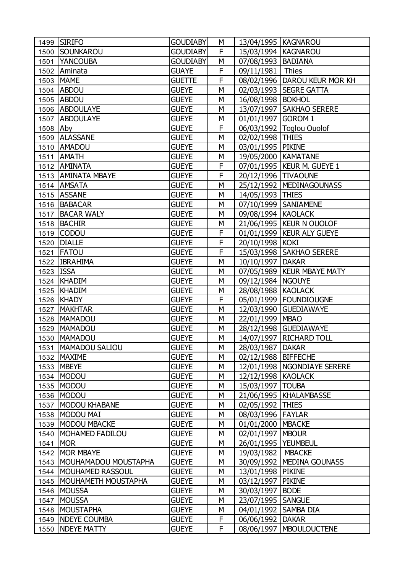|           | 1499 SIRIFO                   | <b>GOUDIABY</b>              | М              | 13/04/1995   KAGNAROU |                                |
|-----------|-------------------------------|------------------------------|----------------|-----------------------|--------------------------------|
|           | 1500 SOUNKAROU                | <b>GOUDIABY</b>              | F              | 15/03/1994   KAGNAROU |                                |
|           | 1501 YANCOUBA                 | <b>GOUDIABY</b>              | M              | 07/08/1993   BADIANA  |                                |
|           | 1502 Aminata                  | <b>GUAYE</b>                 | $\overline{F}$ | 09/11/1981   Thies    |                                |
|           | 1503 MAME                     | <b>GUETTE</b>                | F              |                       | 08/02/1996   DAROU KEUR MOR KH |
|           | 1504 ABDOU                    | <b>GUEYE</b>                 | M              |                       | 02/03/1993   SEGRE GATTA       |
|           | 1505 ABDOU                    | <b>GUEYE</b>                 | M              | 16/08/1998   BOKHOL   |                                |
|           | 1506 ABDOULAYE                | <b>GUEYE</b>                 | М              |                       | 13/07/1997   SAKHAO SERERE     |
|           | 1507 ABDOULAYE                | <b>GUEYE</b>                 | М              | 01/01/1997 GOROM 1    |                                |
| 1508      | Aby                           | <b>GUEYE</b>                 | F              |                       | 06/03/1992   Toglou Ouolof     |
| 1509      | <b>ALASSANE</b>               | <b>GUEYE</b>                 | M              | 02/02/1998 THIES      |                                |
|           | 1510 AMADOU                   | <b>GUEYE</b>                 | M              | 03/01/1995   PIKINE   |                                |
|           | 1511 AMATH                    | <b>GUEYE</b>                 | M              | 19/05/2000 KAMATANE   |                                |
|           | 1512 AMINATA                  | <b>GUEYE</b>                 | F              |                       | 07/01/1995   KEUR M. GUEYE 1   |
|           | 1513   AMINATA MBAYE          | <b>GUEYE</b>                 | F              | 20/12/1996 TIVAOUNE   |                                |
|           | 1514 AMSATA                   | <b>GUEYE</b>                 | M              |                       | 25/12/1992   MEDINAGOUNASS     |
|           | 1515 ASSANE                   | <b>GUEYE</b>                 | M              | 14/05/1993 THIES      |                                |
|           | 1516   BABACAR                | <b>GUEYE</b>                 | M              |                       | 07/10/1999 SANIAMENE           |
|           | 1517 BACAR WALY               | <b>GUEYE</b>                 | M              | 09/08/1994 KAOLACK    |                                |
|           | 1518 BACHIR                   | <b>GUEYE</b>                 | M              |                       | 21/06/1995   KEUR N OUOLOF     |
|           | 1519 CODOU                    | <b>GUEYE</b>                 | F              |                       | 01/01/1999   KEUR ALY GUEYE    |
|           | 1520   DIALLE                 | <b>GUEYE</b>                 | $\overline{F}$ | 20/10/1998 KOKI       |                                |
| 1521      | <b>FATOU</b>                  | <b>GUEYE</b>                 | F              |                       | 15/03/1998 SAKHAO SERERE       |
|           | 1522   IBRAHIMA               | <b>GUEYE</b>                 | M              | 10/10/1997   DAKAR    |                                |
| 1523 ISSA |                               | <b>GUEYE</b>                 | M              |                       | 07/05/1989   KEUR MBAYE MATY   |
|           | 1524 KHADIM                   | <b>GUEYE</b>                 | М              | 09/12/1984 NGOUYE     |                                |
|           | 1525   KHADIM                 | <b>GUEYE</b>                 | М              | 28/08/1988 KAOLACK    |                                |
|           | 1526 KHADY                    | <b>GUEYE</b>                 | $\overline{F}$ |                       | 05/01/1999   FOUNDIOUGNE       |
| 1527      | <b>MAKHTAR</b>                | <b>GUEYE</b>                 | M              |                       | 12/03/1990 GUEDIAWAYE          |
|           | 1528   MAMADOU                | <b>GUEYE</b>                 | M              | 22/01/1999 MBAO       |                                |
|           | 1529   MAMADOU                | <b>GUEYE</b>                 | M              |                       | 28/12/1998 GUEDIAWAYE          |
|           | 1530   MAMADOU                | <b>GUEYE</b>                 | M              |                       | 14/07/1997   RICHARD TOLL      |
| 1531      | <b>MAMADOU SALIOU</b>         | <b>GUEYE</b>                 | М              | 28/03/1987   DAKAR    |                                |
|           | 1532   MAXIME                 | <b>GUEYE</b>                 | M              | 02/12/1988 BIFFECHE   |                                |
|           | 1533 MBEYE                    | <b>GUEYE</b>                 | М              |                       | 12/01/1998   NGONDIAYE SERERE  |
|           | 1534   MODOU                  | <b>GUEYE</b>                 | М              | 12/12/1998 KAOLACK    |                                |
| 1535      | <b>MODOU</b>                  | <b>GUEYE</b>                 | M              | 15/03/1997            | <b>TOUBA</b>                   |
|           | 1536 MODOU                    | <b>GUEYE</b>                 | М              |                       | 21/06/1995   KHALAMBASSE       |
| 1537      | MODOU KHABANE                 | <b>GUEYE</b>                 | М              | 02/05/1992 THIES      |                                |
| 1538      | MODOU MAI                     | <b>GUEYE</b>                 | М              | 08/03/1996 FAYLAR     |                                |
|           | MODOU MBACKE                  | <b>GUEYE</b>                 | М              | 01/01/2000   MBACKE   |                                |
| 1539      |                               |                              |                |                       |                                |
| 1540      | MOHAMED FADILOU<br><b>MOR</b> | <b>GUEYE</b><br><b>GUEYE</b> | М<br>M         | 02/01/1997            | <b>MBOUR</b>                   |
| 1541      |                               |                              |                | 26/01/1995   YEUMBEUL |                                |
| 1542      | <b>MOR MBAYE</b>              | <b>GUEYE</b>                 | М              | 19/03/1982            | <b>MBACKE</b>                  |
| 1543      | MOUHAMADOU MOUSTAPHA          | <b>GUEYE</b>                 | М              |                       | 30/09/1992   MEDINA GOUNASS    |
|           | 1544   MOUHAMED RASSOUL       | <b>GUEYE</b>                 | М              | 13/01/1998 PIKINE     |                                |
| 1545      | MOUHAMETH MOUSTAPHA           | <b>GUEYE</b>                 | М              | 03/12/1997            | <b>PIKINE</b>                  |
| 1546      | <b>MOUSSA</b>                 | <b>GUEYE</b>                 | М              | 30/03/1997            | <b>BODE</b>                    |
| 1547      | <b>MOUSSA</b>                 | <b>GUEYE</b>                 | М              | 23/07/1995 SANGUE     |                                |
| 1548      | MOUSTAPHA                     | <b>GUEYE</b>                 | М              | 04/01/1992            | <b>SAMBA DIA</b>               |
| 1549      | <b>NDEYE COUMBA</b>           | <b>GUEYE</b>                 | F              | 06/06/1992            | <b>DAKAR</b>                   |
| 1550      | <b>NDEYE MATTY</b>            | <b>GUEYE</b>                 | F              | 08/06/1997            | <b>MBOULOUCTENE</b>            |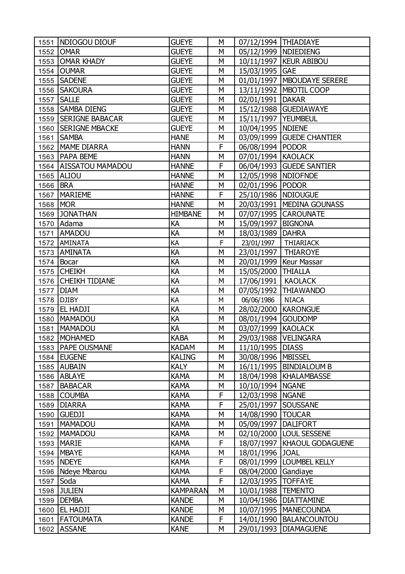| 1551 | NDIOGOU DIOUF           | <b>GUEYE</b>    | М | 07/12/1994   THIADIAYE |                              |
|------|-------------------------|-----------------|---|------------------------|------------------------------|
|      | 1552 OMAR               | <b>GUEYE</b>    | М | 05/12/1999   NDIEDIENG |                              |
|      | 1553 OMAR KHADY         | <b>GUEYE</b>    | M |                        | 10/11/1997   KEUR ABIBOU     |
| 1554 | <b>OUMAR</b>            | <b>GUEYE</b>    | M | 15/03/1995 GAE         |                              |
| 1555 | <b>SADENE</b>           | <b>GUEYE</b>    | М |                        | 01/01/1997   MBOUDAYE SERERE |
|      | 1556   SAKOURA          | <b>GUEYE</b>    | M |                        | 13/11/1992   MBOTIL COOP     |
| 1557 | <b>SALLE</b>            | <b>GUEYE</b>    | М | 02/01/1991   DAKAR     |                              |
|      | 1558 SAMBA DIENG        | <b>GUEYE</b>    | M |                        | 15/12/1988 GUEDIAWAYE        |
| 1559 | <b>SERIGNE BABACAR</b>  | <b>GUEYE</b>    | M | 15/11/1997   YEUMBEUL  |                              |
| 1560 | <b>SERIGNE MBACKE</b>   | <b>GUEYE</b>    | М | 10/04/1995   NDIENE    |                              |
| 1561 | <b>SAMBA</b>            | <b>HANE</b>     | М |                        | 03/09/1999 GUEDE CHANTIER    |
|      | 1562   MAME DIARRA      | <b>HANN</b>     | F | 06/08/1994   PODOR     |                              |
|      | 1563   PAPA BEME        | <b>HANN</b>     | М | 07/01/1994 KAOLACK     |                              |
|      | 1564   AISSATOU MAMADOU | <b>HANNE</b>    | F |                        | 06/04/1993 GUEDE SANTIER     |
|      | 1565 ALIOU              | <b>HANNE</b>    | M | 12/05/1998   NDIOFNDE  |                              |
| 1566 | <b>BRA</b>              | <b>HANNE</b>    | М | 02/01/1996   PODOR     |                              |
| 1567 | MARIEME                 | <b>HANNE</b>    | F | 25/10/1986   NDIOUGUE  |                              |
| 1568 | <b>MOR</b>              | <b>HANNE</b>    | M |                        | 20/03/1991   MEDINA GOUNASS  |
|      | 1569 JONATHAN           | <b>HIMBANE</b>  | М |                        | 07/07/1995 CAROUNATE         |
|      | 1570 Adama              | KA              | M | 15/09/1997   BIGNONA   |                              |
| 1571 | <b>AMADOU</b>           | KA              | M | 18/03/1989   DAHRA     |                              |
|      | 1572   AMINATA          | KA              | F | 23/01/1997             | THIARIACK                    |
|      | 1573   AMINATA          | KA              | M | 23/01/1997   THIAROYE  |                              |
|      | 1574 Bocar              | KA              | M |                        | 20/01/1999   Keur Massar     |
|      | 1575 CHEIKH             | КA              | М | 15/05/2000 THIALLA     |                              |
|      | 1576 CHEIKH TIDIANE     | KA              | M | 17/06/1991   KAOLACK   |                              |
| 1577 | <b>DIAM</b>             | KA              | M | 07/05/1992             | <b>THIAWANDO</b>             |
| 1578 | <b>DJIBY</b>            | KA              | М | 06/06/1986             | <b>NIACA</b>                 |
| 1579 | <b>EL HADJI</b>         | KA              | М | 28/02/2000   KARONGUE  |                              |
| 1580 | <b>MAMADOU</b>          | KA              | M | 08/01/1994 GOUDOMP     |                              |
| 1581 | <b>MAMADOU</b>          | KA              | М | 03/07/1999 KAOLACK     |                              |
|      | 1582 MOHAMED            | <b>KABA</b>     | M |                        | 29/03/1988   VELINGARA       |
|      | 1583   PAPE OUSMANE     | <b>KADAM</b>    | М | 11/10/1995   DIASS     |                              |
|      | 1584 EUGENE             | <b>KALING</b>   | М | 30/08/1996   MBISSEL   |                              |
|      | 1585 AUBAIN             | <b>KALY</b>     | M |                        | 16/11/1995   BINDIALOUM B    |
|      | 1586 ABLAYE             | <b>KAMA</b>     | М |                        | 18/04/1998   KHALAMBASSE     |
| 1587 | BABACAR                 | <b>KAMA</b>     | М | 10/10/1994   NGANE     |                              |
| 1588 | <b>COUMBA</b>           | <b>KAMA</b>     | F | 12/03/1998   NGANE     |                              |
| 1589 | <b>DIARRA</b>           | <b>KAMA</b>     | F | 25/01/1997   SOUSSANE  |                              |
|      | 1590 GUEDJI             | <b>KAMA</b>     | М | 14/08/1990   TOUCAR    |                              |
| 1591 | MAMADOU                 | <b>KAMA</b>     | М | 05/09/1997             | <b>DALIFORT</b>              |
|      | 1592   MAMADOU          | <b>KAMA</b>     | М |                        | 02/10/2000 LOUL SESSENE      |
| 1593 | <b>MARIE</b>            | <b>KAMA</b>     | F | 18/07/1997             | <b>KHAOUL GODAGUENE</b>      |
|      | 1594   MBAYE            | <b>KAMA</b>     | М | 18/01/1996 JOAL        |                              |
|      | 1595 NDEYE              | <b>KAMA</b>     | F |                        | 08/01/1999   LOUMBEL KELLY   |
|      | 1596 Ndeye Mbarou       | <b>KAMA</b>     | F | 08/04/2000 Gandiaye    |                              |
| 1597 | Soda                    | <b>KAMA</b>     | F | 12/03/1995             | <b>TOFFAYE</b>               |
|      | 1598 JULIEN             | <b>KAMPARAN</b> | М | 10/01/1988             | <b>TEMENTO</b>               |
| 1599 | <b>DEMBA</b>            | <b>KANDE</b>    | М | 10/04/1986             | <b>DIATTAMINE</b>            |
| 1600 | <b>EL HADJI</b>         | <b>KANDE</b>    | М |                        | 10/07/1995   MANECOUNDA      |
| 1601 | <b>FATOUMATA</b>        | <b>KANDE</b>    | F |                        | 14/01/1990   BALANCOUNTOU    |
|      | 1602 ASSANE             | <b>KANE</b>     | М | 29/01/1993             | <b>DIAMAGUENE</b>            |
|      |                         |                 |   |                        |                              |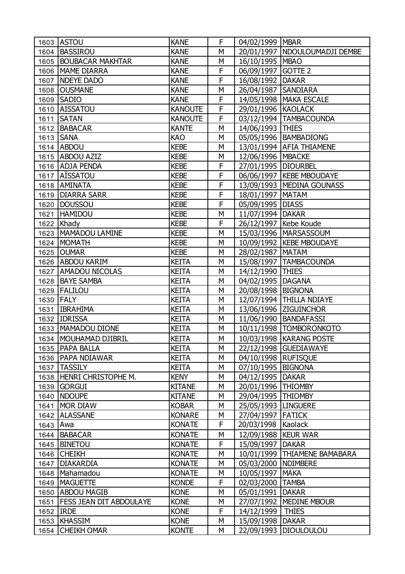|      | 1603 ASTOU                     | <b>KANE</b>    | F      | 04/02/1999   MBAR     |                                 |
|------|--------------------------------|----------------|--------|-----------------------|---------------------------------|
|      | 1604 BASSIROU                  | <b>KANE</b>    | M      |                       | 20/01/1997   NDOULOUMADJI DEMBE |
|      | 1605 BOUBACAR MAKHTAR          | <b>KANE</b>    | M      | 16/10/1995   MBAO     |                                 |
|      | 1606   MAME DIARRA             | <b>KANE</b>    | F      | 06/09/1997 GOTTE 2    |                                 |
|      | 1607 NDEYE DADO                | <b>KANE</b>    | F      | 16/08/1992   DAKAR    |                                 |
|      | 1608 OUSMANE                   | <b>KANE</b>    | M      | 26/04/1987   SANDIARA |                                 |
|      | 1609 SADIO                     | <b>KANE</b>    | F      |                       | 14/05/1998   MAKA ESCALE        |
|      | 1610 AISSATOU                  | <b>KANOUTE</b> | F      | 29/01/1996 KAOLACK    |                                 |
| 1611 | <b>SATAN</b>                   | <b>KANOUTE</b> | F      |                       | 03/12/1994   TAMBACOUNDA        |
|      | 1612   BABACAR                 | <b>KANTE</b>   | M      | 14/06/1993 THIES      |                                 |
|      | 1613 SANA                      | KAO            | M      |                       | 05/05/1996   BAMBADIONG         |
|      | 1614 ABDOU                     | <b>KEBE</b>    | M      |                       | 13/01/1994 AFIA THIAMENE        |
|      | 1615 ABDOU AZIZ                | <b>KEBE</b>    | M      | 12/06/1996   MBACKE   |                                 |
|      | 1616 ADJA PENDA                | <b>KEBE</b>    | F      | 27/01/1995   DIOURBEL |                                 |
|      | 1617 AISSATOU                  | <b>KEBE</b>    | F      |                       | 06/06/1997   KEBE MBOUDAYE      |
|      | 1618   AMINATA                 | <b>KEBE</b>    | F      |                       | 13/09/1993   MEDINA GOUNASS     |
|      | 1619   DIARRA SARR             | <b>KEBE</b>    | F      | 18/01/1997   MATAM    |                                 |
|      | 1620   DOUSSOU                 | <b>KEBE</b>    | F      | 05/09/1995   DIASS    |                                 |
|      | 1621 HAMIDOU                   | <b>KEBE</b>    | М      | 11/07/1994   DAKAR    |                                 |
|      | 1622 Khady                     | <b>KEBE</b>    | F      |                       | 26/12/1997   Kebe Koude         |
|      | 1623   MAMADOU LAMINE          | <b>KEBE</b>    | M      |                       | 15/03/1996   MARSASSOUM         |
|      | 1624   MOMATH                  | <b>KEBE</b>    | М      |                       | 10/09/1992   KEBE MBOUDAYE      |
|      | 1625 OUMAR                     | <b>KEBE</b>    | M      | 28/02/1987   MATAM    |                                 |
|      | 1626 ABDOU KARIM               | <b>KEITA</b>   | M      |                       | 15/08/1997   TAMBACOUNDA        |
|      | 1627   AMADOU NICOLAS          | <b>KEITA</b>   | М      | 14/12/1990   THIES    |                                 |
|      | 1628 BAYE SAMBA                | <b>KEITA</b>   | M      | 04/02/1995   DAGANA   |                                 |
|      | 1629   FALILOU                 | <b>KEITA</b>   | M      | 20/08/1998   BIGNONA  |                                 |
|      | 1630 FALY                      | <b>KEITA</b>   | М      |                       | 12/07/1994   THILLA NDIAYE      |
| 1631 | <b>IBRAHIMA</b>                | <b>KEITA</b>   | M      |                       | 13/06/1996 ZIGUINCHOR           |
|      | 1632 IDRISSA                   | <b>KEITA</b>   | М      |                       | 11/06/1990   BANDAFASSI         |
|      | 1633   MAMADOU DIONE           | <b>KEITA</b>   | М      |                       | 10/11/1998  TOMBORONKOTO        |
|      | 1634   MOUHAMAD DJIBRIL        | <b>KEITA</b>   | M      |                       | 10/03/1998 KARANG POSTE         |
|      | 1635   PAPA BALLA              | <b>KEITA</b>   | М      |                       | 22/12/1998 GUEDIAWAYE           |
|      | 1636   PAPA NDIAWAR            | <b>KEITA</b>   | М      | 04/10/1998   RUFISQUE |                                 |
| 1637 | <b>TASSILY</b>                 | <b>KEITA</b>   | М      | 07/10/1995   BIGNONA  |                                 |
| 1638 | HENRI CHRISTOPHE M.            | <b>KENY</b>    | М      | 04/12/1995            | <b>DAKAR</b>                    |
| 1639 | <b>GORGUI</b>                  | <b>KITANE</b>  | М      | 20/01/1996   THIOMBY  |                                 |
| 1640 | <b>NDOUPE</b>                  | <b>KITANE</b>  | М      | 29/04/1995   THIOMBY  |                                 |
| 1641 | <b>MOR DIAW</b>                | <b>KOBAR</b>   | М      | 25/05/1993   LINGUERE |                                 |
|      | 1642 ALASSANE                  | <b>KONARE</b>  | М      | 27/04/1997   FATICK   |                                 |
| 1643 | Awa                            | <b>KONATE</b>  | F      | 20/03/1998            | Kaolack                         |
|      | <b>BABACAR</b>                 | <b>KONATE</b>  | М      | 12/09/1988   KEUR WAR |                                 |
| 1644 | <b>BINETOU</b>                 | <b>KONATE</b>  | F      | 15/09/1997            | <b>DAKAR</b>                    |
| 1645 | <b>CHEIKH</b>                  | <b>KONATE</b>  | М      |                       | <b>THIAMENE BAMABARA</b>        |
| 1646 |                                |                |        | 10/01/1999            |                                 |
| 1647 | <b>DIAKARDIA</b>               | <b>KONATE</b>  | М      | 05/03/2000   NDIMBERE |                                 |
| 1648 | Mahamadou                      | <b>KONATE</b>  | М<br>F | 10/05/1997            | <b>MAKA</b>                     |
| 1649 | <b>MAGUETTE</b>                | <b>KONDE</b>   |        | 02/03/2000            | <b>TAMBA</b>                    |
| 1650 | <b>ABDOU MAGIB</b>             | <b>KONE</b>    | М      | 05/01/1991            | <b>DAKAR</b>                    |
| 1651 | <b>FESS JEAN DIT ABDOULAYE</b> | <b>KONE</b>    | М<br>F | 27/07/1992            | <b>MEDINE MBOUR</b>             |
| 1652 | <b>IRDE</b>                    | <b>KONE</b>    |        | 14/12/1999            | <b>THIES</b>                    |
|      | 1653 KHASSIM                   | <b>KONE</b>    | М      | 15/09/1998            | <b>DAKAR</b>                    |
| 1654 | <b>CHEIKH OMAR</b>             | <b>KONTE</b>   | М      | 22/09/1993            | <b>DIOULOULOU</b>               |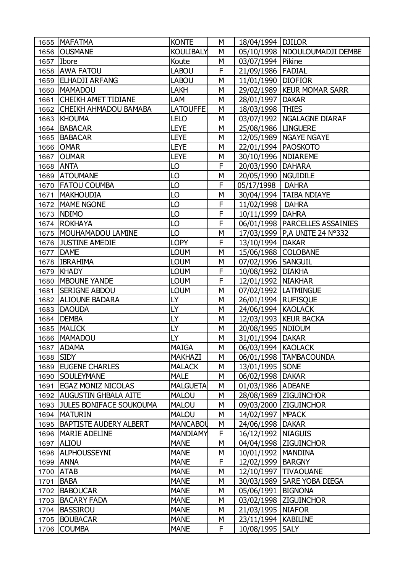|      | 1655   MAFATMA                 | <b>KONTE</b>     | М | 18/04/1994   DJILOR    |                                  |
|------|--------------------------------|------------------|---|------------------------|----------------------------------|
|      | 1656 OUSMANE                   | <b>KOULIBALY</b> | M |                        | 05/10/1998   NDOULOUMADJI DEMBE  |
| 1657 | Ibore                          | Koute            | М | 03/07/1994   Pikine    |                                  |
|      | 1658 AWA FATOU                 | <b>LABOU</b>     | F | 21/09/1986   FADIAL    |                                  |
| 1659 | <b>ELHADJI ARFANG</b>          | <b>LABOU</b>     | М | 11/01/1990   DIOFIOR   |                                  |
| 1660 | <b>MAMADOU</b>                 | LAKH             | M |                        | 29/02/1989   KEUR MOMAR SARR     |
| 1661 | <b>CHEIKH AMET TIDIANE</b>     | LAM              | М | 28/01/1997   DAKAR     |                                  |
|      | 1662 CHEIKH AHMADOU BAMABA     | <b>LATOUFFE</b>  | M | 18/03/1998 THIES       |                                  |
|      | 1663 KHOUMA                    | <b>LELO</b>      | M |                        | 03/07/1992   NGALAGNE DIARAF     |
| 1664 | <b>BABACAR</b>                 | <b>LEYE</b>      | М | 25/08/1986   LINGUERE  |                                  |
|      | 1665 BABACAR                   | <b>LEYE</b>      | М |                        | 12/05/1989   NGAYE NGAYE         |
|      | 1666 OMAR                      | <b>LEYE</b>      | M | 22/01/1994   PAOSKOTO  |                                  |
|      | 1667 OUMAR                     | <b>LEYE</b>      | М | 30/10/1996   NDIAREME  |                                  |
|      | 1668 ANTA                      | LO               | F | 20/03/1990   DAHARA    |                                  |
|      | 1669 ATOUMANE                  | LO               | М | 20/05/1990   NGUIDILE  |                                  |
|      | 1670   FATOU COUMBA            | LO               | F | 05/17/1998             | <b>DAHRA</b>                     |
| 1671 | <b>MAKHOUDIA</b>               | LO               | M |                        | 30/04/1994   TAIBA NDIAYE        |
|      | 1672   MAME NGONE              | LO               | F | 11/02/1998   DAHRA     |                                  |
|      | 1673 NDIMO                     | LO               | F | 10/11/1999   DAHRA     |                                  |
|      | 1674 ROKHAYA                   | LO               | F |                        | 06/01/1998   PARCELLES ASSAINIES |
|      | 1675   MOUHAMADOU LAMINE       | LO               | М |                        | 17/03/1999   P, A UNITE 24 N°332 |
| 1676 | <b>JUSTINE AMEDIE</b>          | <b>LOPY</b>      | F | 13/10/1994   DAKAR     |                                  |
| 1677 | <b>DAME</b>                    | <b>LOUM</b>      | M | 15/06/1988 COLOBANE    |                                  |
|      | 1678   IBRAHIMA                | <b>LOUM</b>      | М | 07/02/1996 SANGUIL     |                                  |
|      | 1679   KHADY                   | <b>LOUM</b>      | F | 10/08/1992   DIAKHA    |                                  |
|      | 1680   MBOUNE YANDE            | <b>LOUM</b>      | F | 12/01/1992   NIAKHAR   |                                  |
| 1681 | <b>SERIGNE ABDOU</b>           | <b>LOUM</b>      | M | 07/02/1992   LATMINGUE |                                  |
| 1682 | <b>ALIOUNE BADARA</b>          | LY               | M | 26/01/1994   RUFISQUE  |                                  |
|      | 1683   DAOUDA                  | LY               | М | 24/06/1994 KAOLACK     |                                  |
| 1684 | <b>DEMBA</b>                   | LY               | M |                        | 12/03/1993   KEUR BACKA          |
| 1685 | <b>MALICK</b>                  | LY               | М | 20/08/1995   NDIOUM    |                                  |
|      | 1686   MAMADOU                 | LY               | M | 31/01/1994 DAKAR       |                                  |
|      | 1687 ADAMA                     | MAIGA            | M | 06/03/1994 KAOLACK     |                                  |
| 1688 | <b>SIDY</b>                    | <b>MAKHAZI</b>   | М |                        | 06/01/1998   TAMBACOUNDA         |
|      | 1689 EUGENE CHARLES            | <b>MALACK</b>    | М | 13/01/1995 SONE        |                                  |
| 1690 | <b>SOULEYMANE</b>              | <b>MALE</b>      | М | 06/02/1998             | <b>DAKAR</b>                     |
| 1691 | <b>EGAZ MONIZ NICOLAS</b>      | <b>MALGUETA</b>  | М | 01/03/1986 ADEANE      |                                  |
|      | 1692   AUGUSTIN GHBALA AITE    | <b>MALOU</b>     | М |                        | 28/08/1989 ZIGUINCHOR            |
| 1693 | <b>JULES BONIFACE SOUKOUMA</b> | <b>MALOU</b>     | М |                        | 09/03/2000 ZIGUINCHOR            |
| 1694 | <b>MATURIN</b>                 | <b>MALOU</b>     | М | 14/02/1997   MPACK     |                                  |
|      | 1695   BAPTISTE AUDERY ALBERT  | <b>MANCABOL</b>  | М | 24/06/1998   DAKAR     |                                  |
|      | 1696   MARIE ADELINE           | <b>MANDIAMY</b>  | F | 16/12/1992   NIAGUIS   |                                  |
|      | 1697 ALIOU                     | <b>MANE</b>      | М |                        | 04/04/1998 ZIGUINCHOR            |
|      | 1698 ALPHOUSSEYNI              | <b>MANE</b>      | М | 10/01/1992   MANDINA   |                                  |
|      | 1699 ANNA                      | <b>MANE</b>      | F | 12/02/1999   BARGNY    |                                  |
|      | 1700 ATAB                      | <b>MANE</b>      | М |                        | 12/10/1997   TIVAOUANE           |
|      | 1701 BABA                      | <b>MANE</b>      | М |                        | 30/03/1989   SARE YOBA DIEGA     |
| 1702 | <b>BABOUCAR</b>                | <b>MANE</b>      | М | 05/06/1991             | <b>BIGNONA</b>                   |
| 1703 | <b>BACARY FADA</b>             | <b>MANE</b>      | М |                        | 03/02/1998 ZIGUINCHOR            |
| 1704 | <b>BASSIROU</b>                | <b>MANE</b>      | М | 21/03/1995   NIAFOR    |                                  |
| 1705 | <b>BOUBACAR</b>                | <b>MANE</b>      | М | 23/11/1994   KABILINE  |                                  |
| 1706 | <b>COUMBA</b>                  | <b>MANE</b>      | F | 10/08/1995 SALY        |                                  |
|      |                                |                  |   |                        |                                  |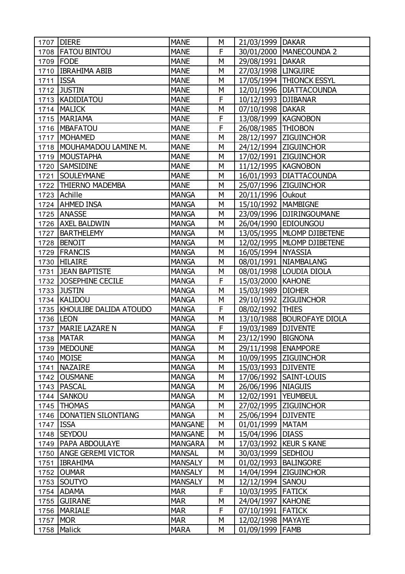| 1707 | <b>DIERE</b>                  | <b>MANE</b>    | М | 21/03/1999   DAKAR    |                              |
|------|-------------------------------|----------------|---|-----------------------|------------------------------|
|      | 1708 FATOU BINTOU             | <b>MANE</b>    | F |                       | 30/01/2000   MANECOUNDA 2    |
|      | 1709 FODE                     | <b>MANE</b>    | M | 29/08/1991   DAKAR    |                              |
|      | 1710 IBRAHIMA ABIB            | <b>MANE</b>    | М | 27/03/1998   LINGUIRE |                              |
| 1711 | <b>ISSA</b>                   | <b>MANE</b>    | M |                       | 17/05/1994   THIONCK ESSYL   |
| 1712 | <b>JUSTIN</b>                 | <b>MANE</b>    | M |                       | 12/01/1996   DIATTACOUNDA    |
| 1713 | KADIDIATOU                    | <b>MANE</b>    | F | 10/12/1993   DJIBANAR |                              |
|      | 1714   MALICK                 | <b>MANE</b>    | M | 07/10/1998   DAKAR    |                              |
|      | 1715   MARIAMA                | <b>MANE</b>    | F | 13/08/1999   KAGNOBON |                              |
| 1716 | <b>IMBAFATOU</b>              | <b>MANE</b>    | F | 26/08/1985   THIOBON  |                              |
| 1717 | MOHAMED                       | <b>MANE</b>    | M |                       | 28/12/1997 ZIGUINCHOR        |
|      | 1718   MOUHAMADOU LAMINE M.   | <b>MANE</b>    | M |                       | 24/12/1994   ZIGUINCHOR      |
| 1719 | <b>MOUSTAPHA</b>              | <b>MANE</b>    | М |                       | 17/02/1991   ZIGUINCHOR      |
| 1720 | <b>SAMSIDINE</b>              | <b>MANE</b>    | M | 11/12/1995   KAGNOBON |                              |
| 1721 | <b>SOULEYMANE</b>             | <b>MANE</b>    | M |                       | 16/01/1993   DIATTACOUNDA    |
| 1722 | <b>THIERNO MADEMBA</b>        | <b>MANE</b>    | М |                       | 25/07/1996   ZIGUINCHOR      |
|      | 1723 Achille                  | <b>MANGA</b>   | M | 20/11/1996 Oukout     |                              |
|      | 1724   AHMED INSA             | <b>MANGA</b>   | M | 15/10/1992   MAMBIGNE |                              |
| 1725 | <b>ANASSE</b>                 | <b>MANGA</b>   | М |                       | 23/09/1996   DJIRINGOUMANE   |
|      | 1726   AXEL BALDWIN           | <b>MANGA</b>   | M |                       | 26/04/1990 EDIOUNGOU         |
| 1727 | <b>BARTHELEMY</b>             | <b>MANGA</b>   | M |                       | 13/05/1995   MLOMP DJIBETENE |
| 1728 | <b>BENOIT</b>                 | <b>MANGA</b>   | М |                       | 12/02/1995   MLOMP DJIBETENE |
| 1729 | <b>FRANCIS</b>                | <b>MANGA</b>   | M | 16/05/1994 NYASSIA    |                              |
| 1730 | <b>HILAIRE</b>                | <b>MANGA</b>   | M |                       | 08/01/1991   NIAMBALANG      |
| 1731 | <b>JEAN BAPTISTE</b>          | <b>MANGA</b>   | М |                       | 08/01/1998   LOUDIA DIOLA    |
| 1732 | JOSEPHINE CECILE              | <b>MANGA</b>   | F | 15/03/2000   KAHONE   |                              |
| 1733 | <b>JUSTIN</b>                 | <b>MANGA</b>   | M | 15/03/1989   DIOHER   |                              |
|      | 1734 KALIDOU                  | <b>MANGA</b>   | М |                       | 29/10/1992   ZIGUINCHOR      |
|      | 1735   KHOULIBE DALIDA ATOUDO | <b>MANGA</b>   | F | 08/02/1992 THIES      |                              |
|      | 1736   LEON                   | <b>MANGA</b>   | М |                       | 13/10/1988   BOUROFAYE DIOLA |
| 1737 | <b>MARIE LAZARE N</b>         | <b>MANGA</b>   | F | 19/03/1989   DJIVENTE |                              |
| 1738 | <b>MATAR</b>                  | <b>MANGA</b>   | M | 23/12/1990            | <b>BIGNONA</b>               |
|      | 1739 MEDOUNE                  | <b>MANGA</b>   | М | 29/11/1998   ENAMPORE |                              |
| 1740 | <b>MOISE</b>                  | <b>MANGA</b>   | М |                       | 10/09/1995 ZIGUINCHOR        |
| 1741 | <b>NAZAIRE</b>                | <b>MANGA</b>   | М | 15/03/1993   DJIVENTE |                              |
| 1742 | <b>OUSMANE</b>                | <b>MANGA</b>   | М |                       | 17/06/1992 SAINT-LOUIS       |
| 1743 | <b>PASCAL</b>                 | <b>MANGA</b>   | М | 26/06/1996   NIAGUIS  |                              |
| 1744 | <b>SANKOU</b>                 | <b>MANGA</b>   | M | 12/02/1991            | <b>YEUMBEUL</b>              |
| 1745 | <b>THOMAS</b>                 | <b>MANGA</b>   | М |                       | 27/02/1995 ZIGUINCHOR        |
|      | 1746   DONATIEN SILONTIANG    | <b>MANGA</b>   | М | 25/06/1994 DJIVENTE   |                              |
| 1747 | <b>ISSA</b>                   | <b>MANGANE</b> | М | 01/01/1999   MATAM    |                              |
| 1748 | <b>SEYDOU</b>                 | <b>MANGANE</b> | М | 15/04/1996            | <b>DIASS</b>                 |
| 1749 | <b>PAPA ABDOULAYE</b>         | <b>MANGARA</b> | М |                       | 17/03/1992   KEUR S KANE     |
| 1750 | <b>ANGE GEREMI VICTOR</b>     | <b>MANSAL</b>  | М | 30/03/1999 SEDHIOU    |                              |
| 1751 | <b>IBRAHIMA</b>               | <b>MANSALY</b> | М | 01/02/1993            | <b>BALINGORE</b>             |
| 1752 | <b>OUMAR</b>                  | <b>MANSALY</b> | М |                       | 14/04/1994 ZIGUINCHOR        |
| 1753 | SOUTYO                        | <b>MANSALY</b> | М | 12/12/1994            | <b>SANOU</b>                 |
| 1754 | <b>ADAMA</b>                  | <b>MAR</b>     | F | 10/03/1995 FATICK     |                              |
| 1755 | <b>GUIRANE</b>                | <b>MAR</b>     | М | 24/04/1997   KAHONE   |                              |
| 1756 | <b>MARIALE</b>                | <b>MAR</b>     | F | 07/10/1991 FATICK     |                              |
| 1757 | <b>MOR</b>                    | <b>MAR</b>     | М | 12/02/1998   MAYAYE   |                              |
|      | 1758 Malick                   | <b>MARA</b>    | М | 01/09/1999 FAMB       |                              |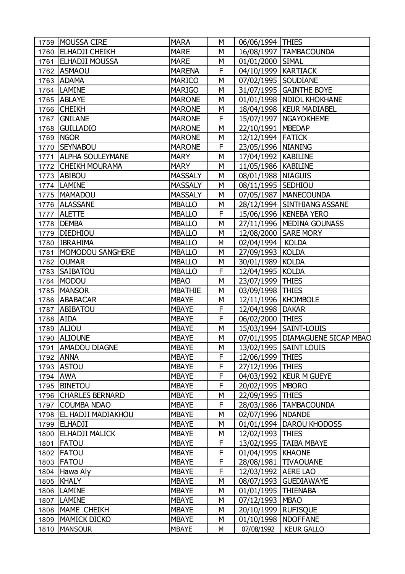|          | 1759   MOUSSA CIRE        | <b>MARA</b>    | М | 06/06/1994 THIES      |                                    |
|----------|---------------------------|----------------|---|-----------------------|------------------------------------|
|          | 1760 ELHADJI CHEIKH       | <b>MARE</b>    | M |                       | 16/08/1997   TAMBACOUNDA           |
|          | 1761 ELHADJI MOUSSA       | <b>MARE</b>    | М | 01/01/2000 SIMAL      |                                    |
|          | 1762 ASMAOU               | <b>MARENA</b>  | F | 04/10/1999   KARTIACK |                                    |
|          | 1763 ADAMA                | <b>MARICO</b>  | M | 07/02/1995 SOUDIANE   |                                    |
|          | 1764   LAMINE             | <b>MARIGO</b>  | M |                       | 31/07/1995 GAINTHE BOYE            |
|          | 1765 ABLAYE               | <b>MARONE</b>  | M |                       | 01/01/1998   NDIOL KHOKHANE        |
|          | 1766 CHEIKH               | <b>MARONE</b>  | M |                       | 18/04/1998   KEUR MADIABEL         |
|          | 1767 GNILANE              | <b>MARONE</b>  | F |                       | 15/07/1997   NGAYOKHEME            |
|          | 1768 GUILLADIO            | <b>MARONE</b>  | M | 22/10/1991   MBEDAP   |                                    |
| 1769     | <b>NGOR</b>               | <b>MARONE</b>  | M | 12/12/1994 FATICK     |                                    |
|          | 1770   SEYNABOU           | <b>MARONE</b>  | F | 23/05/1996 NIANING    |                                    |
|          | 1771   ALPHA SOULEYMANE   | <b>MARY</b>    | M | 17/04/1992   KABILINE |                                    |
|          | 1772 CHEIKH MOURAMA       | <b>MARY</b>    | M | 11/05/1986   KABILINE |                                    |
|          | 1773 ABIBOU               | <b>MASSALY</b> | M | 08/01/1988   NIAGUIS  |                                    |
|          | 1774   LAMINE             | <b>MASSALY</b> | M | 08/11/1995 SEDHIOU    |                                    |
|          | 1775   MAMADOU            | <b>MASSALY</b> | M |                       | 07/05/1987   MANECOUNDA            |
|          | 1776   ALASSANE           | <b>MBALLO</b>  | M |                       | 28/12/1994 SINTHIANG ASSANE        |
|          | 1777 ALETTE               | <b>MBALLO</b>  | F |                       | 15/06/1996   KENEBA YERO           |
|          | 1778   DEMBA              | <b>MBALLO</b>  | M |                       | 27/11/1996   MEDINA GOUNASS        |
| 1779     | <b>DIEDHIOU</b>           | <b>MBALLO</b>  | M |                       | 12/08/2000 SARE MORY               |
| 1780     | <b>IBRAHIMA</b>           | <b>MBALLO</b>  | М | 02/04/1994   KOLDA    |                                    |
|          | 1781   MOMODOU SANGHERE   | <b>MBALLO</b>  | M | 27/09/1993 KOLDA      |                                    |
|          | 1782 OUMAR                | <b>MBALLO</b>  | M | 30/01/1989 KOLDA      |                                    |
|          | 1783 SAIBATOU             | <b>MBALLO</b>  | F | 12/04/1995 KOLDA      |                                    |
|          | 1784 MODOU                | <b>MBAO</b>    | M | 23/07/1999 THIES      |                                    |
| 1785     | <b>MANSOR</b>             | <b>MBATHIE</b> | M | 03/09/1998   THIES    |                                    |
| 1786     | <b>ABABACAR</b>           | <b>MBAYE</b>   | M | 12/11/1996   KHOMBOLE |                                    |
|          | 1787 ABIBATOU             | <b>MBAYE</b>   | F | 12/04/1998   DAKAR    |                                    |
| 1788     | <b>AIDA</b>               | <b>MBAYE</b>   | F | 06/02/2000 THIES      |                                    |
| 1789     | ALIOU                     | <b>MBAYE</b>   | М |                       | 15/03/1994   SAINT-LOUIS           |
|          | 1790 ALIOUNE              | <b>MBAYE</b>   | M |                       | 07/01/1995   DIAMAGUENE SICAP MBAC |
|          | 1791   AMADOU DIAGNE      | <b>MBAYE</b>   | M |                       | 13/02/1995   SAINT LOUIS           |
|          | 1792 ANNA                 | <b>MBAYE</b>   | F | 12/06/1999 THIES      |                                    |
|          | 1793 ASTOU                | <b>MBAYE</b>   | F | 27/12/1996 THIES      |                                    |
| 1794 AWA |                           | <b>MBAYE</b>   | F |                       | 04/03/1992   KEUR M GUEYE          |
| 1795     | <b>BINETOU</b>            | <b>MBAYE</b>   | F | 20/02/1995   MBORO    |                                    |
|          | 1796 CHARLES BERNARD      | <b>MBAYE</b>   | М | 22/09/1995 THIES      |                                    |
|          | 1797 COUMBA NDAO          | <b>MBAYE</b>   | F |                       | 28/03/1986   TAMBACOUNDA           |
|          | 1798   EL HADJI MADIAKHOU | <b>MBAYE</b>   | М | 02/07/1996   NDANDE   |                                    |
|          | 1799 ELHADJI              | <b>MBAYE</b>   | M |                       | 01/01/1994   DAROU KHODOSS         |
| 1800     | <b>ELHADJI MALICK</b>     | <b>MBAYE</b>   | М | 12/02/1993   THIES    |                                    |
|          | 1801   FATOU              | <b>MBAYE</b>   | F |                       | 13/02/1995   TAIBA MBAYE           |
|          | 1802   FATOU              | <b>MBAYE</b>   | F | 01/04/1995   KHAONE   |                                    |
|          | 1803   FATOU              | <b>MBAYE</b>   | F |                       | 28/08/1981   TIVAOUANE             |
|          | 1804 Hawa Aly             | <b>MBAYE</b>   | F | 12/03/1992   AERE LAO |                                    |
|          | 1805 KHALY                | <b>MBAYE</b>   | М |                       | 08/07/1993 GUEDIAWAYE              |
|          | 1806   LAMINE             | <b>MBAYE</b>   | М | 01/01/1995 THIENABA   |                                    |
|          | 1807   LAMINE             | <b>MBAYE</b>   | М | 07/12/1993   MBAO     |                                    |
|          | 1808   MAME CHEIKH        | <b>MBAYE</b>   | М | 20/10/1999 RUFISQUE   |                                    |
| 1809     | MAMICK DICKO              | <b>MBAYE</b>   | М | 01/10/1998   NDOFFANE |                                    |
| 1810     | <b>MANSOUR</b>            | <b>MBAYE</b>   | М | 07/08/1992            | <b>KEUR GALLO</b>                  |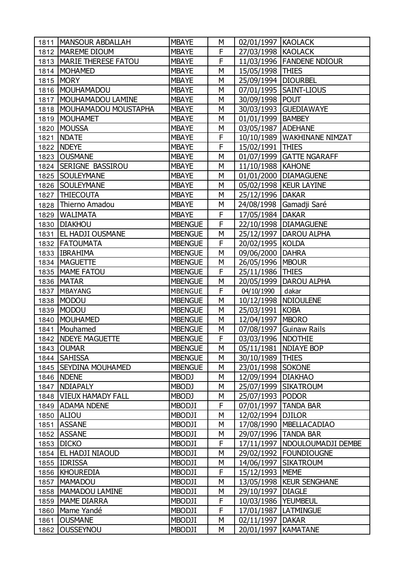| 1811 | <b>MANSOUR ABDALLAH</b>     | <b>MBAYE</b>   | М | 02/01/1997   KAOLACK  |                                 |
|------|-----------------------------|----------------|---|-----------------------|---------------------------------|
|      | 1812   MAREME DIOUM         | <b>MBAYE</b>   | F | 27/03/1998 KAOLACK    |                                 |
|      | 1813   MARIE THERESE FATOU  | <b>MBAYE</b>   | F |                       | 11/03/1996   FANDENE NDIOUR     |
| 1814 | <b>MOHAMED</b>              | <b>MBAYE</b>   | M | 15/05/1998 THIES      |                                 |
| 1815 | <b>MORY</b>                 | <b>MBAYE</b>   | M | 25/09/1994   DIOURBEL |                                 |
|      | 1816   MOUHAMADOU           | <b>MBAYE</b>   | M |                       | 07/01/1995   SAINT-LIOUS        |
| 1817 | MOUHAMADOU LAMINE           | <b>MBAYE</b>   | М | 30/09/1998 POUT       |                                 |
|      | 1818   MOUHAMADOU MOUSTAPHA | <b>MBAYE</b>   | M |                       | 30/03/1993 GUEDIAWAYE           |
| 1819 | MOUHAMET                    | <b>MBAYE</b>   | M | 01/01/1999   BAMBEY   |                                 |
| 1820 | <b>MOUSSA</b>               | <b>MBAYE</b>   | М | 03/05/1987 ADEHANE    |                                 |
| 1821 | <b>NDATE</b>                | <b>MBAYE</b>   | F |                       | 10/10/1989   WAKHINANE NIMZAT   |
| 1822 | <b>NDEYE</b>                | <b>MBAYE</b>   | F | 15/02/1991            | <b>THIES</b>                    |
|      | 1823 OUSMANE                | <b>MBAYE</b>   | М |                       | 01/07/1999   GATTE NGARAFF      |
|      | 1824 SERIGNE BASSIROU       | <b>MBAYE</b>   | M | 11/10/1988   KAHONE   |                                 |
|      | 1825   SOULEYMANE           | <b>MBAYE</b>   | M |                       | 01/01/2000 DIAMAGUENE           |
| 1826 | <b>SOULEYMANE</b>           | <b>MBAYE</b>   | М |                       | 05/02/1998   KEUR LAYINE        |
| 1827 | <b>THIECOUTA</b>            | <b>MBAYE</b>   | M | 25/12/1996 DAKAR      |                                 |
| 1828 | Thierno Amadou              | <b>MBAYE</b>   | M |                       | 24/08/1998 Gamadji Saré         |
| 1829 | <b>WALIMATA</b>             | <b>MBAYE</b>   | F | 17/05/1984   DAKAR    |                                 |
| 1830 | <b>DIAKHOU</b>              | <b>MBENGUE</b> | F |                       | 22/10/1998   DIAMAGUENE         |
| 1831 | <b>EL HADJI OUSMANE</b>     | <b>MBENGUE</b> | M | 25/12/1997            | <b>DAROU ALPHA</b>              |
| 1832 | <b>FATOUMATA</b>            | <b>MBENGUE</b> | F | 20/02/1995 KOLDA      |                                 |
| 1833 | <b>IBRAHIMA</b>             | <b>MBENGUE</b> | M | 09/06/2000            | <b>DAHRA</b>                    |
|      | 1834   MAGUETTE             | <b>MBENGUE</b> | M | 26/05/1996   MBOUR    |                                 |
|      | 1835   MAME FATOU           | <b>MBENGUE</b> | F | 25/11/1986 THIES      |                                 |
| 1836 | <b>MATAR</b>                | <b>MBENGUE</b> | M | 20/05/1999            | <b>DAROU ALPHA</b>              |
| 1837 | <b>MBAYANG</b>              | <b>MBENGUE</b> | F | 04/10/1990            | dakar                           |
| 1838 | <b>MODOU</b>                | <b>MBENGUE</b> | М |                       | 10/12/1998   NDIOULENE          |
| 1839 | MODOU                       | <b>MBENGUE</b> | M | 25/03/1991   KOBA     |                                 |
| 1840 | <b>MOUHAMED</b>             | <b>MBENGUE</b> | M | 12/04/1997   MBORO    |                                 |
| 1841 | Mouhamed                    | <b>MBENGUE</b> | М |                       | 07/08/1997 Guinaw Rails         |
| 1842 | <b>NDEYE MAGUETTE</b>       | <b>MBENGUE</b> | F | 03/03/1996   NDOTHIE  |                                 |
|      | 1843 OUMAR                  | <b>MBENGUE</b> | М |                       | 05/11/1981   NDIAYE BOP         |
|      | 1844 SAHISSA                | <b>MBENGUE</b> | М | 30/10/1989   THIES    |                                 |
| 1845 | <b>SEYDINA MOUHAMED</b>     | <b>MBENGUE</b> | М | 23/01/1998            | <b>SOKONE</b>                   |
| 1846 | <b>NDENE</b>                | <b>MBODJ</b>   | М | 12/09/1994            | <b>DIAKHAO</b>                  |
| 1847 | NDIAPALY                    | <b>MBODJ</b>   | М |                       | 25/07/1999 SIKATROUM            |
| 1848 | <b>VIEUX HAMADY FALL</b>    | <b>MBODJ</b>   | M | 25/07/1993            | <b>PODOR</b>                    |
| 1849 | <b>ADAMA NDENE</b>          | <b>MBODJI</b>  | F | 07/01/1997            | <b>TANDA BAR</b>                |
| 1850 | <b>ALIOU</b>                | <b>MBODJI</b>  | М | 12/02/1994 DJILOR     |                                 |
| 1851 | <b>ASSANE</b>               | MBODJI         | M | 17/08/1990            | <b>MBELLACADIAO</b>             |
| 1852 | <b>ASSANE</b>               | <b>MBODJI</b>  | М | 29/07/1996            | <b>TANDA BAR</b>                |
| 1853 | <b>DICKO</b>                | <b>MBODJI</b>  | F |                       | 17/11/1997   NDOULOUMADJI DEMBE |
| 1854 | <b>EL HADJI NIAOUD</b>      | <b>MBODJI</b>  | M |                       | 29/02/1992   FOUNDIOUGNE        |
|      | 1855 IDRISSA                | <b>MBODJI</b>  | М | 14/06/1997            | <b>SIKATROUM</b>                |
|      | 1856   KHOUREDIA            | <b>MBODJI</b>  | F | 15/12/1993 MEME       |                                 |
| 1857 | <b>MAMADOU</b>              | MBODJI         | M | 13/05/1998            | <b>KEUR SENGHANE</b>            |
| 1858 | MAMADOU LAMINE              | <b>MBODJI</b>  | М | 29/10/1997            | <b>DIAGLE</b>                   |
| 1859 | <b>MAME DIARRA</b>          | <b>MBODJI</b>  | F | 10/03/1986            | <b>YEUMBEUL</b>                 |
| 1860 | Mame Yandé                  | <b>MBODJI</b>  | F | 17/01/1987            | <b>LATMINGUE</b>                |
| 1861 | <b>OUSMANE</b>              | <b>MBODJI</b>  | M | 02/11/1997            | <b>DAKAR</b>                    |
| 1862 | <b>OUSSEYNOU</b>            | MBODJI         | М | 20/01/1997            | <b>KAMATANE</b>                 |
|      |                             |                |   |                       |                                 |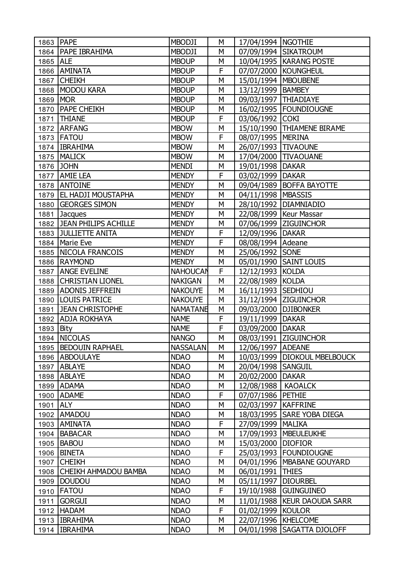|          | 1863 PAPE                 | <b>MBODJI</b>   | М | 17/04/1994   NGOTHIE   |                                |
|----------|---------------------------|-----------------|---|------------------------|--------------------------------|
|          | 1864   PAPE IBRAHIMA      | <b>MBODJI</b>   | М |                        | 07/09/1994 SIKATROUM           |
| 1865 ALE |                           | <b>MBOUP</b>    | M |                        | 10/04/1995   KARANG POSTE      |
| 1866     | <b>AMINATA</b>            | <b>MBOUP</b>    | F |                        | 07/07/2000 KOUNGHEUL           |
| 1867     | <b>CHEIKH</b>             | <b>MBOUP</b>    | М | 15/01/1994   MBOUBENE  |                                |
| 1868     | MODOU KARA                | <b>MBOUP</b>    | M | 13/12/1999   BAMBEY    |                                |
| 1869     | <b>MOR</b>                | <b>MBOUP</b>    | М | 09/03/1997   THIADIAYE |                                |
|          | 1870   PAPE CHEIKH        | <b>MBOUP</b>    | M |                        | 16/02/1995   FOUNDIOUGNE       |
| 1871     | <b>THIANE</b>             | <b>MBOUP</b>    | F | 03/06/1992 COKI        |                                |
|          | 1872 ARFANG               | <b>MBOW</b>     | M |                        | 15/10/1990 THIAMENE BIRAME     |
|          | 1873   FATOU              | <b>MBOW</b>     | F | 08/07/1995   MERINA    |                                |
|          | 1874   IBRAHIMA           | <b>MBOW</b>     | M | 26/07/1993   TIVAOUNE  |                                |
|          | 1875   MALICK             | <b>MBOW</b>     | М |                        | 17/04/2000 TIVAOUANE           |
|          | 1876 JOHN                 | <b>MENDI</b>    | M | 19/01/1998   DAKAR     |                                |
| 1877     | <b>AMIE LEA</b>           | <b>MENDY</b>    | F | 03/02/1999   DAKAR     |                                |
| 1878     | <b>ANTOINE</b>            | <b>MENDY</b>    | M |                        | 09/04/1989   BOFFA BAYOTTE     |
|          | 1879   EL HADJI MOUSTAPHA | <b>MENDY</b>    | M | 04/11/1998   MBASSIS   |                                |
| 1880     | <b>GEORGES SIMON</b>      | <b>MENDY</b>    | M |                        | 28/10/1992   DIAMNIADIO        |
| 1881     | Jacques                   | <b>MENDY</b>    | М |                        | 22/08/1999   Keur Massar       |
|          | 1882 JEAN PHILIPS ACHILLE | <b>MENDY</b>    | M |                        | 07/06/1999 ZIGUINCHOR          |
|          | 1883 JULLIETTE ANITA      | <b>MENDY</b>    | F | 12/09/1996   DAKAR     |                                |
|          | 1884   Marie Eve          | <b>MENDY</b>    | F | 08/08/1994   Adeane    |                                |
|          | 1885   NICOLA FRANCOIS    | <b>MENDY</b>    | M | 25/06/1992 SONE        |                                |
|          | 1886 RAYMOND              | <b>MENDY</b>    | М |                        | 05/01/1990 SAINT LOUIS         |
| 1887     | <b>ANGE EVELINE</b>       | <b>NAHOUCAN</b> | F | 12/12/1993 KOLDA       |                                |
|          | 1888 CHRISTIAN LIONEL     | <b>NAKIGAN</b>  | M | 22/08/1989 KOLDA       |                                |
| 1889     | <b>ADONIS JEFFREIN</b>    | <b>NAKOUYE</b>  | M | 16/11/1993 SEDHIOU     |                                |
| 1890     | <b>LOUIS PATRICE</b>      | <b>NAKOUYE</b>  | M |                        | 31/12/1994 ZIGUINCHOR          |
| 1891     | <b>JEAN CHRISTOPHE</b>    | <b>NAMATANE</b> | M | 09/03/2000 DJIBONKER   |                                |
| 1892     | <b>ADJA ROKHAYA</b>       | <b>NAME</b>     | F | 19/11/1999   DAKAR     |                                |
| 1893     | Bity                      | <b>NAME</b>     | F | 03/09/2000 DAKAR       |                                |
|          | 1894 NICOLAS              | <b>NANGO</b>    | M |                        | 08/03/1991 ZIGUINCHOR          |
|          | 1895   BEDOUIN RAPHAEL    | <b>NASSALAN</b> | M | 12/06/1997   ADEANE    |                                |
|          | 1896   ABDOULAYE          | <b>NDAO</b>     | М |                        | 10/03/1999   DIOKOUL MBELBOUCK |
|          | 1897 ABLAYE               | <b>NDAO</b>     | M | 20/04/1998 SANGUIL     |                                |
| 1898     | <b>ABLAYE</b>             | <b>NDAO</b>     | М | 20/02/2000             | <b>DAKAR</b>                   |
| 1899     | <b>ADAMA</b>              | <b>NDAO</b>     | М | 12/08/1988             | <b>KAOALCK</b>                 |
| 1900     | <b>ADAME</b>              | <b>NDAO</b>     | F | 07/07/1986             | <b>PETHIE</b>                  |
| 1901     | <b>ALY</b>                | <b>NDAO</b>     | М | 02/03/1997             | <b>KAFFRINE</b>                |
|          | 1902 AMADOU               | <b>NDAO</b>     | М |                        | 18/03/1995   SARE YOBA DIEGA   |
|          | 1903   AMINATA            | <b>NDAO</b>     | F | 27/09/1999   MALIKA    |                                |
|          | 1904 BABACAR              | <b>NDAO</b>     | M |                        | 17/09/1993   MBEULEUKHE        |
| 1905     | <b>BABOU</b>              | <b>NDAO</b>     | М | 15/03/2000             | <b>DIOFIOR</b>                 |
|          | 1906 BINETA               | <b>NDAO</b>     | F |                        | 25/03/1993   FOUNDIOUGNE       |
|          | 1907 CHEIKH               | <b>NDAO</b>     | М | 04/01/1996             | <b>MBABANE GOUYARD</b>         |
|          | 1908 CHEIKH AHMADOU BAMBA | <b>NDAO</b>     | М | 06/01/1991             | <b>THIES</b>                   |
|          | 1909   DOUDOU             | <b>NDAO</b>     | М | 05/11/1997             | <b>DIOURBEL</b>                |
| 1910     | <b>FATOU</b>              | <b>NDAO</b>     | F | 19/10/1988             | <b>GUINGUINEO</b>              |
| 1911     | <b>GORGUI</b>             | <b>NDAO</b>     | М |                        | 11/01/1988   KEUR DAOUDA SARR  |
|          | 1912   HADAM              | <b>NDAO</b>     | F | 01/02/1999   KOULOR    |                                |
|          | 1913   IBRAHIMA           | <b>NDAO</b>     | М | 22/07/1996   KHELCOME  |                                |
|          | 1914   IBRAHIMA           | <b>NDAO</b>     | М |                        | 04/01/1998   SAGATTA DJOLOFF   |
|          |                           |                 |   |                        |                                |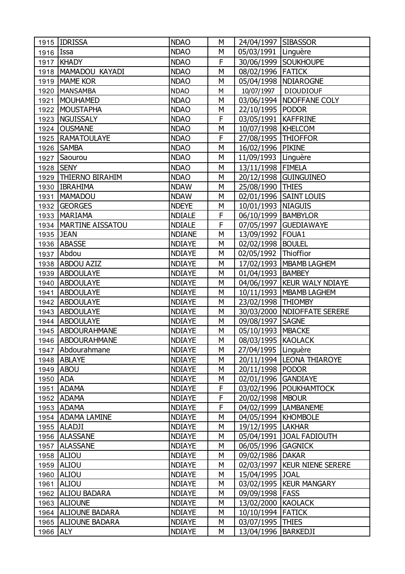|                  | 1915   IDRISSA          | <b>NDAO</b>   | М | 24/04/1997   SIBASSOR  |                                |
|------------------|-------------------------|---------------|---|------------------------|--------------------------------|
| 1916 <b>Issa</b> |                         | <b>NDAO</b>   | М | 05/03/1991 Linguère    |                                |
|                  | 1917   KHADY            | <b>NDAO</b>   | F |                        | 30/06/1999 SOUKHOUPE           |
|                  | 1918   MAMADOU KAYADI   | <b>NDAO</b>   | M | 08/02/1996 FATICK      |                                |
| 1919             | <b>MAME KOR</b>         | <b>NDAO</b>   | M |                        | 05/04/1998   NDIAROGNE         |
| 1920             | MANSAMBA                | <b>NDAO</b>   | M | 10/07/1997             | <b>DIOUDIOUF</b>               |
| 1921             | <b>MOUHAMED</b>         | <b>NDAO</b>   | М |                        | 03/06/1994   NDOFFANE COLY     |
| 1922             | <b>MOUSTAPHA</b>        | <b>NDAO</b>   | M | 22/10/1995 PODOR       |                                |
| 1923             | NGUISSALY               | <b>NDAO</b>   | F | 03/05/1991   KAFFRINE  |                                |
| 1924             | <b>OUSMANE</b>          | <b>NDAO</b>   | M | 10/07/1998   KHELCOM   |                                |
| 1925             | <b>RAMATOULAYE</b>      | <b>NDAO</b>   | F | 27/08/1995   THIOFFOR  |                                |
|                  | 1926   SAMBA            | <b>NDAO</b>   | M | 16/02/1996 PIKINE      |                                |
| 1927             | Saourou                 | <b>NDAO</b>   | М | 11/09/1993 Linguère    |                                |
|                  | 1928 SENY               | <b>NDAO</b>   | M | 13/11/1998   FIMELA    |                                |
|                  | 1929   THIERNO BIRAHIM  | <b>NDAO</b>   | M |                        | 20/12/1998 GUINGUINEO          |
|                  | 1930   IBRAHIMA         | <b>NDAW</b>   | M | 25/08/1990 THIES       |                                |
| 1931             | MAMADOU                 | <b>NDAW</b>   | M |                        | 02/01/1996 SAINT LOUIS         |
|                  | 1932 GEORGES            | <b>NDEYE</b>  | M | 10/01/1993   NIAGUIS   |                                |
|                  | 1933   MARIAMA          | <b>NDIALE</b> | F | 06/10/1999   BAMBYLOR  |                                |
|                  | 1934   MARTINE AISSATOU | <b>NDIALE</b> | F |                        | 07/05/1997 GUEDIAWAYE          |
|                  | 1935 JEAN               | <b>NDIANE</b> | M | 13/09/1992 FOUA1       |                                |
|                  | 1936 ABASSE             | <b>NDIAYE</b> | M | 02/02/1998   BOULEL    |                                |
|                  | 1937 Abdou              | <b>NDIAYE</b> | M | 02/05/1992   Thioffior |                                |
|                  | 1938 ABDOU AZIZ         | <b>NDIAYE</b> | М |                        | 17/02/1993   MBAMB LAGHEM      |
|                  | 1939 ABDOULAYE          | <b>NDIAYE</b> | M | 01/04/1993   BAMBEY    |                                |
|                  | 1940 ABDOULAYE          | <b>NDIAYE</b> | M |                        | 04/06/1997   KEUR WALY NDIAYE  |
| 1941             | <b>ABDOULAYE</b>        | <b>NDIAYE</b> | M |                        | 10/11/1993   MBAMB LAGHEM      |
|                  | 1942 ABDOULAYE          | <b>NDIAYE</b> | M | 23/02/1998   THIOMBY   |                                |
|                  | 1943 ABDOULAYE          | <b>NDIAYE</b> | М |                        | 30/03/2000   NDIOFFATE SERERE  |
|                  | 1944 ABDOULAYE          | <b>NDIAYE</b> | M | 09/08/1997   SAGNE     |                                |
|                  | 1945   ABDOURAHMANE     | <b>NDIAYE</b> | M | 05/10/1993   MBACKE    |                                |
|                  | 1946   ABDOURAHMANE     | <b>NDIAYE</b> | M | 08/03/1995 KAOLACK     |                                |
|                  | 1947   Abdourahmane     | <b>NDIAYE</b> | М | 27/04/1995   Linguère  |                                |
|                  | 1948 ABLAYE             | <b>NDIAYE</b> | М |                        | 20/11/1994  LEONA THIAROYE     |
|                  | 1949 ABOU               | <b>NDIAYE</b> | М | 20/11/1998 PODOR       |                                |
| 1950 ADA         |                         | <b>NDIAYE</b> | М | 02/01/1996 GANDIAYE    |                                |
| 1951             | <b>ADAMA</b>            | <b>NDIAYE</b> | F |                        | 03/02/1996   POUKHAMTOCK       |
|                  | 1952 ADAMA              | <b>NDIAYE</b> | F | 20/02/1998   MBOUR     |                                |
|                  | 1953 ADAMA              | <b>NDIAYE</b> | F |                        | 04/02/1999   LAMBANEME         |
|                  | 1954   ADAMA LAMINE     | <b>NDIAYE</b> | М | 04/05/1994   KHOMBOLE  |                                |
|                  | 1955   ALADJI           | <b>NDIAYE</b> | М | 19/12/1995   LAKHAR    |                                |
|                  | 1956 ALASSANE           | <b>NDIAYE</b> | M |                        | 05/04/1991 JOAL FADIOUTH       |
| 1957             | <b>ALASSANE</b>         | <b>NDIAYE</b> | М | 06/05/1996 GAGNICK     |                                |
|                  | 1958 ALIOU              | <b>NDIAYE</b> | М | 09/02/1986   DAKAR     |                                |
|                  | 1959 ALIOU              | <b>NDIAYE</b> | М |                        | 02/03/1997   KEUR NIENE SERERE |
|                  | 1960 ALIOU              | <b>NDIAYE</b> | М | 15/04/1995 JOAL        |                                |
| 1961             | ALIOU                   | <b>NDIAYE</b> | М |                        | 03/02/1995   KEUR MANGARY      |
|                  | 1962 ALIOU BADARA       | <b>NDIAYE</b> | М | 09/09/1998   FASS      |                                |
|                  | 1963 ALIOUNE            | <b>NDIAYE</b> | М | 13/02/2000 KAOLACK     |                                |
|                  | 1964   ALIOUNE BADARA   | <b>NDIAYE</b> | М | 10/10/1994   FATICK    |                                |
|                  | 1965   ALIOUNE BADARA   | <b>NDIAYE</b> | М | 03/07/1995   THIES     |                                |
| 1966 ALY         |                         | <b>NDIAYE</b> | М | 13/04/1996             | <b>BARKEDJI</b>                |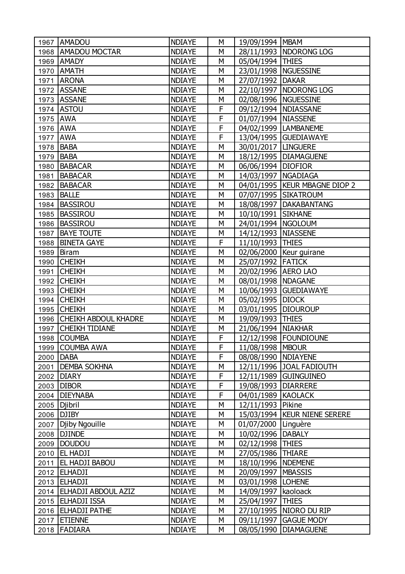|      | 1967   AMADOU               | <b>NDIAYE</b> | М | 19/09/1994   MBAM      |                                 |
|------|-----------------------------|---------------|---|------------------------|---------------------------------|
|      | 1968   AMADOU MOCTAR        | <b>NDIAYE</b> | M |                        | 28/11/1993   NDORONG LOG        |
| 1969 | <b>AMADY</b>                | <b>NDIAYE</b> | M | 05/04/1994   THIES     |                                 |
| 1970 | <b>AMATH</b>                | <b>NDIAYE</b> | M |                        | 23/01/1998   NGUESSINE          |
| 1971 | <b>ARONA</b>                | <b>NDIAYE</b> | M | 27/07/1992 DAKAR       |                                 |
| 1972 | <b>ASSANE</b>               | <b>NDIAYE</b> | M |                        | 22/10/1997   NDORONG LOG        |
| 1973 | <b>ASSANE</b>               | <b>NDIAYE</b> | M | 02/08/1996   NGUESSINE |                                 |
|      | 1974 ASTOU                  | <b>NDIAYE</b> | F |                        | 09/12/1994   NDIASSANE          |
| 1975 | <b>AWA</b>                  | <b>NDIAYE</b> | F | 01/07/1994   NIASSENE  |                                 |
| 1976 | <b>AWA</b>                  | <b>NDIAYE</b> | F |                        | 04/02/1999   LAMBANEME          |
| 1977 | <b>AWA</b>                  | <b>NDIAYE</b> | F |                        | 13/04/1995   GUEDIAWAYE         |
| 1978 | <b>BABA</b>                 | <b>NDIAYE</b> | M | 30/01/2017   LINGUERE  |                                 |
| 1979 | BABA                        | <b>NDIAYE</b> | М |                        | 18/12/1995   DIAMAGUENE         |
| 1980 | <b>BABACAR</b>              | <b>NDIAYE</b> | M | 06/06/1994 DIOFIOR     |                                 |
| 1981 | <b>BABACAR</b>              | <b>NDIAYE</b> | M | 14/03/1997   NGADIAGA  |                                 |
| 1982 | <b>BABACAR</b>              | <b>NDIAYE</b> | М |                        | 04/01/1995   KEUR MBAGNE DIOP 2 |
| 1983 | <b>BALLE</b>                | <b>NDIAYE</b> | M |                        | 07/07/1995 SIKATROUM            |
|      | 1984   BASSIROU             | <b>NDIAYE</b> | M |                        | 18/08/1997   DAKABANTANG        |
| 1985 | <b>BASSIROU</b>             | <b>NDIAYE</b> | М | 10/10/1991 SIKHANE     |                                 |
|      | 1986 BASSIROU               | <b>NDIAYE</b> | M | 24/01/1994   NGOLOUM   |                                 |
| 1987 | <b>BAYE TOUTE</b>           | <b>NDIAYE</b> | M | 14/12/1993 NIASSENE    |                                 |
| 1988 | <b>BINETA GAYE</b>          | <b>NDIAYE</b> | F | 11/10/1993 THIES       |                                 |
| 1989 | Biram                       | <b>NDIAYE</b> | M |                        | 02/06/2000   Keur guirane       |
| 1990 | <b>CHEIKH</b>               | <b>NDIAYE</b> | M | 25/07/1992 FATICK      |                                 |
| 1991 | <b>CHEIKH</b>               | <b>NDIAYE</b> | M | 20/02/1996   AERO LAO  |                                 |
|      | 1992 CHEIKH                 | <b>NDIAYE</b> | M | 08/01/1998   NDAGANE   |                                 |
| 1993 | <b>CHEIKH</b>               | <b>NDIAYE</b> | M |                        | 10/06/1993   GUEDIAWAYE         |
| 1994 | <b>CHEIKH</b>               | <b>NDIAYE</b> | M | 05/02/1995   DIOCK     |                                 |
|      | 1995 CHEIKH                 | <b>NDIAYE</b> | M | 03/01/1995   DIOUROUP  |                                 |
| 1996 | <b>CHEIKH ABDOUL KHADRE</b> | <b>NDIAYE</b> | M | 19/09/1993             | <b>THIES</b>                    |
| 1997 | <b>CHEIKH TIDIANE</b>       | <b>NDIAYE</b> | М | 21/06/1994   NIAKHAR   |                                 |
|      | 1998 COUMBA                 | <b>NDIAYE</b> | F |                        | 12/12/1998   FOUNDIOUNE         |
|      | 1999 COUMBA AWA             | <b>NDIAYE</b> | F | 11/08/1998   MBOUR     |                                 |
|      | 2000   DABA                 | <b>NDIAYE</b> | F | 08/08/1990   NDIAYENE  |                                 |
|      | 2001 DEMBA SOKHNA           | <b>NDIAYE</b> | М |                        | 12/11/1996 JOAL FADIOUTH        |
| 2002 | <b>DIARY</b>                | <b>NDIAYE</b> | F |                        | 12/11/1989 GUINGUINEO           |
| 2003 | <b>DIBOR</b>                | <b>NDIAYE</b> | F | 19/08/1993             | <b>DIARRERE</b>                 |
|      | 2004 DIEYNABA               | <b>NDIAYE</b> | F | 04/01/1989 KAOLACK     |                                 |
|      | 2005   Djibril              | <b>NDIAYE</b> | М | 12/11/1993             | Pikine                          |
|      | 2006 DJIBY                  | <b>NDIAYE</b> | М | 15/03/1994             | <b>KEUR NIENE SERERE</b>        |
|      | 2007   Djiby Ngouille       | <b>NDIAYE</b> | M | 01/07/2000 Linguère    |                                 |
| 2008 | <b>DJINDE</b>               | <b>NDIAYE</b> | М | 10/02/1996             | <b>DABALY</b>                   |
| 2009 | DOUDOU                      | <b>NDIAYE</b> | М | 02/12/1998             | <b>THIES</b>                    |
|      | 2010   EL HADJI             | <b>NDIAYE</b> | М | 27/05/1986             | <b>THIARE</b>                   |
|      | 2011   EL HADJI BABOU       | <b>NDIAYE</b> | М | 18/10/1996   NDEMENE   |                                 |
|      | 2012 ELHADJI                | <b>NDIAYE</b> | М | 20/09/1997   MBASSIS   |                                 |
|      | 2013 ELHADJI                | <b>NDIAYE</b> | М | 03/01/1998             | <b>LOHENE</b>                   |
|      | 2014   ELHADJI ABDOUL AZIZ  | <b>NDIAYE</b> | М | 14/09/1997             | kaoloack                        |
| 2015 | <b>ELHADJI ISSA</b>         | <b>NDIAYE</b> | М | 25/04/1997             | <b>THIES</b>                    |
|      | 2016   ELHADJI PATHE        | <b>NDIAYE</b> | М | 27/10/1995             | NIORO DU RIP                    |
|      | 2017 ETIENNE                | <b>NDIAYE</b> | М | 09/11/1997             | <b>GAGUE MODY</b>               |
|      | 2018   FADIARA              | <b>NDIAYE</b> | М | 08/05/1990             | <b>DIAMAGUENE</b>               |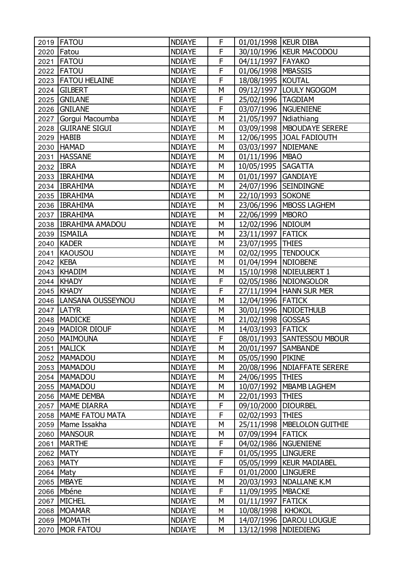| 2019        | <b>IFATOU</b>            | <b>NDIAYE</b> | F | 01/01/1998   KEUR DIBA  |                               |
|-------------|--------------------------|---------------|---|-------------------------|-------------------------------|
|             | 2020   Fatou             | <b>NDIAYE</b> | F |                         | 30/10/1996   KEUR MACODOU     |
| 2021        | <b>FATOU</b>             | <b>NDIAYE</b> | F | 04/11/1997   FAYAKO     |                               |
|             | 2022   FATOU             | <b>NDIAYE</b> | F | 01/06/1998   MBASSIS    |                               |
|             | 2023   FATOU HELAINE     | <b>NDIAYE</b> | F | 18/08/1995   KOUTAL     |                               |
|             | 2024 GILBERT             | <b>NDIAYE</b> | M |                         | 09/12/1997   LOULY NGOGOM     |
|             | 2025 GNILANE             | <b>NDIAYE</b> | F | 25/02/1996   TAGDIAM    |                               |
|             | 2026 GNILANE             | <b>NDIAYE</b> | F |                         | 03/07/1996   NGUENIENE        |
|             | 2027 Gorgui Macoumba     | <b>NDIAYE</b> | M | 21/05/1997   Ndiathiang |                               |
| 2028        | <b>GUIRANE SIGUI</b>     | <b>NDIAYE</b> | M |                         | 03/09/1998   MBOUDAYE SERERE  |
|             | 2029 HABIB               | <b>NDIAYE</b> | M |                         | 12/06/1995 JOAL FADIOUTH      |
|             | 2030 HAMAD               | <b>NDIAYE</b> | M | 03/03/1997   NDIEMANE   |                               |
|             | 2031   HASSANE           | <b>NDIAYE</b> | М | 01/11/1996   MBAO       |                               |
| 2032 IBRA   |                          | <b>NDIAYE</b> | M | 10/05/1995   SAGATTA    |                               |
|             | 2033   IBRAHIMA          | <b>NDIAYE</b> | M | 01/01/1997              | <b>GANDIAYE</b>               |
|             | 2034   IBRAHIMA          | <b>NDIAYE</b> | М |                         | 24/07/1996 SEINDINGNE         |
|             | 2035   IBRAHIMA          | <b>NDIAYE</b> | M | 22/10/1993 SOKONE       |                               |
|             | 2036   IBRAHIMA          | <b>NDIAYE</b> | M |                         | 23/06/1996   MBOSS LAGHEM     |
|             | 2037   IBRAHIMA          | <b>NDIAYE</b> | М | 22/06/1999   MBORO      |                               |
|             | 2038   IBRAHIMA AMADOU   | <b>NDIAYE</b> | M | 12/02/1996   NDIOUM     |                               |
|             | 2039   ISMAILA           | <b>NDIAYE</b> | M | 23/11/1997 FATICK       |                               |
| 2040        | <b>KADER</b>             | <b>NDIAYE</b> | М | 23/07/1995   THIES      |                               |
| 2041        | KAOUSOU                  | <b>NDIAYE</b> | M | 02/02/1995  TENDOUCK    |                               |
| 2042   KEBA |                          | <b>NDIAYE</b> | M | 01/04/1994   NDIOBENE   |                               |
|             | 2043 KHADIM              | <b>NDIAYE</b> | М |                         | 15/10/1998   NDIEULBERT 1     |
|             | 2044 KHADY               | <b>NDIAYE</b> | F |                         | 02/05/1986   NDIONGOLOR       |
|             | 2045   KHADY             | <b>NDIAYE</b> | F |                         | 27/11/1994   HANN SUR MER     |
|             | 2046   LANSANA OUSSEYNOU | <b>NDIAYE</b> | М | 12/04/1996 FATICK       |                               |
|             | 2047   LATYR             | <b>NDIAYE</b> | M |                         | 30/01/1996   NDIOETHULB       |
| 2048        | <b>MADICKE</b>           | <b>NDIAYE</b> | M | 21/02/1998 GOSSAS       |                               |
| 2049        | <b>MADIOR DIOUF</b>      | <b>NDIAYE</b> | М | 14/03/1993 FATICK       |                               |
| 2050        | <b>MAIMOUNA</b>          | <b>NDIAYE</b> | F |                         | 08/01/1993 SANTESSOU MBOUR    |
| 2051        | <b>MALICK</b>            | <b>NDIAYE</b> | M | 20/01/1997 SAMBANDE     |                               |
|             | 2052   MAMADOU           | <b>NDIAYE</b> | М | 05/05/1990 PIKINE       |                               |
|             | 2053   MAMADOU           | <b>NDIAYE</b> | М |                         | 20/08/1996   NDIAFFATE SERERE |
| 2054        | MAMADOU                  | <b>NDIAYE</b> | М | 24/06/1995   THIES      |                               |
|             | 2055   MAMADOU           | <b>NDIAYE</b> | М |                         | 10/07/1992   MBAMB LAGHEM     |
| 2056        | MAME DEMBA               | <b>NDIAYE</b> | M | 22/01/1993              | <b>THIES</b>                  |
|             | 2057   MAME DIARRA       | <b>NDIAYE</b> | F | 09/10/2000              | <b>DIOURBEL</b>               |
|             | 2058   MAME FATOU MATA   | <b>NDIAYE</b> | F | 02/02/1993              | <b>THIES</b>                  |
| 2059        | Mame Issakha             | <b>NDIAYE</b> | M |                         | 25/11/1998   MBELOLON GUITHIE |
| 2060        | <b>MANSOUR</b>           | <b>NDIAYE</b> | М | 07/09/1994 FATICK       |                               |
| 2061        | <b>MARTHE</b>            | <b>NDIAYE</b> | F |                         | 04/02/1986   NGUENIENE        |
|             | 2062 MATY                | <b>NDIAYE</b> | F | 01/05/1995  LINGUERE    |                               |
|             | 2063 MATY                | <b>NDIAYE</b> | F |                         | 05/05/1999   KEUR MADIABEL    |
| 2064 Maty   |                          | <b>NDIAYE</b> | F | 01/01/2000   LINGUERE   |                               |
| 2065        | <b>MBAYE</b>             | <b>NDIAYE</b> | М |                         | 20/03/1993   NDALLANE K.M     |
| 2066        | Mbéne                    | <b>NDIAYE</b> | F | 11/09/1995   MBACKE     |                               |
| 2067        | MICHEL                   | <b>NDIAYE</b> | М | 01/11/1997   FATICK     |                               |
| 2068        | MOAMAR                   | <b>NDIAYE</b> | М | 10/08/1998              | <b>KHOKOL</b>                 |
|             | 2069 MOMATH              | <b>NDIAYE</b> | М | 14/07/1996              | DAROU LOUGUE                  |
| 2070        | MOR FATOU                | <b>NDIAYE</b> | М | 13/12/1998   NDIEDIENG  |                               |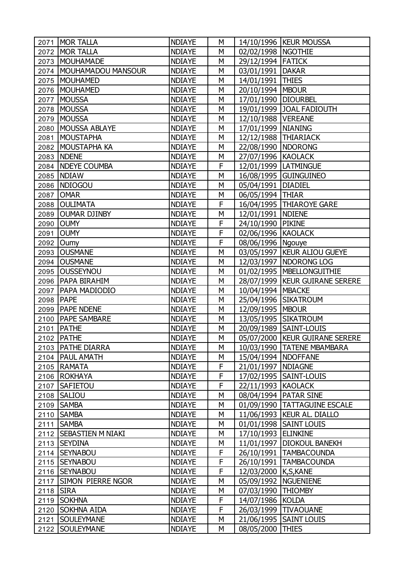| 2071 | <b>MOR TALLA</b>         | <b>NDIAYE</b> | М |                       | 14/10/1996   KEUR MOUSSA         |
|------|--------------------------|---------------|---|-----------------------|----------------------------------|
|      | 2072   MOR TALLA         | <b>NDIAYE</b> | M | 02/02/1998   NGOTHIE  |                                  |
|      | 2073   MOUHAMADE         | <b>NDIAYE</b> | M | 29/12/1994   FATICK   |                                  |
| 2074 | MOUHAMADOU MANSOUR       | <b>NDIAYE</b> | M | 03/01/1991   DAKAR    |                                  |
| 2075 | MOUHAMED                 | <b>NDIAYE</b> | М | 14/01/1991 THIES      |                                  |
|      | 2076   MOUHAMED          | <b>NDIAYE</b> | M | 20/10/1994   MBOUR    |                                  |
| 2077 | <b>MOUSSA</b>            | <b>NDIAYE</b> | М | 17/01/1990   DIOURBEL |                                  |
|      | 2078   MOUSSA            | <b>NDIAYE</b> | М |                       | 19/01/1999   JOAL FADIOUTH       |
| 2079 | MOUSSA                   | <b>NDIAYE</b> | M | 12/10/1988   VEREANE  |                                  |
| 2080 | MOUSSA ABLAYE            | <b>NDIAYE</b> | М | 17/01/1999   NIANING  |                                  |
| 2081 | MOUSTAPHA                | <b>NDIAYE</b> | М | 12/12/1988 THIARIACK  |                                  |
|      | 2082   MOUSTAPHA KA      | <b>NDIAYE</b> | M | 22/08/1990   NDORONG  |                                  |
|      | 2083 NDENE               | <b>NDIAYE</b> | М | 27/07/1996   KAOLACK  |                                  |
|      | 2084 NDEYE COUMBA        | <b>NDIAYE</b> | F |                       | 12/01/1999   LATMINGUE           |
|      | 2085 NDIAW               | <b>NDIAYE</b> | M |                       | 16/08/1995 GUINGUINEO            |
| 2086 | NDIOGOU                  | <b>NDIAYE</b> | M | 05/04/1991   DIADIEL  |                                  |
| 2087 | <b>OMAR</b>              | <b>NDIAYE</b> | M | 06/05/1994 THIAR      |                                  |
|      | 2088   OULIMATA          | <b>NDIAYE</b> | F |                       | 16/04/1995   THIAROYE GARE       |
|      | 2089 OUMAR DJINBY        | <b>NDIAYE</b> | M | 12/01/1991   NDIENE   |                                  |
|      | 2090 OUMY                | <b>NDIAYE</b> | F | 24/10/1990 PIKINE     |                                  |
| 2091 | <b>OUMY</b>              | <b>NDIAYE</b> | F | 02/06/1996 KAOLACK    |                                  |
| 2092 | Oumy                     | <b>NDIAYE</b> | F | 08/06/1996   Ngouye   |                                  |
| 2093 | <b>OUSMANE</b>           | <b>NDIAYE</b> | M |                       | 03/05/1997   KEUR ALIOU GUEYE    |
|      | 2094 OUSMANE             | <b>NDIAYE</b> | M |                       | 12/03/1997   NDORONG LOG         |
| 2095 | <b>OUSSEYNOU</b>         | <b>NDIAYE</b> | М |                       | 01/02/1995   MBELLONGUITHIE      |
|      | 2096   PAPA BIRAHIM      | <b>NDIAYE</b> | M |                       | 28/07/1999   KEUR GUIRANE SERERE |
| 2097 | <b>PAPA MADIODIO</b>     | <b>NDIAYE</b> | M | 10/04/1994   MBACKE   |                                  |
| 2098 | <b>PAPE</b>              | <b>NDIAYE</b> | M |                       | 25/04/1996   SIKATROUM           |
|      | 2099   PAPE NDENE        | <b>NDIAYE</b> | M | 12/09/1995   MBOUR    |                                  |
| 2100 | <b>PAPE SAMBARE</b>      | <b>NDIAYE</b> | M |                       | 13/05/1995 SIKATROUM             |
|      | 2101   PATHE             | <b>NDIAYE</b> | М |                       | 20/09/1989   SAINT-LOUIS         |
|      | 2102   PATHE             | <b>NDIAYE</b> | M |                       | 05/07/2000   KEUR GUIRANE SERERE |
|      | 2103   PATHE DIARRA      | <b>NDIAYE</b> | М |                       | 10/03/1990   TATENE MBAMBARA     |
|      | 2104   PAUL AMATH        | <b>NDIAYE</b> | М | 15/04/1994   NDOFFANE |                                  |
|      | 2105 RAMATA              | <b>NDIAYE</b> | F | 21/01/1997   NDIAGNE  |                                  |
|      | 2106 ROKHAYA             | <b>NDIAYE</b> | F |                       | 17/02/1995   SAINT-LOUIS         |
|      | 2107 SAFIETOU            | <b>NDIAYE</b> | F | 22/11/1993 KAOLACK    |                                  |
|      | 2108 SALIOU              | <b>NDIAYE</b> | М |                       | 08/04/1994   PATAR SINE          |
| 2109 | <b>SAMBA</b>             | <b>NDIAYE</b> | М | 01/09/1990            | <b>TATTAGUINE ESCALE</b>         |
|      | 2110   SAMBA             | <b>NDIAYE</b> | М |                       | 11/06/1993   KEUR AL. DIALLO     |
|      | 2111 SAMBA               | <b>NDIAYE</b> | М |                       | 01/01/1998   SAINT LOUIS         |
|      | 2112   SEBASTIEN M NIAKI | <b>NDIAYE</b> | М | 17/10/1993            | <b>ELINKINE</b>                  |
|      | 2113 SEYDINA             | <b>NDIAYE</b> | М | 11/01/1997            | <b>DIOKOUL BANEKH</b>            |
|      | 2114 SEYNABOU            | <b>NDIAYE</b> | F |                       | 26/10/1991   TAMBACOUNDA         |
|      | 2115 SEYNABOU            | <b>NDIAYE</b> | F |                       | 26/10/1991   TAMBACOUNDA         |
|      | 2116 SEYNABOU            | <b>NDIAYE</b> | F | 12/03/2000 K,S,KANE   |                                  |
|      | 2117 SIMON PIERRE NGOR   | <b>NDIAYE</b> | М |                       | 05/09/1992   NGUENIENE           |
| 2118 | <b>SIRA</b>              | <b>NDIAYE</b> | М | 07/03/1990            | <b>THIOMBY</b>                   |
| 2119 | <b>SOKHNA</b>            | <b>NDIAYE</b> | F | 14/07/1986            | <b>KOLDA</b>                     |
| 2120 | <b>SOKHNA AIDA</b>       | <b>NDIAYE</b> | F | 26/03/1999            | <b>TIVAOUANE</b>                 |
| 2121 | <b>SOULEYMANE</b>        | <b>NDIAYE</b> | М |                       | 21/06/1995   SAINT LOUIS         |
| 2122 | <b>SOULEYMANE</b>        | <b>NDIAYE</b> | М | 08/05/2000            | <b>THIES</b>                     |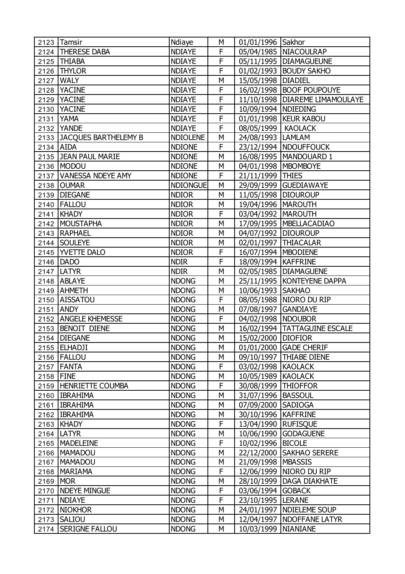|           | 2123 Tamsir               | Ndiaye          | М | 01/01/1996 Sakhor     |                                  |
|-----------|---------------------------|-----------------|---|-----------------------|----------------------------------|
|           | 2124   THERESE DABA       | <b>NDIAYE</b>   | F |                       | 05/04/1985   NIACOULRAP          |
|           | 2125   THIABA             | <b>NDIAYE</b>   | F |                       | 05/11/1995   DIAMAGUEUNE         |
|           | 2126   THYLOR             | <b>NDIAYE</b>   | F |                       | 01/02/1993   BOUDY SAKHO         |
|           | 2127   WALY               | <b>NDIAYE</b>   | M | 15/05/1998   DIADIEL  |                                  |
|           | 2128   YACINE             | <b>NDIAYE</b>   | F |                       | 16/02/1998   BOOF POUPOUYE       |
|           | 2129 YACINE               | <b>NDIAYE</b>   | F |                       | 11/10/1998   DIAREME LIMAMOULAYE |
|           | 2130 YACINE               | <b>NDIAYE</b>   | F | 10/09/1994   NDIEDING |                                  |
|           | 2131 YAMA                 | <b>NDIAYE</b>   | F |                       | 01/01/1998   KEUR KABOU          |
|           | 2132 YANDE                | <b>NDIAYE</b>   | F | 08/05/1999   KAOLACK  |                                  |
|           | 2133 JACQUES BARTHELEMY B | <b>NDIOLENE</b> | М | 24/08/1993   LAMLAM   |                                  |
| 2134 AIDA |                           | <b>NDIONE</b>   | F |                       | 23/12/1994   NDOUFFOUCK          |
|           | 2135 JEAN PAUL MARIE      | <b>NDIONE</b>   | M |                       | 16/08/1995   MANDOUARD 1         |
|           | 2136 MODOU                | <b>NDIONE</b>   | M | 04/01/1998   MBOMBOYE |                                  |
|           | 2137   VANESSA NDEYE AMY  | <b>NDIONE</b>   | F | 21/11/1999 THIES      |                                  |
|           | 2138 OUMAR                | <b>NDIONGUE</b> | M |                       | 29/09/1999   GUEDIAWAYE          |
|           | 2139   DIEGANE            | <b>NDIOR</b>    | M | 11/05/1998 DIOUROUP   |                                  |
|           | 2140   FALLOU             | <b>NDIOR</b>    | M | 19/04/1996   MAROUTH  |                                  |
|           | 2141   KHADY              | <b>NDIOR</b>    | F | 03/04/1992   MAROUTH  |                                  |
|           | 2142 MOUSTAPHA            | <b>NDIOR</b>    | M |                       | 17/09/1995   MBELLACADIAO        |
|           | 2143   RAPHAEL            | <b>NDIOR</b>    | M | 04/07/1992 DIOUROUP   |                                  |
|           | 2144 SOULEYE              | <b>NDIOR</b>    | M |                       | 02/01/1997   THIACALAR           |
|           | 2145   WETTE DALO         | <b>NDIOR</b>    | F | 16/07/1994   MBODIENE |                                  |
|           | 2146 DADO                 | <b>NDIR</b>     | F | 18/09/1994   KAFFRINE |                                  |
|           | 2147   LATYR              | <b>NDIR</b>     | M |                       | 02/05/1985   DIAMAGUENE          |
|           | 2148 ABLAYE               | <b>NDONG</b>    | M |                       | 25/11/1995   KONTEYENE DAPPA     |
|           | 2149 AHMETH               | <b>NDONG</b>    | M | 10/06/1993   SAKHAO   |                                  |
| 2150      | <b>AISSATOU</b>           | <b>NDONG</b>    | F |                       | 08/05/1988   NIORO DU RIP        |
| 2151      | <b>ANDY</b>               | <b>NDONG</b>    | M | 07/08/1997 GANDIAYE   |                                  |
|           | 2152   ANGELE KHEMESSE    | <b>NDONG</b>    | F | 04/02/1998   NDOUBOR  |                                  |
|           | 2153 BENOIT DIENE         | <b>NDONG</b>    | M |                       | 16/02/1994   TATTAGUINE ESCALE   |
|           | 2154 DIEGANE              | <b>NDONG</b>    | M | 15/02/2000 DIOFIOR    |                                  |
|           | 2155 ELHADJI              | <b>NDONG</b>    | М |                       | 01/01/2000 GADE CHERIF           |
|           | 2156   FALLOU             | <b>NDONG</b>    | М |                       | 09/10/1997   THIABE DIENE        |
|           | 2157 FANTA                | <b>NDONG</b>    | F | 03/02/1998 KAOLACK    |                                  |
| 2158 FINE |                           | <b>NDONG</b>    | M | 10/05/1989            | <b>KAOLACK</b>                   |
|           | 2159   HENRIETTE COUMBA   | <b>NDONG</b>    | F | 30/08/1999            | <b>THIOFFOR</b>                  |
|           | 2160   IBRAHIMA           | <b>NDONG</b>    | M | 31/07/1996   BASSOUL  |                                  |
| 2161      | <b>IBRAHIMA</b>           | <b>NDONG</b>    | М | 07/09/2000 SADIOGA    |                                  |
|           | 2162   IBRAHIMA           | <b>NDONG</b>    | М | 30/10/1996   KAFFRINE |                                  |
|           | 2163 KHADY                | <b>NDONG</b>    | F | 13/04/1990   RUFISQUE |                                  |
|           | 2164   LATYR              | <b>NDONG</b>    | М | 10/06/1990            | <b>GODAGUENE</b>                 |
|           | 2165   MADELEINE          | <b>NDONG</b>    | F | 10/02/1996            | <b>BICOLE</b>                    |
|           | 2166   MAMADOU            | <b>NDONG</b>    | М |                       | 22/12/2000 SAKHAO SERERE         |
|           | 2167   MAMADOU            | <b>NDONG</b>    | M | 21/09/1998   MBASSIS  |                                  |
|           | 2168   MARIAMA            | <b>NDONG</b>    | F |                       | 12/06/1999   NIORO DU RIP        |
| 2169 MOR  |                           | <b>NDONG</b>    | М |                       | 28/10/1999   DAGA DIAKHATE       |
| 2170      | <b>NDEYE MINGUE</b>       | <b>NDONG</b>    | F | 03/06/1994            | <b>GOBACK</b>                    |
| 2171      | <b>NDIAYE</b>             | <b>NDONG</b>    | F | 23/10/1995 LERANE     |                                  |
| 2172      | <b>NIOKHOR</b>            | <b>NDONG</b>    | М |                       | 24/01/1997   NDIELEME SOUP       |
| 2173      | <b>SALIOU</b>             | <b>NDONG</b>    | М |                       | 12/04/1997   NDOFFANE LATYR      |
| 2174      | <b>SERIGNE FALLOU</b>     | <b>NDONG</b>    | М | 10/03/1999   NIANIANE |                                  |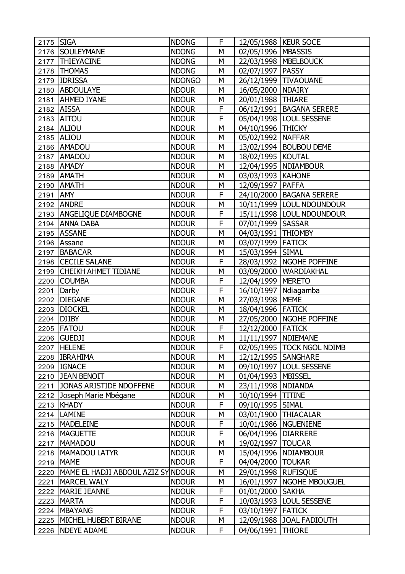| 2175 SIGA |                                           | <b>NDONG</b>  | F           | 12/05/1988   KEUR SOCE |                              |
|-----------|-------------------------------------------|---------------|-------------|------------------------|------------------------------|
|           | 2176 SOULEYMANE                           | <b>NDONG</b>  | M           | 02/05/1996   MBASSIS   |                              |
|           | 2177   THIEYACINE                         | <b>NDONG</b>  | M           |                        | 22/03/1998   MBELBOUCK       |
| 2178      | <b>THOMAS</b>                             | <b>NDONG</b>  | М           | 02/07/1997   PASSY     |                              |
|           | 2179 IDRISSA                              | <b>NDONGO</b> | M           |                        | 26/12/1999   TIVAOUANE       |
|           | 2180 ABDOULAYE                            | <b>NDOUR</b>  | M           | 16/05/2000   NDAIRY    |                              |
|           | 2181 AHMED IYANE                          | <b>NDOUR</b>  | М           | 20/01/1988   THIARE    |                              |
|           | 2182 AISSA                                | <b>NDOUR</b>  | F           |                        | 06/12/1991   BAGANA SERERE   |
|           | 2183 AITOU                                | <b>NDOUR</b>  | F           |                        | 05/04/1998   LOUL SESSENE    |
|           | 2184 ALIOU                                | <b>NDOUR</b>  | M           | 04/10/1996   THICKY    |                              |
|           | 2185 ALIOU                                | <b>NDOUR</b>  | M           | 05/02/1992   NAFFAR    |                              |
|           | 2186 AMADOU                               | <b>NDOUR</b>  | M           |                        | 13/02/1994   BOUBOU DEME     |
|           | 2187 AMADOU                               | <b>NDOUR</b>  | М           | 18/02/1995   KOUTAL    |                              |
|           | 2188 AMADY                                | <b>NDOUR</b>  | M           |                        | 12/04/1995 NDIAMBOUR         |
|           | 2189   AMATH                              | <b>NDOUR</b>  | M           | 03/03/1993   KAHONE    |                              |
|           | 2190 AMATH                                | <b>NDOUR</b>  | М           | 12/09/1997   PAFFA     |                              |
| 2191 AMY  |                                           | <b>NDOUR</b>  | F           |                        | 24/10/2000 BAGANA SERERE     |
|           | 2192 ANDRE                                | <b>NDOUR</b>  | M           |                        | 10/11/1999 LOUL NDOUNDOUR    |
|           | 2193   ANGELIQUE DIAMBOGNE                | <b>NDOUR</b>  | F           |                        | 15/11/1998   LOUL NDOUNDOUR  |
|           | 2194 ANNA DABA                            | <b>NDOUR</b>  | F           | 07/01/1999 SASSAR      |                              |
|           | 2195 ASSANE                               | <b>NDOUR</b>  | M           | 04/03/1991  THIOMBY    |                              |
|           | 2196 Assane                               | <b>NDOUR</b>  | M           | 03/07/1999 FATICK      |                              |
|           | 2197 BABACAR                              | <b>NDOUR</b>  | M           | 15/03/1994 SIMAL       |                              |
|           | 2198 CECILE SALANE                        | <b>NDOUR</b>  | F           |                        | 28/03/1992   NGOHE POFFINE   |
|           | 2199 CHEIKH AHMET TIDIANE                 | <b>NDOUR</b>  | M           |                        | 03/09/2000   WARDIAKHAL      |
|           | 2200 COUMBA                               | <b>NDOUR</b>  | F           | 12/04/1999   MERETO    |                              |
| 2201      | Darby                                     | <b>NDOUR</b>  | F           | 16/10/1997 Ndiagamba   |                              |
|           | 2202 DIEGANE                              | <b>NDOUR</b>  | M           | 27/03/1998   MEME      |                              |
|           | 2203 DIOCKEL                              | <b>NDOUR</b>  | M           | 18/04/1996 FATICK      |                              |
|           | 2204 DJIBY                                | <b>NDOUR</b>  | М           |                        | 27/05/2000   NGOHE POFFINE   |
|           | 2205 FATOU                                | <b>NDOUR</b>  | $\mathsf F$ | 12/12/2000 FATICK      |                              |
|           | 2206 GUEDJI                               | <b>NDOUR</b>  | M           | 11/11/1997   NDIEMANE  |                              |
|           | 2207   HELENE                             | <b>NDOUR</b>  | F           |                        | 02/05/1995   TOCK NGOL NDIMB |
|           | 2208 IBRAHIMA                             | <b>NDOUR</b>  | М           | 12/12/1995   SANGHARE  |                              |
|           | 2209   IGNACE                             | <b>NDOUR</b>  | M           |                        | 09/10/1997   LOUL SESSENE    |
|           | 2210 JEAN BENOIT                          | <b>NDOUR</b>  | М           | 01/04/1993             | <b>MBISSEL</b>               |
|           | 2211 JONAS ARISTIDE NDOFFENE              | <b>NDOUR</b>  | М           | 23/11/1998   NDIANDA   |                              |
| 2212      | Joseph Marie Mbégane                      | <b>NDOUR</b>  | М           | 10/10/1994             | <b>TITINE</b>                |
|           | 2213   KHADY                              | <b>NDOUR</b>  | F           | 09/10/1995 SIMAL       |                              |
|           | 2214   LAMINE                             | <b>NDOUR</b>  | М           |                        | 03/01/1900   THIACALAR       |
|           | 2215   MADELEINE                          | <b>NDOUR</b>  | F           |                        | 10/01/1986   NGUENIENE       |
|           | 2216   MAGUETTE                           | <b>NDOUR</b>  | F           | 06/04/1996             | <b>DIARRERE</b>              |
| 2217      | <b>MAMADOU</b>                            | <b>NDOUR</b>  | М           | 19/02/1997             | <b>TOUCAR</b>                |
|           | 2218   MAMADOU LATYR                      | <b>NDOUR</b>  | М           |                        | 15/04/1996   NDIAMBOUR       |
|           | 2219   MAME                               | <b>NDOUR</b>  | F           | 04/04/2000 TOUKAR      |                              |
|           | 2220   MAME EL HADJI ABDOUL AZIZ SY NDOUR |               | М           | 29/01/1998 RUFISQUE    |                              |
| 2221      | MARCEL WALY                               | <b>NDOUR</b>  | М           | 16/01/1997             | <b>NGOHE MBOUGUEL</b>        |
| 2222      | MARIE JEANNE                              | <b>NDOUR</b>  | F           | 01/01/2000 SAKHA       |                              |
| 2223      | <b>MARTA</b>                              | <b>NDOUR</b>  | F           |                        | 10/03/1993   LOUL SESSENE    |
|           | 2224   MBAYANG                            | <b>NDOUR</b>  | F           | 03/10/1997             | <b>FATICK</b>                |
|           | 2225   MICHEL HUBERT BIRANE               | <b>NDOUR</b>  | М           |                        | 12/09/1988 JJOAL FADIOUTH    |
|           | 2226 NDEYE ADAME                          | <b>NDOUR</b>  | F.          | 04/06/1991             | <b>THIORE</b>                |
|           |                                           |               |             |                        |                              |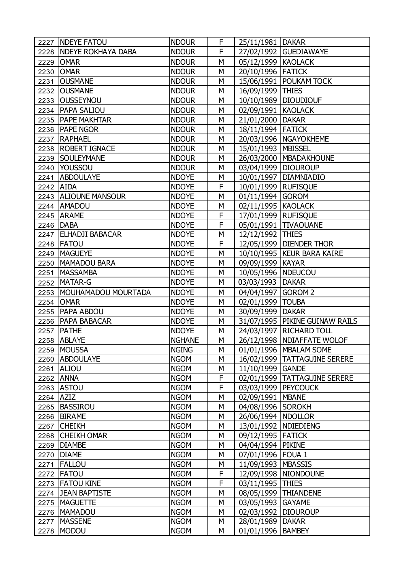|           | 2227   NDEYE FATOU        | <b>NDOUR</b>  | F | 25/11/1981   DAKAR     |                                  |
|-----------|---------------------------|---------------|---|------------------------|----------------------------------|
|           | 2228   NDEYE ROKHAYA DABA | <b>NDOUR</b>  | F |                        | 27/02/1992 GUEDIAWAYE            |
| 2229      | <b>OMAR</b>               | <b>NDOUR</b>  | M | 05/12/1999 KAOLACK     |                                  |
| 2230      | <b>OMAR</b>               | <b>NDOUR</b>  | М | 20/10/1996 FATICK      |                                  |
| 2231      | <b>OUSMANE</b>            | <b>NDOUR</b>  | M |                        | 15/06/1991   POUKAM TOCK         |
|           | 2232 OUSMANE              | <b>NDOUR</b>  | М | 16/09/1999 THIES       |                                  |
|           | 2233 OUSSEYNOU            | <b>NDOUR</b>  | М |                        | 10/10/1989   DIOUDIOUF           |
|           | 2234   PAPA SALIOU        | <b>NDOUR</b>  | M | 02/09/1991 KAOLACK     |                                  |
|           | 2235   PAPE MAKHTAR       | <b>NDOUR</b>  | М | 21/01/2000 DAKAR       |                                  |
|           | 2236   PAPE NGOR          | <b>NDOUR</b>  | М | 18/11/1994 FATICK      |                                  |
|           | 2237   RAPHAEL            | <b>NDOUR</b>  | M |                        | 20/03/1996   NGAYOKHEME          |
|           | 2238   ROBERT IGNACE      | <b>NDOUR</b>  | М | 15/01/1993   MBISSEL   |                                  |
|           | 2239 SOULEYMANE           | <b>NDOUR</b>  | M |                        | 26/03/2000   MBADAKHOUNE         |
|           | 2240 YOUSSOU              | <b>NDOUR</b>  | M | 03/04/1999   DIOUROUP  |                                  |
|           | 2241 ABDOULAYE            | <b>NDOYE</b>  | М |                        | 10/01/1997   DIAMNIADIO          |
| 2242 AIDA |                           | <b>NDOYE</b>  | F | 10/01/1999 RUFISQUE    |                                  |
|           | 2243   ALIOUNE MANSOUR    | <b>NDOYE</b>  | M | 01/11/1994 GOROM       |                                  |
|           | 2244 AMADOU               | <b>NDOYE</b>  | М | 02/11/1995 KAOLACK     |                                  |
|           | 2245 ARAME                | <b>NDOYE</b>  | F | 17/01/1999 RUFISQUE    |                                  |
|           | 2246 DABA                 | <b>NDOYE</b>  | F |                        | 05/01/1991 TIVAOUANE             |
|           | 2247 ELHADJI BABACAR      | <b>NDOYE</b>  | М | 12/12/1992 THIES       |                                  |
|           | 2248 FATOU                | <b>NDOYE</b>  | F |                        | 12/05/1999   DIENDER THOR        |
| 2249      | <b>MAGUEYE</b>            | <b>NDOYE</b>  | M |                        | 10/10/1995   KEUR BARA KAIRE     |
|           | 2250   MAMADOU BARA       | <b>NDOYE</b>  | М | 09/09/1999 KAYAR       |                                  |
| 2251      | <b>MASSAMBA</b>           | <b>NDOYE</b>  | М | 10/05/1996   NDEUCOU   |                                  |
| 2252      | MATAR-G                   | <b>NDOYE</b>  | M | 03/03/1993   DAKAR     |                                  |
| 2253      | MOUHAMADOU MOURTADA       | <b>NDOYE</b>  | М | 04/04/1997 GOROM 2     |                                  |
|           | 2254 OMAR                 | <b>NDOYE</b>  | M | 02/01/1999   TOUBA     |                                  |
|           | 2255   PAPA ABDOU         | <b>NDOYE</b>  | M | 30/09/1999   DAKAR     |                                  |
|           | 2256   PAPA BABACAR       | <b>NDOYE</b>  | М |                        | 31/07/1995   PIKINE GUINAW RAILS |
| 2257      | <b>PATHE</b>              | <b>NDOYE</b>  | M |                        | 24/03/1997   RICHARD TOLL        |
| 2258      | <b>ABLAYE</b>             | <b>NGHANE</b> | M |                        | 26/12/1998   NDIAFFATE WOLOF     |
| 2259      | <b>MOUSSA</b>             | <b>NGING</b>  | М |                        | 01/01/1996   MBALAM SOME         |
| 2260      | <b>ABDOULAYE</b>          | <b>NGOM</b>   | M | 16/02/1999             | <b>TATTAGUINE SERERE</b>         |
| 2261      | <b>ALIOU</b>              | <b>NGOM</b>   | М | 11/10/1999             | <b>GANDE</b>                     |
| 2262      | <b>ANNA</b>               | <b>NGOM</b>   | F | 02/01/1999             | <b>TATTAGUINE SERERE</b>         |
| 2263      | <b>ASTOU</b>              | <b>NGOM</b>   | F | 03/03/1999             | <b>PEYCOUCK</b>                  |
| 2264      | <b>AZIZ</b>               | <b>NGOM</b>   | M | 02/09/1991   MBANE     |                                  |
| 2265      | <b>BASSIROU</b>           | <b>NGOM</b>   | М | 04/08/1996 SOROKH      |                                  |
| 2266      | <b>BIRAME</b>             | <b>NGOM</b>   | М | 26/06/1994   NDOLLOR   |                                  |
| 2267      | <b>CHEIKH</b>             | <b>NGOM</b>   | М | 13/01/1992   NDIEDIENG |                                  |
| 2268      | <b>CHEIKH OMAR</b>        | <b>NGOM</b>   | М | 09/12/1995 FATICK      |                                  |
| 2269      | <b>DIAMBE</b>             | <b>NGOM</b>   | M | 04/04/1994             | <b>PIKINE</b>                    |
| 2270      | <b>DIAME</b>              | <b>NGOM</b>   | M | 07/01/1996 FOUA 1      |                                  |
| 2271      | FALLOU                    | <b>NGOM</b>   | М | 11/09/1993   MBASSIS   |                                  |
| 2272      | FATOU                     | <b>NGOM</b>   | F |                        | 12/09/1998   NIONDOUNE           |
| 2273      | <b>FATOU KINE</b>         | <b>NGOM</b>   | F | 03/11/1995             | <b>THIES</b>                     |
| 2274      | <b>JEAN BAPTISTE</b>      | <b>NGOM</b>   | М | 08/05/1999             | <b>THIANDENE</b>                 |
| 2275      | <b>MAGUETTE</b>           | <b>NGOM</b>   | M | 03/05/1993             | <b>GAYAME</b>                    |
| 2276      | MAMADOU                   | <b>NGOM</b>   | M | 02/03/1992             | <b>DIOUROUP</b>                  |
| 2277      | <b>MASSENE</b>            | <b>NGOM</b>   | М | 28/01/1989             | <b>DAKAR</b>                     |
| 2278      | MODOU                     | <b>NGOM</b>   | М | 01/01/1996             | <b>BAMBEY</b>                    |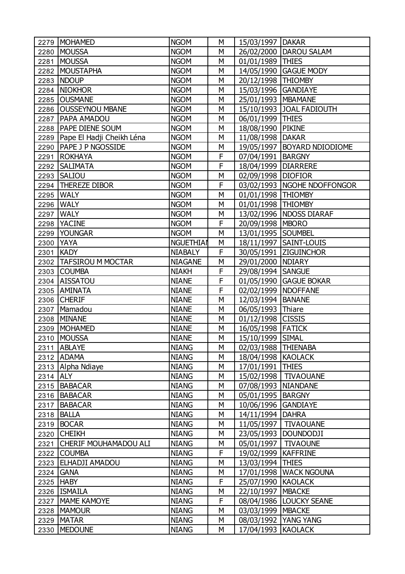| 2279     | <b>MOHAMED</b>               | <b>NGOM</b>      | М | 15/03/1997   DAKAR    |                               |
|----------|------------------------------|------------------|---|-----------------------|-------------------------------|
| 2280     | <b>MOUSSA</b>                | <b>NGOM</b>      | M |                       | 26/02/2000   DAROU SALAM      |
| 2281     | <b>MOUSSA</b>                | <b>NGOM</b>      | M | 01/01/1989   THIES    |                               |
| 2282     | <b>MOUSTAPHA</b>             | <b>NGOM</b>      | М |                       | 14/05/1990 GAGUE MODY         |
| 2283     | <b>NDOUP</b>                 | <b>NGOM</b>      | M | 20/12/1998   THIOMBY  |                               |
| 2284     | <b>NIOKHOR</b>               | <b>NGOM</b>      | M | 15/03/1996 GANDIAYE   |                               |
| 2285     | <b>OUSMANE</b>               | <b>NGOM</b>      | M | 25/01/1993   MBAMANE  |                               |
| 2286     | <b>OUSSEYNOU MBANE</b>       | <b>NGOM</b>      | M |                       | 15/10/1993 JOAL FADIOUTH      |
| 2287     | <b>PAPA AMADOU</b>           | <b>NGOM</b>      | M | 06/01/1999   THIES    |                               |
| 2288     | <b>PAPE DIENE SOUM</b>       | <b>NGOM</b>      | M | 18/08/1990 PIKINE     |                               |
| 2289     | Pape El Hadji Cheikh Léna    | <b>NGOM</b>      | M | 11/08/1998   DAKAR    |                               |
| 2290     | <b>PAPE J P NGOSSIDE</b>     | <b>NGOM</b>      | М |                       | 19/05/1997   BOYARD NDIODIOME |
| 2291     | <b>ROKHAYA</b>               | <b>NGOM</b>      | F | 07/04/1991   BARGNY   |                               |
| 2292     | <b>SALIMATA</b>              | <b>NGOM</b>      | F | 18/04/1999   DIARRERE |                               |
| 2293     | <b>SALIOU</b>                | <b>NGOM</b>      | М | 02/09/1998 DIOFIOR    |                               |
| 2294     | <b>THEREZE DIBOR</b>         | <b>NGOM</b>      | F |                       | 03/02/1993   NGOHE NDOFFONGOR |
| 2295     | <b>WALY</b>                  | <b>NGOM</b>      | M | 01/01/1998   THIOMBY  |                               |
| 2296     | <b>WALY</b>                  | <b>NGOM</b>      | M | 01/01/1998   THIOMBY  |                               |
| 2297     | <b>WALY</b>                  | <b>NGOM</b>      | М |                       | 13/02/1996   NDOSS DIARAF     |
| 2298     | <b>YACINE</b>                | <b>NGOM</b>      | F | 20/09/1998   MBORO    |                               |
| 2299     | YOUNGAR                      | <b>NGOM</b>      | M | 13/01/1995 SOUMBEL    |                               |
| 2300     | <b>YAYA</b>                  | <b>NGUETHIAI</b> | М |                       | 18/11/1997   SAINT-LOUIS      |
| 2301     | KADY                         | <b>NIABALY</b>   | F |                       | 30/05/1991 ZIGUINCHOR         |
| 2302     | <b>TAFSIROU M MOCTAR</b>     | <b>NIAGANE</b>   | М | 29/01/2000   NDIARY   |                               |
| 2303     | <b>COUMBA</b>                | <b>NIAKH</b>     | F | 29/08/1994   SANGUE   |                               |
| 2304     | AISSATOU                     | <b>NIANE</b>     | F |                       | 01/05/1990 GAGUE BOKAR        |
| 2305     | <b>AMINATA</b>               | <b>NIANE</b>     | F | 02/02/1999   NDOFFANE |                               |
| 2306     | <b>CHERIF</b>                | <b>NIANE</b>     | M | 12/03/1994            | <b>BANANE</b>                 |
| 2307     | Mamadou                      | <b>NIANE</b>     | M | 06/05/1993 Thiare     |                               |
| 2308     | <b>MINANE</b>                | <b>NIANE</b>     | M | 01/12/1998 CISSIS     |                               |
| 2309     | <b>MOHAMED</b>               | <b>NIANE</b>     | М | 16/05/1998   FATICK   |                               |
| 2310     | MOUSSA                       | <b>NIANE</b>     | M | 15/10/1999            | <b>SIMAL</b>                  |
|          | 2311 ABLAYE                  | <b>NIANG</b>     | М | 02/03/1988   THIENABA |                               |
|          | 2312 ADAMA                   | <b>NIANG</b>     | М | 18/04/1998 KAOLACK    |                               |
|          | 2313 Alpha Ndiaye            | <b>NIANG</b>     | M | 17/01/1991 THIES      |                               |
| 2314 ALY |                              | <b>NIANG</b>     | М | 15/02/1998            | <b>TIVAOUANE</b>              |
| 2315     | <b>BABACAR</b>               | <b>NIANG</b>     | М | 07/08/1993            | <b>NIANDANE</b>               |
|          | 2316   BABACAR               | <b>NIANG</b>     | M | 05/01/1995   BARGNY   |                               |
|          | 2317   BABACAR               | <b>NIANG</b>     | М | 10/06/1996            | <b>GANDIAYE</b>               |
|          | 2318   BALLA                 | <b>NIANG</b>     | М | 14/11/1994            | <b>DAHRA</b>                  |
|          | 2319 BOCAR                   | <b>NIANG</b>     | М | 11/05/1997            | <b>TIVAOUANE</b>              |
| 2320     | <b>CHEIKH</b>                | <b>NIANG</b>     | М | 23/05/1993            | <b>DOUNDODJI</b>              |
| 2321     | <b>CHERIF MOUHAMADOU ALI</b> | <b>NIANG</b>     | М | 05/01/1997            | <b>TIVAOUNE</b>               |
|          | 2322 COUMBA                  | <b>NIANG</b>     | F | 19/02/1999            | <b>KAFFRINE</b>               |
|          | 2323 ELHADJI AMADOU          | <b>NIANG</b>     | М | 13/03/1994            | <b>THIES</b>                  |
|          | 2324 GANA                    | <b>NIANG</b>     | М | 17/01/1998            | <b>WACK NGOUNA</b>            |
|          | 2325 HABY                    | <b>NIANG</b>     | F | 25/07/1990            | <b>KAOLACK</b>                |
|          | 2326   ISMAILA               | <b>NIANG</b>     | М | 22/10/1997            | <b>MBACKE</b>                 |
| 2327     | MAME KAMOYE                  | <b>NIANG</b>     | F |                       | 08/04/1986   LOUCKY SEANE     |
|          | 2328   MAMOUR                | <b>NIANG</b>     | М | 03/03/1999   MBACKE   |                               |
|          | 2329 MATAR                   | <b>NIANG</b>     | М |                       | 08/03/1992   YANG YANG        |
| 2330     | <b>MEDOUNE</b>               | <b>NIANG</b>     | М | 17/04/1993   KAOLACK  |                               |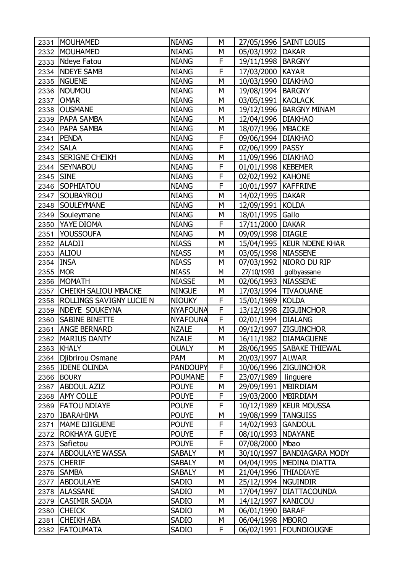| 2331      | <b>MOUHAMED</b>                 | <b>NIANG</b>    | М |                        | 27/05/1996 SAINT LOUIS       |
|-----------|---------------------------------|-----------------|---|------------------------|------------------------------|
| 2332      | MOUHAMED                        | <b>NIANG</b>    | М | 05/03/1992   DAKAR     |                              |
| 2333      | Ndeye Fatou                     | <b>NIANG</b>    | F | 19/11/1998   BARGNY    |                              |
| 2334      | <b>NDEYE SAMB</b>               | <b>NIANG</b>    | F | 17/03/2000             | <b>KAYAR</b>                 |
| 2335      | <b>NGUENE</b>                   | <b>NIANG</b>    | M | 10/03/1990   DIAKHAO   |                              |
| 2336      | NOUMOU                          | <b>NIANG</b>    | M | 19/08/1994   BARGNY    |                              |
| 2337      | <b>OMAR</b>                     | <b>NIANG</b>    | М | 03/05/1991 KAOLACK     |                              |
| 2338      | <b>OUSMANE</b>                  | <b>NIANG</b>    | M |                        | 19/12/1996   BARGNY MINAM    |
| 2339      | <b>PAPA SAMBA</b>               | <b>NIANG</b>    | M | 12/04/1996   DIAKHAO   |                              |
| 2340      | <b>PAPA SAMBA</b>               | <b>NIANG</b>    | M | 18/07/1996   MBACKE    |                              |
| 2341      | <b>PENDA</b>                    | <b>NIANG</b>    | F | 09/06/1994   DIAKHAO   |                              |
| 2342      | <b>SALA</b>                     | <b>NIANG</b>    | F | 02/06/1999   PASSY     |                              |
|           | 2343 SERIGNE CHEIKH             | <b>NIANG</b>    | M | 11/09/1996   DIAKHAO   |                              |
| 2344      | <b>SEYNABOU</b>                 | <b>NIANG</b>    | F | 01/01/1998   KEBEMER   |                              |
| 2345      | <b>SINE</b>                     | <b>NIANG</b>    | F | 02/02/1992   KAHONE    |                              |
| 2346      | <b>SOPHIATOU</b>                | <b>NIANG</b>    | F | 10/01/1997   KAFFRINE  |                              |
| 2347      | SOUBAYROU                       | <b>NIANG</b>    | M | 14/02/1995   DAKAR     |                              |
| 2348      | <b>SOULEYMANE</b>               | <b>NIANG</b>    | M | 12/09/1991 KOLDA       |                              |
| 2349      | Souleymane                      | <b>NIANG</b>    | М | 18/01/1995             | Gallo                        |
| 2350      | YAYE DIOMA                      | <b>NIANG</b>    | F | 17/11/2000 DAKAR       |                              |
| 2351      | <b>YOUSSOUFA</b>                | <b>NIANG</b>    | M | 09/09/1998             | <b>DIAGLE</b>                |
| 2352      | <b>ALADJI</b>                   | <b>NIASS</b>    | М |                        | 15/04/1995   KEUR NDENE KHAR |
| 2353      | <b>ALIOU</b>                    | <b>NIASS</b>    | M | 03/05/1998 NIASSENE    |                              |
| 2354 INSA |                                 | <b>NIASS</b>    | M |                        | 07/03/1992   NIORO DU RIP    |
| 2355      | <b>MOR</b>                      | <b>NIASS</b>    | М | 27/10/1993             | golbyassane                  |
| 2356      | MOMATH                          | <b>NIASSE</b>   | M | 02/06/1993 NIASSENE    |                              |
| 2357      | <b>CHEIKH SALIOU MBACKE</b>     | <b>NINGUE</b>   | M | 17/03/1994             | <b>TIVAOUANE</b>             |
| 2358      | <b>ROLLINGS SAVIGNY LUCIE N</b> | <b>NIOUKY</b>   | F | 15/01/1989             | <b>KOLDA</b>                 |
| 2359      | <b>NDEYE SOUKEYNA</b>           | <b>NYAFOUNA</b> | F |                        | 13/12/1998 ZIGUINCHOR        |
| 2360      | <b>SABINE BINETTE</b>           | <b>NYAFOUNA</b> | F | 02/01/1994             | <b>DIALANG</b>               |
| 2361      | <b>ANGE BERNARD</b>             | <b>NZALE</b>    | M |                        | 09/12/1997 ZIGUINCHOR        |
| 2362      | <b>MARIUS DANTY</b>             | <b>NZALE</b>    | M | 16/11/1982             | <b>DIAMAGUENE</b>            |
|           | 2363   KHALY                    | <b>OUALY</b>    | М |                        | 28/06/1995 SABAKE THIEWAL    |
|           | 2364   Djibrirou Osmane         | <b>PAM</b>      | М | 20/03/1997   ALWAR     |                              |
|           | 2365 IDENE OLINDA               | <b>PANDOUPY</b> | F |                        | 10/06/1996 ZIGUINCHOR        |
|           | 2366 BOURY                      | <b>POUMANE</b>  | F | 23/07/1989             | linguere                     |
|           | 2367 ABDOUL AZIZ                | <b>POUYE</b>    | М | 29/09/1991             | <b>MBIRDIAM</b>              |
| 2368      | <b>AMY COLLE</b>                | <b>POUYE</b>    | F | 19/03/2000   MBIRDIAM  |                              |
| 2369      | <b>FATOU NDIAYE</b>             | <b>POUYE</b>    | F |                        | 10/12/1989   KEUR MOUSSA     |
|           | 2370   IBARAHIMA                | <b>POUYE</b>    | М | 19/08/1999   TANGUISS  |                              |
| 2371      | MAME DJIGUENE                   | <b>POUYE</b>    | F | 14/02/1993 GANDOUL     |                              |
| 2372      | <b>ROKHAYA GUEYE</b>            | <b>POUYE</b>    | F | 08/10/1993             | <b>NDAYANE</b>               |
| 2373      | Safietou                        | <b>POUYE</b>    | F | 07/08/2000             | Mbao                         |
|           | 2374 ABDOULAYE WASSA            | <b>SABALY</b>   | M | 30/10/1997             | <b>BANDIAGARA MODY</b>       |
|           | 2375 CHERIF                     | <b>SABALY</b>   | М |                        | 04/04/1995   MEDINA DIATTA   |
|           | 2376   SAMBA                    | <b>SABALY</b>   | М | 21/04/1996   THIADIAYE |                              |
| 2377      | <b>ABDOULAYE</b>                | <b>SADIO</b>    | M | 25/12/1994             | <b>NGUINDIR</b>              |
| 2378      | <b>ALASSANE</b>                 | <b>SADIO</b>    | М | 17/04/1997             | <b>DIATTACOUNDA</b>          |
| 2379      | <b>CASIMIR SADIA</b>            | <b>SADIO</b>    | М | 14/12/1997             | <b>KANICOU</b>               |
| 2380      | <b>CHEICK</b>                   | <b>SADIO</b>    | M | 06/01/1990   BARAF     |                              |
| 2381      | <b>CHEIKH ABA</b>               | <b>SADIO</b>    | М | 06/04/1998   MBORO     |                              |
|           | 2382   FATOUMATA                | SADIO           | F |                        | 06/02/1991   FOUNDIOUGNE     |
|           |                                 |                 |   |                        |                              |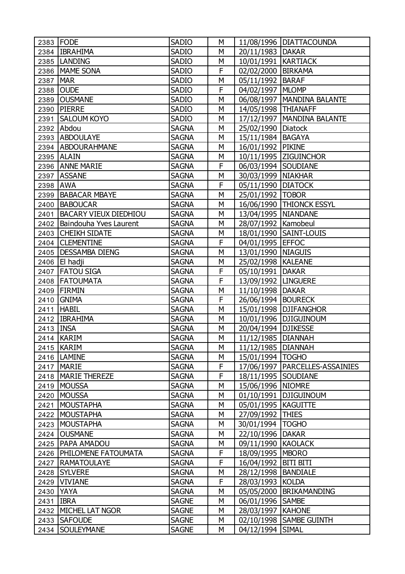|             | 2383 FODE                    | <b>SADIO</b> | М |                       | 11/08/1996   DIATTACOUNDA        |
|-------------|------------------------------|--------------|---|-----------------------|----------------------------------|
|             | 2384   IBRAHIMA              | <b>SADIO</b> | М | 20/11/1983 DAKAR      |                                  |
|             | 2385  LANDING                | <b>SADIO</b> | М | 10/01/1991   KARTIACK |                                  |
|             | 2386   MAME SONA             | <b>SADIO</b> | F | 02/02/2000   BIRKAMA  |                                  |
| 2387        | <b>MAR</b>                   | <b>SADIO</b> | М | 05/11/1992 BARAF      |                                  |
| 2388        | <b>OUDE</b>                  | <b>SADIO</b> | F | 04/02/1997   MLOMP    |                                  |
|             | 2389 OUSMANE                 | <b>SADIO</b> | М |                       | 06/08/1997   MANDINA BALANTE     |
|             | 2390 PIERRE                  | <b>SADIO</b> | М | 14/05/1998 THIANAFF   |                                  |
| 2391        | <b>SALOUM KOYO</b>           | <b>SADIO</b> | M |                       | 17/12/1997   MANDINA BALANTE     |
|             | 2392 Abdou                   | <b>SAGNA</b> | M | 25/02/1990   Diatock  |                                  |
|             | 2393 ABDOULAYE               | <b>SAGNA</b> | М | 15/11/1984   BAGAYA   |                                  |
|             | 2394   ABDOURAHMANE          | <b>SAGNA</b> | M | 16/01/1992   PIKINE   |                                  |
|             | 2395   ALAIN                 | <b>SAGNA</b> | М |                       | 10/11/1995 ZIGUINCHOR            |
|             | 2396 ANNE MARIE              | <b>SAGNA</b> | F | 06/03/1994 SOUDIANE   |                                  |
|             | 2397 ASSANE                  | <b>SAGNA</b> | M | 30/03/1999   NIAKHAR  |                                  |
| 2398        | <b>JAWA</b>                  | <b>SAGNA</b> | F | 05/11/1990   DIATOCK  |                                  |
| 2399        | <b>BABACAR MBAYE</b>         | <b>SAGNA</b> | M | 25/01/1992   TOBOR    |                                  |
| 2400        | BABOUCAR                     | <b>SAGNA</b> | M |                       | 16/06/1990   THIONCK ESSYL       |
|             | 2401   BACARY VIEUX DIEDHIOU | <b>SAGNA</b> | М | 13/04/1995   NIANDANE |                                  |
|             | 2402 Baindouha Yves Laurent  | <b>SAGNA</b> | M | 28/07/1992   Kamobeul |                                  |
|             | 2403 CHEIKH SIDATE           | <b>SAGNA</b> | M |                       | 18/01/1990   SAINT-LOUIS         |
|             | 2404 CLEMENTINE              | <b>SAGNA</b> | F | 04/01/1995 EFFOC      |                                  |
|             | 2405   DESSAMBA DIENG        | <b>SAGNA</b> | M | 13/01/1990 NIAGUIS    |                                  |
|             | 2406 El hadji                | <b>SAGNA</b> | M | 25/02/1998   KALEANE  |                                  |
|             | 2407   FATOU SIGA            | <b>SAGNA</b> | F | 05/10/1991   DAKAR    |                                  |
|             | 2408   FATOUMATA             | <b>SAGNA</b> | F | 13/09/1992   LINGUERE |                                  |
| 2409        | FIRMIN                       | <b>SAGNA</b> | M | 11/10/1998   DAKAR    |                                  |
| 2410        | <b>GNIMA</b>                 | <b>SAGNA</b> | F | 26/06/1994   BOURECK  |                                  |
|             | 2411   HABIL                 | <b>SAGNA</b> | M |                       | 15/01/1998 DJIFANGHOR            |
|             | 2412   IBRAHIMA              | <b>SAGNA</b> | M |                       | 10/01/1996   DJIGUINOUM          |
| 2413   INSA |                              | <b>SAGNA</b> | М | 20/04/1994   DJIKESSE |                                  |
|             | 2414 KARIM                   | <b>SAGNA</b> | M | 11/12/1985   DIANNAH  |                                  |
|             | 2415   KARIM                 | <b>SAGNA</b> | M | 11/12/1985   DIANNAH  |                                  |
|             | 2416   LAMINE                | <b>SAGNA</b> | М | 15/01/1994   TOGHO    |                                  |
|             | 2417   MARIE                 | <b>SAGNA</b> | F |                       | 17/06/1997   PARCELLES-ASSAINIES |
| 2418        | <b>MARIE THEREZE</b>         | <b>SAGNA</b> | F | 18/11/1995 SOUDIANE   |                                  |
| 2419        | <b>MOUSSA</b>                | <b>SAGNA</b> | М | 15/06/1996   NIOMRE   |                                  |
| 2420        | <b>MOUSSA</b>                | <b>SAGNA</b> | М |                       | 01/10/1991   DJIGUINOUM          |
| 2421        | <b>MOUSTAPHA</b>             | <b>SAGNA</b> | М | 05/01/1995   KAGUITTE |                                  |
| 2422        | <b>MOUSTAPHA</b>             | <b>SAGNA</b> | М | 27/09/1992   THIES    |                                  |
| 2423        | <b>MOUSTAPHA</b>             | <b>SAGNA</b> | М | 30/01/1994            | <b>TOGHO</b>                     |
| 2424        | <b>OUSMANE</b>               | <b>SAGNA</b> | М | 22/10/1996            | <b>DAKAR</b>                     |
| 2425        | <b>PAPA AMADOU</b>           | <b>SAGNA</b> | М | 09/11/1990 KAOLACK    |                                  |
|             | 2426   PHILOMENE FATOUMATA   | <b>SAGNA</b> | F | 18/09/1995   MBORO    |                                  |
|             | 2427   RAMATOULAYE           | <b>SAGNA</b> | F | 16/04/1992            | <b>BITI BITI</b>                 |
|             | 2428 SYLVERE                 | <b>SAGNA</b> | М | 28/12/1998   BANDIALE |                                  |
|             | 2429   VIVIANE               | <b>SAGNA</b> | F | 28/03/1993            | <b>KOLDA</b>                     |
|             | 2430 YAYA                    | <b>SAGNA</b> | М | 05/05/2000            | <b>BRIKAMANDING</b>              |
| 2431        | <b>IBRA</b>                  | <b>SAGNE</b> | М | 06/01/1996 SAMBE      |                                  |
| 2432        | <b>MICHEL LAT NGOR</b>       | <b>SAGNE</b> | М | 28/03/1997            | <b>KAHONE</b>                    |
|             | 2433   SAFOUDE               | <b>SAGNE</b> | М |                       | 02/10/1998   SAMBE GUINTH        |
| 2434        | <b>SOULEYMANE</b>            | <b>SAGNE</b> | М | 04/12/1994 SIMAL      |                                  |
|             |                              |              |   |                       |                                  |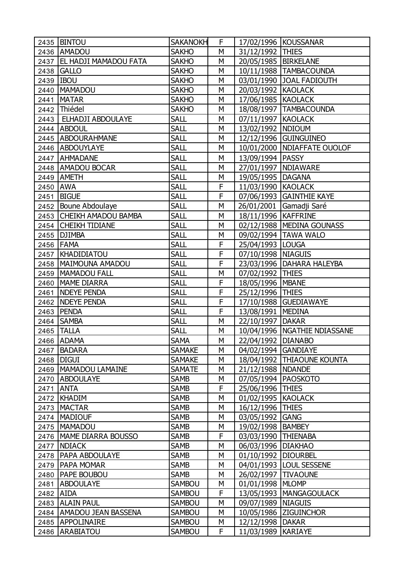|          | 2435 BINTOU                  | <b>SAKANOKH</b> | F |                        | 17/02/1996 KOUSSANAR           |
|----------|------------------------------|-----------------|---|------------------------|--------------------------------|
|          | 2436 AMADOU                  | <b>SAKHO</b>    | М | 31/12/1992 THIES       |                                |
|          | 2437   EL HADJI MAMADOU FATA | <b>SAKHO</b>    | M | 20/05/1985   BIRKELANE |                                |
|          | 2438 GALLO                   | <b>SAKHO</b>    | M |                        | 10/11/1988   TAMBACOUNDA       |
|          | 2439   IBOU                  | <b>SAKHO</b>    | М |                        | 03/01/1990 JOAL FADIOUTH       |
| 2440     | <b>MAMADOU</b>               | <b>SAKHO</b>    | M | 20/03/1992 KAOLACK     |                                |
| 2441     | <b>MATAR</b>                 | <b>SAKHO</b>    | М | 17/06/1985   KAOLACK   |                                |
|          | 2442 Thiédel                 | <b>SAKHO</b>    | М |                        | 18/08/1997   TAMBACOUNDA       |
| 2443     | <b>ELHADJI ABDOULAYE</b>     | <b>SALL</b>     | М | 07/11/1997 KAOLACK     |                                |
|          | 2444 ABDOUL                  | <b>SALL</b>     | М | 13/02/1992   NDIOUM    |                                |
|          | 2445 ABDOURAHMANE            | <b>SALL</b>     | M |                        | 12/12/1996 GUINGUINEO          |
|          | 2446 ABDOUYLAYE              | <b>SALL</b>     | М |                        | 10/01/2000   NDIAFFATE OUOLOF  |
|          | 2447 AHMADANE                | <b>SALL</b>     | M | 13/09/1994   PASSY     |                                |
|          | 2448   AMADOU BOCAR          | <b>SALL</b>     | M | 27/01/1997   NDIAWARE  |                                |
|          | 2449   AMETH                 | <b>SALL</b>     | М | 19/05/1995   DAGANA    |                                |
| 2450 AWA |                              | <b>SALL</b>     | F | 11/03/1990 KAOLACK     |                                |
| 2451     | <b>BIGUE</b>                 | <b>SALL</b>     | F |                        | 07/06/1993   GAINTHIE KAYE     |
|          | 2452 Boune Abdoulaye         | <b>SALL</b>     | М |                        | 26/01/2001 Gamadji Saré        |
| 2453     | <b>CHEIKH AMADOU BAMBA</b>   | <b>SALL</b>     | M | 18/11/1996 KAFFRINE    |                                |
| 2454     | <b>CHEIKH TIDIANE</b>        | <b>SALL</b>     | М |                        | 02/12/1988   MEDINA GOUNASS    |
|          | 2455   DJIMBA                | <b>SALL</b>     | M |                        | 09/02/1994   TAWA WALO         |
|          | 2456 FAMA                    | <b>SALL</b>     | F | 25/04/1993   LOUGA     |                                |
|          | 2457   KHADIDIATOU           | <b>SALL</b>     | F | 07/10/1998   NIAGUIS   |                                |
|          | 2458   MAIMOUNA AMADOU       | <b>SALL</b>     | F |                        | 23/03/1996   DAHARA HALEYBA    |
|          | 2459   MAMADOU FALL          | <b>SALL</b>     | M | 07/02/1992 THIES       |                                |
| 2460     | MAME DIARRA                  | <b>SALL</b>     | F | 18/05/1996   MBANE     |                                |
| 2461     | <b>NDEYE PENDA</b>           | <b>SALL</b>     | F | 25/12/1996 THIES       |                                |
|          | 2462 NDEYE PENDA             | <b>SALL</b>     | F |                        | 17/10/1988 GUEDIAWAYE          |
|          | 2463 PENDA                   | <b>SALL</b>     | F | 13/08/1991 MEDINA      |                                |
|          | 2464 SAMBA                   | <b>SALL</b>     | М | 22/10/1997   DAKAR     |                                |
| 2465     | <b>TALLA</b>                 | <b>SALL</b>     | M |                        | 10/04/1996   NGATHIE NDIASSANE |
|          | 2466 ADAMA                   | <b>SAMA</b>     | M | 22/04/1992   DIANABO   |                                |
|          | 2467   BADARA                | <b>SAMAKE</b>   | М | 04/02/1994 GANDIAYE    |                                |
| 2468     | <b>DIGUI</b>                 | <b>SAMAKE</b>   | М |                        | 18/04/1992   THIAOUNE KOUNTA   |
|          | 2469   MAMADOU LAMAINE       | <b>SAMATE</b>   | М | 21/12/1988   NDANDE    |                                |
|          | 2470 ABDOULAYE               | <b>SAMB</b>     | М | 07/05/1994   PAOSKOTO  |                                |
| 2471     | <b>ANTA</b>                  | <b>SAMB</b>     | F | 25/06/1996             | <b>THIES</b>                   |
|          | 2472 KHADIM                  | <b>SAMB</b>     | М | 01/02/1995 KAOLACK     |                                |
|          | 2473   MACTAR                | <b>SAMB</b>     | М | 16/12/1996 THIES       |                                |
|          | 2474   MADIOUF               | <b>SAMB</b>     | М | 03/05/1992             | <b>GANG</b>                    |
| 2475     | <b>MAMADOU</b>               | <b>SAMB</b>     | М | 19/02/1998             | <b>BAMBEY</b>                  |
|          | 2476   MAME DIARRA BOUSSO    | <b>SAMB</b>     | F | 03/03/1990 THIENABA    |                                |
| 2477     | <b>NDIACK</b>                | <b>SAMB</b>     | М | 06/03/1996   DIAKHAO   |                                |
|          | 2478   PAPA ABDOULAYE        | <b>SAMB</b>     | М | 01/10/1992   DIOURBEL  |                                |
|          | 2479   PAPA MOMAR            | <b>SAMB</b>     | М |                        | 04/01/1993   LOUL SESSENE      |
| 2480     | <b>PAPE BOUBOU</b>           | <b>SAMB</b>     | М | 26/02/1997             | <b>TIVAOUNE</b>                |
| 2481     | <b>ABDOULAYE</b>             | <b>SAMBOU</b>   | М | 01/01/1998             | <b>MLOMP</b>                   |
| 2482     | <b>AIDA</b>                  | <b>SAMBOU</b>   | F |                        | 13/05/1993   MANGAGOULACK      |
|          | 2483 ALAIN PAUL              | SAMBOU          | М | 09/07/1989   NIAGUIS   |                                |
|          | 2484   AMADOU JEAN BASSENA   | <b>SAMBOU</b>   | М |                        | 10/05/1986 ZIGUINCHOR          |
|          | 2485 APPOLINAIRE             | <b>SAMBOU</b>   | М | 12/12/1998   DAKAR     |                                |
| 2486     | <b>ARABIATOU</b>             | <b>SAMBOU</b>   | F | 11/03/1989             | <b>KARIAYE</b>                 |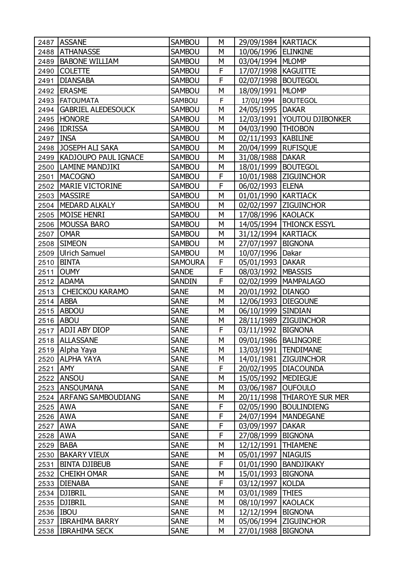|             | 2487 ASSANE                 | <b>SAMBOU</b>  | М | 29/09/1984   KARTIACK |                               |
|-------------|-----------------------------|----------------|---|-----------------------|-------------------------------|
|             | 2488 ATHANASSE              | <b>SAMBOU</b>  | М | 10/06/1996 ELINKINE   |                               |
| 2489        | <b>BABONE WILLIAM</b>       | <b>SAMBOU</b>  | М | 03/04/1994   MLOMP    |                               |
| 2490        | <b>COLETTE</b>              | <b>SAMBOU</b>  | F | 17/07/1998   KAGUITTE |                               |
| 2491        | <b>DIANSABA</b>             | <b>SAMBOU</b>  | F | 02/07/1998   BOUTEGOL |                               |
| 2492        | <b>ERASME</b>               | <b>SAMBOU</b>  | M | 18/09/1991   MLOMP    |                               |
|             | 2493 FATOUMATA              | SAMBOU         | F | 17/01/1994            | <b>BOUTEGOL</b>               |
|             | 2494   GABRIEL ALEDESOUCK   | <b>SAMBOU</b>  | M | 24/05/1995 DAKAR      |                               |
|             | 2495 HONORE                 | <b>SAMBOU</b>  | М |                       | 12/03/1991   YOUTOU DJIBONKER |
|             | 2496 IDRISSA                | <b>SAMBOU</b>  | М | 04/03/1990   THIOBON  |                               |
| 2497   INSA |                             | <b>SAMBOU</b>  | M | 02/11/1993   KABILINE |                               |
|             | 2498 JOSEPH ALI SAKA        | <b>SAMBOU</b>  | M | 20/04/1999   RUFISQUE |                               |
|             | 2499   KADJOUPO PAUL IGNACE | SAMBOU         | М | 31/08/1988   DAKAR    |                               |
|             | 2500   LAMINE MANDJIKI      | <b>SAMBOU</b>  | M | 18/01/1999   BOUTEGOL |                               |
| 2501        | <b>MACOGNO</b>              | <b>SAMBOU</b>  | F |                       | 10/01/1988 ZIGUINCHOR         |
| 2502        | <b>MARIE VICTORINE</b>      | <b>SAMBOU</b>  | F | 06/02/1993 ELENA      |                               |
|             | 2503   MASSIRE              | <b>SAMBOU</b>  | M | 01/01/1990   KARTIACK |                               |
|             | 2504   MEDARD ALKALY        | <b>SAMBOU</b>  | M |                       | 02/02/1997   ZIGUINCHOR       |
|             | 2505   MOISE HENRI          | SAMBOU         | М | 17/08/1996   KAOLACK  |                               |
|             | 2506   MOUSSA BARO          | SAMBOU         | M |                       | 14/05/1994   THIONCK ESSYL    |
| 2507        | <b>OMAR</b>                 | <b>SAMBOU</b>  | М | 31/12/1994   KARTIACK |                               |
|             | 2508 SIMEON                 | <b>SAMBOU</b>  | М | 27/07/1997   BIGNONA  |                               |
|             | 2509 Ulrich Samuel          | <b>SAMBOU</b>  | M | 10/07/1996 Dakar      |                               |
|             | 2510   BINTA                | <b>SAMOURA</b> | F | 05/01/1993   DAKAR    |                               |
| 2511        | <b>OUMY</b>                 | <b>SANDE</b>   | F | 08/03/1992   MBASSIS  |                               |
|             | 2512 ADAMA                  | <b>SANDIN</b>  | F |                       | 02/02/1999   MAMPALAGO        |
| 2513        | CHEICKOU KARAMO             | <b>SANE</b>    | M | 20/01/1992            | <b>DIANGO</b>                 |
|             | 2514 ABBA                   | <b>SANE</b>    | М | 12/06/1993   DIEGOUNE |                               |
|             | 2515 ABDOU                  | <b>SANE</b>    | M | 06/10/1999 SINDIAN    |                               |
| 2516        | <b>ABOU</b>                 | <b>SANE</b>    | М |                       | 28/11/1989 ZIGUINCHOR         |
| 2517        | <b>ADJI ABY DIOP</b>        | <b>SANE</b>    | F | 03/11/1992 BIGNONA    |                               |
| 2518        | <b>ALLASSANE</b>            | <b>SANE</b>    | M | 09/01/1986 BALINGORE  |                               |
|             | 2519 Alpha Yaya             | <b>SANE</b>    | М |                       | 13/03/1991   TENDIMANE        |
|             | 2520 ALPHA YAYA             | <b>SANE</b>    | М |                       | 14/01/1981 ZIGUINCHOR         |
| 2521 AMY    |                             | <b>SANE</b>    | F |                       | 20/02/1995   DIACOUNDA        |
|             | 2522 ANSOU                  | <b>SANE</b>    | М | 15/05/1992   MEDIEGUE |                               |
|             | 2523 ANSOUMANA              | <b>SANE</b>    | M | 03/06/1987            | <b>OUFOULO</b>                |
|             | 2524   ARFANG SAMBOUDIANG   | <b>SANE</b>    | М |                       | 20/11/1998   THIAROYE SUR MER |
| 2525 AWA    |                             | <b>SANE</b>    | F |                       | 02/05/1990   BOULINDIENG      |
| 2526 AWA    |                             | <b>SANE</b>    | F |                       | 24/07/1994   MANDEGANE        |
| 2527 AWA    |                             | <b>SANE</b>    | F | 03/09/1997            | <b>DAKAR</b>                  |
| 2528 AWA    |                             | <b>SANE</b>    | F | 27/08/1999   BIGNONA  |                               |
| 2529        | <b>BABA</b>                 | <b>SANE</b>    | M | 12/12/1991   THIAMENE |                               |
|             | 2530 BAKARY VIEUX           | <b>SANE</b>    | М | 05/01/1997   NIAGUIS  |                               |
| 2531        | <b>BINTA DJIBEUB</b>        | <b>SANE</b>    | F |                       | 01/01/1990   BANDJIKAKY       |
|             | 2532 CHEIKH OMAR            | <b>SANE</b>    | M | 15/01/1993            | <b>BIGNONA</b>                |
|             | 2533   DIENABA              | <b>SANE</b>    | F | 03/12/1997            | <b>KOLDA</b>                  |
|             | 2534 DJIBRIL                | <b>SANE</b>    | М | 03/01/1989            | <b>THIES</b>                  |
|             | 2535   DJIBRIL              | <b>SANE</b>    | М | 08/10/1997            | <b>KAOLACK</b>                |
| 2536 IBOU   |                             | <b>SANE</b>    | М | 12/12/1994   BIGNONA  |                               |
|             | 2537 IBRAHIMA BARRY         | <b>SANE</b>    | М |                       | 05/06/1994   ZIGUINCHOR       |
|             | 2538   IBRAHIMA SECK        | <b>SANE</b>    | М | 27/01/1988            | <b>BIGNONA</b>                |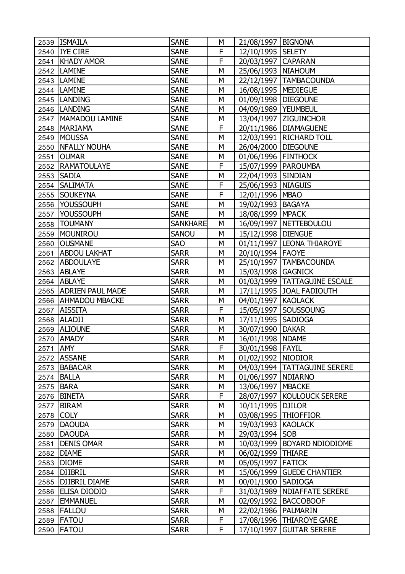|          | 2539 ISMAILA            | <b>SANE</b>     | М | 21/08/1997   BIGNONA   |                                |
|----------|-------------------------|-----------------|---|------------------------|--------------------------------|
|          | 2540 IYE CIRE           | <b>SANE</b>     | F | 12/10/1995 SELETY      |                                |
| 2541     | <b>KHADY AMOR</b>       | <b>SANE</b>     | F | 20/03/1997 CAPARAN     |                                |
|          | 2542  LAMINE            | <b>SANE</b>     | M | 25/06/1993   NIAHOUM   |                                |
|          | 2543   LAMINE           | <b>SANE</b>     | М |                        | 22/12/1997   TAMBACOUNDA       |
|          | 2544  LAMINE            | <b>SANE</b>     | M | 16/08/1995   MEDIEGUE  |                                |
|          | 2545   LANDING          | <b>SANE</b>     | М | 01/09/1998   DIEGOUNE  |                                |
|          | 2546  LANDING           | <b>SANE</b>     | М | 04/09/1989   YEUMBEUL  |                                |
|          | 2547   MAMADOU LAMINE   | <b>SANE</b>     | М |                        | 13/04/1997   ZIGUINCHOR        |
| 2548     | <b>MARIAMA</b>          | <b>SANE</b>     | F |                        | 20/11/1986   DIAMAGUENE        |
| 2549     | MOUSSA                  | <b>SANE</b>     | М |                        | 12/03/1991   RICHARD TOLL      |
| 2550     | <b>NFALLY NOUHA</b>     | <b>SANE</b>     | M | 26/04/2000   DIEGOUNE  |                                |
| 2551     | <b>OUMAR</b>            | <b>SANE</b>     | М | 01/06/1996   FINTHOCK  |                                |
|          | 2552 RAMATOULAYE        | <b>SANE</b>     | F | 15/07/1999   PAROUMBA  |                                |
| 2553     | <b>SADIA</b>            | <b>SANE</b>     | M | 22/04/1993 SINDIAN     |                                |
| 2554     | <b>SALIMATA</b>         | <b>SANE</b>     | F | 25/06/1993   NIAGUIS   |                                |
| 2555     | <b>SOUKEYNA</b>         | <b>SANE</b>     | F | 12/01/1996 MBAO        |                                |
|          | 2556 YOUSSOUPH          | <b>SANE</b>     | M | 19/02/1993   BAGAYA    |                                |
|          | 2557 YOUSSOUPH          | <b>SANE</b>     | М | 18/08/1999   MPACK     |                                |
| 2558     | <b>TOUMANY</b>          | <b>SANKHARE</b> | M |                        | 16/09/1997 NETTEBOULOU         |
| 2559     | <b>MOUNIROU</b>         | <b>SANOU</b>    | М | 15/12/1998   DIENGUE   |                                |
| 2560     | <b>OUSMANE</b>          | <b>SAO</b>      | М |                        | 01/11/1997  LEONA THIAROYE     |
| 2561     | <b>ABDOU LAKHAT</b>     | <b>SARR</b>     | M | 20/10/1994   FAOYE     |                                |
| 2562     | <b>ABDOULAYE</b>        | <b>SARR</b>     | М |                        | 25/10/1997   TAMBACOUNDA       |
|          | 2563 ABLAYE             | <b>SARR</b>     | М | 15/03/1998 GAGNICK     |                                |
|          | 2564 ABLAYE             | <b>SARR</b>     | M |                        | 01/03/1999   TATTAGUINE ESCALE |
|          | 2565   ADRIEN PAUL MADE | <b>SARR</b>     | М |                        | 17/11/1995 JJOAL FADIOUTH      |
|          | 2566   AHMADOU MBACKE   | <b>SARR</b>     | М | 04/01/1997 KAOLACK     |                                |
| 2567     | <b>AISSITA</b>          | <b>SARR</b>     | F |                        | 15/05/1997   SOUSSOUNG         |
| 2568     | ALADJI                  | <b>SARR</b>     | M | 17/11/1995 SADIOGA     |                                |
| 2569     | <b>ALIOUNE</b>          | <b>SARR</b>     | М | 30/07/1990   DAKAR     |                                |
| 2570     | <b>AMADY</b>            | <b>SARR</b>     | M | 16/01/1998   NDAME     |                                |
| 2571 AMY |                         | <b>SARR</b>     | F | 30/01/1998 FAYIL       |                                |
|          | 2572 ASSANE             | <b>SARR</b>     | М | 01/02/1992   NIODIOR   |                                |
| 2573     | BABACAR                 | <b>SARR</b>     | М |                        | 04/03/1994   TATTAGUINE SERERE |
| 2574     | <b>BALLA</b>            | <b>SARR</b>     | М | 01/06/1997   NDIARNO   |                                |
| 2575     | <b>BARA</b>             | <b>SARR</b>     | М | 13/06/1997   MBACKE    |                                |
| 2576     | <b>BINETA</b>           | <b>SARR</b>     | F |                        | 28/07/1997   KOULOUCK SERERE   |
| 2577     | <b>BIRAM</b>            | <b>SARR</b>     | М | 10/11/1995   DJILOR    |                                |
| 2578     | <b>COLY</b>             | <b>SARR</b>     | М | 03/08/1995   THIOFFIOR |                                |
| 2579     | <b>DAOUDA</b>           | <b>SARR</b>     | М | 19/03/1993             | <b>KAOLACK</b>                 |
| 2580     | <b>DAOUDA</b>           | <b>SARR</b>     | М | 29/03/1994             | <b>SOB</b>                     |
| 2581     | <b>DENIS OMAR</b>       | <b>SARR</b>     | М | 10/03/1999             | BOYARD NDIODIOME               |
|          | 2582 DIAME              | <b>SARR</b>     | М | 06/02/1999             | <b>THIARE</b>                  |
|          | 2583   DIOME            | <b>SARR</b>     | М | 05/05/1997 FATICK      |                                |
|          | 2584   DJIBRIL          | <b>SARR</b>     | М |                        | 15/06/1999 GUEDE CHANTIER      |
| 2585     | <b>DJIBRIL DIAME</b>    | <b>SARR</b>     | М | 00/01/1900             | <b>SADIOGA</b>                 |
| 2586     | <b>ELISA DIODIO</b>     | <b>SARR</b>     | F | 31/03/1989             | <b>NDIAFFATE SERERE</b>        |
| 2587     | <b>EMMANUEL</b>         | <b>SARR</b>     | М | 02/09/1992             | <b>BACCOBOOF</b>               |
| 2588     | FALLOU                  | <b>SARR</b>     | М | 22/02/1986   PALMARIN  |                                |
|          | 2589   FATOU            | <b>SARR</b>     | F |                        | 17/08/1996   THIAROYE GARE     |
| 2590     | <b>FATOU</b>            | <b>SARR</b>     | F | 17/10/1997             | <b>GUITAR SERERE</b>           |
|          |                         |                 |   |                        |                                |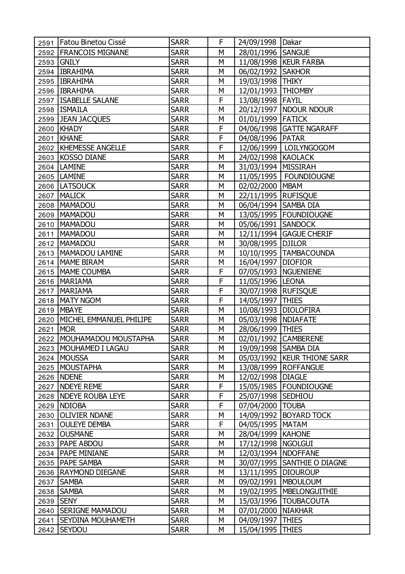|      | 2591   Fatou Binetou Cissé  | <b>SARR</b> | F | 24/09/1998   Dakar     |                               |
|------|-----------------------------|-------------|---|------------------------|-------------------------------|
|      | 2592 FRANCOIS MIGNANE       | <b>SARR</b> | M | 28/01/1996 SANGUE      |                               |
| 2593 | <b>GNILY</b>                | <b>SARR</b> | М |                        | 11/08/1998   KEUR FARBA       |
|      | 2594   IBRAHIMA             | <b>SARR</b> | М | 06/02/1992   SAKHOR    |                               |
|      | 2595   IBRAHIMA             | <b>SARR</b> | M | 19/03/1998 THIKY       |                               |
|      | 2596   IBRAHIMA             | <b>SARR</b> | М | 12/01/1993   THIOMBY   |                               |
|      | 2597   ISABELLE SALANE      | <b>SARR</b> | F | 13/08/1998 FAYIL       |                               |
|      | 2598   ISMAILA              | <b>SARR</b> | M |                        | 20/12/1997   NDOUR NDOUR      |
|      | 2599 JEAN JACQUES           | <b>SARR</b> | M | 01/01/1999   FATICK    |                               |
| 2600 | KHADY                       | <b>SARR</b> | F |                        | 04/06/1998 GATTE NGARAFF      |
| 2601 | KHANE                       | <b>SARR</b> | F | 04/08/1996   PATAR     |                               |
|      | 2602   KHEMESSE ANGELLE     | <b>SARR</b> | F |                        | 12/06/1999   LOILYNGOGOM      |
|      | 2603 KOSSO DIANE            | <b>SARR</b> | M | 24/02/1998 KAOLACK     |                               |
|      | 2604   LAMINE               | <b>SARR</b> | M | 31/03/1994   MISSIRAH  |                               |
|      | 2605   LAMINE               | <b>SARR</b> | M |                        | 11/05/1995   FOUNDIOUGNE      |
|      | 2606  LATSOUCK              | <b>SARR</b> | М | 02/02/2000 MBAM        |                               |
|      | 2607   MALICK               | <b>SARR</b> | M | 22/11/1995 RUFISQUE    |                               |
|      | 2608   MAMADOU              | <b>SARR</b> | М | 06/04/1994   SAMBA DIA |                               |
|      | 2609   MAMADOU              | <b>SARR</b> | М |                        | 13/05/1995   FOUNDIOUGNE      |
|      | 2610   MAMADOU              | <b>SARR</b> | M | 05/06/1991 SANDOCK     |                               |
| 2611 | MAMADOU                     | <b>SARR</b> | M |                        | 12/11/1994 GAGUE CHERIF       |
| 2612 | MAMADOU                     | <b>SARR</b> | М | 30/08/1995   DJILOR    |                               |
|      | 2613   MAMADOU LAMINE       | <b>SARR</b> | M |                        | 10/10/1995   TAMBACOUNDA      |
|      | 2614   MAME BIRAM           | <b>SARR</b> | M | 16/04/1997   DIOFIOR   |                               |
|      | 2615   MAME COUMBA          | <b>SARR</b> | F |                        | 07/05/1993   NGUENIENE        |
|      | 2616   MARIAMA              | <b>SARR</b> | F | 11/05/1996 LEONA       |                               |
| 2617 | <b>MARIAMA</b>              | <b>SARR</b> | F | 30/07/1998   RUFISQUE  |                               |
| 2618 | MATY NGOM                   | <b>SARR</b> | F | 14/05/1997   THIES     |                               |
| 2619 | <b>MBAYE</b>                | <b>SARR</b> | M | 10/08/1993   DIOLOFIRA |                               |
| 2620 | MICHEL EMMANUEL PHILIPE     | <b>SARR</b> | М | 05/03/1998   NDIAFATE  |                               |
| 2621 | <b>MOR</b>                  | <b>SARR</b> | М | 28/06/1999 THIES       |                               |
|      | 2622   MOUHAMADOU MOUSTAPHA | <b>SARR</b> | M |                        | 02/01/1992 CAMBERENE          |
|      | 2623   MOUHAMED I LAGAU     | <b>SARR</b> | М | 19/09/1998   SAMBA DIA |                               |
|      | 2624 MOUSSA                 | <b>SARR</b> | М |                        | 05/03/1992   KEUR THIONE SARR |
|      | 2625   MOUSTAPHA            | <b>SARR</b> | М |                        | 13/08/1999   ROFFANGUE        |
|      | 2626   NDENE                | <b>SARR</b> | М | 12/02/1998   DIAGLE    |                               |
| 2627 | <b>NDEYE REME</b>           | <b>SARR</b> | F |                        | 15/05/1985   FOUNDIOUGNE      |
| 2628 | <b>NDEYE ROUBA LEYE</b>     | <b>SARR</b> | F | 25/07/1998   SEDHIOU   |                               |
|      | 2629 NDIOBA                 | <b>SARR</b> | F | 07/04/2000             | <b>TOUBA</b>                  |
| 2630 | <b>OLIVIER NDANE</b>        | <b>SARR</b> | М |                        | 14/09/1992   BOYARD TOCK      |
| 2631 | <b>OULEYE DEMBA</b>         | <b>SARR</b> | F | 04/05/1995   MATAM     |                               |
| 2632 | <b>OUSMANE</b>              | <b>SARR</b> | М | 28/04/1999   KAHONE    |                               |
| 2633 | <b>PAPE ABDOU</b>           | <b>SARR</b> | М | 17/12/1998   NGOLGUI   |                               |
|      | 2634   PAPE MINIANE         | <b>SARR</b> | М | 12/03/1994   NDOFFANE  |                               |
|      | 2635   PAPE SAMBA           | <b>SARR</b> | М |                        | 30/07/1995   SANTHIE O DIAGNE |
|      | 2636   RAYMOND DIEGANE      | <b>SARR</b> | М | 13/11/1995   DIOUROUP  |                               |
| 2637 | <b>SAMBA</b>                | <b>SARR</b> | М |                        | 09/02/1991   MBOULOUM         |
|      | 2638   SAMBA                | <b>SARR</b> | М |                        | 19/02/1995   MBELONGUITHIE    |
| 2639 | <b>SENY</b>                 | <b>SARR</b> | М |                        | 15/03/1996   TOUBACOUTA       |
| 2640 | <b>SERIGNE MAMADOU</b>      | <b>SARR</b> | М | 07/01/2000             | <b>NIAKHAR</b>                |
|      | 2641   SEYDINA MOUHAMETH    | <b>SARR</b> | М | 04/09/1997             | <b>THIES</b>                  |
| 2642 | <b>SEYDOU</b>               | <b>SARR</b> | М | 15/04/1995             | <b>THIES</b>                  |
|      |                             |             |   |                        |                               |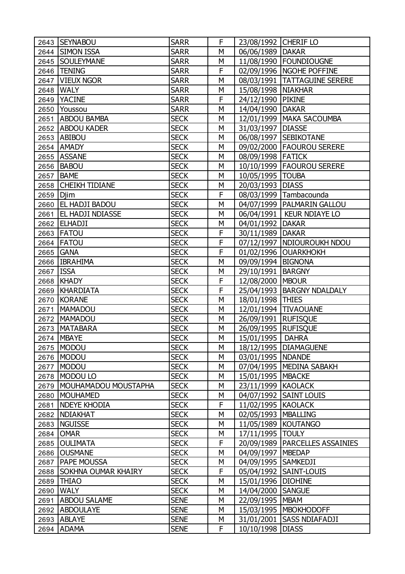|           | 2643 SEYNABOU            | <b>SARR</b> | F | 23/08/1992 CHERIF LO  |                                |
|-----------|--------------------------|-------------|---|-----------------------|--------------------------------|
|           | 2644 SIMON ISSA          | <b>SARR</b> | M | 06/06/1989   DAKAR    |                                |
|           | 2645   SOULEYMANE        | <b>SARR</b> | M |                       | 11/08/1990   FOUNDIOUGNE       |
|           | 2646   TENING            | <b>SARR</b> | F |                       | 02/09/1996   NGOHE POFFINE     |
|           | 2647   VIEUX NGOR        | <b>SARR</b> | M |                       | 08/03/1991   TATTAGUINE SERERE |
|           | 2648   WALY              | <b>SARR</b> | M | 15/08/1998   NIAKHAR  |                                |
|           | 2649 YACINE              | <b>SARR</b> | F | 24/12/1990 PIKINE     |                                |
|           | 2650 Youssou             | <b>SARR</b> | М | 14/04/1990 DAKAR      |                                |
|           | 2651 ABDOU BAMBA         | <b>SECK</b> | M |                       | 12/01/1999   MAKA SACOUMBA     |
|           | 2652 ABDOU KADER         | <b>SECK</b> | M | 31/03/1997   DIASSE   |                                |
|           | 2653 ABIBOU              | <b>SECK</b> | М |                       | 06/08/1997   SEBIKOTANE        |
|           | 2654 AMADY               | <b>SECK</b> | M |                       | 09/02/2000   FAOUROU SERERE    |
|           | 2655 ASSANE              | <b>SECK</b> | M | 08/09/1998 FATICK     |                                |
|           | 2656 BABOU               | <b>SECK</b> | M |                       | 10/10/1999   FAOUROU SERERE    |
|           | 2657   BAME              | <b>SECK</b> | M | 10/05/1995   TOUBA    |                                |
|           | 2658 CHEIKH TIDIANE      | <b>SECK</b> | М | 20/03/1993   DIASS    |                                |
| 2659 Djim |                          | <b>SECK</b> | F |                       | 08/03/1999 Tambacounda         |
|           | 2660 EL HADJI BADOU      | <b>SECK</b> | M |                       | 04/07/1999   PALMARIN GALLOU   |
|           | 2661   EL HADJI NDIASSE  | <b>SECK</b> | M |                       | 06/04/1991   KEUR NDIAYE LO    |
|           | 2662 ELHADJI             | <b>SECK</b> | M | 04/01/1992   DAKAR    |                                |
|           | 2663 FATOU               | <b>SECK</b> | F | 30/11/1989   DAKAR    |                                |
|           | 2664 FATOU               | <b>SECK</b> | F |                       | 07/12/1997   NDIOUROUKH NDOU   |
|           | 2665 GANA                | <b>SECK</b> | F |                       | 01/02/1996 OUARKHOKH           |
|           | 2666 IBRAHIMA            | <b>SECK</b> | M | 09/09/1994   BIGNONA  |                                |
| 2667 ISSA |                          | <b>SECK</b> | M | 29/10/1991   BARGNY   |                                |
|           | 2668 KHADY               | <b>SECK</b> | F | 12/08/2000 MBOUR      |                                |
| 2669      | KHARDIATA                | <b>SECK</b> | F |                       | 25/04/1993   BARGNY NDALDALY   |
| 2670      | KORANE                   | <b>SECK</b> | M | 18/01/1998 THIES      |                                |
| 2671      | MAMADOU                  | <b>SECK</b> | M |                       | 12/01/1994 TIVAOUANE           |
| 2672      | <b>MAMADOU</b>           | <b>SECK</b> | M | 26/09/1991   RUFISQUE |                                |
| 2673      | <b>MATABARA</b>          | <b>SECK</b> | М | 26/09/1995   RUFISQUE |                                |
|           | 2674 MBAYE               | <b>SECK</b> | M | 15/01/1995            | <b>DAHRA</b>                   |
|           | 2675   MODOU             | <b>SECK</b> | M |                       | 18/12/1995   DIAMAGUENE        |
| 2676      | MODOU                    | <b>SECK</b> | М | 03/01/1995   NDANDE   |                                |
| 2677      | MODOU                    | <b>SECK</b> | М |                       | 07/04/1995   MEDINA SABAKH     |
| 2678      | MODOU LO                 | <b>SECK</b> | М | 15/01/1995            | <b>MBACKE</b>                  |
| 2679      | MOUHAMADOU MOUSTAPHA     | <b>SECK</b> | М | 23/11/1999            | <b>KAOLACK</b>                 |
| 2680      | MOUHAMED                 | <b>SECK</b> | М | 04/07/1992            | <b>SAINT LOUIS</b>             |
| 2681      | <b>NDEYE KHODIA</b>      | <b>SECK</b> | F | 11/02/1995   KAOLACK  |                                |
| 2682      | <b>NDIAKHAT</b>          | <b>SECK</b> | М | 02/05/1993            | <b>MBALLING</b>                |
| 2683      | <b>NGUISSE</b>           | <b>SECK</b> | М | 11/05/1989   KOUTANGO |                                |
| 2684      | <b>OMAR</b>              | <b>SECK</b> | М | 17/11/1995            | <b>TOULY</b>                   |
| 2685      | <b>OULIMATA</b>          | <b>SECK</b> | F | 20/09/1989            | PARCELLES ASSAINIES            |
| 2686      | <b>OUSMANE</b>           | <b>SECK</b> | М | 04/09/1997            | <b>MBEDAP</b>                  |
| 2687      | <b>PAPE MOUSSA</b>       | <b>SECK</b> | М | 04/09/1995   SAMKEDJI |                                |
|           | 2688 SOKHNA OUMAR KHAIRY | <b>SECK</b> | F |                       | 05/04/1992   SAINT-LOUIS       |
|           | 2689 THIAO               | <b>SECK</b> | М | 15/01/1996   DIOHINE  |                                |
| 2690      | <b>WALY</b>              | <b>SECK</b> | М | 14/04/2000            | <b>SANGUE</b>                  |
| 2691      | <b>ABDOU SALAME</b>      | <b>SENE</b> | М | 22/09/1995            | <b>MBAM</b>                    |
| 2692      | <b>ABDOULAYE</b>         | <b>SENE</b> | М |                       | 15/03/1995   MBOKHODOFF        |
|           | 2693 ABLAYE              | <b>SENE</b> | М |                       | 31/01/2001 SASS NDIAFADJI      |
|           | 2694 ADAMA               | <b>SENE</b> | F | 10/10/1998            | <b>DIASS</b>                   |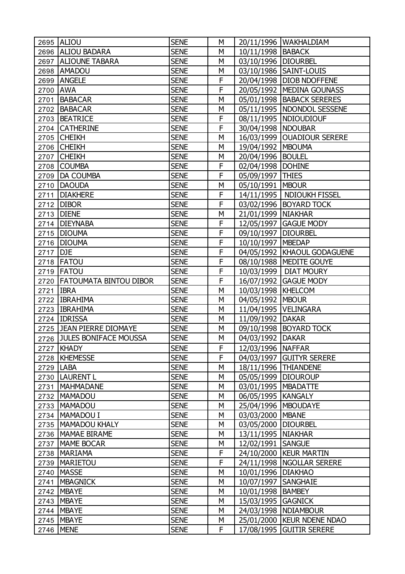|             | 2695 ALIOU                  | <b>SENE</b> | М |                        | 20/11/1996   WAKHALDIAM       |
|-------------|-----------------------------|-------------|---|------------------------|-------------------------------|
|             | 2696 ALIOU BADARA           | <b>SENE</b> | М | 10/11/1998   BABACK    |                               |
| 2697        | <b>ALIOUNE TABARA</b>       | <b>SENE</b> | M | 03/10/1996   DIOURBEL  |                               |
| 2698        | <b>AMADOU</b>               | <b>SENE</b> | М |                        | 03/10/1986   SAINT-LOUIS      |
| 2699        | <b>ANGELE</b>               | <b>SENE</b> | F |                        | 20/04/1998   DIOB NDOFFENE    |
| 2700        | <b>AWA</b>                  | <b>SENE</b> | F |                        | 20/05/1992   MEDINA GOUNASS   |
| 2701        | BABACAR                     | <b>SENE</b> | M |                        | 05/01/1998   BABACK SERERES   |
|             | 2702 BABACAR                | <b>SENE</b> | М |                        | 05/11/1995  NDONDOL SESSENE   |
| 2703        | <b>BEATRICE</b>             | <b>SENE</b> | F |                        | 08/11/1995   NDIOUDIOUF       |
|             | 2704 CATHERINE              | <b>SENE</b> | F | 30/04/1998   NDOUBAR   |                               |
|             | 2705 CHEIKH                 | <b>SENE</b> | М |                        | 16/03/1999   OUADIOUR SERERE  |
|             | 2706 CHEIKH                 | <b>SENE</b> | M | 19/04/1992   MBOUMA    |                               |
|             | 2707 CHEIKH                 | <b>SENE</b> | М | 20/04/1996   BOULEL    |                               |
|             | 2708 COUMBA                 | <b>SENE</b> | F | 02/04/1998   DOHINE    |                               |
| 2709        | <b>DA COUMBA</b>            | <b>SENE</b> | F | 05/09/1997             | <b>THIES</b>                  |
| 2710        | <b>DAOUDA</b>               | <b>SENE</b> | M | 05/10/1991   MBOUR     |                               |
| 2711        | <b>DIAKHERE</b>             | <b>SENE</b> | F |                        | 14/11/1995   NDIOUKH FISSEL   |
|             | 2712 DIBOR                  | <b>SENE</b> | F |                        | 03/02/1996   BOYARD TOCK      |
|             | 2713   DIENE                | <b>SENE</b> | M | 21/01/1999   NIAKHAR   |                               |
|             | 2714   DIEYNABA             | <b>SENE</b> | F |                        | 12/05/1997 GAGUE MODY         |
| 2715        | <b>DIOUMA</b>               | <b>SENE</b> | F | 09/10/1997             | <b>DIOURBEL</b>               |
| 2716        | <b>DIOUMA</b>               | <b>SENE</b> | F | 10/10/1997   MBEDAP    |                               |
| 2717        | DJE                         | <b>SENE</b> | F |                        | 04/05/1992   KHAOUL GODAGUENE |
| 2718        | <b>FATOU</b>                | <b>SENE</b> | F |                        | 08/10/1988   MEDITE GOUYE     |
|             | 2719   FATOU                | <b>SENE</b> | F |                        | 10/03/1999   DIAT MOURY       |
|             | 2720 FATOUMATA BINTOU DIBOR | <b>SENE</b> | F |                        | 16/07/1992 GAGUE MODY         |
| 2721        | <b>IBRA</b>                 | <b>SENE</b> | M | 10/03/1998   KHELCOM   |                               |
| 2722        | <b>IBRAHIMA</b>             | <b>SENE</b> | М | 04/05/1992             | <b>MBOUR</b>                  |
|             | 2723   IBRAHIMA             | <b>SENE</b> | М | 11/04/1995   VELINGARA |                               |
|             | 2724 IDRISSA                | <b>SENE</b> | M | 11/09/1992 DAKAR       |                               |
|             | 2725 JEAN PIERRE DIOMAYE    | <b>SENE</b> | М |                        | 09/10/1998   BOYARD TOCK      |
|             | 2726 JULES BONIFACE MOUSSA  | <b>SENE</b> | M | 04/03/1992             | <b>DAKAR</b>                  |
|             | 2727 KHADY                  | <b>SENE</b> | F | 12/03/1996   NAFFAR    |                               |
|             | 2728   KHEMESSE             | <b>SENE</b> | F |                        | 04/03/1997 GUITYR SERERE      |
| 2729   LABA |                             | <b>SENE</b> | М |                        | 18/11/1996   THIANDENE        |
|             | 2730   LAURENT L            | <b>SENE</b> | М | 05/05/1999 DIOUROUP    |                               |
| 2731        | <b>MAHMADANE</b>            | <b>SENE</b> | М | 03/01/1995   MBADATTE  |                               |
|             | 2732   MAMADOU              | <b>SENE</b> | М | 06/05/1995   KANGALY   |                               |
|             | 2733   MAMADOU              | <b>SENE</b> | М | 25/04/1996   MBOUDAYE  |                               |
|             | 2734   MAMADOU I            | <b>SENE</b> | М | 03/03/2000   MBANE     |                               |
|             | 2735   MAMADOU KHALY        | <b>SENE</b> | М | 03/05/2000   DIOURBEL  |                               |
|             | 2736   MAMAE BIRAME         | <b>SENE</b> | М | 13/11/1995   NIAKHAR   |                               |
| 2737        | MAME BOCAR                  | <b>SENE</b> | М | 12/02/1991   SANGUE    |                               |
| 2738        | <b>MARIAMA</b>              | <b>SENE</b> | F |                        | 24/10/2000   KEUR MARTIN      |
|             | 2739   MARIETOU             | <b>SENE</b> | F |                        | 24/11/1998   NGOLLAR SERERE   |
| 2740        | <b>MASSE</b>                | <b>SENE</b> | М | 10/01/1996   DIAKHAO   |                               |
| 2741        | <b>MBAGNICK</b>             | <b>SENE</b> | М | 10/07/1997             | SANGHAIE                      |
|             | 2742   MBAYE                | <b>SENE</b> | М | 10/01/1998   BAMBEY    |                               |
| 2743        | <b>MBAYE</b>                | <b>SENE</b> | М | 15/03/1995   GAGNICK   |                               |
|             | 2744 MBAYE                  | <b>SENE</b> | М |                        | 24/03/1998   NDIAMBOUR        |
|             | 2745   MBAYE                | <b>SENE</b> | М |                        | 25/01/2000   KEUR NDENE NDAO  |
|             | 2746   MENE                 | <b>SENE</b> | F |                        | 17/08/1995 GUITIR SERERE      |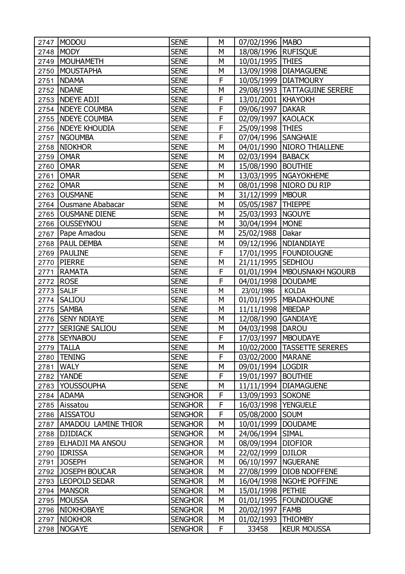| 2747 | MODOU                    | <b>SENE</b>    | М | 07/02/1996   MABO     |                                |
|------|--------------------------|----------------|---|-----------------------|--------------------------------|
| 2748 | <b>MODY</b>              | <b>SENE</b>    | M | 18/08/1996   RUFISQUE |                                |
| 2749 | MOUHAMETH                | <b>SENE</b>    | М | 10/01/1995   THIES    |                                |
| 2750 | <b>MOUSTAPHA</b>         | <b>SENE</b>    | M |                       | 13/09/1998   DIAMAGUENE        |
| 2751 | <b>NDAMA</b>             | <b>SENE</b>    | F |                       | 10/05/1999   DIATMOURY         |
| 2752 | <b>NDANE</b>             | <b>SENE</b>    | M |                       | 29/08/1993   TATTAGUINE SERERE |
|      | 2753 NDEYE ADJI          | <b>SENE</b>    | F | 13/01/2001   KHAYOKH  |                                |
|      | 2754 NDEYE COUMBA        | <b>SENE</b>    | F | 09/06/1997   DAKAR    |                                |
|      | 2755   NDEYE COUMBA      | <b>SENE</b>    | F | 02/09/1997   KAOLACK  |                                |
| 2756 | <b>NDEYE KHOUDIA</b>     | <b>SENE</b>    | F | 25/09/1998 THIES      |                                |
| 2757 | <b>NGOUMBA</b>           | <b>SENE</b>    | F | 07/04/1996 SANGHAIE   |                                |
| 2758 | <b>NIOKHOR</b>           | <b>SENE</b>    | M |                       | 04/01/1990   NIORO THIALLENE   |
| 2759 | <b>OMAR</b>              | <b>SENE</b>    | М | 02/03/1994   BABACK   |                                |
| 2760 | <b>OMAR</b>              | <b>SENE</b>    | M | 15/08/1990   BOUTHIE  |                                |
| 2761 | <b>OMAR</b>              | <b>SENE</b>    | M |                       | 13/03/1995   NGAYOKHEME        |
| 2762 | <b>OMAR</b>              | <b>SENE</b>    | M |                       | 08/01/1998   NIORO DU RIP      |
| 2763 | <b>OUSMANE</b>           | <b>SENE</b>    | M | 31/12/1999   MBOUR    |                                |
|      | 2764   Ousmane Ababacar  | <b>SENE</b>    | M | 05/05/1987   THIEPPE  |                                |
|      | 2765   OUSMANE DIENE     | <b>SENE</b>    | М | 25/03/1993   NGOUYE   |                                |
|      | 2766 OUSSEYNOU           | <b>SENE</b>    | M | 30/04/1994 MONE       |                                |
| 2767 | Pape Amadou              | <b>SENE</b>    | M | 25/02/1988 Dakar      |                                |
| 2768 | <b>PAUL DEMBA</b>        | <b>SENE</b>    | М |                       | 09/12/1996   NDIANDIAYE        |
| 2769 | <b>PAULINE</b>           | <b>SENE</b>    | F |                       | 17/01/1995   FOUNDIOUGNE       |
| 2770 | <b>PIERRE</b>            | <b>SENE</b>    | M | 21/11/1995 SEDHIOU    |                                |
| 2771 | <b>RAMATA</b>            | <b>SENE</b>    | F |                       | 01/01/1994   MBOUSNAKH NGOURB  |
| 2772 | <b>ROSE</b>              | <b>SENE</b>    | F | 04/01/1998   DOUDAME  |                                |
| 2773 | <b>SALIF</b>             | <b>SENE</b>    | M | 23/01/1986            | <b>KOLDA</b>                   |
| 2774 | <b>SALIOU</b>            | <b>SENE</b>    | M | 01/01/1995            | <b>MBADAKHOUNE</b>             |
| 2775 | <b>SAMBA</b>             | <b>SENE</b>    | М | 11/11/1998   MBEDAP   |                                |
|      | 2776   SENY NDIAYE       | <b>SENE</b>    | M | 12/08/1990 GANDIAYE   |                                |
| 2777 | <b>SERIGNE SALIOU</b>    | <b>SENE</b>    | М | 04/03/1998   DAROU    |                                |
|      | 2778 SEYNABOU            | <b>SENE</b>    | F | 17/03/1997   MBOUDAYE |                                |
| 2779 | <b>TALLA</b>             | <b>SENE</b>    | М |                       | 10/02/2000   TASSETTE SERERES  |
| 2780 | <b>TENING</b>            | <b>SENE</b>    | F | 03/02/2000   MARANE   |                                |
|      | 2781 WALY                | <b>SENE</b>    | М | 09/01/1994 LOGDIR     |                                |
| 2782 | <b>YANDE</b>             | <b>SENE</b>    | F | 19/01/1997            | <b>BOUTHIE</b>                 |
| 2783 | <b>YOUSSOUPHA</b>        | <b>SENE</b>    | М | 11/11/1994            | <b>DIAMAGUENE</b>              |
| 2784 | <b>ADAMA</b>             | <b>SENGHOR</b> | F | 13/09/1993 SOKONE     |                                |
| 2785 | Aissatou                 | <b>SENGHOR</b> | F | 16/03/1998   YENGUELE |                                |
|      | 2786 AISSATOU            | <b>SENGHOR</b> | F | 05/08/2000 SOUM       |                                |
|      | 2787 AMADOU LAMINE THIOR | <b>SENGHOR</b> | М | 10/01/1999   DOUDAME  |                                |
| 2788 | <b>DJIDIACK</b>          | <b>SENGHOR</b> | М | 24/06/1994            | <b>SIMAL</b>                   |
| 2789 | <b>ELHADJI MA ANSOU</b>  | <b>SENGHOR</b> | М | 08/09/1994            | <b>DIOFIOR</b>                 |
|      | 2790 IDRISSA             | <b>SENGHOR</b> | М | 22/02/1999   DJILOR   |                                |
| 2791 | <b>JOSEPH</b>            | <b>SENGHOR</b> | М | 06/10/1997   NGUERANE |                                |
|      | 2792 JOSEPH BOUCAR       | <b>SENGHOR</b> | М |                       | 27/08/1999   DIOB NDOFFENE     |
|      | 2793   LEOPOLD SEDAR     | <b>SENGHOR</b> | М |                       | 16/04/1998   NGOHE POFFINE     |
|      | 2794   MANSOR            | <b>SENGHOR</b> | М | 15/01/1998   PETHIE   |                                |
| 2795 | <b>MOUSSA</b>            | <b>SENGHOR</b> | М |                       | 01/01/1995   FOUNDIOUGNE       |
|      | 2796 NIOKHOBAYE          | <b>SENGHOR</b> | М | 20/02/1997   FAMB     |                                |
| 2797 | <b>NIOKHOR</b>           | <b>SENGHOR</b> | М | 01/02/1993            | <b>THIOMBY</b>                 |
| 2798 | <b>NOGAYE</b>            | <b>SENGHOR</b> | F | 33458                 | <b>KEUR MOUSSA</b>             |
|      |                          |                |   |                       |                                |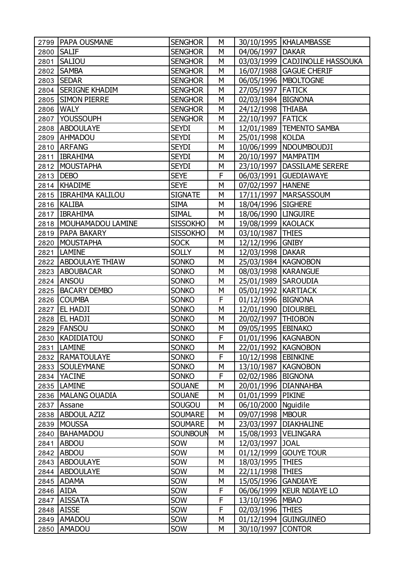|      | 2799   PAPA OUSMANE      | <b>SENGHOR</b>  | M |                       | 30/10/1995   KHALAMBASSE       |
|------|--------------------------|-----------------|---|-----------------------|--------------------------------|
| 2800 | <b>SALIF</b>             | <b>SENGHOR</b>  | М | 04/06/1997   DAKAR    |                                |
| 2801 | <b>SALIOU</b>            | <b>SENGHOR</b>  | M |                       | 03/03/1999 CADJINOLLE HASSOUKA |
| 2802 | <b>SAMBA</b>             | <b>SENGHOR</b>  | M |                       | 16/07/1988   GAGUE CHERIF      |
|      | 2803 SEDAR               | <b>SENGHOR</b>  | М |                       | 06/05/1996   MBOLTOGNE         |
|      | 2804 SERIGNE KHADIM      | <b>SENGHOR</b>  | M | 27/05/1997   FATICK   |                                |
|      | 2805 SIMON PIERRE        | <b>SENGHOR</b>  | M | 02/03/1984   BIGNONA  |                                |
|      | 2806 WALY                | <b>SENGHOR</b>  | М | 24/12/1998 THIABA     |                                |
|      | 2807 YOUSSOUPH           | <b>SENGHOR</b>  | M | 22/10/1997   FATICK   |                                |
|      | 2808 ABDOULAYE           | <b>SEYDI</b>    | M |                       | 12/01/1989   TEMENTO SAMBA     |
|      | 2809 AHMADOU             | <b>SEYDI</b>    | М | 25/01/1998 KOLDA      |                                |
|      | 2810 ARFANG              | <b>SEYDI</b>    | M |                       | 10/06/1999   NDOUMBOUDJI       |
|      | 2811   IBRAHIMA          | <b>SEYDI</b>    | M | 20/10/1997   MAMPATIM |                                |
|      | 2812 MOUSTAPHA           | <b>SEYDI</b>    | М |                       | 23/10/1997   DASSILAME SERERE  |
|      | 2813   DEBO              | <b>SEYE</b>     | F |                       | 06/03/1991   GUEDIAWAYE        |
|      | 2814   KHADIME           | <b>SEYE</b>     | M | 07/02/1997   HANENE   |                                |
|      | 2815   IBRAHIMA KALILOU  | <b>SIGNATE</b>  | M |                       | 17/11/1997   MARSASSOUM        |
|      | 2816   KALIBA            | <b>SIMA</b>     | M | 18/04/1996   SIGHERE  |                                |
|      | 2817   IBRAHIMA          | <b>SIMAL</b>    | M | 18/06/1990   LINGUIRE |                                |
|      | 2818   MOUHAMADOU LAMINE | <b>SISSOKHO</b> | M | 19/08/1999   KAOLACK  |                                |
|      | 2819   PAPA BAKARY       | <b>SISSOKHO</b> | M | 03/10/1987   THIES    |                                |
|      | 2820 MOUSTAPHA           | <b>SOCK</b>     | M | 12/12/1996 GNIBY      |                                |
|      | 2821   LAMINE            | <b>SOLLY</b>    | M | 12/03/1998   DAKAR    |                                |
|      | 2822   ABDOULAYE THIAW   | <b>SONKO</b>    | M | 25/03/1984   KAGNOBON |                                |
|      | 2823 ABOUBACAR           | <b>SONKO</b>    | M | 08/03/1998   KARANGUE |                                |
|      | 2824 ANSOU               | <b>SONKO</b>    | М | 25/01/1989 SAROUDIA   |                                |
|      | 2825   BACARY DEMBO      | <b>SONKO</b>    | M | 05/01/1992   KARTIACK |                                |
|      | 2826 COUMBA              | <b>SONKO</b>    | F | 01/12/1996   BIGNONA  |                                |
| 2827 | <b>EL HADJI</b>          | <b>SONKO</b>    | М | 12/01/1990   DIOURBEL |                                |
|      | 2828   EL HADJI          | <b>SONKO</b>    | M | 20/02/1997 THIOBON    |                                |
|      | 2829   FANSOU            | <b>SONKO</b>    | M | 09/05/1995 EBINAKO    |                                |
|      | 2830 KADIDIATOU          | <b>SONKO</b>    | F | 01/01/1996   KAGNABON |                                |
|      | 2831   LAMINE            | <b>SONKO</b>    | М | 22/01/1992   KAGNOBON |                                |
|      | 2832   RAMATOULAYE       | <b>SONKO</b>    | F | 10/12/1998 EBINKINE   |                                |
|      | 2833 SOULEYMANE          | <b>SONKO</b>    | М | 13/10/1987   KAGNOBON |                                |
|      | 2834 YACINE              | <b>SONKO</b>    | F | 02/02/1986   BIGNONA  |                                |
|      | 2835   LAMINE            | <b>SOUANE</b>   | М |                       | 20/01/1996   DIANNAHBA         |
|      | 2836   MALANG OUADIA     | <b>SOUANE</b>   | М | 01/01/1999   PIKINE   |                                |
| 2837 | Assane                   | SOUGOU          | М | 06/10/2000   Nguidile |                                |
|      | 2838   ABDOUL AZIZ       | <b>SOUMARE</b>  | М | 09/07/1998   MBOUR    |                                |
| 2839 | MOUSSA                   | <b>SOUMARE</b>  | М |                       | 23/03/1997   DIAKHALINE        |
| 2840 | <b>BAHAMADOU</b>         | <b>SOUNBOUN</b> | М |                       | 15/08/1993   VELINGARA         |
| 2841 | ABDOU                    | SOW             | М | 12/03/1997 JOAL       |                                |
| 2842 | ABDOU                    | SOW             | М | 01/12/1999            | <b>GOUYE TOUR</b>              |
|      | 2843 ABDOULAYE           | SOW             | М | 18/03/1995            | <b>THIES</b>                   |
|      | 2844 ABDOULAYE           | SOW             | М | 22/11/1998 THIES      |                                |
|      | 2845 ADAMA               | SOW             | М | 15/05/1996 GANDIAYE   |                                |
|      | 2846 AIDA                | SOW             | F |                       | 06/06/1999   KEUR NDIAYE LO    |
|      | 2847 AISSATA             | SOW             | F | 13/10/1996   MBAO     |                                |
| 2848 | <b>AISSE</b>             | SOW             | F | 02/03/1996            | <b>THIES</b>                   |
|      | 2849 AMADOU              | SOW             | М |                       | 01/12/1994 GUINGUINEO          |
|      | 2850 AMADOU              | SOW             | М | 30/10/1997 CONTOR     |                                |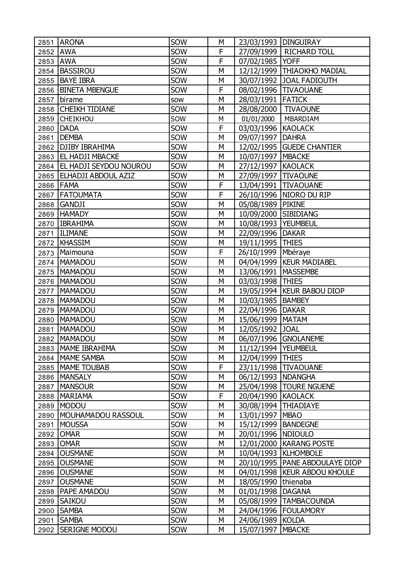|          | 2851 ARONA                    | SOW | М | 23/03/1993   DINGUIRAY |                                  |
|----------|-------------------------------|-----|---|------------------------|----------------------------------|
| 2852 AWA |                               | SOW | F |                        | 27/09/1999   RICHARD TOLL        |
| 2853     | <b>AWA</b>                    | SOW | F | 07/02/1985   YOFF      |                                  |
| 2854     | <b>BASSIROU</b>               | SOW | M |                        | 12/12/1999   THIAOKHO MADIAL     |
| 2855     | <b>BAYE IBRA</b>              | SOW | М |                        | 30/07/1992 JOAL FADIOUTH         |
|          | 2856   BINETA MBENGUE         | SOW | F |                        | 08/02/1996   TIVAOUANE           |
| 2857     | birame                        | SOW | M | 28/03/1991 FATICK      |                                  |
|          | 2858 CHEIKH TIDIANE           | SOW | М | 28/08/2000   TIVAOUNE  |                                  |
| 2859     | <b>CHEIKHOU</b>               | SOW | М | 01/01/2000             | MBARDIAM                         |
| 2860     | DADA                          | SOW | F | 03/03/1996 KAOLACK     |                                  |
| 2861     | <b>DEMBA</b>                  | SOW | М | 09/07/1997   DAHRA     |                                  |
|          | 2862   DJIBY IBRAHIMA         | SOW | M |                        | 12/02/1995   GUEDE CHANTIER      |
| 2863     | <b>EL HADJI MBACKE</b>        | SOW | М | 10/07/1997   MBACKE    |                                  |
| 2864     | <b>EL HADJI SEYDOU NOUROU</b> | SOW | M | 27/12/1997 KAOLACK     |                                  |
| 2865     | <b>ELHADJI ABDOUL AZIZ</b>    | SOW | M | 27/09/1997   TIVAOUNE  |                                  |
|          | 2866 FAMA                     | SOW | F |                        | 13/04/1991   TIVAOUANE           |
| 2867     | <b>FATOUMATA</b>              | SOW | F |                        | 26/10/1996   NIORO DU RIP        |
| 2868     | <b>GANDJI</b>                 | SOW | M | 05/08/1989 PIKINE      |                                  |
|          | 2869 HAMADY                   | SOW | М | 10/09/2000 SIBIDIANG   |                                  |
|          | 2870   IBRAHIMA               | SOW | M | 10/08/1993   YEUMBEUL  |                                  |
| 2871     | <b>ILIMANE</b>                | SOW | M | 22/09/1996             | <b>DAKAR</b>                     |
| 2872     | KHASSIM                       | SOW | М | 19/11/1995   THIES     |                                  |
| 2873     | Maimouna                      | SOW | F | 26/10/1999   Mbéraye   |                                  |
| 2874     | MAMADOU                       | SOW | M |                        | 04/04/1999   KEUR MADIABEL       |
| 2875     | MAMADOU                       | SOW | М | 13/06/1991   MASSEMBE  |                                  |
| 2876     | MAMADOU                       | SOW | M | 03/03/1998 THIES       |                                  |
| 2877     | MAMADOU                       | SOW | M |                        | 19/05/1994   KEUR BABOU DIOP     |
| 2878     | <b>MAMADOU</b>                | SOW | М | 10/03/1985   BAMBEY    |                                  |
| 2879     | <b>MAMADOU</b>                | SOW | M | 22/04/1996   DAKAR     |                                  |
| 2880     | <b>MAMADOU</b>                | SOW | M | 15/06/1999   MATAM     |                                  |
| 2881     | MAMADOU                       | SOW | М | 12/05/1992 JOAL        |                                  |
|          | 2882   MAMADOU                | SOW | M |                        | 06/07/1996 GNOLANEME             |
|          | 2883   MAME IBRAHIMA          | SOW | М | 11/12/1994   YEUMBEUL  |                                  |
|          | 2884   MAME SAMBA             | SOW | М | 12/04/1999 THIES       |                                  |
| 2885     | <b>MAME TOUBAB</b>            | SOW | F |                        | 23/11/1998   TIVAOUANE           |
| 2886     | <b>MANSALY</b>                | SOW | М | 06/12/1993   NDANGHA   |                                  |
| 2887     | <b>MANSOUR</b>                | SOW | М | 25/04/1998             | <b>TOURE NGUENE</b>              |
| 2888     | <b>MARIAMA</b>                | SOW | F | 20/04/1990             | <b>KAOLACK</b>                   |
| 2889     | MODOU                         | SOW | М | 30/08/1994             | <b>THIADIAYE</b>                 |
| 2890     | MOUHAMADOU RASSOUL            | SOW | М | 13/01/1997             | <b>MBAO</b>                      |
| 2891     | MOUSSA                        | SOW | М | 15/12/1999   BANDEGNE  |                                  |
| 2892     | <b>OMAR</b>                   | SOW | М | 20/01/1996   NDIOULO   |                                  |
| 2893     | <b>OMAR</b>                   | SOW | М |                        | 12/01/2000   KARANG POSTE        |
| 2894     | <b>OUSMANE</b>                | SOW | М |                        | 10/04/1993   KLHOMBOLE           |
| 2895     | <b>OUSMANE</b>                | SOW | М |                        | 20/10/1995   PANE ABDOULAYE DIOP |
| 2896     | <b>OUSMANE</b>                | SOW | М |                        | 04/01/1998   KEUR ABDOU KHOULE   |
| 2897     | <b>OUSMANE</b>                | SOW | М | 18/05/1990   thienaba  |                                  |
| 2898     | PAPE AMADOU                   | SOW | М | 01/01/1998             | <b>DAGANA</b>                    |
| 2899     | <b>SAIKOU</b>                 | SOW | М | 05/08/1999             | <b>TAMBACOUNDA</b>               |
| 2900     | <b>SAMBA</b>                  | SOW | М | 24/04/1996             | <b>FOULAMORY</b>                 |
| 2901     | <b>SAMBA</b>                  | SOW | М | 24/06/1989 KOLDA       |                                  |
| 2902     | <b>SERIGNE MODOU</b>          | SOW | М | 15/07/1997             | <b>MBACKE</b>                    |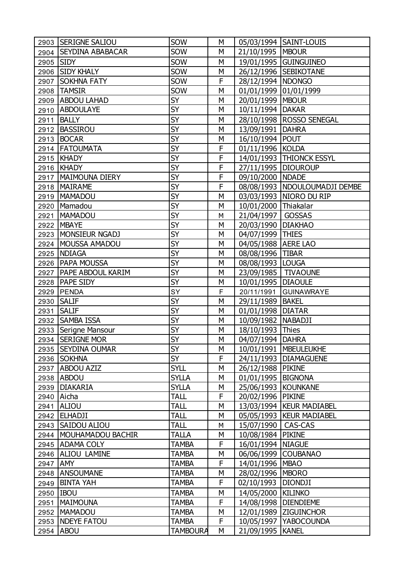|           | 2903 SERIGNE SALIOU      | SOW             | М |                        | 05/03/1994 SAINT-LOUIS          |
|-----------|--------------------------|-----------------|---|------------------------|---------------------------------|
|           | 2904 SEYDINA ABABACAR    | SOW             | М | 21/10/1995   MBOUR     |                                 |
| 2905 SIDY |                          | SOW             | M |                        | 19/01/1995 GUINGUINEO           |
|           | 2906 SIDY KHALY          | SOW             | М |                        | 26/12/1996 SEBIKOTANE           |
| 2907      | <b>SOKHNA FATY</b>       | SOW             | F | 28/12/1994   NDONGO    |                                 |
|           | 2908   TAMSIR            | SOW             | M | 01/01/1999 01/01/1999  |                                 |
|           | 2909   ABDOU LAHAD       | SY              | М | 20/01/1999   MBOUR     |                                 |
|           | 2910 ABDOULAYE           | SY              | M | 10/11/1994   DAKAR     |                                 |
| 2911      | <b>BALLY</b>             | <b>SY</b>       | M |                        | 28/10/1998   ROSSO SENEGAL      |
| 2912      | BASSIROU                 | <b>SY</b>       | М | 13/09/1991   DAHRA     |                                 |
|           | 2913   BOCAR             | <b>SY</b>       | M | 16/10/1994 POUT        |                                 |
|           | 2914   FATOUMATA         | <b>SY</b>       | F | 01/11/1996 KOLDA       |                                 |
|           | 2915   KHADY             | <b>SY</b>       | F |                        | 14/01/1993   THIONCK ESSYL      |
|           | 2916   KHADY             | <b>SY</b>       | F | 27/11/1995   DIOUROUP  |                                 |
|           | 2917   MAIMOUNA DIERY    | <b>SY</b>       | F | 09/10/2000   NDADE     |                                 |
|           | 2918   MAIRAME           | <b>SY</b>       | F |                        | 08/08/1993   NDOULOUMADJI DEMBE |
|           | 2919   MAMADOU           | <b>SY</b>       | M |                        | 03/03/1993   NIORO DU RIP       |
|           | 2920   Mamadou           | <b>SY</b>       | M | 10/01/2000 Thiakalar   |                                 |
|           | 2921   MAMADOU           | <b>SY</b>       | М | 21/04/1997   GOSSAS    |                                 |
|           | 2922   MBAYE             | <b>SY</b>       | M | 20/03/1990   DIAKHAO   |                                 |
|           | 2923   MONSIEUR NGADJ    | <b>SY</b>       | M | 04/07/1999 THIES       |                                 |
|           | 2924   MOUSSA AMADOU     | <b>SY</b>       | М | 04/05/1988   AERE LAO  |                                 |
|           | 2925 NDIAGA              | <b>SY</b>       | M | 08/08/1996 TIBAR       |                                 |
|           | 2926   PAPA MOUSSA       | <b>SY</b>       | M | 08/08/1993 LOUGA       |                                 |
|           | 2927   PAPE ABDOUL KARIM | <b>SY</b>       | М | 23/09/1985   TIVAOUNE  |                                 |
|           | 2928   PAPE SIDY         | <b>SY</b>       | M | 10/01/1995             | <b>DIAOULE</b>                  |
| 2929      | PENDA                    | SY              | F | 20/11/1991             | <b>GUINAWRAYE</b>               |
| 2930      | <b>SALIF</b>             | <b>SY</b>       | М | 29/11/1989             | <b>BAKEL</b>                    |
| 2931      | <b>SALIF</b>             | <b>SY</b>       | M | 01/01/1998   DIATAR    |                                 |
|           | 2932 SAMBA ISSA          | <b>SY</b>       | M | 10/09/1982   NABADJI   |                                 |
|           | 2933 Serigne Mansour     | <b>SY</b>       | M | 18/10/1993 Thies       |                                 |
| 2934      | <b>SERIGNE MOR</b>       | SY              | M | 04/07/1994 DAHRA       |                                 |
|           | 2935 SEYDINA OUMAR       | <b>SY</b>       | М |                        | 10/01/1991   MBEULEUKHE         |
|           | 2936 SOKHNA              | SY              | F |                        | 24/11/1993   DIAMAGUENE         |
|           | 2937   ABDOU AZIZ        | <b>SYLL</b>     | М | 26/12/1988   PIKINE    |                                 |
|           | 2938 ABDOU               | <b>SYLLA</b>    | М | 01/01/1995   BIGNONA   |                                 |
| 2939      | DIAKARIA                 | <b>SYLLA</b>    | М | 25/06/1993 KOUNKANE    |                                 |
| 2940      | Aicha                    | <b>TALL</b>     | F | 20/02/1996 PIKINE      |                                 |
|           | 2941 ALIOU               | TALL            | М |                        | 13/03/1994   KEUR MADIABEL      |
|           | 2942 ELHADJI             | <b>TALL</b>     | М |                        | 05/05/1993   KEUR MADIABEL      |
|           | 2943   SAIDOU ALIOU      | TALL            | М | 15/07/1990   CAS-CAS   |                                 |
|           | 2944   MOUHAMADOU BACHIR | <b>TALLA</b>    | М | 10/08/1984             | <b>PIKINE</b>                   |
|           | 2945 ADAMA COLY          | <b>TAMBA</b>    | F | 16/01/1994   NIAGUE    |                                 |
|           | 2946   ALIOU LAMINE      | TAMBA           | М | 06/06/1999 COUBANAO    |                                 |
| 2947 AMY  |                          | <b>TAMBA</b>    | F | 14/01/1996   MBAO      |                                 |
|           | 2948 ANSOUMANE           | <b>TAMBA</b>    | М | 28/02/1996   MBORO     |                                 |
| 2949      | <b>BINTA YAH</b>         | TAMBA           | F | 02/10/1993             | <b>DIONDJI</b>                  |
| 2950      | <b>IBOU</b>              | <b>TAMBA</b>    | М | 14/05/2000             | <b>KILINKO</b>                  |
| 2951      | <b>MAIMOUNA</b>          | <b>TAMBA</b>    | F | 14/08/1998   DIENDIEME |                                 |
| 2952      | MAMADOU                  | <b>TAMBA</b>    | М |                        | 12/01/1989 ZIGUINCHOR           |
| 2953      | <b>NDEYE FATOU</b>       | <b>TAMBA</b>    | F |                        | 10/05/1997   YABOCOUNDA         |
| 2954      | <b>ABOU</b>              | <b>TAMBOURA</b> | M | 21/09/1995   KANEL     |                                 |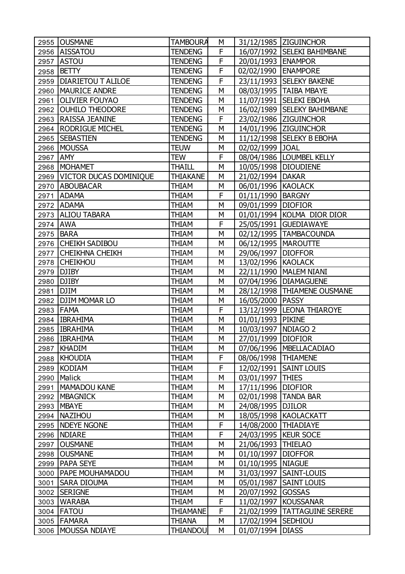| 2955     | <b>OUSMANE</b>              | <b>TAMBOURA</b> | М |                       | 31/12/1985 ZIGUINCHOR          |
|----------|-----------------------------|-----------------|---|-----------------------|--------------------------------|
|          | 2956 AISSATOU               | <b>TENDENG</b>  | F |                       | 16/07/1992 SELEKI BAHIMBANE    |
| 2957     | <b>ASTOU</b>                | <b>TENDENG</b>  | F | 20/01/1993   ENAMPOR  |                                |
| 2958     | <b>BETTY</b>                | <b>TENDENG</b>  | F | 02/02/1990 ENAMPORE   |                                |
| 2959     | <b>DIARIETOU T ALILOE</b>   | <b>TENDENG</b>  | F |                       | 23/11/1993 SELEKY BAKENE       |
| 2960     | <b>MAURICE ANDRE</b>        | <b>TENDENG</b>  | M |                       | 08/03/1995   TAIBA MBAYE       |
| 2961     | <b>OLIVIER FOUYAO</b>       | <b>TENDENG</b>  | М |                       | 11/07/1991   SELEKI EBOHA      |
| 2962     | <b>OUHILO THEODORE</b>      | <b>TENDENG</b>  | M |                       | 16/02/1989 SELEKY BAHIMBANE    |
| 2963     | <b>RAISSA JEANINE</b>       | <b>TENDENG</b>  | F |                       | 23/02/1986   ZIGUINCHOR        |
| 2964     | <b>RODRIGUE MICHEL</b>      | <b>TENDENG</b>  | М |                       | 14/01/1996 ZIGUINCHOR          |
| 2965     | <b>SEBASTIEN</b>            | <b>TENDENG</b>  | M |                       | 11/12/1998 SELEKY B EBOHA      |
|          | 2966 MOUSSA                 | <b>TEUW</b>     | M | 02/02/1999 JOAL       |                                |
| 2967     | <b>JAMY</b>                 | TEW             | F |                       | 08/04/1986   LOUMBEL KELLY     |
|          | 2968   MOHAMET              | <b>THAILL</b>   | M | 10/05/1998 DIOUDIENE  |                                |
|          | 2969 VICTOR DUCAS DOMINIQUE | <b>THIAKANE</b> | M | 21/02/1994            | <b>DAKAR</b>                   |
| 2970     | <b>ABOUBACAR</b>            | THIAM           | М | 06/01/1996 KAOLACK    |                                |
| 2971     | <b>ADAMA</b>                | <b>THIAM</b>    | F | 01/11/1990   BARGNY   |                                |
| 2972     | <b>ADAMA</b>                | THIAM           | M | 09/01/1999   DIOFIOR  |                                |
|          | 2973 ALIOU TABARA           | THIAM           | М |                       | 01/01/1994 KOLMA DIOR DIOR     |
| 2974 AWA |                             | <b>THIAM</b>    | F |                       | 25/05/1991 GUEDIAWAYE          |
| 2975     | <b>BARA</b>                 | THIAM           | M |                       | 02/12/1995   TAMBACOUNDA       |
|          | 2976 CHEIKH SADIBOU         | THIAM           | М | 06/12/1995   MAROUTTE |                                |
| 2977     | <b>CHEIKHNA CHEIKH</b>      | <b>THIAM</b>    | M | 29/06/1997   DIOFFOR  |                                |
| 2978     | <b>CHEIKHOU</b>             | THIAM           | M | 13/02/1996 KAOLACK    |                                |
| 2979     | <b>DJIBY</b>                | THIAM           | М |                       | 22/11/1990   MALEM NIANI       |
|          | 2980 DJIBY                  | <b>THIAM</b>    | M |                       | 07/04/1996   DIAMAGUENE        |
| 2981     | <b>DJIM</b>                 | THIAM           | M |                       | 28/12/1998   THIAMENE OUSMANE  |
| 2982     | <b>DJIM MOMAR LO</b>        | THIAM           | М | 16/05/2000 PASSY      |                                |
| 2983     | <b>FAMA</b>                 | <b>THIAM</b>    | F |                       | 13/12/1999 LEONA THIAROYE      |
|          | 2984   IBRAHIMA             | <b>THIAM</b>    | M | 01/01/1993 PIKINE     |                                |
|          | 2985   IBRAHIMA             | THIAM           | М | 10/03/1997   NDIAGO 2 |                                |
|          | 2986   IBRAHIMA             | <b>THIAM</b>    | M | 27/01/1999   DIOFIOR  |                                |
| 2987     | KHADIM                      | THIAM           | М |                       | 07/06/1996   MBELLACADIAO      |
| 2988     | KHOUDIA                     | THIAM           | F | 08/06/1998   THIAMENE |                                |
| 2989     | KODIAM                      | <b>THIAM</b>    | F |                       | 12/02/1991   SAINT LOUIS       |
| 2990     | Malick                      | <b>THIAM</b>    | М | 03/01/1997            | <b>THIES</b>                   |
| 2991     | MAMADOU KANE                | <b>THIAM</b>    | М | 17/11/1996            | <b>DIOFIOR</b>                 |
|          | 2992   MBAGNICK             | <b>THIAM</b>    | М |                       | 02/01/1998   TANDA BAR         |
| 2993     | <b>MBAYE</b>                | <b>THIAM</b>    | М | 24/08/1995   DJILOR   |                                |
|          | 2994   NAZIHOU              | <b>THIAM</b>    | М |                       | 18/05/1998 KAOLACKATT          |
|          | 2995   NDEYE NGONE          | THIAM           | F | 14/08/2000            | <b>THIADIAYE</b>               |
| 2996     | <b>NDIARE</b>               | <b>THIAM</b>    | F | 24/03/1995            | <b>KEUR SOCE</b>               |
| 2997     | <b>OUSMANE</b>              | <b>THIAM</b>    | М | 21/06/1993            | <b>THIELAO</b>                 |
| 2998     | <b>OUSMANE</b>              | THIAM           | М | 01/10/1997            | <b>DIOFFOR</b>                 |
| 2999     | <b>PAPA SEYE</b>            | <b>THIAM</b>    | М | 01/10/1995   NIAGUE   |                                |
|          | 3000   PAPE MOUHAMADOU      | <b>THIAM</b>    | М |                       | 31/03/1997   SAINT-LOUIS       |
| 3001     | <b>SARA DIOUMA</b>          | THIAM           | М | 05/01/1987            | <b>SAINT LOUIS</b>             |
| 3002     | <b>SERIGNE</b>              | <b>THIAM</b>    | М | 20/07/1992            | <b>GOSSAS</b>                  |
| 3003     | <b>WARABA</b>               | <b>THIAM</b>    | F | 11/02/1997            | <b>KOUSSANAR</b>               |
|          | 3004   FATOU                | <b>THIAMANE</b> | F |                       | 21/02/1999   TATTAGUINE SERERE |
|          | 3005   FAMARA               | <b>THIANA</b>   | М | 17/02/1994   SEDHIOU  |                                |
|          | 3006   MOUSSA NDIAYE        | <b>THIANDOU</b> | M | 01/07/1994            | <b>DIASS</b>                   |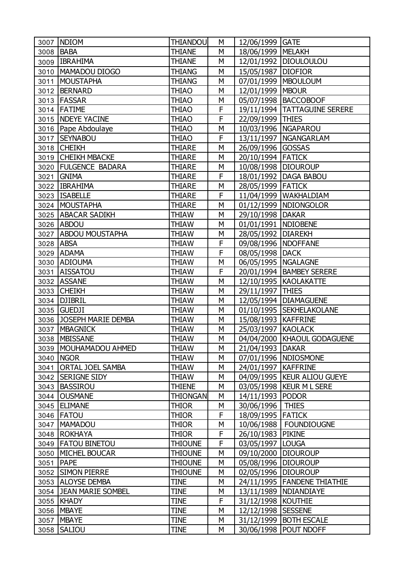| 3007      | <b>NDIOM</b>            | THIANDOU        | М | 12/06/1999   GATE     |                                |
|-----------|-------------------------|-----------------|---|-----------------------|--------------------------------|
|           | 3008 BABA               | <b>THIANE</b>   | M | 18/06/1999   MELAKH   |                                |
|           | 3009 IBRAHIMA           | <b>THIANE</b>   | M |                       | 12/01/1992   DIOULOULOU        |
| 3010      | MAMADOU DIOGO           | <b>THIANG</b>   | М | 15/05/1987   DIOFIOR  |                                |
| 3011      | <b>MOUSTAPHA</b>        | <b>THIANG</b>   | M |                       | 07/01/1999   MBOULOUM          |
|           | 3012   BERNARD          | <b>THIAO</b>    | M | 12/01/1999   MBOUR    |                                |
|           | 3013   FASSAR           | <b>THIAO</b>    | М |                       | 05/07/1998   BACCOBOOF         |
|           | 3014 FATIME             | <b>THIAO</b>    | F |                       | 19/11/1994   TATTAGUINE SERERE |
|           | 3015   NDEYE YACINE     | <b>THIAO</b>    | F | 22/09/1999 THIES      |                                |
|           | 3016   Pape Abdoulaye   | <b>THIAO</b>    | М | 10/03/1996   NGAPAROU |                                |
| 3017      | <b>SEYNABOU</b>         | <b>THIAO</b>    | F |                       | 13/11/1997   NGANGARLAM        |
|           | 3018 CHEIKH             | <b>THIARE</b>   | M | 26/09/1996 GOSSAS     |                                |
|           | 3019 CHEIKH MBACKE      | <b>THIARE</b>   | М | 20/10/1994 FATICK     |                                |
|           | 3020   FULGENCE BADARA  | THIARE          | M | 10/08/1998   DIOUROUP |                                |
| 3021      | <b>GNIMA</b>            | THIARE          | F | 18/01/1992            | <b>DAGA BABOU</b>              |
|           | 3022 IBRAHIMA           | <b>THIARE</b>   | М | 28/05/1999 FATICK     |                                |
|           | 3023   ISABELLE         | <b>THIARE</b>   | F |                       | 11/04/1999   WAKHALDIAM        |
|           | 3024   MOUSTAPHA        | <b>THIARE</b>   | M |                       | 01/12/1999   NDIONGOLOR        |
|           | 3025   ABACAR SADIKH    | <b>THIAW</b>    | М | 29/10/1998   DAKAR    |                                |
|           | 3026 ABDOU              | <b>THIAW</b>    | M | 01/01/1991   NDIOBENE |                                |
|           | 3027 ABDOU MOUSTAPHA    | <b>THIAW</b>    | M | 28/05/1992            | <b>DIAREKH</b>                 |
| 3028 ABSA |                         | <b>THIAW</b>    | F | 09/08/1996   NDOFFANE |                                |
| 3029      | <b>ADAMA</b>            | THIAW           | F | 08/05/1998 DACK       |                                |
|           | 3030 ADIOUMA            | <b>THIAW</b>    | M | 06/05/1995   NGALAGNE |                                |
| 3031      | <b>AISSATOU</b>         | <b>THIAW</b>    | F |                       | 20/01/1994   BAMBEY SERERE     |
|           | 3032 ASSANE             | <b>THIAW</b>    | M |                       | 12/10/1995   KAOLAKATTE        |
| 3033      | <b>CHEIKH</b>           | <b>THIAW</b>    | M | 29/11/1997            | <b>THIES</b>                   |
|           | 3034 DJIBRIL            | <b>THIAW</b>    | M |                       | 12/05/1994   DIAMAGUENE        |
| 3035      | <b>GUEDJI</b>           | <b>THIAW</b>    | M |                       | 01/10/1995  SEKHELAKOLANE      |
|           | 3036 JOSEPH MARIE DEMBA | <b>THIAW</b>    | M | 15/08/1993   KAFFRINE |                                |
| 3037      | <b>MBAGNICK</b>         | <b>THIAW</b>    | М | 25/03/1997 KAOLACK    |                                |
| 3038      | <b>MBISSANE</b>         | <b>THIAW</b>    | M |                       | 04/04/2000   KHAOUL GODAGUENE  |
|           | 3039 MOUHAMADOU AHMED   | THIAW           | М | 21/04/1993   DAKAR    |                                |
|           | 3040   NGOR             | THIAW           | М |                       | 07/01/1996   NDIOSMONE         |
| 3041      | <b>ORTAL JOEL SAMBA</b> | <b>THIAW</b>    | М | 24/01/1997   KAFFRINE |                                |
| 3042      | <b>SERIGNE SIDY</b>     | <b>THIAW</b>    | М |                       | 04/09/1995   KEUR ALIOU GUEYE  |
| 3043      | <b>BASSIROU</b>         | <b>THIENE</b>   | М |                       | 03/05/1998   KEUR M L SERE     |
|           | 3044 OUSMANE            | <b>THIONGAN</b> | M | 14/11/1993   PODOR    |                                |
|           | 3045 ELIMANE            | <b>THIOR</b>    | М | 30/06/1996            | <b>THIES</b>                   |
|           | 3046 <b>FATOU</b>       | <b>THIOR</b>    | F | 18/09/1995 FATICK     |                                |
|           | 3047   MAMADOU          | <b>THIOR</b>    | M |                       | 10/06/1988   FOUNDIOUGNE       |
|           | 3048 ROKHAYA            | <b>THIOR</b>    | F | 26/10/1983            | <b>PIKINE</b>                  |
|           | 3049   FATOU BINETOU    | <b>THIOUNE</b>  | F | 03/05/1997   LOUGA    |                                |
| 3050      | MICHEL BOUCAR           | <b>THIOUNE</b>  | М | 09/10/2000 DIOUROUP   |                                |
| 3051 PAPE |                         | <b>THIOUNE</b>  | М | 05/08/1996 DIOUROUP   |                                |
|           | 3052 SIMON PIERRE       | <b>THIOUNE</b>  | М | 02/05/1996   DIOUROUP |                                |
|           | 3053 ALOYSE DEMBA       | <b>TINE</b>     | М |                       | 24/11/1995   FANDENE THIATHIE  |
|           | 3054 JEAN MARIE SOMBEL  | <b>TINE</b>     | М |                       | 13/11/1989   NDIANDIAYE        |
|           | 3055 KHADY              | <b>TINE</b>     | F | 31/12/1998   KOUTHIE  |                                |
|           | 3056   MBAYE            | <b>TINE</b>     | М | 12/12/1998   SESSENE  |                                |
|           | 3057   MBAYE            | <b>TINE</b>     | М |                       | 31/12/1999   BOTH ESCALE       |
|           | 3058 SALIOU             | <b>TINE</b>     | М |                       | 30/06/1998   POUT NDOFF        |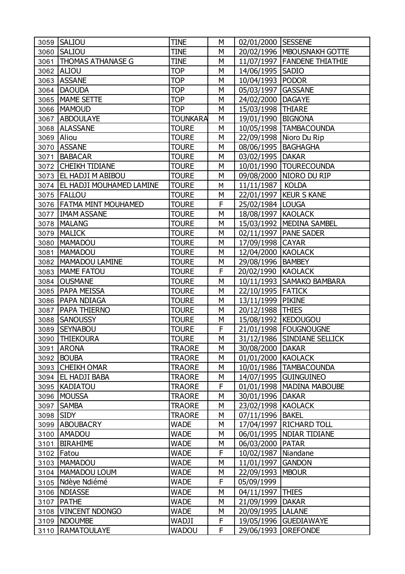|            | 3059 SALIOU                     | <b>TINE</b>     | M  | 02/01/2000 SESSENE    |                               |
|------------|---------------------------------|-----------------|----|-----------------------|-------------------------------|
|            | 3060 SALIOU                     | <b>TINE</b>     | M  |                       | 20/02/1996   MBOUSNAKH GOTTE  |
|            | 3061   THOMAS ATHANASE G        | <b>TINE</b>     | M  |                       | 11/07/1997   FANDENE THIATHIE |
|            | 3062 ALIOU                      | <b>TOP</b>      | M  | 14/06/1995   SADIO    |                               |
|            | 3063 ASSANE                     | <b>TOP</b>      | M  | 10/04/1993            | <b>PODOR</b>                  |
|            | 3064   DAOUDA                   | <b>TOP</b>      | M  | 05/03/1997            | <b>GASSANE</b>                |
|            | 3065   MAME SETTE               | <b>TOP</b>      | M  | 24/02/2000            | <b>DAGAYE</b>                 |
|            | 3066   MAMOUD                   | <b>TOP</b>      | M  | 15/03/1998 THIARE     |                               |
|            | 3067 ABDOULAYE                  | <b>TOUNKARA</b> | M  | 19/01/1990            | <b>BIGNONA</b>                |
| 3068       | <b>ALASSANE</b>                 | <b>TOURE</b>    | M  |                       | 10/05/1998   TAMBACOUNDA      |
| 3069 Aliou |                                 | <b>TOURE</b>    | M  |                       | 22/09/1998 Nioro Du Rip       |
|            | 3070 ASSANE                     | <b>TOURE</b>    | M  | 08/06/1995   BAGHAGHA |                               |
|            | 3071   BABACAR                  | <b>TOURE</b>    | M  | 03/02/1995   DAKAR    |                               |
|            | 3072 CHEIKH TIDIANE             | <b>TOURE</b>    | M  |                       | 10/01/1990 TOURECOUNDA        |
|            | 3073 EL HADJI M ABIBOU          | <b>TOURE</b>    | M  | 09/08/2000            | NIORO DU RIP                  |
|            | 3074   EL HADJI MOUHAMED LAMINE | <b>TOURE</b>    | M  | 11/11/1987            | <b>KOLDA</b>                  |
|            | 3075   FALLOU                   | <b>TOURE</b>    | M  |                       | 22/01/1997   KEUR S KANE      |
|            | 3076   FATMA MINT MOUHAMED      | <b>TOURE</b>    | F  | 25/02/1984 LOUGA      |                               |
|            | 3077   IMAM ASSANE              | <b>TOURE</b>    | M  | 18/08/1997   KAOLACK  |                               |
|            | 3078   MALANG                   | <b>TOURE</b>    | M  |                       | 15/03/1992   MEDINA SAMBEL    |
|            | 3079   MALICK                   | <b>TOURE</b>    | M  |                       | 02/11/1997   PANE SADER       |
| 3080       | <b>MAMADOU</b>                  | <b>TOURE</b>    | M  | 17/09/1998            | <b>CAYAR</b>                  |
|            | 3081   MAMADOU                  | <b>TOURE</b>    | M  | 12/04/2000 KAOLACK    |                               |
|            | 3082   MAMADOU LAMINE           | <b>TOURE</b>    | M  | 29/08/1996            | <b>BAMBEY</b>                 |
|            | 3083   MAME FATOU               | <b>TOURE</b>    | F  | 20/02/1990            | <b>KAOLACK</b>                |
|            | 3084 OUSMANE                    | <b>TOURE</b>    | M  | 10/11/1993            | SAMAKO BAMBARA                |
|            | 3085   PAPA MEISSA              | <b>TOURE</b>    | M  | 22/10/1995 FATICK     |                               |
|            | 3086   PAPA NDIAGA              | <b>TOURE</b>    | M  | 13/11/1999            | <b>PIKINE</b>                 |
|            | 3087   PAPA THIERNO             | <b>TOURE</b>    | M  | 20/12/1988            | <b>THIES</b>                  |
|            | 3088 SANOUSSY                   | <b>TOURE</b>    | M  | 15/08/1992            | <b>KEDOUGOU</b>               |
|            | 3089 SEYNABOU                   | <b>TOURE</b>    | F  |                       | 21/01/1998   FOUGNOUGNE       |
|            | 3090 THIEKOURA                  | <b>TOURE</b>    | M  | 31/12/1986            | SINDIANE SELLICK              |
|            | 3091 ARONA                      | <b>TRAORE</b>   | M  | 30/08/2000 DAKAR      |                               |
|            | 3092 BOUBA                      | <b>TRAORE</b>   | M  | 01/01/2000 KAOLACK    |                               |
|            | 3093 CHEIKH OMAR                | <b>TRAORE</b>   | M  | 10/01/1986            | <b>TAMBACOUNDA</b>            |
|            | 3094 EL HADJI BABA              | <b>TRAORE</b>   | М  | 14/07/1995            | <b>GUINGUINEO</b>             |
|            | 3095 KADIATOU                   | <b>TRAORE</b>   | F  | 01/01/1998            | <b>MADINA MABOUBE</b>         |
|            | 3096 MOUSSA                     | <b>TRAORE</b>   | M  | 30/01/1996            | <b>DAKAR</b>                  |
|            | 3097 SAMBA                      | <b>TRAORE</b>   | M  | 23/02/1998 KAOLACK    |                               |
| 3098 SIDY  |                                 | <b>TRAORE</b>   | М  | 07/11/1996            | <b>BAKEL</b>                  |
|            | 3099 ABOUBACRY                  | <b>WADE</b>     | M  | 17/04/1997            | <b>RICHARD TOLL</b>           |
|            | 3100 AMADOU                     | <b>WADE</b>     | M  | 06/01/1995            | NDIAR TIDIANE                 |
| 3101       | <b>BIRAHIME</b>                 | <b>WADE</b>     | М  | 06/03/2000            | <b>PATAR</b>                  |
|            | 3102 Fatou                      | <b>WADE</b>     | F  | 10/02/1987            | Niandane                      |
|            | 3103   MAMADOU                  | <b>WADE</b>     | M  | 11/01/1997            | <b>GANDON</b>                 |
|            | 3104   MAMADOU LOUM             | <b>WADE</b>     | М  | 22/09/1993            | <b>MBOUR</b>                  |
|            | 3105   Ndèye Ndiémé             | <b>WADE</b>     | F  | 05/09/1999            |                               |
|            | 3106   NDIASSE                  | <b>WADE</b>     | M  | 04/11/1997            | <b>THIES</b>                  |
| 3107       | <b>PATHE</b>                    | <b>WADE</b>     | M  | 21/09/1999            | <b>DAKAR</b>                  |
|            | 3108   VINCENT NDONGO           | <b>WADE</b>     | M  | 20/09/1995            | <b>LALANE</b>                 |
|            | 3109 NDOUMBE                    | WADJI           | F  | 19/05/1996            | <b>GUEDIAWAYE</b>             |
|            | 3110   RAMATOULAYE              | <b>WADOU</b>    | F. | 29/06/1993            | <b>OREFONDE</b>               |
|            |                                 |                 |    |                       |                               |